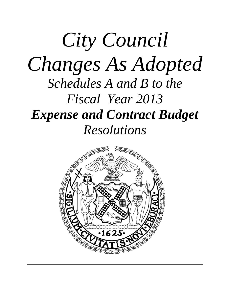## *City Council Changes As Adopted Schedules A and B to the Fiscal Year 2013 Expense and Contract Budget Resolutions*

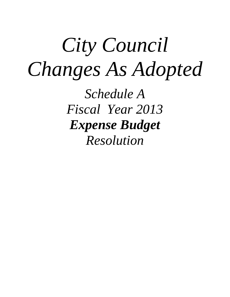# *City Council Changes As Adopted*

*Schedule A Fiscal Year 2013 Expense Budget Resolution*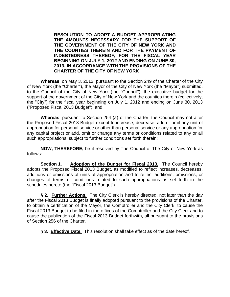**RESOLUTION TO ADOPT A BUDGET APPROPRIATING THE AMOUNTS NECESSARY FOR THE SUPPORT OF THE GOVERNMENT OF THE CITY OF NEW YORK AND THE COUNTIES THEREIN AND FOR THE PAYMENT OF INDEBTEDNESS THEREOF, FOR THE FISCAL YEAR BEGINNING ON JULY 1, 2012 AND ENDING ON JUNE 30, 2013, IN ACCORDANCE WITH THE PROVISIONS OF THE CHARTER OF THE CITY OF NEW YORK**

**Whereas**, on May 3, 2012, pursuant to the Section 249 of the Charter of the City of New York (the "Charter"), the Mayor of the City of New York (the "Mayor") submitted, to the Council of the City of New York (the "Council"), the executive budget for the support of the government of the City of New York and the counties therein (collectively, the "City") for the fiscal year beginning on July 1, 2012 and ending on June 30, 2013 ("Proposed Fiscal 2013 Budget"); and

**Whereas**, pursuant to Section 254 (a) of the Charter, the Council may not alter the Proposed Fiscal 2013 Budget except to increase, decrease, add or omit any unit of appropriation for personal service or other than personal service or any appropriation for any capital project or add, omit or change any terms or conditions related to any or all such appropriations, subject to further conditions set forth therein;

**NOW, THEREFORE,** be it resolved by The Council of The City of New York as follows:

**Section 1.** Adoption of the Budget for Fiscal 2013. The Council hereby adopts the Proposed Fiscal 2013 Budget, as modified to reflect increases, decreases, additions or omissions of units of appropriation and to reflect additions, omissions, or changes of terms or conditions related to such appropriations as set forth in the schedules hereto (the "Fiscal 2013 Budget").

**§ 2. Further Actions.** The City Clerk is hereby directed, not later than the day after the Fiscal 2013 Budget is finally adopted pursuant to the provisions of the Charter, to obtain a certification of the Mayor, the Comptroller and the City Clerk, to cause the Fiscal 2013 Budget to be filed in the offices of the Comptroller and the City Clerk and to cause the publication of the Fiscal 2013 Budget forthwith, all pursuant to the provisions of Section 256 of the Charter.

**§ 3. Effective Date.** This resolution shall take effect as of the date hereof.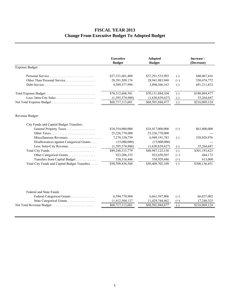#### **FISCAL YEAR 2013 Change From Executive Budget To Adopted Budget**

|                                               | <b>Executive</b><br><b>Budget</b> | <b>Adopted</b><br><b>Budget</b> |                   | Increase \<br>(Decrease) |
|-----------------------------------------------|-----------------------------------|---------------------------------|-------------------|--------------------------|
| Expense Budget:                               |                                   |                                 |                   |                          |
| Personal Service                              | \$37,331,601,409                  | \$37,291,533,993                | $(-)$             | \$40,067,416             |
| Other Than Personal Service                   | 28,391,509,176                    | 28,941,983,948                  | $(+)$             | 550,474,772              |
| Debt Service                                  | 4,589,577,996                     | 3,898,366,163                   | $(-)$             | 691,211,833              |
|                                               | \$70,312,688,581                  | \$70,131,884,104                | $\left( -\right)$ | \$180,804,477            |
| Less: Intra-City Sales                        | (1,595,574,980)                   | (1,630,839,627)                 | $\left( -\right)$ | 35,264,647               |
|                                               | \$68,717,113,601                  | \$68,501,044,477                | $\left( -\right)$ | \$216,069,124            |
| Revenue Budget:                               |                                   |                                 |                   |                          |
| City Funds and Capital Budget Transfers:      |                                   |                                 |                   |                          |
| General Property Taxes                        | \$18,354,000,000                  | \$18,417,000,000                | $^{(+)}$          | \$63,000,000             |
|                                               | 25,226,770,000                    | 25,226,770,000                  |                   |                          |
|                                               | 7,278,120,759                     | 6,949,191,783                   | $(-)$             | 328,928,976              |
| Disallowances against Categorical Grants      | (15,000,000)                      | (15,000,000)                    |                   |                          |
| Less: Intra-City Revenue.                     | (1,595,574,980)                   | (1,630,839,627)                 | $(-)$             | 35,264,647               |
|                                               | \$49,248,315,779                  | \$48,947,122,156                | $(-)$             | \$301,193,623            |
| Other Categorical Grants                      | 923,206,335                       | 923,650,507                     | $(+)$             | 444,172                  |
| Transfers from Capital Budget                 | 538,316,446                       | 538,929,446                     | $(+)$             | 613,000                  |
| Total City Funds and Capital Budget Transfers | \$50,709,838,560                  | \$50,409,702,109                | $(-)$             | \$300,136,451            |
|                                               |                                   |                                 |                   |                          |
| Federal and State Funds:                      |                                   |                                 |                   |                          |
| Federal Categorical Grants                    | 6,594,770,904                     | 6,661,597,906                   | $^{(+)}$          | 66,827,002               |
| State Categorical Grants                      | 11,412,504,137                    | 11,429,744,462                  | $(+)$             | 17,240,325               |
|                                               | \$68,717,113,601                  | \$68,501,044,477                | $\left( -\right)$ | \$216,069,124            |
|                                               |                                   |                                 |                   |                          |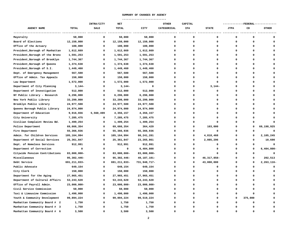#### **SUMMARY OF CHANGES BY AGENCY**

 **----------------------------** 

|                                  |                | INTRA/CITY  | <b>NET</b>     |              | <b>OTHER</b> | CAPITAL     |               | ---------FEDERAL-------------- |          |               |
|----------------------------------|----------------|-------------|----------------|--------------|--------------|-------------|---------------|--------------------------------|----------|---------------|
| <b>AGENCY NAME</b>               | <b>TOTAL</b>   | SALE        | <b>TOTAL</b>   | CITY         | CATEGORICAL  | IFA         | <b>STATE</b>  | <b>JTPA</b>                    | CD       | <b>OTHER</b>  |
| Mayoralty                        | 50,000         | $\mathbf 0$ | 50,000         | 50,000       | $\mathbf 0$  | $\mathbf 0$ | 0             | $\mathbf 0$                    | O        |               |
| Board of Elections               | 12,150,000     | 0           | 12,150,000     | 12,150,000   | $\Omega$     | $\Omega$    | $\Omega$      | 0                              | 0        | $\Omega$      |
| Office of the Actuary            | 100,000        | $\Omega$    | 100,000        | 100,000      | $\Omega$     | $\Omega$    | $\Omega$      | 0                              | 0        |               |
| President, Borough of Manhattan  | 1,612,669      | $\Omega$    | 1,612,669      | 1,612,669    | 0            | $\mathbf 0$ | $\Omega$      | 0                              | 0        |               |
| President, Borough of the Bronx  | 1,591,253      | $\Omega$    | 1,591,253      | 1,591,253    | $\Omega$     | $\mathbf 0$ | $\Omega$      | $\mathbf 0$                    | O        |               |
| President, Borough of Brooklyn   | 1,744,367      | $\Omega$    | 1,744,367      | 1,744,367    | $\Omega$     | $\Omega$    | $\Omega$      | 0                              | O        |               |
| President, Borough of Queens     | 1,374,638      | $\Omega$    | 1,374,638      | 1,374,638    | 0            | $\Omega$    | $\Omega$      | 0                              | 0        | $\Omega$      |
| President, Borough of S.I.       | 1,449,460      | $\Omega$    | 1,449,460      | 1,449,460    | 0            | $\Omega$    | $\Omega$      | $\Omega$                       | 0        | $\Omega$      |
| Dept. of Emergency Management    | 567,500        | $\Omega$    | 567,500        | 567,500      | 0            | $\mathbf 0$ | 0             | $\mathbf 0$                    | 0        | $\Omega$      |
| Office of Admin. Tax Appeals     | 150,000        | 0           | 150,000        | 150,000      | 0            | $\Omega$    | 0             | 0                              | 0        | $\Omega$      |
| Law Department                   | 1,572,000      | $\Omega$    | 1,572,000      | 1,572,000    | 0            | $\Omega$    | $\Omega$      | 0                              | 0        |               |
| Department of City Planning      | $3,144-$       | $\Omega$    | $3,144-$       | 0            | 0            | $\Omega$    | $3,144-$      | $\Omega$                       | 0        |               |
| Department of Investigation      | 512,000        | $\Omega$    | 512,000        | 512,000      | 0            | $\mathbf 0$ | $\Omega$      | $\mathbf 0$                    | 0        |               |
| NY Public Library - Research     | 6,296,000      | 0           | 6,296,000      | 6,296,000    | 0            | $\Omega$    | 0             | $\Omega$                       | 0        | $\Omega$      |
| New York Public Library          | 33,299,000     | $\Omega$    | 33,299,000     | 33,299,000   | 0            | $\Omega$    | 0             | 0                              | 0        | $\Omega$      |
| Brooklyn Public Library          | 24,977,500     | $\Omega$    | 24,977,500     | 24,977,500   | 0            | $\Omega$    | $\Omega$      | $\Omega$                       | 0        | $\Omega$      |
| Queens Borough Public Library    | 24,974,000     | $\Omega$    | 24,974,000     | 24,974,000   | $\Omega$     | $\mathbf 0$ | 0             | $\mathbf 0$                    | 0        |               |
| Department of Education          | 9,916,656      | 5,560,499   | 4,356,157      | 4,356,157    | 0            | $\Omega$    | 0             | 0                              | 0        | $\Omega$      |
| City University                  | 7,285,475      | $\Omega$    | 7,285,475      | 7,285,475    | 0            | $\Omega$    | $\Omega$      | 0                              | O        |               |
| Civilian Complaint Review Bd.    | 1,499,254      | 0           | 1,499,254      | 1,499,254    | 0            | $\Omega$    | $\Omega$      | $\Omega$                       |          |               |
| Police Department                | 69,666,354     | 0           | 69,666,354     | 364,429      | 0            | $\mathbf 0$ | 103,000       | $\mathbf 0$                    | O        | 69,198,925    |
| Fire Department                  | 55,366,936     | $\Omega$    | 55,366,936     | 55,366,936   | 0            | $\Omega$    | $\Omega$      | 0                              | O        | $\mathbf 0$   |
| Admin. for Children Services     | 105,164,994    | $\Omega$    | 105,164,994    | 98,241,281   | 0            | $\Omega$    | 4,818,468     | 0                              | O        | 2,105,245     |
| Department of Social Services    | 25,361,847     | $\Omega$    | 25,361,847     | 23, 265, 861 | 0            | 0           | 2,085,296     | 0                              | 0        | 10,690        |
| Dept. of Homeless Services       | 912,991        | 0           | 912,991        | 912,991      | 0            | $\mathbf 0$ | $\Omega$      | $\mathbf 0$                    | $\Omega$ | $\mathbf 0$   |
| Department of Correction         | $\Omega$       | 0           | 0              | 6,404,800    | 0            | $\Omega$    | $\Omega$      | 0                              | 0        | $6,404,800 -$ |
| Citywide Pension Contributions   | 83,000,000-    | $\Omega$    | 83,000,000-    | 83,000,000-  | 0            | $\Omega$    | 0             | 0                              | O        | $\Omega$      |
| Miscellaneous                    | 95,302,446-    | $\Omega$    | 95,302,446-    | 49,187,101-  | 0            | $\mathbf 0$ | 46, 317, 858- | 0                              | 0        | 202,513       |
| Debt Service                     | 691, 211, 833- | $\mathbf 0$ | 691, 211, 833- | 731,948,717- | 0            | $\mathbf 0$ | 43,000,000    | $\mathbf 0$                    | O        | 2,263,116-    |
| Public Advocate                  | 649,154        | 0           | 649,154        | 649,154      | 0            | $\Omega$    | 0             | 0                              | O        | $\Omega$      |
| City Clerk                       | 150,000        | 0           | 150,000        | 150,000      | $\Omega$     | $\mathbf 0$ | 0             | 0                              | O        | $\Omega$      |
| Department for the Aging         | 27,965,451     | $\Omega$    | 27,965,451     | 27,965,451   | 0            | $\mathbf 0$ | 0             | 0                              | 0        | $\Omega$      |
| Department of Cultural Affairs   | 53, 243, 620   | 0           | 53, 243, 620   | 53,243,620   | 0            | $\mathbf 0$ | 0             | 0                              | 0        | $\Omega$      |
| Office of Payroll Admin.         | $23,000,000 -$ | $\Omega$    | 23,000,000-    | 23,000,000-  | 0            | $\Omega$    | 0             | $\Omega$                       | 0        |               |
| Civil Service Commission         | 50,000         | 0           | 50,000         | 50,000       | $\Omega$     | $\Omega$    | 0             | 0                              | O        | $\Omega$      |
| Taxi & Limousine Commission      | 1,490,000      | 0           | 1,490,000      | 1,490,000    | 0            | $\mathbf 0$ | 0             | 0                              | 0        | $\Omega$      |
| Youth & Community Development    | 99,894,224     | $\Omega$    | 99,894,224     | 99,519,224   | 0            | $\mathbf 0$ | 0             | 0                              | 375,000  | $\Omega$      |
| Manhattan Community Board # 2    | 1,750          | $\Omega$    | 1,750          | 1,750        | $\Omega$     | $\Omega$    | $\Omega$      | $\Omega$                       | 0        | $\Omega$      |
| Manhattan Community Board #<br>3 | 1,750          | 0           | 1,750          | 1,750        | O            | $\Omega$    | n             | $\Omega$                       | O        | $\Omega$      |
| Manhattan Community Board #      | 3,500          | $\Omega$    | 3,500          | 3,500        | $\Omega$     | $\Omega$    | n             | $\Omega$                       | O        | $\Omega$      |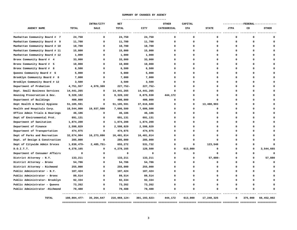#### **SUMMARY OF CHANGES BY AGENCY**

 **----------------------------** 

|                                |                 | INTRA/CITY  | <b>NET</b>   |                | <b>OTHER</b> | CAPITAL      |              |                        |          | ---------FEDERAL-------------- |
|--------------------------------|-----------------|-------------|--------------|----------------|--------------|--------------|--------------|------------------------|----------|--------------------------------|
| AGENCY NAME                    | <b>TOTAL</b>    | SALE        | <b>TOTAL</b> | <b>CITY</b>    | CATEGORICAL  | IFA          | <b>STATE</b> | <b>JTPA</b>            | CD       | <b>OTHER</b>                   |
|                                |                 |             |              |                |              |              |              |                        |          |                                |
| Manhattan Community Board # 7  | 24,750          | $\Omega$    | 24,750       | 24,750         | $\Omega$     | 0            | $\Omega$     | 0                      | O        |                                |
| Manhattan Community Board # 9  | 11,700          | $\Omega$    | 11,700       | 11,700         | $\Omega$     | 0            | $\Omega$     | $\mathbf 0$            | O        |                                |
| Manhattan Community Board # 10 | 10,700          | 0           | 10,700       | 10,700         | 0            | 0            | O            | 0                      | O        |                                |
| Manhattan Community Board # 11 | 15,000          | $\Omega$    | 15,000       | 15,000         | $\Omega$     | 0            | $\Omega$     | $\mathbf{0}$           | O        |                                |
| Manhattan Community Board # 12 | 1,000           | $\Omega$    | 1,000        | 1,000          | 0            | 0            | O            | $\mathbf 0$            | O        |                                |
| Bronx Community Board # 4      | 33,000          | $\Omega$    | 33,000       | 33,000         | n            | 0            |              | $\mathbf 0$            | O        |                                |
| Bronx Community Board # 5      | 10,000          | $\Omega$    | 10,000       | 10,000         | $\Omega$     | 0            | O            | $\mathbf 0$            | O        |                                |
| Bronx Community Board #<br>8   | 6,500           | $\Omega$    | 6,500        | 6,500          | $\Omega$     | 0            | $\Omega$     | $\mathbf 0$            |          |                                |
| Queens Community Board # 6     | 5,000           | $\Omega$    | 5,000        | 5,000          | $\Omega$     | 0            |              | $\Omega$               |          |                                |
| Brooklyn Community Board # 6   | 7,000           | $\Omega$    | 7,000        | 7,000          | $\Omega$     | 0            | n            | $\mathbf 0$            | n        |                                |
| Brooklyn Community Board # 12  | 3,500           | 0           | 3,500        | 3,500          | 0            | 0            | O            | $\mathbf 0$            | O        |                                |
| Department of Probation        | 4,751,557       | 4,979,309   | 227,752-     | 227,752-       | O            | 0            | O            | $\mathbf 0$            | O        |                                |
| Dept. Small Business Services  | 14, 441, 265    | $\Omega$    | 14, 441, 265 | 14,441,265     | $\Omega$     | 0            | n            | $\mathbf 0$            | n        |                                |
| Housing Preservation & Dev.    | 9,320,102       | $\mathbf 0$ | 9,320,102    | 8,875,930      | 444,172      | 0            | $\Omega$     | $\mathbf 0$            | 0        |                                |
| Department of Buildings        | 400,000         | $\Omega$    | 400,000      | 400,000        | $\Omega$     | 0            | $\Omega$     | $\mathbf 0$            | O        |                                |
| Dept Health & Mental Hygiene   | 51,105,591      | $\Omega$    | 51,105,591   | 37,616,688     | $\Omega$     | 0            | 13,488,903   | $\mathbf 0$            | O        |                                |
| Health and Hospitals Corp.     | 18,544,000      | 10,937,500  | 7,606,500    | 7,606,500      | $\Omega$     | 0            | $\Omega$     | 0                      | U        |                                |
| Office Admin Trials & Hearings | 46,186          | $\Omega$    | 46,186       | 46,186         | $\Omega$     | 0            | $\Omega$     | $\mathbf 0$            | O        |                                |
| Dept of Environmental Prot.    | 691,131         | $\Omega$    | 691,131      | 691,131        | $\Omega$     | 0            | $\Omega$     | $\mathbf 0$            | O        |                                |
| Department of Sanitation       | 1,874,208       | $\Omega$    | 1,874,208    | 1,874,208      | $\Omega$     | 0            | O            | $\Omega$               |          |                                |
| Department of Finance          | 2,598,829       | $\Omega$    | 2,598,829    | 2,598,829      | $\Omega$     | 0            | $\Omega$     | $\mathbf 0$            | n        |                                |
| Department of Transportation   | 474,975         | 0           | 474,975      | 474,975        | 0            | 0            | O            | $\mathbf 0$            |          |                                |
| Dept of Parks and Recreation   | 32,674,904      | 16,273,090  | 16,401,814   | 16,401,814     | $\Omega$     | $\Omega$     | $\Omega$     | $\Omega$               | O        |                                |
| Dept. of Design & Construction | 285,000         | $\mathbf 0$ | 285,000      | 285,000        | $\Omega$     | 0            | $\Omega$     | 0                      | O        |                                |
| Dept of Citywide Admin Srvces  | 1,830,479-      | 2,485,751-  | 655,272      | 531,732        | $\Omega$     | 0            | 123,540      | $\mathbf 0$            | O        |                                |
| D.O.I.T.T.T.                   | 4,278,165       | $\Omega$    | 4,278,165    | 120,500        | $\Omega$     | 613,000      | $\Omega$     | $\mathbf{0}$           | U        | 3,544,665                      |
| Department of Consumer Affairs | $\mathbf 0$     | $\mathbf 0$ | $\Omega$     | 0              | $\Omega$     | 0            | $\Omega$     | $\mathbf 0$            | $\Omega$ | $\Omega$                       |
| District Attorney - N.Y.       | 133,211         | 0           | 133,211      | 133,211        | 0            | 0            | 57,880-      | 0                      | 0        | 57,880                         |
| District Attorney - Bronx      | 54,786          | $\Omega$    | 54,786       | 54,786         | $\Omega$     | $\Omega$     | $\Omega$     | $\mathbf 0$            | O        | $\Omega$                       |
| District Attorney - Richmond   | 255,000         | $\Omega$    | 255,000      | 255,000        | $\Omega$     | 0            | $\Omega$     | $\mathbf 0$            | O        |                                |
| Public Administrator - N.Y.    | 107,424         | $\Omega$    | 107,424      | 107,424        | O            | 0            | O            | 0                      | O        |                                |
| Public Administrator - Bronx   | 89,514          | $\Omega$    | 89,514       | 89,514         | $\Omega$     | 0            | $\Omega$     | $\mathbf{0}$           |          |                                |
| Public Administrator- Brooklyn | 92,334          | $\Omega$    | 92,334       | 92,334         | $\Omega$     | 0            | $\Omega$     | $\mathbf 0$            | O        |                                |
| Public Administrator - Queens  | 73,262          | 0           | 73,262       | 73,262         | $\Omega$     | 0            | $\Omega$     | $\mathbf 0$            | O        |                                |
| Public Administrator -Richmond | 79,488          | $\Omega$    | 79,488       | 79,488         | $\Omega$     | <sup>o</sup> | O            | $\Omega$               | U        |                                |
| <b>TOTAL</b>                   | 180,804,477-    | 35,264,647  | 216,069,124- | 301, 193, 623- | 444,172      | 613,000      | 17,240,325   | 0                      | 375,000  | 66,452,002                     |
|                                | =============== |             |              |                |              |              |              | =========== ========== |          |                                |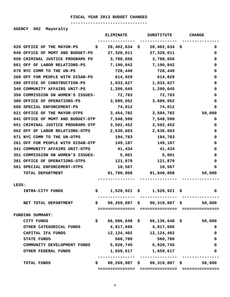#### **FISCAL YEAR 2013 BUDGET CHANGES -------------------------------**

**AGENCY 002 Mayoralty** 

|       |                                   |     | <b>ELIMINATE</b>    | <b>SUBSTITUTE</b>                  |    | <b>CHANGE</b> |
|-------|-----------------------------------|-----|---------------------|------------------------------------|----|---------------|
|       | 020 OFFICE OF THE MAYOR-PS        | S.  | 28,402,634          | 28,402,634<br>\$                   | Ş  | 0             |
|       | 040 OFFICE OF MGMT AND BUDGET-PS  |     | 27,328,011          | 27,328,011                         |    | 0             |
|       | 050 CRIMINAL JUSTICE PROGRAMS PS  |     | 3,788,656           | 3,788,656                          |    | 0             |
|       | 061 OFF OF LABOR RELATIONS-PS     |     | 7,190,842           | 7,190,842                          |    | 0             |
|       | 070 NYC COMM TO THE UN-PS         |     | 728,440             | 728,440                            |    | 0             |
|       | 260 OFF FOR PEOPLE WITH DISAB-PS  |     | 614,829             | 614,829                            |    | 0             |
|       | 280 OFFICE OF CONSTRUCTION-PS     |     | 1,033,627           | 1,033,627                          |    | 0             |
|       | 340 COMMUNITY AFFAIRS UNIT-PS     |     | 1,200,645           | 1,200,645                          |    | 0             |
|       | 350 COMMISSION ON WOMEN'S ISSUES- |     | 72,783              | 72,783                             |    | 0             |
|       | 380 OFFICE OF OPERATIONS-PS       |     | 3,689,052           | 3,689,052                          |    | 0             |
|       | 560 SPECIAL ENFORCEMENT-PS        |     | 74,012              | 74,012                             |    | 0             |
|       | 021 OFFICE OF THE MAYOR-OTPS      |     | 3,454,782           | 3,504,782                          |    | 50,000        |
|       | 041 OFFICE OF MGMT AND BUDGET-OTP |     | 7,548,590           | 7,548,590                          |    | 0             |
|       | 051 CRIMINAL JUSTICE PROGRAMS OTP |     | 3,502,452           | 3,502,452                          |    | 0             |
|       | 062 OFF OF LABOR RELATIONS-OTPS   |     | 2,630,603           | 2,630,603                          |    | 0             |
|       | 071 NYC COMM TO THE UN-OTPS       |     | 194,783             | 194,783                            |    | 0             |
|       | 261 OFF FOR PEOPLE WITH DISAB-OTP |     | 149,187             | 149,187                            |    | 0             |
|       | 341 COMMUNITY AFFAIRS UNIT-OTPS   |     | 41,434              | 41,434                             |    | 0             |
|       | 351 COMMISSION ON WOMEN'S ISSUES- |     | 5,001               | 5,001                              |    | 0             |
|       | 381 OFFICE OF OPERATIONS-OTPS     |     | 121,878             | 121,878                            |    | 0             |
|       | 561 SPECIAL ENFORCEMENT-OTPS      |     | 18,567              | 18,567                             |    | 0             |
|       | <b>TOTAL DEPARTMENT</b>           |     |                     | 91,790,808 91,840,808              |    | 50,000        |
| LESS: |                                   |     |                     |                                    |    |               |
|       | INTRA-CITY FUNDS                  | Ş.  |                     | $1,520,921 \quad $1,520,921$       | Ş. | 0             |
|       | NET TOTAL DEPARTMENT              | \$. |                     | $90, 269, 887$ \$ 90,319,887 \$    |    | 50,000        |
|       |                                   |     |                     |                                    |    |               |
|       | FUNDING SUMMARY:                  |     |                     |                                    |    |               |
|       | CITY FUNDS                        | \$. |                     | 66,086,648 \$ 66,136,648 \$        |    | 50,000        |
|       | OTHER CATEGORICAL FUNDS           |     |                     | 4,817,695 4,817,695                |    | 0             |
|       | CAPITAL IFA FUNDS                 |     |                     | 12, 124, 402 12, 124, 402          |    | 0             |
|       | <b>STATE FUNDS</b>                |     | 560,780             | 560,780                            |    | 0             |
|       | COMMUNITY DEVELOPMENT FUNDS       |     | 5,020,745 5,020,745 |                                    |    | 0             |
|       | OTHER FEDERAL FUNDS               |     |                     | 1,659,617 1,659,617                |    | 0             |
|       | TOTAL FUNDS                       | S.  |                     | 90,269,887 \$ 90,319,887 \$ 50,000 |    |               |
|       |                                   |     |                     |                                    |    |               |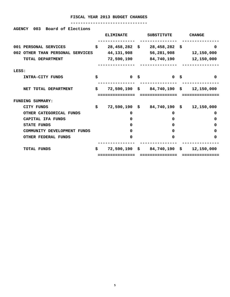**AGENCY 003 Board of Elections** 

|                                  | <b>ELIMINATE</b>      |    | <b>SUBSTITUTE</b>                      |     | <b>CHANGE</b> |
|----------------------------------|-----------------------|----|----------------------------------------|-----|---------------|
| 001 PERSONAL SERVICES            | \$<br>$28,458,282$ \$ |    | 28,458,282                             | -\$ | 0             |
| 002 OTHER THAN PERSONAL SERVICES | 44, 131, 908          |    | 56,281,908                             |     | 12,150,000    |
| TOTAL DEPARTMENT                 | 72,590,190            |    | 84,740,190                             |     | 12,150,000    |
| LESS:                            |                       |    |                                        |     |               |
| INTRA-CITY FUNDS                 | \$<br>$\Omega$        | Ś. | $\Omega$                               | Ŝ.  | $\Omega$      |
| NET TOTAL DEPARTMENT             | \$                    |    | $72,590,190 \quad $84,740,190 \quad $$ |     | 12,150,000    |
|                                  |                       |    |                                        |     |               |
| FUNDING SUMMARY:                 |                       |    |                                        |     |               |
| <b>CITY FUNDS</b>                | \$<br>$72,590,190$ \$ |    | 84,740,190 \$                          |     | 12,150,000    |
| OTHER CATEGORICAL FUNDS          | 0                     |    | 0                                      |     | 0             |
| CAPITAL IFA FUNDS                | 0                     |    | O                                      |     | 0             |
| <b>STATE FUNDS</b>               | 0                     |    | O                                      |     | 0             |
| COMMUNITY DEVELOPMENT FUNDS      | 0                     |    | O                                      |     | 0             |
| <b>OTHER FEDERAL FUNDS</b>       | 0                     |    | $\Omega$                               |     | 0             |
| TOTAL FUNDS                      | \$<br>72,590,190 \$   |    | 84,740,190 \$                          |     | 12,150,000    |
|                                  | ==========            |    | =======                                |     | ========      |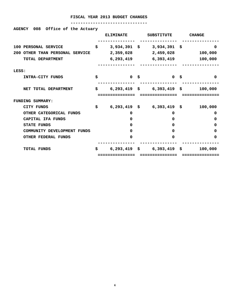| 008 Office of the Actuary<br><b>AGENCY</b> |     |                  |      |                               |                             |
|--------------------------------------------|-----|------------------|------|-------------------------------|-----------------------------|
|                                            |     | <b>ELIMINATE</b> |      | SUBSTITUTE                    | <b>CHANGE</b>               |
| 100 PERSONAL SERVICE                       | \$  | $3,934,391$ \$   |      | 3,934,391 \$                  | $\Omega$                    |
| 200 OTHER THAN PERSONAL SERVICE            |     |                  |      |                               | 2,359,028 2,459,028 100,000 |
| TOTAL DEPARTMENT                           |     |                  |      | 6,293,419 6,393,419           | 100,000                     |
| LESS:                                      |     |                  |      |                               |                             |
| INTRA-CITY FUNDS                           | \$  |                  | 0 \$ | 0 <sup>5</sup>                | $\Omega$                    |
| NET TOTAL DEPARTMENT                       | \$. |                  |      | $6,293,419$ \$ $6,393,419$ \$ | 100,000                     |
|                                            |     |                  |      |                               |                             |
| <b>FUNDING SUMMARY:</b>                    |     |                  |      |                               |                             |
| <b>CITY FUNDS</b>                          | \$  |                  |      | $6,293,419$ \$ $6,393,419$ \$ | 100,000                     |
| OTHER CATEGORICAL FUNDS                    |     | 0                |      | 0                             | 0                           |
|                                            |     |                  |      |                               |                             |
| CAPITAL IFA FUNDS                          |     | 0                |      | $\Omega$                      | 0                           |
| <b>STATE FUNDS</b>                         |     | $\Omega$         |      | 0                             | 0                           |
| COMMUNITY DEVELOPMENT FUNDS                |     | $\Omega$         |      | 0                             | 0                           |
| <b>OTHER FEDERAL FUNDS</b>                 |     | $\Omega$         |      | 0                             | 0                           |
| <b>TOTAL FUNDS</b>                         | \$  |                  |      | $6,293,419$ \$ $6,393,419$ \$ | 100,000                     |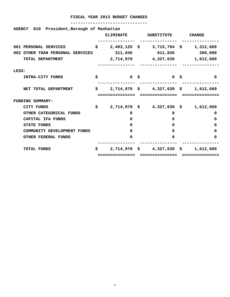| 010<br>President, Borough of Manhattan<br><b>AGENCY</b> |    | <b>ELIMINATE</b> | <b>SUBSTITUTE</b>                    | <b>CHANGE</b> |
|---------------------------------------------------------|----|------------------|--------------------------------------|---------------|
| 001 PERSONAL SERVICES                                   | Ŝ. | $2,403,125$ \$   | $3,715,794$ \$                       | 1,312,669     |
| 002 OTHER THAN PERSONAL SERVICES                        |    | 311,845          | 611,845                              | 300,000       |
| TOTAL DEPARTMENT                                        |    | 2,714,970        | 4,327,639                            | 1,612,669     |
| LESS:                                                   |    |                  |                                      |               |
| INTRA-CITY FUNDS                                        | \$ | 0 <sup>5</sup>   | 0 <sup>5</sup>                       | 0             |
| NET TOTAL DEPARTMENT                                    | S. |                  | $2,714,970 \quad $4,327,639 \quad $$ | 1,612,669     |
| <b>FUNDING SUMMARY:</b>                                 |    |                  |                                      |               |
| CITY FUNDS                                              | S. | $2,714,970$ \$   | 4,327,639 \$                         | 1,612,669     |
| OTHER CATEGORICAL FUNDS                                 |    | 0                | 0                                    | 0             |
| CAPITAL IFA FUNDS                                       |    | 0                | 0                                    | 0             |
| <b>STATE FUNDS</b>                                      |    | 0                | 0                                    | 0             |
| COMMUNITY DEVELOPMENT FUNDS                             |    | 0                | 0                                    | 0             |
| <b>OTHER FEDERAL FUNDS</b>                              |    | 0                | 0                                    | 0             |
| <b>TOTAL FUNDS</b>                                      | S. | 2,714,970        | \$<br>$4,327,639$ \$                 | 1,612,669     |
|                                                         |    |                  |                                      |               |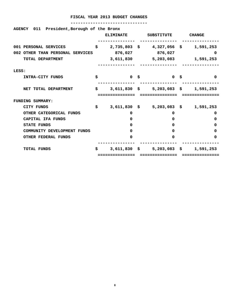| AGENCY 011 President, Borough of the Bronx |    |                  |                                     |               |
|--------------------------------------------|----|------------------|-------------------------------------|---------------|
|                                            |    | <b>ELIMINATE</b> | SUBSTITUTE                          | <b>CHANGE</b> |
| 001 PERSONAL SERVICES                      | \$ |                  | 2,735,803 \$4,327,056 \$1,591,253   |               |
| 002 OTHER THAN PERSONAL SERVICES           |    | 876,027          | 876,027                             | 0             |
| TOTAL DEPARTMENT                           |    |                  | 3,611,830 5,203,083 1,591,253       |               |
| LESS:                                      |    |                  |                                     |               |
| INTRA-CITY FUNDS                           | \$ | 0 \$             | <b>O S</b>                          | $\Omega$      |
| NET TOTAL DEPARTMENT                       | S. |                  | 3,611,830 \$ 5,203,083 \$ 1,591,253 |               |
|                                            |    |                  |                                     |               |
| <b>FUNDING SUMMARY:</b>                    |    |                  |                                     |               |
| CITY FUNDS                                 | \$ |                  | 3,611,830 \$ 5,203,083 \$ 1,591,253 |               |
| OTHER CATEGORICAL FUNDS                    |    | 0                | 0                                   | 0             |
| CAPITAL IFA FUNDS                          |    | 0                | 0                                   | 0             |
| <b>STATE FUNDS</b>                         |    | <sup>0</sup>     | 0                                   | 0             |
| COMMUNITY DEVELOPMENT FUNDS                |    | 0                | 0                                   | 0             |
| <b>OTHER FEDERAL FUNDS</b>                 |    | 0                | 0                                   | 0             |
| <b>TOTAL FUNDS</b>                         | S. |                  | 3,611,830 \$ 5,203,083 \$ 1,591,253 |               |
|                                            |    | ============     |                                     |               |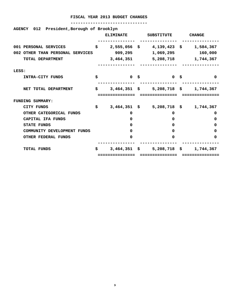| President, Borough of Brooklyn<br>012<br><b>AGENCY</b> |    |                  |                      |               |
|--------------------------------------------------------|----|------------------|----------------------|---------------|
|                                                        |    | <b>ELIMINATE</b> | <b>SUBSTITUTE</b>    | <b>CHANGE</b> |
| 001 PERSONAL SERVICES                                  | \$ | $2,555,056$ \$   | $4,139,423$ \$       | 1,584,367     |
| 002 OTHER THAN PERSONAL SERVICES                       |    | 909,295          | 1,069,295            | 160,000       |
| TOTAL DEPARTMENT                                       |    | 3,464,351        | 5,208,718            | 1,744,367     |
| LESS:                                                  |    |                  |                      |               |
| <b>INTRA-CITY FUNDS</b>                                | s  | 0 \$             | 0 \$                 | $\Omega$      |
| NET TOTAL DEPARTMENT                                   | S. | $3,464,351$ \$   | $5,208,718$ \$       | 1,744,367     |
| <b>FUNDING SUMMARY:</b>                                |    |                  |                      |               |
|                                                        |    |                  |                      |               |
| CITY FUNDS                                             | \$ | $3,464,351$ \$   | $5,208,718$ \$       | 1,744,367     |
| OTHER CATEGORICAL FUNDS                                |    | 0                | 0                    | 0             |
| CAPITAL IFA FUNDS                                      |    | 0                | 0                    | 0             |
| <b>STATE FUNDS</b>                                     |    | 0                | 0                    | 0             |
| COMMUNITY DEVELOPMENT FUNDS                            |    | 0                | 0                    | 0             |
| OTHER FEDERAL FUNDS                                    |    | 0                | 0                    | 0             |
| <b>TOTAL FUNDS</b>                                     | \$ | 3,464,351        | $5,208,718$ \$<br>\$ | 1,744,367     |
|                                                        |    |                  |                      |               |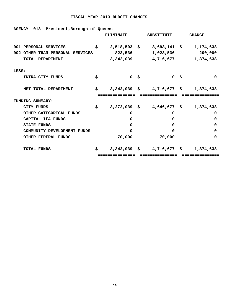| 013 President, Borough of Queens<br><b>AGENCY</b> |    |                  |                                         |                              |
|---------------------------------------------------|----|------------------|-----------------------------------------|------------------------------|
|                                                   |    | <b>ELIMINATE</b> | <b>SUBSTITUTE</b>                       | <b>CHANGE</b>                |
| 001 PERSONAL SERVICES                             | \$ | $2,518,503$ \$   |                                         | $3,693,141 \quad $1,174,638$ |
| 002 OTHER THAN PERSONAL SERVICES                  |    | 823,536          | 1,023,536                               | 200,000                      |
| TOTAL DEPARTMENT                                  |    | 3,342,039        |                                         | 4,716,677 1,374,638          |
| LESS:                                             |    |                  |                                         |                              |
| INTRA-CITY FUNDS                                  | Ś. | 0 <sup>5</sup>   | 0 \$                                    | $\Omega$                     |
| NET TOTAL DEPARTMENT                              | \$ |                  | $3,342,039$ \$ 4,716,677 \$ 1,374,638   |                              |
|                                                   |    |                  |                                         |                              |
| <b>FUNDING SUMMARY:</b>                           |    |                  |                                         |                              |
| CITY FUNDS                                        | \$ |                  | $3,272,039$ \$ $4,646,677$ \$ 1,374,638 |                              |
| OTHER CATEGORICAL FUNDS                           |    | 0                | 0                                       | 0                            |
| CAPITAL IFA FUNDS                                 |    | 0                | 0                                       | 0                            |
| <b>STATE FUNDS</b>                                |    | 0                | 0                                       | 0                            |
| COMMUNITY DEVELOPMENT FUNDS                       |    | 0                | O                                       | 0                            |
| <b>OTHER FEDERAL FUNDS</b>                        |    | 70,000           | 70,000                                  | 0                            |
| <b>TOTAL FUNDS</b>                                | S. |                  | $3,342,039 \quad $4,716,677 \quad $5$   | 1,374,638                    |
|                                                   |    |                  |                                         |                              |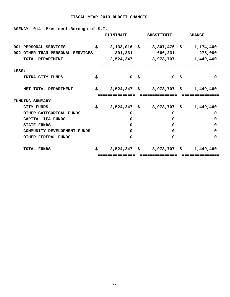#### **-------------------------------**

**AGENCY 014 President,Borough of S.I.** 

|       |                                  | <b>ELIMINATE</b>     | <b>SUBSTITUTE</b>             | <b>CHANGE</b> |
|-------|----------------------------------|----------------------|-------------------------------|---------------|
|       | 001 PERSONAL SERVICES            | \$<br>$2,133,016$ \$ | $3,307,476$ \$                | 1,174,460     |
|       | 002 OTHER THAN PERSONAL SERVICES | 391,231              | 666,231                       | 275,000       |
|       | TOTAL DEPARTMENT                 | 2,524,247            | 3,973,707                     | 1,449,460     |
| LESS: |                                  |                      |                               |               |
|       | INTRA-CITY FUNDS                 | \$<br>$\mathbf{0}$   | \$<br>0 <sup>5</sup>          | $\Omega$      |
|       | NET TOTAL DEPARTMENT             | \$<br>$2,524,247$ \$ | 3,973,707 \$                  | 1,449,460     |
|       | FUNDING SUMMARY:                 |                      |                               |               |
|       | <b>CITY FUNDS</b>                | \$                   | $2,524,247$ \$ $3,973,707$ \$ | 1,449,460     |
|       | OTHER CATEGORICAL FUNDS          | 0                    | 0                             | 0             |
|       | CAPITAL IFA FUNDS                | 0                    | $\Omega$                      | 0             |
|       | <b>STATE FUNDS</b>               | 0                    | $\Omega$                      | 0             |
|       | COMMUNITY DEVELOPMENT FUNDS      | <sup>0</sup>         | $\Omega$                      | 0             |
|       | <b>OTHER FEDERAL FUNDS</b>       | 0                    | $\Omega$                      | 0             |
|       | <b>TOTAL FUNDS</b>               | \$<br>$2,524,247$ \$ | 3,973,707 \$                  | 1,449,460     |
|       |                                  | .============        |                               |               |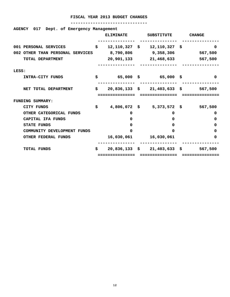| AGENCY 017 Dept. of Emergency Management |     |                  |                                               |               |
|------------------------------------------|-----|------------------|-----------------------------------------------|---------------|
|                                          |     | <b>ELIMINATE</b> | SUBSTITUTE                                    | <b>CHANGE</b> |
| 001 PERSONAL SERVICES                    | \$  |                  | $12,110,327$ \$ $12,110,327$ \$               | 0             |
| 002 OTHER THAN PERSONAL SERVICES         |     |                  | 8,790,806 9,358,306 567,500                   |               |
| TOTAL DEPARTMENT                         |     |                  | 20,901,133 21,468,633 567,500                 |               |
| LESS:                                    |     |                  |                                               |               |
| INTRA-CITY FUNDS                         | \$  |                  | 65,000 \$65,000 \$                            | $\Omega$      |
| NET TOTAL DEPARTMENT                     | \$. |                  | $20,836,133 \quad $21,403,633 \quad $567,500$ |               |
|                                          |     |                  |                                               |               |
| <b>FUNDING SUMMARY:</b>                  |     |                  |                                               |               |
| CITY FUNDS                               | \$  |                  | 4,806,072 \$ 5,373,572 \$ 567,500             |               |
| OTHER CATEGORICAL FUNDS                  |     | 0                | 0                                             | 0             |
| CAPITAL IFA FUNDS                        |     | $\Omega$         | 0                                             | 0             |
| <b>STATE FUNDS</b>                       |     | $\Omega$         | 0                                             | 0             |
| COMMUNITY DEVELOPMENT FUNDS              |     | 0                | 0                                             | 0             |
| OTHER FEDERAL FUNDS                      |     |                  | 16,030,061 16,030,061                         | 0             |
| <b>TOTAL FUNDS</b>                       | \$. |                  | $20,836,133 \quad $21,403,633 \quad $$        | 567,500       |
|                                          |     |                  |                                               |               |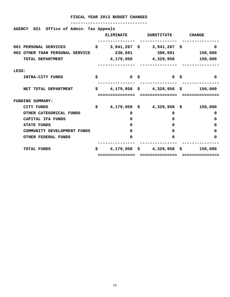| AGENCY 021 Office of Admin. Tax Appeals |                  |                                                        |          |
|-----------------------------------------|------------------|--------------------------------------------------------|----------|
|                                         | <b>ELIMINATE</b> | SUBSTITUTE CHANGE                                      |          |
| 001 PERSONAL SERVICES                   |                  | $$3,941,267$ \$ 3,941,267 \$                           | 0        |
| 002 OTHER THAN PERSONAL SERVICE         |                  | 238,691 388,691 150,000                                |          |
| TOTAL DEPARTMENT                        |                  | 4,179,958 4,329,958 150,000                            |          |
| LESS:                                   |                  |                                                        |          |
| INTRA-CITY FUNDS                        | \$<br>0 \$       | <b>10 S</b>                                            | $\Omega$ |
| NET TOTAL DEPARTMENT                    |                  | $\sharp$ 4,179,958 $\sharp$ 4,329,958 $\sharp$ 150,000 |          |
|                                         |                  |                                                        |          |
| FUNDING SUMMARY:                        |                  |                                                        |          |
| CITY FUNDS                              | \$               | 4,179,958 \$4,329,958 \$150,000                        |          |
| OTHER CATEGORICAL FUNDS                 | 0                | 0                                                      | 0        |
| CAPITAL IFA FUNDS                       | 0                | $\Omega$                                               | 0        |
| <b>STATE FUNDS</b>                      | 0                | $\Omega$                                               | 0        |
| COMMUNITY DEVELOPMENT FUNDS             | 0                | $\Omega$                                               | 0        |
| <b>OTHER FEDERAL FUNDS</b>              | 0                | $\Omega$                                               | 0        |
| <b>TOTAL FUNDS</b>                      |                  | $$4,179,958 \text{ }$ \$4,329,958 \$                   | 150,000  |
|                                         | :============    |                                                        |          |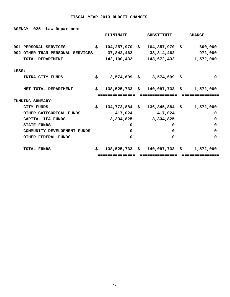| Law Department<br><b>AGENCY</b><br>025 |    | <b>ELIMINATE</b>   | <b>SUBSTITUTE</b>                                 | <b>CHANGE</b> |
|----------------------------------------|----|--------------------|---------------------------------------------------|---------------|
| 001 PERSONAL SERVICES                  | \$ | $104, 257, 970$ \$ | 104,857,970 \$                                    | 600,000       |
| 002 OTHER THAN PERSONAL SERVICES       |    | 37,842,462         | 38,814,462                                        | 972,000       |
| TOTAL DEPARTMENT                       |    | 142,100,432        | 143,672,432 1,572,000                             |               |
| LESS:                                  |    |                    |                                                   |               |
| INTRA-CITY FUNDS                       | \$ |                    | 3,574,699 \$ 3,574,699 \$                         | 0             |
| NET TOTAL DEPARTMENT                   | Ŝ. |                    | $138,525,733 \quad $140,097,733 \quad $1,572,000$ |               |
|                                        |    |                    |                                                   |               |
|                                        |    | ------------       |                                                   |               |
| <b>FUNDING SUMMARY:</b>                |    |                    |                                                   |               |
| CITY FUNDS                             | Ŝ. | $134,773,884$ \$   | $136,345,884$ \$ 1,572,000                        |               |
| OTHER CATEGORICAL FUNDS                |    | 417,024            | 417,024                                           | 0             |
| CAPITAL IFA FUNDS                      |    |                    | 3, 334, 825 3, 334, 825                           | 0             |
| <b>STATE FUNDS</b>                     |    | 0                  | 0                                                 | 0             |
| COMMUNITY DEVELOPMENT FUNDS            |    | $\Omega$           | 0                                                 | 0             |
| <b>OTHER FEDERAL FUNDS</b>             |    | 0                  | O                                                 | 0             |
| <b>TOTAL FUNDS</b>                     | S. |                    | $138,525,733 \quad $140,097,733 \quad $$          | 1,572,000     |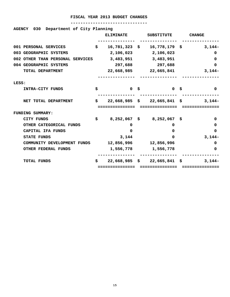| Department of City Planning<br><b>AGENCY</b><br>030 |    |                     |                                        |                                                          |
|-----------------------------------------------------|----|---------------------|----------------------------------------|----------------------------------------------------------|
|                                                     |    | <b>ELIMINATE</b>    | SUBSTITUTE                             | <b>CHANGE</b>                                            |
| 001 PERSONAL SERVICES                               | \$ |                     |                                        | $16,781,323 \text{ }$ \$ $16,778,179 \text{ }$ \$ 3,144- |
| 003 GEOGRAPHIC SYSTEMS                              |    |                     | 2,106,023 2,106,023                    | 0                                                        |
| 002 OTHER THAN PERSONAL SERVICES                    |    | 3,483,951 3,483,951 |                                        | 0                                                        |
| 004 GEOGRAPHIC SYSTEMS                              |    | 297,688             | 297,688                                | 0                                                        |
| TOTAL DEPARTMENT                                    |    |                     | 22,668,985 22,665,841                  | $3,144-$                                                 |
|                                                     |    |                     |                                        |                                                          |
| LESS:                                               |    |                     |                                        |                                                          |
| INTRA-CITY FUNDS                                    | \$ | 0 \$                | $0 \quad \frac{1}{2}$                  | 0                                                        |
|                                                     |    |                     |                                        |                                                          |
| NET TOTAL DEPARTMENT                                | \$ |                     | $22,668,985 \quad $22,665,841 \quad $$ | 3,144–                                                   |
|                                                     |    |                     |                                        |                                                          |
| FUNDING SUMMARY:                                    |    |                     |                                        |                                                          |
| <b>CITY FUNDS</b>                                   | \$ |                     | 8,252,067 \$8,252,067 \$               | 0                                                        |
| OTHER CATEGORICAL FUNDS                             |    | 0                   | 0                                      | 0                                                        |
| CAPITAL IFA FUNDS                                   |    | 0                   | $\mathbf{0}$                           | 0                                                        |
| <b>STATE FUNDS</b>                                  |    | 3,144               | $\Omega$                               | $3,144-$                                                 |
| COMMUNITY DEVELOPMENT FUNDS                         |    |                     | 12,856,996 12,856,996                  | 0                                                        |
| <b>OTHER FEDERAL FUNDS</b>                          |    | 1,556,778           | 1,556,778                              | 0                                                        |
|                                                     |    |                     |                                        |                                                          |
| <b>TOTAL FUNDS</b>                                  | S. |                     | $22,668,985 \quad $22,665,841 \quad $$ | $3,144-$                                                 |
|                                                     |    | ============        | ===========                            |                                                          |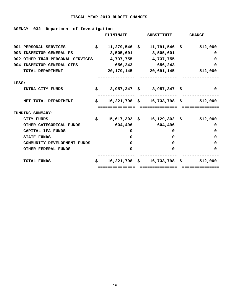| 032<br><b>AGENCY</b>             | Department of Investigation |                                         |                |                 |                                               |
|----------------------------------|-----------------------------|-----------------------------------------|----------------|-----------------|-----------------------------------------------|
|                                  |                             | <b>ELIMINATE</b>                        | SUBSTITUTE     |                 | <b>CHANGE</b>                                 |
|                                  |                             |                                         |                |                 |                                               |
| 001 PERSONAL SERVICES            | \$                          |                                         |                |                 | $11, 279, 546$ \$ $11, 791, 546$ \$ 512,000   |
| 003 INSPECTOR GENERAL-PS         |                             | 3,505,601 3,505,601                     |                |                 | 0                                             |
| 002 OTHER THAN PERSONAL SERVICES |                             | 4,737,755 4,737,755                     |                |                 | 0                                             |
| 004 INSPECTOR GENERAL-OTPS       |                             | 656,243                                 |                | 656,243         | 0                                             |
| TOTAL DEPARTMENT                 |                             | 20, 179, 145 20, 691, 145               |                |                 | 512,000                                       |
| LESS:                            |                             |                                         |                |                 |                                               |
| INTRA-CITY FUNDS                 |                             | $$3,957,347$ \$ 3,957,347 \$            |                |                 | $\Omega$                                      |
| NET TOTAL DEPARTMENT             | \$                          |                                         |                |                 | $16,221,798 \quad $16,733,798 \quad $512,000$ |
|                                  |                             | ============                            |                | ============    |                                               |
| <b>FUNDING SUMMARY:</b>          |                             |                                         |                |                 |                                               |
| <b>CITY FUNDS</b>                | S.                          | $15,617,302 \quad $16,129,302 \quad $3$ |                |                 | 512,000                                       |
| OTHER CATEGORICAL FUNDS          |                             | 604,496                                 |                | 604,496         | 0                                             |
| CAPITAL IFA FUNDS                |                             | 0                                       |                | 0               | 0                                             |
| <b>STATE FUNDS</b>               |                             | 0                                       |                | $\mathbf{0}$    | 0                                             |
| COMMUNITY DEVELOPMENT FUNDS      |                             | <sup>0</sup>                            |                | $\mathbf{0}$    | 0                                             |
| <b>OTHER FEDERAL FUNDS</b>       |                             | 0                                       |                | 0               | 0                                             |
|                                  |                             |                                         |                |                 |                                               |
| <b>TOTAL FUNDS</b>               | Ŝ.                          | $16,221,798$ \$                         |                | $16,733,798$ \$ | 512,000                                       |
|                                  |                             | =============                           | ============== |                 |                                               |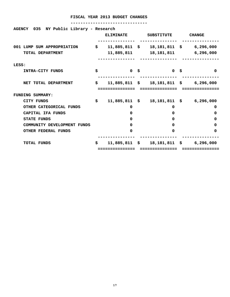| NY Public Library - Research<br>035<br><b>AGENCY</b> |     |                  |                                                  |                         |
|------------------------------------------------------|-----|------------------|--------------------------------------------------|-------------------------|
|                                                      |     | <b>ELIMINATE</b> | <b>SUBSTITUTE</b>                                | <b>CHANGE</b>           |
| 001 LUMP SUM APPROPRIATION                           | \$. | $11,885,811$ \$  |                                                  | 18,181,811 \$ 6,296,000 |
| TOTAL DEPARTMENT                                     |     | 11,885,811       | 18,181,811                                       | 6,296,000               |
| LESS:                                                |     |                  |                                                  |                         |
| INTRA-CITY FUNDS                                     | \$  | $\mathbf{0}$     | \$<br>0 <sup>5</sup>                             | $\Omega$                |
| NET TOTAL DEPARTMENT                                 | \$  |                  | 11,885,811 \$ 18,181,811 \$ 6,296,000            |                         |
| FUNDING SUMMARY:                                     |     |                  |                                                  |                         |
| CITY FUNDS                                           | \$  |                  | 11,885,811 \$ 18,181,811 \$ 6,296,000            |                         |
| OTHER CATEGORICAL FUNDS                              |     | 0                | 0                                                | 0                       |
| CAPITAL IFA FUNDS                                    |     | 0                | 0                                                | 0                       |
| <b>STATE FUNDS</b>                                   |     | 0                | 0                                                | 0                       |
| COMMUNITY DEVELOPMENT FUNDS                          |     | 0                | $\Omega$                                         | 0                       |
| <b>OTHER FEDERAL FUNDS</b>                           |     | 0                | $\Omega$                                         | 0                       |
| <b>TOTAL FUNDS</b>                                   | \$  |                  | $11,885,811 \quad $3 \qquad 18,181,811 \quad $3$ | 6,296,000               |
|                                                      |     | ============     |                                                  |                         |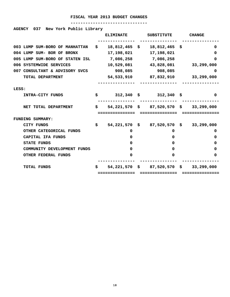#### **-------------------------------**

#### **AGENCY 037 New York Public Library**

|                                 |    | <b>ELIMINATE</b> | <b>SUBSTITUTE</b>                            |    | <b>CHANGE</b> |
|---------------------------------|----|------------------|----------------------------------------------|----|---------------|
| 003 LUMP SUM-BORO OF MANHATTAN  | s. | $18,812,465$ \$  | 18,812,465                                   | -S | 0             |
| 004 LUMP SUM- BOR OF BRONX      |    | 17,198,021       | 17,198,021                                   |    | 0             |
| 005 LUMP SUM-BORO OF STATEN ISL |    | 7,086,258        | 7,086,258                                    |    | <sup>0</sup>  |
| 006 SYSTEMWIDE SERVICES         |    | 10,529,081       | 43,828,081                                   |    | 33,299,000    |
| 007 CONSULTANT & ADVISORY SVCS  |    | 908,085          | 908,085                                      |    | 0             |
| TOTAL DEPARTMENT                |    | 54,533,910       | 87,832,910                                   |    | 33,299,000    |
|                                 |    |                  |                                              |    |               |
| LESS:                           |    |                  |                                              |    |               |
| <b>INTRA-CITY FUNDS</b>         | S. |                  | $312,340 \quad $312,340 \quad $$             |    | 0             |
|                                 |    |                  |                                              |    |               |
| NET TOTAL DEPARTMENT            | \$ |                  | $54,221,570 \div 87,520,570 \div 33,299,000$ |    |               |
|                                 |    | ============     | ============                                 |    |               |
| <b>FUNDING SUMMARY:</b>         |    |                  |                                              |    |               |
| <b>CITY FUNDS</b>               | \$ |                  | $54,221,570 \quad $87,520,570 \quad $$       |    | 33,299,000    |
| OTHER CATEGORICAL FUNDS         |    | 0                | 0                                            |    | 0             |
| CAPITAL IFA FUNDS               |    | 0                | 0                                            |    | 0             |
| <b>STATE FUNDS</b>              |    | 0                | 0                                            |    | 0             |
| COMMUNITY DEVELOPMENT FUNDS     |    | 0                | 0                                            |    | 0             |
| <b>OTHER FEDERAL FUNDS</b>      |    | 0                | 0                                            |    | 0             |
|                                 |    |                  |                                              |    |               |
| <b>TOTAL FUNDS</b>              | S. | $54,221,570$ \$  | 87,520,570 \$                                |    | 33,299,000    |
|                                 |    |                  |                                              |    |               |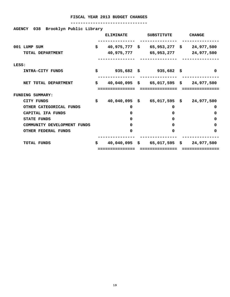| AGENCY 038 Brooklyn Public Library |
|------------------------------------|
|                                    |

|       |                             | <b>ELIMINATE</b>   | <b>SUBSTITUTE</b>                                        | <b>CHANGE</b> |
|-------|-----------------------------|--------------------|----------------------------------------------------------|---------------|
|       | 001 LUMP SUM                | \$                 | $40,975,777$ \$ 65,953,277 \$ 24,977,500                 |               |
|       | TOTAL DEPARTMENT            | 40,975,777         | 65,953,277                                               | 24,977,500    |
| LESS: |                             |                    |                                                          |               |
|       | INTRA-CITY FUNDS            | \$                 | $935,682 \quad $35,682 \quad $$                          | 0             |
|       | NET TOTAL DEPARTMENT        | \$<br>============ | $40,040,095$ \$ 65,017,595 \$ 24,977,500<br>============ |               |
|       | <b>FUNDING SUMMARY:</b>     |                    |                                                          |               |
|       | CITY FUNDS                  | \$                 | $40,040,095$ \$ 65,017,595 \$                            | 24,977,500    |
|       | OTHER CATEGORICAL FUNDS     | 0                  | 0                                                        | 0             |
|       | CAPITAL IFA FUNDS           | 0                  | 0                                                        | 0             |
|       | <b>STATE FUNDS</b>          | 0                  | 0                                                        | 0             |
|       | COMMUNITY DEVELOPMENT FUNDS | $\Omega$           | $\Omega$                                                 | 0             |
|       | <b>OTHER FEDERAL FUNDS</b>  | 0                  | $\Omega$                                                 | 0             |
|       | <b>TOTAL FUNDS</b>          | \$                 | $40,040,095$ \$ 65,017,595 \$                            | 24,977,500    |
|       |                             | ------------       |                                                          |               |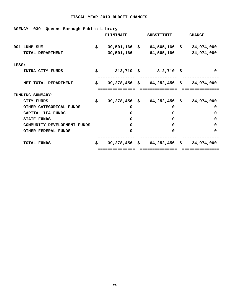| Queens Borough Public Library<br>039<br><b>AGENCY</b> |    | <b>ELIMINATE</b> | <b>SUBSTITUTE</b>                        | <b>CHANGE</b> |
|-------------------------------------------------------|----|------------------|------------------------------------------|---------------|
| 001 LUMP SUM                                          | \$ |                  | 39,591,166 \$ 64,565,166 \$              | 24,974,000    |
| TOTAL DEPARTMENT                                      |    |                  | 39,591,166 64,565,166                    | 24,974,000    |
| LESS:                                                 |    |                  |                                          |               |
| INTRA-CITY FUNDS                                      | Ś. |                  | $312,710 \quad $312,710 \quad $$         | 0             |
| NET TOTAL DEPARTMENT                                  | \$ |                  | $39,278,456$ \$ 64,252,456 \$ 24,974,000 |               |
|                                                       |    | :============    | ==============                           | ===========   |
| FUNDING SUMMARY:                                      |    |                  |                                          |               |
| CITY FUNDS                                            | \$ |                  | $39,278,456$ \$ 64,252,456 \$            | 24,974,000    |
| OTHER CATEGORICAL FUNDS                               |    | 0                | 0                                        | 0             |
| CAPITAL IFA FUNDS                                     |    | 0                | 0                                        | 0             |
| <b>STATE FUNDS</b>                                    |    | 0                | 0                                        | 0             |
| COMMUNITY DEVELOPMENT FUNDS                           |    | 0                | <sup>0</sup>                             | 0             |
| OTHER FEDERAL FUNDS                                   |    | 0                | 0                                        | 0             |
| <b>TOTAL FUNDS</b>                                    | Ŝ. |                  | $39,278,456$ \$ 64,252,456 \$            | 24,974,000    |
|                                                       |    | :==============  | ===============                          | ==========    |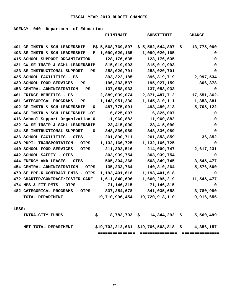#### **-------------------------------**

#### **AGENCY 040 Department of Education**

|       |                                                   | <b>ELIMINATE</b> | <b>SUBSTITUTE</b>                                | <b>CHANGE</b>    |
|-------|---------------------------------------------------|------------------|--------------------------------------------------|------------------|
|       | 401 GE INSTR & SCH LEADERSHIP - P\$ 5,568,769,897 |                  | \$5,582,544,897                                  | 13,775,000<br>\$ |
|       | 403 SE INSTR & SCH LEADERSHIP - P                 | 1,099,020,165    | 1,099,020,165                                    | 0                |
|       | 415 SCHOOL SUPPORT ORGANIZATION                   | 128, 176, 635    | 128, 176, 635                                    | 0                |
|       | 421 CW SE INSTR & SCHL LEADERSHIP                 | 815,019,993      | 815,019,993                                      | 0                |
|       | 423 SE INSTRUCTIONAL SUPPORT - PS                 | 258,020,701      | 258,020,701                                      | 0                |
|       | 435 SCHOOL FACILITIES - PS                        | 393, 322, 185    | 396, 319, 719                                    | 2,997,534        |
|       | 439 SCHOOL FOOD SERVICES - PS                     | 196,233,537      | 195,927,159                                      | $306,378-$       |
|       | 453 CENTRAL ADMINISTRATION - PS                   | 137,058,933      | 137,058,933                                      | 0                |
|       | 461 FRINGE BENEFITS - PS                          | 2,889,039,074    | 2,871,487,712                                    | 17,551,362-      |
|       | 481 CATEGORICAL PROGRAMS - PS                     | 1,143,951,230    | 1,145,310,111                                    | 1,358,881        |
|       | 402 GE INSTR & SCH LEADERSHIP - O                 | 487,775,091      | 493,480,213                                      | 5,705,122        |
|       | 404 SE INSTR & SCH LEADERSHIP -OT                 | 6,825,007        | 6,825,007                                        | 0                |
|       | 416 School Support Organization O                 | 11,960,882       | 11,960,882                                       | 0                |
|       | 422 CW SE INSTR & SCHL LEADERSHIP                 | 23, 415, 090     | 23, 415, 090                                     | 0                |
|       | 424 SE INSTRUCTIONAL SUPPORT -<br>O               | 348,836,989      | 348,836,989                                      | 0                |
|       | 436 SCHOOL FACILITIES - OTPS                      | 201,890,711      | 201,853,859                                      | $36,852-$        |
|       | 438 PUPIL TRANSPORTATION - OTPS                   | 1,132,166,725    | 1,132,166,725                                    | 0                |
|       | 440 SCHOOL FOOD SERVICES - OTPS                   | 211,392,516      | 214,009,747                                      | 2,617,231        |
|       | 442 SCHOOL SAFETY - OTPS                          | 303,939,754      | 303,939,754                                      | 0                |
|       | 444 ENERGY AND LEASES - OTPS                      | 505,304,268      | 508,849,745                                      | 3,545,477        |
|       | 454 CENTRAL ADMINISTRATION - OTPS                 | 135, 233, 764    | 140,810,264                                      | 5,576,500        |
|       | 470 SE PRE-K CONTRACT PMTS - OTPS                 | 1,193,401,618    | 1,193,401,618                                    | 0                |
|       | 472 CHARTER/CONTRACT/FOSTER CARE                  | 1,611,840,696    | 1,600,295,219                                    | 11,545,477-      |
|       | 474 NPS & FIT PMTS - OTPS                         | 71,146,315       | 71,146,315                                       | 0                |
|       | 482 CATEGORICAL PROGRAMS - OTPS                   | 837,254,678      | 841,035,658                                      | 3,780,980        |
|       | TOTAL DEPARTMENT                                  | 19,710,996,454   | 19,720,913,110                                   | 9,916,656        |
|       |                                                   |                  |                                                  |                  |
| LESS: |                                                   |                  |                                                  |                  |
|       | INTRA-CITY FUNDS                                  |                  | $$8,783,793$$ $$14,344,292$$ $$5,560,499$        |                  |
|       | NET TOTAL DEPARTMENT                              |                  | $$19,702,212,661$ $$19,706,568,818$ \$ 4,356,157 |                  |
|       |                                                   |                  |                                                  |                  |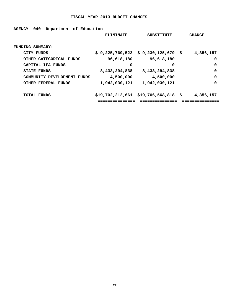#### **-------------------------------**

#### **AGENCY 040 Department of Education**

|                             | <b>ELIMINATE</b> | <b>SUBSTITUTE</b>                     | <b>CHANGE</b> |
|-----------------------------|------------------|---------------------------------------|---------------|
|                             |                  |                                       |               |
| <b>FUNDING SUMMARY:</b>     |                  |                                       |               |
| CITY FUNDS                  |                  | $$9,225,769,522 \t$9,230,125,679 \t$$ | 4,356,157     |
| OTHER CATEGORICAL FUNDS     | 96,618,180       | 96,618,180                            | 0             |
| CAPITAL IFA FUNDS           | 0                | 0                                     | 0             |
| <b>STATE FUNDS</b>          | 8,433,294,838    | 8,433,294,838                         | 0             |
| COMMUNITY DEVELOPMENT FUNDS | 4,500,000        | 4,500,000                             | 0             |
| OTHER FEDERAL FUNDS         | 1,942,030,121    | 1,942,030,121                         | 0             |
|                             |                  |                                       |               |
| <b>TOTAL FUNDS</b>          |                  | $$19,702,212,661$ \$19,706,568,818 \$ | 4,356,157     |
|                             |                  | -------------                         |               |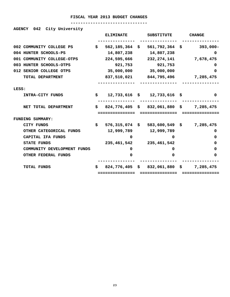#### **-------------------------------**

#### **AGENCY 042 City University**

|                             |    | <b>ELIMINATE</b>   | <b>SUBSTITUTE</b>                       | <b>CHANGE</b> |
|-----------------------------|----|--------------------|-----------------------------------------|---------------|
| 002 COMMUNITY COLLEGE PS    | \$ | $562, 185, 364$ \$ | 561,792,364 \$                          | $393,000 -$   |
| 004 HUNTER SCHOOLS-PS       |    | 14,807,238         | 14,807,238                              | 0             |
| 001 COMMUNITY COLLEGE-OTPS  |    | 224,595,666        | 232, 274, 141                           | 7,678,475     |
| 003 HUNTER SCHOOLS-OTPS     |    | 921,753            | 921,753                                 | 0             |
| 012 SENIOR COLLEGE OTPS     |    | 35,000,000         | 35,000,000                              | 0             |
| TOTAL DEPARTMENT            |    | 837,510,021        | 844,795,496                             | 7,285,475     |
| LESS:                       |    |                    |                                         |               |
| INTRA-CITY FUNDS            | \$ |                    | $12,733,616$ \$ $12,733,616$ \$         | 0             |
| NET TOTAL DEPARTMENT        | \$ | ------------       | 824,776,405 \$ 832,061,880 \$ 7,285,475 |               |
| <b>FUNDING SUMMARY:</b>     |    |                    |                                         |               |
| <b>CITY FUNDS</b>           | \$ | 576,315,074 \$     | 583,600,549 \$                          | 7,285,475     |
| OTHER CATEGORICAL FUNDS     |    | 12,999,789         | 12,999,789                              | 0             |
| CAPITAL IFA FUNDS           |    | 0                  | 0                                       | 0             |
| <b>STATE FUNDS</b>          |    | 235,461,542        | 235,461,542                             | 0             |
| COMMUNITY DEVELOPMENT FUNDS |    | 0                  | 0                                       | 0             |
| <b>OTHER FEDERAL FUNDS</b>  |    | O                  | 0                                       | 0             |
| <b>TOTAL FUNDS</b>          | s  | $824,776,405$ \$   | 832,061,880 \$                          | 7,285,475     |
|                             |    |                    |                                         |               |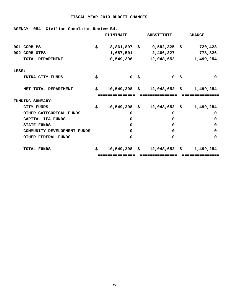| AGENCY 054 Civilian Complaint Review Bd. |     |                  |      |                                                 |               |
|------------------------------------------|-----|------------------|------|-------------------------------------------------|---------------|
|                                          |     | <b>ELIMINATE</b> |      | SUBSTITUTE                                      | <b>CHANGE</b> |
| 001 CCRB-PS                              | \$  |                  |      | 8,861,897 \$9,582,325 \$                        | 720,428       |
| 002 CCRB-OTPS                            |     |                  |      | 1,687,501 2,466,327                             | 778,826       |
| TOTAL DEPARTMENT                         |     |                  |      | 10,549,398 12,048,652 1,499,254                 |               |
| LESS:                                    |     |                  |      |                                                 |               |
| INTRA-CITY FUNDS                         | \$  |                  | 0 \$ | <b>O</b> \$                                     | $\Omega$      |
| NET TOTAL DEPARTMENT                     | \$. |                  |      | $10,549,398 \quad $12,048,652 \quad $1,499,254$ |               |
|                                          |     |                  |      |                                                 |               |
|                                          |     |                  |      | =============                                   |               |
| <b>FUNDING SUMMARY:</b>                  |     |                  |      |                                                 |               |
| <b>CITY FUNDS</b>                        | \$  |                  |      | $10,549,398 \quad $12,048,652 \quad $1,499,254$ |               |
| OTHER CATEGORICAL FUNDS                  |     | 0                |      | $\Omega$                                        | 0             |
| CAPITAL IFA FUNDS                        |     | $\Omega$         |      | 0                                               | 0             |
| <b>STATE FUNDS</b>                       |     | O                |      | 0                                               | 0             |
| COMMUNITY DEVELOPMENT FUNDS              |     | $\Omega$         |      | 0                                               | 0             |
| <b>OTHER FEDERAL FUNDS</b>               |     | $\Omega$         |      | O                                               | 0             |
| <b>TOTAL FUNDS</b>                       | S.  |                  |      | $10,549,398 \quad $12,048,652 \quad $$          | 1,499,254     |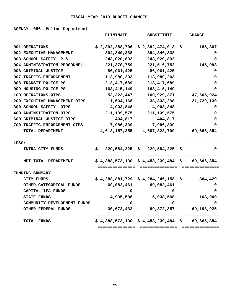#### **-------------------------------**

#### **AGENCY 056 Police Department**

|       |                               |    | <b>ELIMINATE</b> | <b>SUBSTITUTE</b>                               |     | <b>CHANGE</b>    |
|-------|-------------------------------|----|------------------|-------------------------------------------------|-----|------------------|
|       |                               |    |                  |                                                 |     |                  |
|       | 001 OPERATIONS                |    | \$2,892,288,706  | \$2,892,474,013                                 | \$. | 185,307          |
|       | 002 EXECUTIVE MANAGEMENT      |    | 394,340,338      | 394,340,338                                     |     | 0                |
|       | 003 SCHOOL SAFETY- P.S.       |    | 243,020,892      | 243,020,892                                     |     | 0                |
|       | 004 ADMINISTRATION-PERSONNEL  |    | 221,370,759      | 221,516,752                                     |     | 145,993          |
|       | 006 CRIMINAL JUSTICE          |    | 86,961,425       | 86,961,425                                      |     | 0                |
|       | 007 TRAFFIC ENFORCEMENT       |    | 113,980,203      | 113,980,203                                     |     | 0                |
|       | 008 TRANSIT POLICE-PS         |    | 213, 417, 689    | 213, 417, 689                                   |     | 0                |
|       | 009 HOUSING POLICE-PS         |    | 163,415,149      | 163,415,149                                     |     | 0                |
|       | 100 OPERATIONS-OTPS           |    | 53, 323, 447     | 100,929,371                                     |     | 47,605,924       |
|       | 200 EXECUTIVE MANAGEMENT-OTPS |    | 11,604,168       | 33, 333, 298                                    |     | 21,729,130       |
|       | 300 SCHOOL SAFETY- OTPS       |    | 4,903,848        | 4,903,848                                       |     | 0                |
|       | 400 ADMINSITRATION-OTPS       |    | 211, 139, 575    | 211, 139, 575                                   |     | 0                |
|       | 600 CRIMINAL JUSTICE-OTPS     |    | 404,817          | 404,817                                         |     | 0                |
|       | 700 TRAFFIC ENFORCEMENT-OTPS  |    | 7,986,339        | 7,986,339                                       |     | 0                |
|       | TOTAL DEPARTMENT              |    | 4,618,157,355    | 4,687,823,709                                   |     | 69,666,354       |
|       |                               |    |                  |                                                 |     |                  |
| LESS: |                               |    |                  |                                                 |     |                  |
|       | INTRA-CITY FUNDS              | S. | 229,584,225      | 229,584,225<br>S.                               | Ş   | 0                |
|       |                               |    |                  |                                                 |     |                  |
|       | NET TOTAL DEPARTMENT          |    |                  | $$4,388,573,130 \ $4,458,239,484 \ $69,666,354$ |     |                  |
|       |                               |    | ===============  | ----------------                                |     |                  |
|       | FUNDING SUMMARY:              |    |                  |                                                 |     |                  |
|       | <b>CITY FUNDS</b>             |    | \$4,283,881,729  | \$4,284,246,158                                 | s   | 364,429          |
|       | OTHER CATEGORICAL FUNDS       |    | 69,082,461       | 69,082,461                                      |     | 0                |
|       | CAPITAL IFA FUNDS             |    | 0                | 0                                               |     | 0                |
|       | <b>STATE FUNDS</b>            |    | 4,935,508        | 5,038,508                                       |     | 103,000          |
|       | COMMUNITY DEVELOPMENT FUNDS   |    | 0                | 0                                               |     | 0                |
|       | <b>OTHER FEDERAL FUNDS</b>    |    | 30,673,432       | 99,872,357                                      |     | 69,198,925       |
|       | <b>TOTAL FUNDS</b>            |    |                  | \$4,388,573,130 \$4,458,239,484                 |     | 69,666,354<br>\$ |
|       |                               |    | ;==============  |                                                 |     |                  |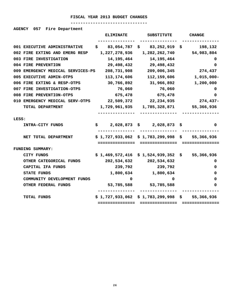#### **-------------------------------**

#### **AGENCY 057 Fire Department**

|       |                                   |    | <b>ELIMINATE</b> | <b>SUBSTITUTE</b>                               |    | <b>CHANGE</b>    |
|-------|-----------------------------------|----|------------------|-------------------------------------------------|----|------------------|
|       | 001 EXECUTIVE ADMINISTRATIVE      | S. | 83,054,787       | 83,252,919<br>S,                                | S. | 198,132          |
|       | 002 FIRE EXTING AND EMERG RESP    |    | 1,227,278,936    | 1,282,262,740                                   |    | 54,983,804       |
|       | 003 FIRE INVESTIGATION            |    | 14, 195, 464     | 14, 195, 464                                    |    | 0                |
|       | 004 FIRE PREVENTION               |    | 29,498,432       | 29,498,432                                      |    | 0                |
|       | 009 EMERGENCY MEDICAL SERVICES-PS |    | 208,731,908      | 209,006,345                                     |    | 274,437          |
|       | 005 EXECUTIVE ADMIN-OTPS          |    | 113,174,606      | 112,159,606                                     |    | 1,015,000-       |
|       | 006 FIRE EXTING & RESP-OTPS       |    | 30,766,892       | 31,966,892                                      |    | 1,200,000        |
|       | 007 FIRE INVESTIGATION-OTPS       |    | 76,060           | 76,060                                          |    | 0                |
|       | 008 FIRE PREVENTION-OTPS          |    | 675,478          | 675,478                                         |    | 0                |
|       | 010 EMERGENCY MEDICAL SERV-OTPS   |    | 22,509,372       | 22,234,935                                      |    | 274,437-         |
|       | TOTAL DEPARTMENT                  |    | 1,729,961,935    | 1,785,328,871                                   |    | 55,366,936       |
| LESS: |                                   |    |                  |                                                 |    |                  |
|       | INTRA-CITY FUNDS                  |    | \$               | $2,028,873$ \$ 2,028,873 \$                     |    | 0                |
|       | NET TOTAL DEPARTMENT              |    | ==============   | $$1,727,933,062$ $$1,783,299,998$ $$55,366,936$ |    |                  |
|       | FUNDING SUMMARY:                  |    |                  |                                                 |    |                  |
|       | CITY FUNDS                        |    |                  | $$1,469,572,416 \ $1,524,939,352$               |    | 55,366,936<br>\$ |
|       | OTHER CATEGORICAL FUNDS           |    | 202,534,632      | 202,534,632                                     |    | 0                |
|       | CAPITAL IFA FUNDS                 |    | 239,792          | 239,792                                         |    | 0                |
|       | STATE FUNDS                       |    | 1,800,634        | 1,800,634                                       |    | 0                |
|       | COMMUNITY DEVELOPMENT FUNDS       |    | 0                | 0                                               |    | 0                |
|       | OTHER FEDERAL FUNDS               |    | 53,785,588       | 53,785,588                                      |    | 0                |
|       |                                   |    |                  |                                                 |    |                  |
|       | TOTAL FUNDS                       |    |                  | \$1,727,933,062 \$1,783,299,998 \$              |    | 55,366,936       |
|       |                                   |    | :=============== | ===============                                 |    |                  |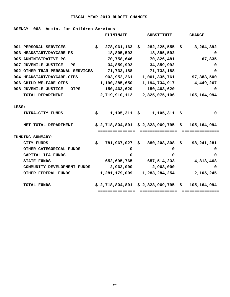#### **-------------------------------**

#### **AGENCY 068 Admin. for Children Services**

|       |                                  |     | <b>ELIMINATE</b> | <b>SUBSTITUTE</b>                     | <b>CHANGE</b>      |
|-------|----------------------------------|-----|------------------|---------------------------------------|--------------------|
|       | 001 PERSONAL SERVICES            | \$  | 278,961,163      | 282,225,555<br>S.                     | 3,264,392<br>s, se |
|       | 003 HEADSTART/DAYCARE-PS         |     | 18,895,592       | 18,895,592                            | 0                  |
|       | 005 ADMINISTRATIVE-PS            |     | 70,758,646       | 70,826,481                            | 67,835             |
|       | 007 JUVENILE JUSTICE - PS        |     | 34,859,992       | 34,859,992                            | 0                  |
|       | 002 OTHER THAN PERSONAL SERVICES |     | 71,733,188       | 71,733,188                            | 0                  |
|       | 004 HEADSTART/DAYCARE-OTPS       |     | 903,952,261      | 1,001,335,761                         | 97,383,500         |
|       | 006 CHILD WELFARE-OTPS           |     | 1,190,285,650    | 1,194,734,917                         | 4,449,267          |
|       | 008 JUVENILE JUSTICE - OTPS      |     | 150,463,620      | 150,463,620                           | 0                  |
|       | TOTAL DEPARTMENT                 |     | 2,719,910,112    | 2,825,075,106                         | 105,164,994        |
|       |                                  |     |                  |                                       |                    |
| LESS: |                                  |     |                  |                                       |                    |
|       | <b>INTRA-CITY FUNDS</b>          | \$. |                  | $1,105,311 \quad $1,105,311 \quad $$  | 0                  |
|       | NET TOTAL DEPARTMENT             |     |                  | \$2,718,804,801 \$2,823,969,795 \$    | 105,164,994        |
|       |                                  |     | ===============  | ===============                       | ---------------    |
|       | FUNDING SUMMARY:                 |     |                  |                                       |                    |
|       | CITY FUNDS                       | \$  | 781,967,027      | \$880, 208, 308                       | 98, 241, 281<br>\$ |
|       | OTHER CATEGORICAL FUNDS          |     | 0                | 0                                     | 0                  |
|       | CAPITAL IFA FUNDS                |     | 0                | 0                                     | 0                  |
|       | <b>STATE FUNDS</b>               |     | 652,695,765      | 657,514,233                           | 4,818,468          |
|       | COMMUNITY DEVELOPMENT FUNDS      |     | 2,963,000        | 2,963,000                             | 0                  |
|       | OTHER FEDERAL FUNDS              |     | 1,281,179,009    | 1,283,284,254                         | 2,105,245          |
|       | <b>TOTAL FUNDS</b>               |     |                  | $$2,718,804,801 \ $2,823,969,795 \ $$ | 105,164,994        |
|       |                                  |     | =============    |                                       |                    |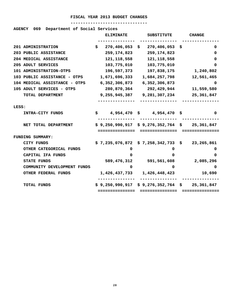#### **-------------------------------**

#### **AGENCY 069 Department of Social Services**

|                               |     | <b>ELIMINATE</b>            |    | <b>SUBSTITUTE</b>                               |    | <b>CHANGE</b>   |
|-------------------------------|-----|-----------------------------|----|-------------------------------------------------|----|-----------------|
| 201 ADMINISTRATION            | \$  | 270,406,053                 | S. | 270,406,053                                     | .Ş | 0               |
| 203 PUBLIC ASSISTANCE         |     | 259, 174, 823               |    | 259, 174, 823                                   |    | 0               |
| 204 MEDICAL ASSISTANCE        |     | 121, 118, 558               |    | 121, 118, 558                                   |    | 0               |
| 205 ADULT SERVICES            |     | 103,775,010                 |    | 103,775,010                                     |    | 0               |
| 101 ADMINISTRATION-OTPS       |     | 196,597,373                 |    | 197,838,175                                     |    | 1,240,802       |
| 103 PUBLIC ASSISTANCE - OTPS  |     | 1,671,696,333               |    | 1,684,257,798                                   |    | 12,561,465      |
| 104 MEDICAL ASSISTANCE - OTPS |     | 6,352,306,873               |    | 6,352,306,873                                   |    | 0               |
| 105 ADULT SERVICES - OTPS     |     | 280,870,364                 |    | 292,429,944                                     |    | 11,559,580      |
| TOTAL DEPARTMENT              |     | 9,255,945,387               |    | 9,281,307,234                                   |    | 25,361,847      |
|                               |     |                             |    |                                                 |    |                 |
| LESS:                         |     |                             |    |                                                 |    |                 |
| INTRA-CITY FUNDS              | \$. |                             |    | 4,954,470 \$4,954,470 \$                        |    | 0               |
| NET TOTAL DEPARTMENT          |     |                             |    | $$9,250,990,917 \& 9,276,352,764 \& 25,361,847$ |    |                 |
|                               |     | ===============             |    | ===============                                 |    | =============== |
| <b>FUNDING SUMMARY:</b>       |     |                             |    |                                                 |    |                 |
| <b>CITY FUNDS</b>             |     |                             |    | \$7,235,076,872\$7,258,342,733                  | S. | 23,265,861      |
| OTHER CATEGORICAL FUNDS       |     | 0                           |    | 0                                               |    | 0               |
| CAPITAL IFA FUNDS             |     | 0                           |    | 0                                               |    | 0               |
| <b>STATE FUNDS</b>            |     | 589,476,312                 |    | 591,561,608                                     |    | 2,085,296       |
| COMMUNITY DEVELOPMENT FUNDS   |     | 0                           |    | 0                                               |    | 0               |
| OTHER FEDERAL FUNDS           |     | 1,426,437,733 1,426,448,423 |    |                                                 |    | 10,690          |
| <b>TOTAL FUNDS</b>            |     |                             |    | \$9,250,990,917 \$9,276,352,764 \$              |    | 25,361,847      |
|                               |     | =============               |    |                                                 |    |                 |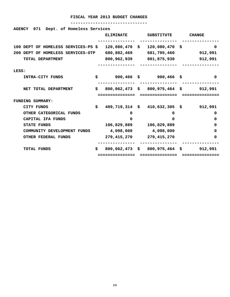| AGENCY 071 Dept. of Homeless Services |    |                             |                                                             |               |
|---------------------------------------|----|-----------------------------|-------------------------------------------------------------|---------------|
|                                       |    | <b>ELIMINATE</b>            | SUBSTITUTE                                                  | <b>CHANGE</b> |
| 100 DEPT OF HOMELESS SERVICES-PS \$   |    |                             | 120,080,470 \$ 120,080,470 \$                               | 0             |
| 200 DEPT OF HOMELESS SERVICES-OTP     |    | 680,882,469                 | 681,795,460 912,991                                         |               |
| TOTAL DEPARTMENT                      |    |                             |                                                             |               |
| LESS:                                 |    |                             |                                                             |               |
| INTRA-CITY FUNDS                      |    |                             | $$900,466$ \$ 900,466 \$                                    | 0             |
| NET TOTAL DEPARTMENT                  | S. |                             | $800,062,473 \text{ }$ \$ $800,975,464 \text{ }$ \$ 912,991 |               |
|                                       |    | ===========                 | =============                                               |               |
| <b>FUNDING SUMMARY:</b>               |    |                             |                                                             |               |
| CITY FUNDS                            | \$ |                             | $409,719,314 \text{ }$ \$ $410,632,305 \text{ }$ \$ 912,991 |               |
| OTHER CATEGORICAL FUNDS               |    | 0                           | $\Omega$                                                    | 0             |
| CAPITAL IFA FUNDS                     |    | $\Omega$                    | $\Omega$                                                    | 0             |
| <b>STATE FUNDS</b>                    |    | 106,829,889                 | 106,829,889                                                 | 0             |
| COMMUNITY DEVELOPMENT FUNDS           |    | 4,098,000                   | 4,098,000                                                   | 0             |
| OTHER FEDERAL FUNDS                   |    | 279, 415, 270 279, 415, 270 |                                                             | 0             |
| <b>TOTAL FUNDS</b>                    | S. |                             | $800,062,473 \div 800,975,464 \div 912,991$                 |               |
|                                       |    | ============                |                                                             |               |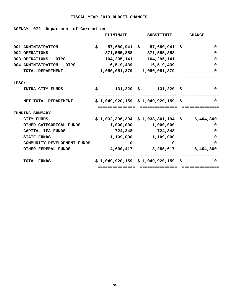#### **-------------------------------**

#### **AGENCY 072 Department of Correction**

|       |                             | <b>ELIMINATE</b>            | <b>SUBSTITUTE</b>                             | <b>CHANGE</b> |
|-------|-----------------------------|-----------------------------|-----------------------------------------------|---------------|
|       |                             |                             |                                               |               |
|       | 001 ADMINISTRATION          |                             | $$57,680,941$ \$ 57,680,941 \$                | 0             |
|       | 002 OPERATIONS              |                             | 871,555,858 871,555,858                       | 0             |
|       | 003 OPERATIONS - OTPS       | 104,295,141                 | 104,295,141                                   | 0             |
|       | 004 ADMINISTRATION - OTPS   | 16,519,439 16,519,439       |                                               | 0             |
|       | TOTAL DEPARTMENT            | 1,050,051,379 1,050,051,379 |                                               | 0             |
|       |                             |                             |                                               |               |
| LESS: |                             |                             |                                               |               |
|       | INTRA-CITY FUNDS            |                             | $$31,220$ \$ $131,220$ \$                     | 0             |
|       |                             |                             |                                               |               |
|       | NET TOTAL DEPARTMENT        |                             | $$1,049,920,159 \$1,049,920,159 \$$           | 0             |
|       |                             | --------------              | -------------                                 |               |
|       | FUNDING SUMMARY:            |                             |                                               |               |
|       | CITY FUNDS                  |                             | $$1,032,396,394 \$1,038,801,194 \$ 6,404,800$ |               |
|       | OTHER CATEGORICAL FUNDS     |                             | 1,000,000 1,000,000                           | 0             |
|       | CAPITAL IFA FUNDS           | 724,348                     | 724,348                                       | 0             |
|       | <b>STATE FUNDS</b>          |                             | 1,109,000 1,109,000                           | 0             |
|       | COMMUNITY DEVELOPMENT FUNDS | 0                           | 0                                             | 0             |
|       | <b>OTHER FEDERAL FUNDS</b>  |                             | 14,690,417 8,285,617 6,404,800-               |               |
|       |                             |                             |                                               |               |
|       | <b>TOTAL FUNDS</b>          |                             | $$1,049,920,159 \$1,049,920,159 \$$           | $\Omega$      |
|       |                             | ============                |                                               |               |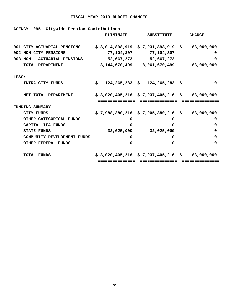| Citywide Pension Contributions<br><b>AGENCY</b><br>095 |                  |                                                    |               |
|--------------------------------------------------------|------------------|----------------------------------------------------|---------------|
|                                                        | <b>ELIMINATE</b> | <b>SUBSTITUTE</b>                                  | <b>CHANGE</b> |
| 001 CITY ACTUARIAL PENSIONS                            |                  | $$8,014,898,919$$ $$7,931,898,919$$ $$83,000,000-$ |               |
| 002 NON-CITY PENSIONS                                  | 77,104,307       | 77,104,307                                         | 0             |
| 003 NON - ACTUARIAL PENSIONS                           |                  | 52,667,273 52,667,273                              | <sup>0</sup>  |
| TOTAL DEPARTMENT                                       |                  | 8,144,670,499 8,061,670,499 83,000,000-            |               |
| LESS:                                                  |                  |                                                    |               |
| INTRA-CITY FUNDS                                       | Ŝ.               | 124,265,283 \$ 124,265,283 \$                      | 0             |
| NET TOTAL DEPARTMENT                                   | .============    | $$8,020,405,216 \$7,937,405,216 \$83,000,000-$     |               |
| <b>FUNDING SUMMARY:</b>                                |                  |                                                    |               |
| <b>CITY FUNDS</b>                                      |                  | $$7,988,380,216 \ $7,905,380,216 \ $83,000,000-$   |               |
| OTHER CATEGORICAL FUNDS                                | 0                | 0                                                  | 0             |
| CAPITAL IFA FUNDS                                      | ŋ                | <sup>0</sup>                                       | 0             |
| <b>STATE FUNDS</b>                                     |                  | 32,025,000 32,025,000                              | 0             |
| COMMUNITY DEVELOPMENT FUNDS                            | 0                | $\Omega$                                           | 0             |
| OTHER FEDERAL FUNDS                                    | 0                | 0                                                  | 0             |
| <b>TOTAL FUNDS</b>                                     |                  | $$8,020,405,216 \$7,937,405,216 \$83,000,000-$     |               |
|                                                        |                  |                                                    |               |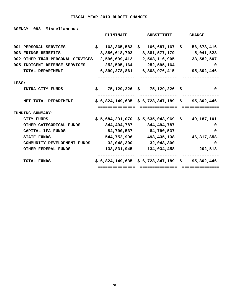#### **-------------------------------**

**AGENCY 098 Miscellaneous** 

|       |                                  |     | <b>ELIMINATE</b>                               | <b>SUBSTITUTE</b>           | <b>CHANGE</b> |
|-------|----------------------------------|-----|------------------------------------------------|-----------------------------|---------------|
|       |                                  |     |                                                |                             |               |
|       | 001 PERSONAL SERVICES            | \$. | $163,365,583$ \$                               | $106,687,167$ \$            | $56,678,416-$ |
| 003   | <b>FRINGE BENEFITS</b>           |     | 3,886,618,702                                  | 3,881,577,179               | 5,041,523-    |
|       | 002 OTHER THAN PERSONAL SERVICES |     | 2,596,699,412                                  | 2,563,116,905               | $33,582,507-$ |
|       | 005 INDIGENT DEFENSE SERVICES    |     | 252,595,164                                    | 252,595,164                 | $\mathbf{0}$  |
|       | TOTAL DEPARTMENT                 |     | 6,899,278,861                                  | 6,803,976,415               | 95,302,446-   |
|       |                                  |     |                                                |                             |               |
| LESS: |                                  |     |                                                |                             |               |
|       | INTRA-CITY FUNDS                 |     | \$                                             | 75,129,226 \$ 75,129,226 \$ | 0             |
|       |                                  |     |                                                |                             |               |
|       | NET TOTAL DEPARTMENT             |     | $$6,824,149,635 \$6,728,847,189 \$95,302,446-$ |                             |               |
|       |                                  |     | ============                                   |                             |               |
|       | <b>FUNDING SUMMARY:</b>          |     |                                                |                             |               |
|       | CITY FUNDS                       |     | \$5,684,231,070 \$5,635,043,969 \$             |                             | 49,187,101–   |
|       | OTHER CATEGORICAL FUNDS          |     | 344,494,787                                    | 344,494,787                 | 0             |
|       | CAPITAL IFA FUNDS                |     | 84,790,537                                     | 84,790,537                  | 0             |
|       | <b>STATE FUNDS</b>               |     | 544,752,996                                    | 498,435,138                 | 46,317,858-   |
|       | COMMUNITY DEVELOPMENT FUNDS      |     | 32,048,300                                     | 32,048,300                  | $\Omega$      |
|       | OTHER FEDERAL FUNDS              |     | 133,831,945                                    | 134,034,458                 | 202,513       |
|       |                                  |     |                                                |                             |               |
|       | TOTAL FUNDS                      |     | $$6,824,149,635 \ $6,728,847,189 \ $$          |                             | 95,302,446-   |
|       |                                  |     | ============                                   | =========                   |               |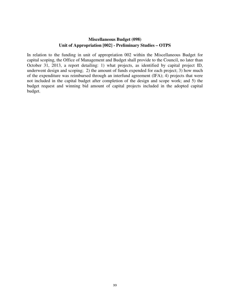#### **Miscellaneous Budget (098) Unit of Appropriation [002] - Preliminary Studies – OTPS**

In relation to the funding in unit of appropriation 002 within the Miscellaneous Budget for capital scoping, the Office of Management and Budget shall provide to the Council, no later than October 31, 2013, a report detailing: 1) what projects, as identified by capital project ID, underwent design and scoping; 2) the amount of funds expended for each project; 3) how much of the expenditure was reimbursed through an interfund agreement (IFA); 4) projects that were not included in the capital budget after completion of the design and scope work; and 5) the budget request and winning bid amount of capital projects included in the adopted capital budget.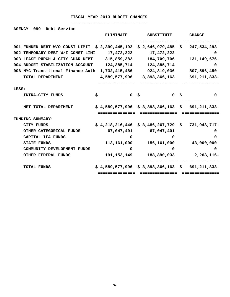| 099<br>Debt Service<br><b>AGENCY</b> |                   |                                                   |                   |
|--------------------------------------|-------------------|---------------------------------------------------|-------------------|
|                                      | <b>ELIMINATE</b>  | <b>SUBSTITUTE</b>                                 | <b>CHANGE</b>     |
| 001 FUNDED DEBT-W/O CONST LIMIT      | \$2,399,445,192   | \$2,646,979,485                                   | 247,534,293<br>S. |
| 002 TEMPORARY DEBT W/I CONST LIMI    | 17,472,222        | 17,472,222                                        | 0                 |
| 003 LEASE PURCH & CITY GUAR DEBT     | 315,859,382       | 184,709,706                                       | 131, 149, 676-    |
| 004 BUDGET STABILIZATION ACCOUNT     | 124,385,714       | 124,385,714                                       | 0                 |
| 006 NYC Transitional Finance Auth    | 1,732,415,486     | 924,819,036                                       | 807,596,450-      |
| TOTAL DEPARTMENT                     | 4,589,577,996     | 3,898,366,163                                     | 691,211,833-      |
|                                      |                   |                                                   |                   |
| LESS:                                |                   |                                                   |                   |
| INTRA-CITY FUNDS                     | \$<br>$\mathbf 0$ | \$<br>$\mathbf{0}$                                | - \$<br>0         |
|                                      |                   |                                                   |                   |
| NET TOTAL DEPARTMENT                 |                   | $$4,589,577,996 \& 3,898,366,163 \& 691,211,833-$ |                   |
|                                      | ============      |                                                   |                   |
| <b>FUNDING SUMMARY:</b>              |                   |                                                   |                   |
| CITY FUNDS                           |                   | $$4,218,216,446 \t$3,486,267,729 \t$$             | 731,948,717-      |
| OTHER CATEGORICAL FUNDS              | 67,047,401        | 67,047,401                                        | 0                 |
| CAPITAL IFA FUNDS                    | O                 | O                                                 | O                 |
| <b>STATE FUNDS</b>                   | 113,161,000       | 156,161,000                                       | 43,000,000        |
| COMMUNITY DEVELOPMENT FUNDS          | 0                 | 0                                                 | 0                 |
| OTHER FEDERAL FUNDS                  | 191, 153, 149     | 188,890,033                                       | $2,263,116-$      |
| <b>TOTAL FUNDS</b>                   |                   | $$4,589,577,996 \$3,898,366,163 \$691,211,833-$   |                   |
|                                      | ============      |                                                   |                   |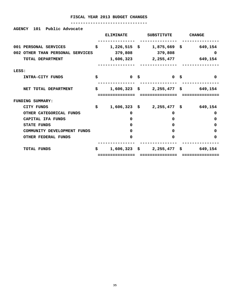**AGENCY 101 Public Advocate** 

|                                  |    | <b>ELIMINATE</b> | <b>SUBSTITUTE</b>                           | <b>CHANGE</b>          |
|----------------------------------|----|------------------|---------------------------------------------|------------------------|
| 001 PERSONAL SERVICES            | \$ | $1,226,515$ \$   |                                             | $1,875,669$ \$ 649,154 |
| 002 OTHER THAN PERSONAL SERVICES |    | 379,808          | 379,808                                     | 0                      |
| TOTAL DEPARTMENT                 |    |                  | 1,606,323 2,255,477                         | 649,154                |
| LESS:                            |    |                  |                                             |                        |
| INTRA-CITY FUNDS                 | \$ | 0 <sup>5</sup>   | 0 \$                                        | 0                      |
| NET TOTAL DEPARTMENT             | \$ |                  | $1,606,323 \quad $2,255,477 \quad $649,154$ |                        |
|                                  |    | :============    | ============                                |                        |
| <b>FUNDING SUMMARY:</b>          |    |                  |                                             |                        |
| CITY FUNDS                       | \$ |                  | $1,606,323 \quad $2,255,477 \quad $649,154$ |                        |
| OTHER CATEGORICAL FUNDS          |    | 0                | 0                                           | 0                      |
| CAPITAL IFA FUNDS                |    | <sup>0</sup>     | 0                                           | 0                      |
| <b>STATE FUNDS</b>               |    | O                | O                                           | 0                      |
| COMMUNITY DEVELOPMENT FUNDS      |    | 0                | U                                           | 0                      |
| <b>OTHER FEDERAL FUNDS</b>       |    | 0                | O                                           | 0                      |
| <b>TOTAL FUNDS</b>               | S. |                  | $1,606,323 \quad $2,255,477 \quad $$        | 649,154                |
|                                  |    | ===========      | =============                               |                        |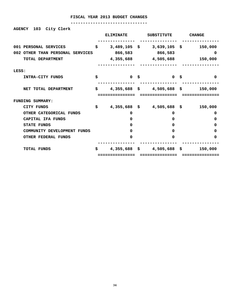## **-------------------------------**

**AGENCY 103 City Clerk** 

|                                  |    | <b>ELIMINATE</b> | <b>SUBSTITUTE</b>             | <b>CHANGE</b> |
|----------------------------------|----|------------------|-------------------------------|---------------|
| 001 PERSONAL SERVICES            | Ŝ. |                  | $3,489,105$ \$ $3,639,105$ \$ | 150,000       |
| 002 OTHER THAN PERSONAL SERVICES |    | 866,583          | 866,583                       | 0             |
| TOTAL DEPARTMENT                 |    |                  | 4,355,688 4,505,688           | 150,000       |
| LESS:                            |    |                  |                               |               |
| INTRA-CITY FUNDS                 | \$ | 0 <sup>5</sup>   | 0 \$                          | $\Omega$      |
| NET TOTAL DEPARTMENT             | \$ |                  | $4,355,688$ \$ $4,505,688$ \$ | 150,000       |
|                                  |    | :===========     |                               |               |
| <b>FUNDING SUMMARY:</b>          |    |                  |                               |               |
| CITY FUNDS                       | \$ |                  | 4,355,688 \$4,505,688 \$      | 150,000       |
| OTHER CATEGORICAL FUNDS          |    | 0                | 0                             | 0             |
| CAPITAL IFA FUNDS                |    | 0                | 0                             | 0             |
| <b>STATE FUNDS</b>               |    | 0                | 0                             | 0             |
| COMMUNITY DEVELOPMENT FUNDS      |    | 0                | <sup>0</sup>                  | 0             |
| <b>OTHER FEDERAL FUNDS</b>       |    | 0                | $\Omega$                      | 0             |
| <b>TOTAL FUNDS</b>               | \$ |                  | $4,355,688$ \$ $4,505,688$ \$ | 150,000       |
|                                  |    | ============     |                               |               |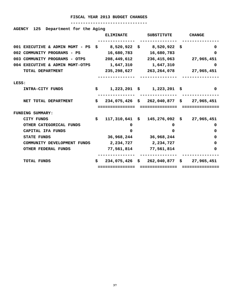| Department for the Aging<br><b>AGENCY</b><br>125                                              |    |                  |                                                                |               |
|-----------------------------------------------------------------------------------------------|----|------------------|----------------------------------------------------------------|---------------|
|                                                                                               |    | <b>ELIMINATE</b> | SUBSTITUTE                                                     | <b>CHANGE</b> |
| 001 EXECUTIVE & ADMIN MGMT - PS $\frac{1}{5}$ 8,520,922 $\frac{1}{5}$ 8,520,922 $\frac{1}{5}$ |    |                  |                                                                | 0             |
| 002 COMMUNITY PROGRAMS - PS                                                                   |    |                  | 16,680,783 16,680,783                                          | 0             |
| 003 COMMUNITY PROGRAMS - OTPS 208,449,612 236,415,063                                         |    |                  |                                                                | 27,965,451    |
| 004 EXECUTIVE & ADMIN MGMT-OTPS                                                               |    | 1,647,310        | 1,647,310                                                      | 0             |
| TOTAL DEPARTMENT                                                                              |    | 235,298,627      | 263,264,078                                                    | 27,965,451    |
|                                                                                               |    |                  |                                                                |               |
| LESS:                                                                                         |    |                  |                                                                |               |
| INTRA-CITY FUNDS                                                                              |    |                  | $\sharp$ 1,223,201 $\sharp$ 1,223,201 $\sharp$                 | 0             |
|                                                                                               |    |                  |                                                                |               |
| NET TOTAL DEPARTMENT                                                                          | S. |                  | 234,075,426 \$ 262,040,877 \$ 27,965,451                       |               |
|                                                                                               |    | :===========     |                                                                |               |
| <b>FUNDING SUMMARY:</b>                                                                       |    |                  |                                                                |               |
| CITY FUNDS                                                                                    | \$ |                  | $117,310,641 \text{ }$ \$ $145,276,092 \text{ }$ \$ 27,965,451 |               |
| OTHER CATEGORICAL FUNDS                                                                       |    | 0                | 0                                                              | 0             |
| CAPITAL IFA FUNDS                                                                             |    | O.               | 0                                                              | 0             |
| <b>STATE FUNDS</b>                                                                            |    |                  | 36,968,244 36,968,244                                          | 0             |
| COMMUNITY DEVELOPMENT FUNDS                                                                   |    |                  | 2,234,727 2,234,727                                            | 0             |
| <b>OTHER FEDERAL FUNDS</b>                                                                    |    |                  | 77,561,814 77,561,814                                          | 0             |
| <b>TOTAL FUNDS</b>                                                                            | S. |                  | $234,075,426$ \$ $262,040,877$ \$                              | 27,965,451    |
|                                                                                               |    | -------------    | =========                                                      |               |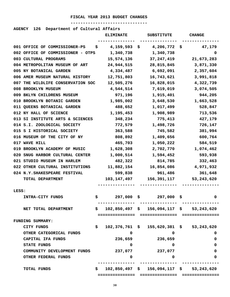| Department of Cultural Affairs<br><b>AGENCY</b><br>126 |                  |                                                    |               |  |  |
|--------------------------------------------------------|------------------|----------------------------------------------------|---------------|--|--|
|                                                        | <b>ELIMINATE</b> | <b>SUBSTITUTE</b>                                  | <b>CHANGE</b> |  |  |
|                                                        |                  |                                                    |               |  |  |
| 001 OFFICE OF COMMISSIONER-PS<br>Ş                     | 4,159,593        | $4,206,772$ \$<br>S,                               | 47,179        |  |  |
| 002 OFFICE OF COMMISSIONER - OTPS                      | 1,340,738        | 1,340,738                                          | 0             |  |  |
| 003 CULTURAL PROGRAMS                                  | 15,574,136       | 37, 247, 419                                       | 21,673,283    |  |  |
| 004 METROPOLITAN MUSEUM OF ART                         | 24,944,515       | 28,815,845                                         | 3,871,330     |  |  |
| 005 NY BOTANICAL GARDEN                                | 4,334,487        | 6,692,091                                          | 2,357,604     |  |  |
| 006 AMER MUSEUM NATURAL HISTORY                        | 12,751,803       | 16,743,621                                         | 3,991,818     |  |  |
| 007 THE WILDLIFE CONSERVATION SOC                      | 12,505,276       | 16,828,015                                         | 4,322,739     |  |  |
| 008 BROOKLYN MUSEUM                                    | 4,544,514        | 7,619,019                                          | 3,074,505     |  |  |
| 009 BKLYN CHILDRENS MUSEUM                             | 971,196          | 1,915,401                                          | 944,205       |  |  |
| 010 BROOKLYN BOTANIC GARDEN                            | 1,985,002        | 3,648,530                                          | 1,663,528     |  |  |
| 011 QUEENS BOTANICAL GARDEN                            | 488,652          | 1,017,499                                          | 528,847       |  |  |
| 012 NY HALL OF SCIENCE                                 | 1,195,453        | 1,908,989                                          | 713,536       |  |  |
| 013 SI INSTITUTE ARTS & SCIENCES                       | 348,234          | 775,413                                            | 427,179       |  |  |
| 014 S.I. ZOOLOGICAL SOCIETY                            | 772,579          | 1,498,726                                          | 726,147       |  |  |
| 015 S I HISTORICAL SOCIETY                             | 363,588          | 745,582                                            | 381,994       |  |  |
| 016 MUSEUM OF THE CITY OF NY                           | 808,892          | 1,409,656                                          | 600,764       |  |  |
| 017 WAVE HILL                                          | 465,703          | 1,050,222                                          | 584,519       |  |  |
| 019 BROOKLYN ACADEMY OF MUSIC                          | 1,628,308        | 2,702,770                                          | 1,074,462     |  |  |
| 020 SNUG HARBOR CULTURAL CENTER                        | 1,000,514        | 1,594,452                                          | 593,938       |  |  |
| 021 STUDIO MUSEUM IN HARLEM                            | 482,322          | 814,785                                            | 332,463       |  |  |
| 022 OTHER CULTURAL INSTITUTIONS                        | 11,882,154       | 16,854,086                                         | 4,971,932     |  |  |
| 024 N.Y. SHAKESPEARE FESTIVAL                          | 599,838          | 961,486                                            | 361,648       |  |  |
| TOTAL DEPARTMENT                                       | 103,147,497      | 156,391,117                                        | 53, 243, 620  |  |  |
|                                                        |                  |                                                    |               |  |  |
| LESS:                                                  |                  |                                                    |               |  |  |
| INTRA-CITY FUNDS                                       | \$               | 297,000 \$297,000 \$                               | 0             |  |  |
|                                                        |                  |                                                    |               |  |  |
| NET TOTAL DEPARTMENT                                   | \$               | $102,850,497$ \$ 156,094,117 \$ 53,243,620         |               |  |  |
|                                                        | .==========      | ===============                                    |               |  |  |
| <b>FUNDING SUMMARY:</b>                                |                  |                                                    |               |  |  |
| CITY FUNDS                                             | \$.              | $102,376,761 \quad $155,620,381 \quad $53,243,620$ |               |  |  |
| OTHER CATEGORICAL FUNDS                                | 0                | 0                                                  | 0             |  |  |
| CAPITAL IFA FUNDS                                      | 236,659          | 236,659                                            | 0             |  |  |
| <b>STATE FUNDS</b>                                     | 0                | 0                                                  | 0             |  |  |
| COMMUNITY DEVELOPMENT FUNDS                            | 237,077          | 237,077                                            | 0             |  |  |
| OTHER FEDERAL FUNDS                                    | $\Omega$         | 0                                                  | 0             |  |  |
|                                                        |                  |                                                    |               |  |  |

 **TOTAL FUNDS \$ 102,850,497 \$ 156,094,117 \$ 53,243,620** 

**38**

 **=============== =============== ===============**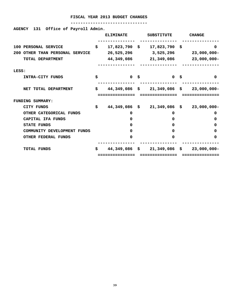## **-------------------------------**

**AGENCY 131 Office of Payroll Admin.** 

|                                    |    | <b>ELIMINATE</b> | <b>SUBSTITUTE</b>     |      | <b>CHANGE</b>  |
|------------------------------------|----|------------------|-----------------------|------|----------------|
| 100 PERSONAL SERVICE               | \$ | $17,823,790$ \$  | $17,823,790$ \$       |      | 0              |
| OTHER THAN PERSONAL SERVICE<br>200 |    | 26,525,296       | 3,525,296             |      | $23,000,000 -$ |
| TOTAL DEPARTMENT                   |    | 44,349,086       | 21,349,086            |      | $23,000,000 -$ |
| LESS:                              |    |                  |                       |      |                |
| INTRA-CITY FUNDS                   | \$ | $\mathbf{0}$     | \$<br>$\mathbf{0}$    | - \$ | 0              |
| NET TOTAL DEPARTMENT               | \$ | 44,349,086 \$    | $21,349,086$ \$       |      | $23,000,000 -$ |
| FUNDING SUMMARY:                   |    |                  |                       |      |                |
| <b>CITY FUNDS</b>                  | S. | 44,349,086       | \$<br>$21,349,086$ \$ |      | $23,000,000 -$ |
| OTHER CATEGORICAL FUNDS            |    | 0                | 0                     |      | 0              |
| CAPITAL IFA FUNDS                  |    | 0                | 0                     |      | 0              |
| <b>STATE FUNDS</b>                 |    | <sup>0</sup>     | 0                     |      | 0              |
| COMMUNITY DEVELOPMENT FUNDS        |    | 0                | 0                     |      | 0              |
| <b>OTHER FEDERAL FUNDS</b>         |    | 0                | 0                     |      | 0              |
| <b>TOTAL FUNDS</b>                 | \$ | 44,349,086       | \$<br>$21,349,086$ \$ |      | $23,000,000 -$ |
|                                    |    | ============     |                       |      |                |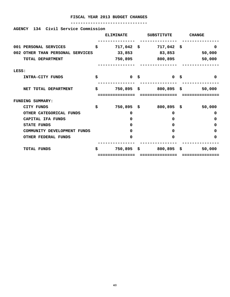## **-------------------------------**

# **AGENCY 134 Civil Service Commission**

|                                  | <b>ELIMINATE</b>          | <b>SUBSTITUTE</b>  |      | <b>CHANGE</b> |
|----------------------------------|---------------------------|--------------------|------|---------------|
|                                  |                           |                    |      |               |
| 001 PERSONAL SERVICES            | \$<br>$717,042$ \$        | $717,042$ \$       |      | $\Omega$      |
| 002 OTHER THAN PERSONAL SERVICES | 33,853                    | 83,853             |      | 50,000        |
| TOTAL DEPARTMENT                 | 750,895                   | 800,895            |      | 50,000        |
| LESS:                            |                           |                    |      |               |
| INTRA-CITY FUNDS                 | \$<br>$\mathbf{0}$        | \$<br>$\mathbf{0}$ | - \$ | $\Omega$      |
| NET TOTAL DEPARTMENT             | \$<br>750,895\$           | $800,895$ \$       |      | 50,000        |
| <b>FUNDING SUMMARY:</b>          |                           |                    |      |               |
| <b>CITY FUNDS</b>                | \$<br>750,895\$           | 800,895            | ి    | 50,000        |
| OTHER CATEGORICAL FUNDS          | 0                         | 0                  |      | 0             |
| CAPITAL IFA FUNDS                | 0                         | $\Omega$           |      | 0             |
| <b>STATE FUNDS</b>               | 0                         | $\Omega$           |      | <sup>0</sup>  |
| COMMUNITY DEVELOPMENT FUNDS      | 0                         | $\Omega$           |      | 0             |
| <b>OTHER FEDERAL FUNDS</b>       | 0                         | $\Omega$           |      | 0             |
| <b>TOTAL FUNDS</b>               | \$<br>$750,895$ \$        | $800,895$ \$       |      | 50,000        |
|                                  | . = = = = = = = = = = = = |                    |      |               |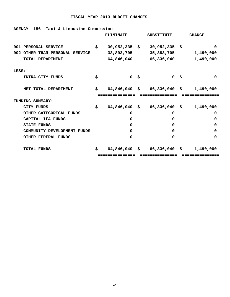| 156 Taxi & Limousine Commission<br><b>AGENCY</b> |    |                  |                                                 |               |
|--------------------------------------------------|----|------------------|-------------------------------------------------|---------------|
|                                                  |    | <b>ELIMINATE</b> | SUBSTITUTE                                      | <b>CHANGE</b> |
| 001 PERSONAL SERVICE                             | \$ | $30,952,335$ \$  | $30,952,335$ \$                                 | <sup>0</sup>  |
| 002 OTHER THAN PERSONAL SERVICE                  |    | 33,893,705       | 35,383,705 1,490,000                            |               |
| TOTAL DEPARTMENT                                 |    |                  | 64,846,040 66,336,040                           | 1,490,000     |
| LESS:                                            |    |                  |                                                 |               |
| INTRA-CITY FUNDS                                 | \$ | 0 <sup>5</sup>   | <b>O S</b>                                      | $\Omega$      |
| NET TOTAL DEPARTMENT                             | \$ |                  | $64,846,040 \quad $66,336,040 \quad $1,490,000$ |               |
|                                                  |    |                  |                                                 |               |
| FUNDING SUMMARY:                                 |    |                  |                                                 |               |
| CITY FUNDS                                       | \$ |                  | $64,846,040$ \$ 66,336,040 \$ 1,490,000         |               |
| OTHER CATEGORICAL FUNDS                          |    | 0                | 0                                               | 0             |
| CAPITAL IFA FUNDS                                |    | $\mathbf{0}$     | 0                                               | 0             |
| <b>STATE FUNDS</b>                               |    | 0                | 0                                               | 0             |
| COMMUNITY DEVELOPMENT FUNDS                      |    | 0                | 0                                               | 0             |
| <b>OTHER FEDERAL FUNDS</b>                       |    | 0                | 0                                               | 0             |
| <b>TOTAL FUNDS</b>                               | S. |                  | $64,846,040 \quad $66,336,040 \quad $66,668$    | 1,490,000     |
|                                                  |    | ============     | ===============                                 | =========     |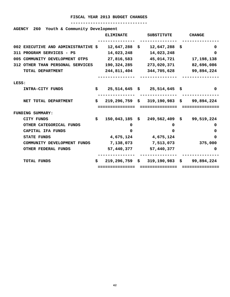| Youth & Community Development<br>260<br><b>AGENCY</b> |    |                  |    |                                              |    |               |
|-------------------------------------------------------|----|------------------|----|----------------------------------------------|----|---------------|
|                                                       |    | <b>ELIMINATE</b> |    | <b>SUBSTITUTE</b>                            |    | <b>CHANGE</b> |
| 002 EXECUTIVE AND ADMINISTRATIVE \$                   |    | $12,647,288$ \$  |    | 12,647,288                                   | -S | 0             |
| 311 PROGRAM SERVICES - PS                             |    | 14,023,248       |    | 14,023,248                                   |    | <sup>0</sup>  |
| 005 COMMUNITY DEVELOPMENT OTPS                        |    | 27,816,583       |    | 45,014,721                                   |    | 17, 198, 138  |
| 312 OTHER THAN PERSONAL SERVICES                      |    | 190,324,285      |    | 273,020,371                                  |    | 82,696,086    |
| TOTAL DEPARTMENT                                      |    | 244,811,404      |    | 344,705,628                                  |    | 99,894,224    |
|                                                       |    |                  |    |                                              |    |               |
| LESS:                                                 |    |                  |    |                                              |    |               |
| INTRA-CITY FUNDS                                      | \$ |                  |    | $25,514,645$ \$ $25,514,645$ \$              |    | 0             |
| NET TOTAL DEPARTMENT                                  | \$ |                  |    | $219, 296, 759$ \$ 319,190,983 \$ 99,894,224 |    |               |
|                                                       |    | :===========     |    |                                              |    |               |
| <b>FUNDING SUMMARY:</b>                               |    |                  |    |                                              |    |               |
| CITY FUNDS                                            | S. | 150,043,185      | S. | 249,562,409 \$                               |    | 99,519,224    |
| OTHER CATEGORICAL FUNDS                               |    | 0                |    | 0                                            |    | 0             |
| CAPITAL IFA FUNDS                                     |    | 0                |    | 0                                            |    | 0             |
| <b>STATE FUNDS</b>                                    |    | 4,675,124        |    | 4,675,124                                    |    | 0             |
| COMMUNITY DEVELOPMENT FUNDS                           |    | 7,138,073        |    | 7,513,073                                    |    | 375,000       |
| <b>OTHER FEDERAL FUNDS</b>                            |    | 57,440,377       |    | 57,440,377                                   |    | 0             |
| <b>TOTAL FUNDS</b>                                    | Ŝ. | $219,296,759$ \$ |    | 319,190,983 \$                               |    | 99,894,224    |
|                                                       |    | -------------    |    |                                              |    |               |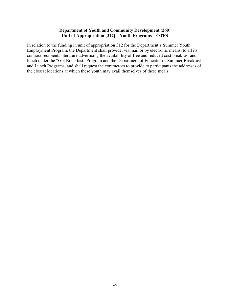# **Department of Youth and Community Development (260) Unit of Appropriation [312] – Youth Programs – OTPS**

In relation to the funding in unit of appropriation 312 for the Department's Summer Youth Employment Program, the Department shall provide, via mail or by electronic means, to all its contract recipients literature advertising the availability of free and reduced cost breakfast and lunch under the "Got Breakfast" Program and the Department of Education's Summer Breakfast and Lunch Programs, and shall request the contractors to provide to participants the addresses of the closest locations at which these youth may avail themselves of these meals.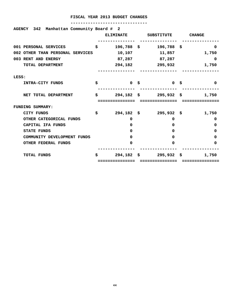|       | AGENCY 342 Manhattan Community Board # 2 | <b>ELIMINATE</b>        | SUBSTITUTE                        | <b>CHANGE</b> |          |
|-------|------------------------------------------|-------------------------|-----------------------------------|---------------|----------|
|       | 001 PERSONAL SERVICES                    | \$<br>$196,788$ \$      | $196,788$ \$                      |               | $\Omega$ |
|       | 002 OTHER THAN PERSONAL SERVICES         | 10,107                  | 11,857                            |               | 1,750    |
|       | 003 RENT AND ENERGY                      |                         | 87,287 87,287                     |               | 0        |
|       | TOTAL DEPARTMENT                         | 294,182                 | 295,932                           |               | 1,750    |
| LESS: |                                          |                         |                                   |               |          |
|       | INTRA-CITY FUNDS                         | \$<br>0 <sup>5</sup>    | 0 <sup>5</sup>                    |               | $\Omega$ |
|       | NET TOTAL DEPARTMENT                     | \$                      | $294, 182 \quad $3$ 295,932 \$    |               | 1,750    |
|       |                                          |                         |                                   |               |          |
|       | FUNDING SUMMARY:                         |                         |                                   |               |          |
|       | CITY FUNDS                               | \$<br>$294,182 \quad $$ | 295,932 \$                        |               | 1,750    |
|       | OTHER CATEGORICAL FUNDS                  | 0                       | 0                                 |               | $\Omega$ |
|       | CAPITAL IFA FUNDS                        | 0                       | $\Omega$                          |               | 0        |
|       | <b>STATE FUNDS</b>                       | 0                       | $\Omega$                          |               | 0        |
|       | COMMUNITY DEVELOPMENT FUNDS              | 0                       | $\mathbf{0}$                      |               | 0        |
|       | OTHER FEDERAL FUNDS                      | 0                       | $\Omega$                          |               | 0        |
|       |                                          |                         |                                   |               |          |
|       | <b>TOTAL FUNDS</b>                       | \$                      | $294, 182 \quad $32, 932 \quad $$ |               | 1,750    |
|       |                                          | -------------           |                                   |               |          |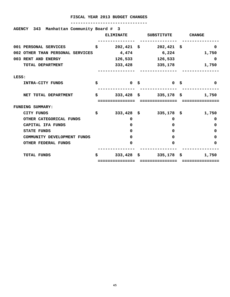|       |                       | AGENCY 343 Manhattan Community Board # 3 |    | <b>ELIMINATE</b> | SUBSTITUTE CHANGE                |          |
|-------|-----------------------|------------------------------------------|----|------------------|----------------------------------|----------|
|       | 001 PERSONAL SERVICES |                                          | \$ |                  | $202,421 \quad $302,421 \quad $$ | $\Omega$ |
|       |                       | 002 OTHER THAN PERSONAL SERVICES         |    | 4,474            | 6,224                            | 1,750    |
|       | 003 RENT AND ENERGY   |                                          |    | 126,533          | 126,533                          | 0        |
|       | TOTAL DEPARTMENT      |                                          |    | 333,428          | 335,178                          | 1,750    |
| LESS: |                       |                                          |    |                  |                                  |          |
|       | INTRA-CITY FUNDS      |                                          | \$ | 0 <sup>5</sup>   | 0 <sup>5</sup>                   | $\Omega$ |
|       |                       | NET TOTAL DEPARTMENT                     | \$ |                  | $333,428$ \$ $335,178$ \$        | 1,750    |
|       |                       |                                          |    |                  |                                  |          |
|       | FUNDING SUMMARY:      |                                          |    |                  |                                  |          |
|       | CITY FUNDS            |                                          | \$ |                  | $333,428$ \$ $335,178$ \$        | 1,750    |
|       |                       | OTHER CATEGORICAL FUNDS                  |    | 0                | 0                                | $\Omega$ |
|       | CAPITAL IFA FUNDS     |                                          |    | 0                | $\Omega$                         | 0        |
|       | <b>STATE FUNDS</b>    |                                          |    | 0                | $\Omega$                         | 0        |
|       |                       | COMMUNITY DEVELOPMENT FUNDS              |    | 0                | $\mathbf{0}$                     | 0        |
|       |                       | OTHER FEDERAL FUNDS                      |    | 0                | $\Omega$                         | 0        |
|       | <b>TOTAL FUNDS</b>    |                                          | \$ |                  | $333,428$ \$ $335,178$ \$        | 1,750    |
|       |                       |                                          |    | ------------     |                                  |          |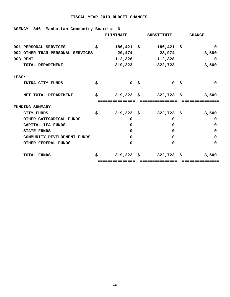| AGENCY 346 Manhattan Community Board # 6 |    |                  |                           |               |          |
|------------------------------------------|----|------------------|---------------------------|---------------|----------|
|                                          |    | <b>ELIMINATE</b> | SUBSTITUTE                | <b>CHANGE</b> |          |
| 001 PERSONAL SERVICES                    | \$ | $186,421$ \$     | $186,421$ \$              |               | $\Omega$ |
| 002 OTHER THAN PERSONAL SERVICES         |    | 20,474           | 23,974                    |               | 3,500    |
| 003 RENT                                 |    | 112,328          | 112,328                   |               | 0        |
| TOTAL DEPARTMENT                         |    |                  | 319,223 322,723           |               | 3,500    |
| LESS:                                    |    |                  |                           |               |          |
| INTRA-CITY FUNDS                         | Ś. | 0 \$             | <b>1000 S</b>             |               | $\Omega$ |
| NET TOTAL DEPARTMENT                     | \$ |                  | $319,223$ \$ $322,723$ \$ |               | 3,500    |
|                                          |    |                  |                           |               |          |
| <b>FUNDING SUMMARY:</b>                  |    |                  |                           |               |          |
| CITY FUNDS                               | \$ |                  | $319,223$ \$ $322,723$ \$ |               | 3,500    |
| OTHER CATEGORICAL FUNDS                  |    | 0                | 0                         |               | 0        |
| CAPITAL IFA FUNDS                        |    | $\Omega$         | 0                         |               | 0        |
| <b>STATE FUNDS</b>                       |    | O.               | $\Omega$                  |               | 0        |
| COMMUNITY DEVELOPMENT FUNDS              |    | 0                | 0                         |               | 0        |
| <b>OTHER FEDERAL FUNDS</b>               |    | 0                | $\Omega$                  |               | 0        |
| <b>TOTAL FUNDS</b>                       | Ŝ  |                  | $319,223$ \$ $322,723$ \$ |               | 3,500    |
|                                          |    | ===============  | ===============           | ============  |          |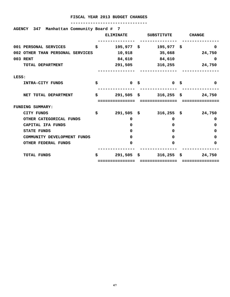| AGENCY 347 Manhattan Community Board # 7 |    | <b>ELIMINATE</b> | SUBSTITUTE CHANGE                |              |
|------------------------------------------|----|------------------|----------------------------------|--------------|
| 001 PERSONAL SERVICES                    | \$ | $195,977$ \$     | $195,977$ \$                     | 0            |
| 002 OTHER THAN PERSONAL SERVICES         |    | 10,918           | 35,668 24,750                    |              |
| 003 RENT                                 |    |                  | 84,610 84,610                    | 0            |
| TOTAL DEPARTMENT                         |    | 291,505          | 316, 255                         | 24,750       |
| LESS:                                    |    |                  |                                  |              |
| INTRA-CITY FUNDS                         | s  | 0 <sup>5</sup>   | 0 \$                             | 0            |
|                                          |    |                  |                                  |              |
| NET TOTAL DEPARTMENT                     | \$ |                  | 291,505 \$ 316,255 \$ 24,750     |              |
|                                          |    |                  |                                  |              |
| <b>FUNDING SUMMARY:</b>                  |    |                  |                                  |              |
| CITY FUNDS                               | \$ |                  | $291,505 \quad $316,255 \quad $$ | 24,750       |
| OTHER CATEGORICAL FUNDS                  |    | 0                | 0                                | 0            |
| CAPITAL IFA FUNDS                        |    | 0                | 0                                | 0            |
| <b>STATE FUNDS</b>                       |    | <sup>0</sup>     | 0                                | 0            |
| COMMUNITY DEVELOPMENT FUNDS              |    | 0                | $\Omega$                         | 0            |
| <b>OTHER FEDERAL FUNDS</b>               |    | 0                | 0                                | 0            |
| <b>TOTAL FUNDS</b>                       | Ŝ  |                  | $291,505 \quad $316,255 \quad $$ | 24,750       |
|                                          |    | =============    | ===============                  | ============ |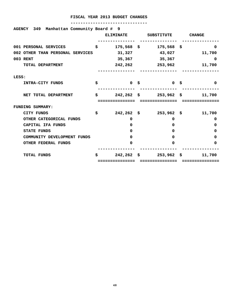| AGENCY 349 Manhattan Community Board # 9 |    | <b>ELIMINATE</b>                    | SUBSTITUTE CHANGE                     |                        |
|------------------------------------------|----|-------------------------------------|---------------------------------------|------------------------|
| 001 PERSONAL SERVICES                    | \$ | $175,568$ \$                        | $175,568$ \$                          | 0                      |
| 002 OTHER THAN PERSONAL SERVICES         |    | 31,327                              | 43,027                                | 11,700                 |
| 003 RENT                                 |    |                                     | 35,367 35,367                         | 0                      |
| TOTAL DEPARTMENT                         |    | 242,262                             | 253,962                               | 11,700                 |
| LESS:                                    |    |                                     |                                       |                        |
| INTRA-CITY FUNDS                         | s  | 0 <sup>5</sup>                      | 0 \$                                  | 0                      |
| NET TOTAL DEPARTMENT                     | \$ |                                     | $242,262 \quad $3253,962 \quad $3392$ | 11,700                 |
| <b>FUNDING SUMMARY:</b>                  |    |                                     |                                       |                        |
| CITY FUNDS                               | \$ |                                     | $242, 262 \quad $3253, 962 \quad $5$  | 11,700                 |
| OTHER CATEGORICAL FUNDS                  |    | 0                                   | 0                                     | 0                      |
| CAPITAL IFA FUNDS                        |    | 0                                   | 0                                     | 0                      |
| <b>STATE FUNDS</b>                       |    | <sup>0</sup>                        | 0                                     | 0                      |
| COMMUNITY DEVELOPMENT FUNDS              |    | 0                                   | $\Omega$                              | 0                      |
| <b>OTHER FEDERAL FUNDS</b>               |    | 0                                   | 0                                     | 0                      |
| <b>TOTAL FUNDS</b>                       | Ŝ  | $242, 262 \quad $$<br>============= | $253,962 \quad $$<br>===============  | 11,700<br>============ |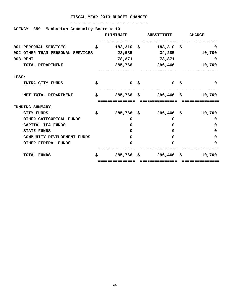| AGENCY 350 Manhattan Community Board # 10 |    | <b>ELIMINATE</b>              | SUBSTITUTE                    | <b>CHANGE</b>          |
|-------------------------------------------|----|-------------------------------|-------------------------------|------------------------|
| 001 PERSONAL SERVICES                     | \$ | $183,310 \;$ \$               | $183,310$ \$                  | 0                      |
| 002 OTHER THAN PERSONAL SERVICES          |    | 23,585                        | 34,285                        | 10,700                 |
| 003 RENT                                  |    | 78,871                        | 78,871                        | 0                      |
| TOTAL DEPARTMENT                          |    | 285,766                       | 296,466                       | 10,700                 |
| LESS:                                     |    |                               |                               |                        |
| INTRA-CITY FUNDS                          | s  | 0 <sup>5</sup>                | 0 \$                          | 0                      |
| NET TOTAL DEPARTMENT                      | \$ |                               | $285,766$ \$ $296,466$ \$     | 10,700                 |
| <b>FUNDING SUMMARY:</b>                   |    |                               |                               |                        |
| CITY FUNDS                                | \$ | $285,766$ \$                  | $296,466$ \$                  | 10,700                 |
| OTHER CATEGORICAL FUNDS                   |    | 0                             | 0                             | 0                      |
| CAPITAL IFA FUNDS                         |    | 0                             | 0                             | 0                      |
| <b>STATE FUNDS</b>                        |    | <sup>0</sup>                  | 0                             | 0                      |
| COMMUNITY DEVELOPMENT FUNDS               |    | 0                             | $\Omega$                      | 0                      |
| <b>OTHER FEDERAL FUNDS</b>                |    | 0                             | 0                             | 0                      |
| <b>TOTAL FUNDS</b>                        | Ŝ  | $285,766$ \$<br>============= | 296,466 \$<br>=============== | 10,700<br>============ |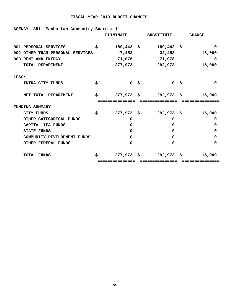| AGENCY 351 Manhattan Community Board # 11 | <b>ELIMINATE</b> |      |                                                     |          |
|-------------------------------------------|------------------|------|-----------------------------------------------------|----------|
|                                           |                  |      | SUBSTITUTE CHANGE                                   |          |
| 001 PERSONAL SERVICES                     | \$<br>189,442 \$ |      | $189,442$ \$                                        | 0        |
| 002 OTHER THAN PERSONAL SERVICES          | 17,453           |      | 32,453                                              | 15,000   |
| 003 RENT AND ENERGY                       | 71,078           |      | 71,078                                              | 0        |
| TOTAL DEPARTMENT                          |                  |      | 277,973 292,973                                     | 15,000   |
|                                           |                  |      |                                                     |          |
| LESS:                                     |                  |      |                                                     |          |
| INTRA-CITY FUNDS                          | \$               | 0 \$ | $\begin{array}{ccc} & & 0 & \mathsf{S} \end{array}$ | $\Omega$ |
|                                           |                  |      |                                                     |          |
| NET TOTAL DEPARTMENT                      | \$               |      | 277,973 \$292,973 \$                                | 15,000   |
|                                           |                  |      |                                                     |          |
| <b>FUNDING SUMMARY:</b>                   |                  |      |                                                     |          |
| CITY FUNDS                                | \$               |      | 277,973 \$292,973 \$                                | 15,000   |
| OTHER CATEGORICAL FUNDS                   | 0                |      | 0                                                   | 0        |
| CAPITAL IFA FUNDS                         | $\mathbf{0}$     |      | $\Omega$                                            | 0        |
| <b>STATE FUNDS</b>                        | <sup>0</sup>     |      | $\Omega$                                            | 0        |
| COMMUNITY DEVELOPMENT FUNDS               | <sup>0</sup>     |      | $\Omega$                                            | 0        |
| <b>OTHER FEDERAL FUNDS</b>                | 0                |      | $\Omega$                                            | 0        |
|                                           |                  |      |                                                     |          |
| <b>TOTAL FUNDS</b>                        | \$               |      | 277,973 \$292,973 \$                                | 15,000   |
|                                           | ------------     |      |                                                     |          |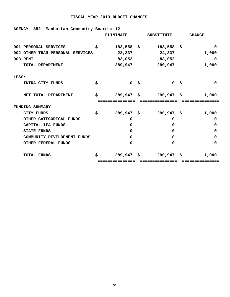| AGENCY 352 Manhattan Community Board # 12 |                             |     |                  |                                                     |              |
|-------------------------------------------|-----------------------------|-----|------------------|-----------------------------------------------------|--------------|
|                                           |                             |     | <b>ELIMINATE</b> | SUBSTITUTE CHANGE                                   |              |
| 001 PERSONAL SERVICES                     |                             |     | $$183,558$ \$    | $183,558$ \$                                        | 0            |
| 002 OTHER THAN PERSONAL SERVICES          |                             |     | 23,337           | 24,337                                              | 1,000        |
| 003 RENT                                  |                             |     |                  | 83,052 83,052                                       | 0            |
|                                           | TOTAL DEPARTMENT            |     |                  | 289,947 290,947                                     | 1,000        |
| LESS:                                     |                             |     |                  |                                                     |              |
|                                           | INTRA-CITY FUNDS            | \$  | 0 \$             | $\begin{array}{ccc} & & 0 & \mathsf{S} \end{array}$ | $\Omega$     |
|                                           | NET TOTAL DEPARTMENT        | \$. |                  | 289,947 \$    290,947 \$                            | 1,000        |
|                                           |                             |     |                  |                                                     |              |
| FUNDING SUMMARY:                          |                             |     |                  |                                                     |              |
| CITY FUNDS                                |                             | \$  | 289,947 \$       | 290,947 \$                                          | 1,000        |
|                                           | OTHER CATEGORICAL FUNDS     |     | 0                | 0                                                   | $\Omega$     |
|                                           | CAPITAL IFA FUNDS           |     | 0                | 0                                                   | 0            |
| <b>STATE FUNDS</b>                        |                             |     | O.               | $\mathbf{0}$                                        | 0            |
|                                           | COMMUNITY DEVELOPMENT FUNDS |     | 0                | 0                                                   | 0            |
|                                           | OTHER FEDERAL FUNDS         |     | 0                | 0                                                   | 0            |
| <b>TOTAL FUNDS</b>                        |                             | Ŝ   |                  | 289,947 \$290,947 \$                                | 1,000        |
|                                           |                             |     | ==============   | ===============                                     | ============ |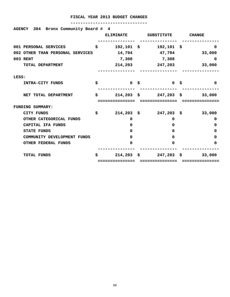| AGENCY 384 Bronx Community Board # 4 |                      |                               |               |
|--------------------------------------|----------------------|-------------------------------|---------------|
|                                      | <b>ELIMINATE</b>     | SUBSTITUTE                    | <b>CHANGE</b> |
| 001 PERSONAL SERVICES                | \$<br>$192, 101$ \$  | $192,101$ \$                  | 0             |
| 002 OTHER THAN PERSONAL SERVICES     | 14,794               | 47,794                        | 33,000        |
| 003 RENT                             | 7,308                | 7,308                         | 0             |
| TOTAL DEPARTMENT                     | 214,203              | 247,203                       | 33,000        |
|                                      |                      |                               |               |
| LESS:                                |                      |                               |               |
| INTRA-CITY FUNDS                     | \$<br>0 <sup>5</sup> | 0 <sup>5</sup>                | 0             |
| NET TOTAL DEPARTMENT                 | \$                   | $214,203$ \$ $247,203$ \$     | 33,000        |
|                                      |                      |                               |               |
| FUNDING SUMMARY:                     |                      |                               |               |
| <b>CITY FUNDS</b>                    | \$<br>$214,203$ \$   | $247,203$ \$                  | 33,000        |
| OTHER CATEGORICAL FUNDS              | 0                    | 0                             | 0             |
| CAPITAL IFA FUNDS                    | 0                    | 0                             | 0             |
| <b>STATE FUNDS</b>                   | O.                   | <sup>0</sup>                  | 0             |
| COMMUNITY DEVELOPMENT FUNDS          | <sup>0</sup>         | 0                             | 0             |
| <b>OTHER FEDERAL FUNDS</b>           | 0                    | 0                             | 0             |
| <b>TOTAL FUNDS</b>                   | \$                   | $214,203 \quad $3$ 247,203 \$ | 33,000        |
|                                      |                      |                               |               |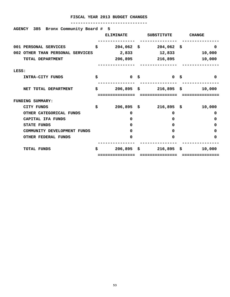| Bronx Community Board #<br>385<br><b>AGENCY</b> | 5                    |      |                   |               |
|-------------------------------------------------|----------------------|------|-------------------|---------------|
|                                                 | <b>ELIMINATE</b>     |      | <b>SUBSTITUTE</b> | <b>CHANGE</b> |
|                                                 |                      |      |                   |               |
| 001 PERSONAL SERVICES                           | \$<br>$204,062$ \$   |      | $204,062$ \$      | 0             |
| 002 OTHER THAN PERSONAL SERVICES                | 2,833                |      | 12,833            | 10,000        |
| TOTAL DEPARTMENT                                | 206,895              |      | 216,895           | 10,000        |
| LESS:                                           |                      |      |                   |               |
| INTRA-CITY FUNDS                                | \$<br>0 <sup>5</sup> |      | 0 <sup>5</sup>    | $\Omega$      |
| NET TOTAL DEPARTMENT                            | \$<br>$206,895$ \$   |      | $216,895$ \$      | 10,000        |
| <b>FUNDING SUMMARY:</b>                         |                      |      |                   |               |
| <b>CITY FUNDS</b>                               | \$<br>$206,895$ \$   |      | $216,895$ \$      | 10,000        |
| OTHER CATEGORICAL FUNDS                         | 0                    |      | $\Omega$          | 0             |
| CAPITAL IFA FUNDS                               | 0                    |      | $\Omega$          | 0             |
| <b>STATE FUNDS</b>                              | 0                    |      | $\Omega$          | 0             |
| COMMUNITY DEVELOPMENT FUNDS                     | 0                    |      | 0                 | 0             |
| <b>OTHER FEDERAL FUNDS</b>                      | 0                    |      | $\Omega$          | 0             |
| <b>TOTAL FUNDS</b>                              | \$<br>206,895        | - \$ | $216,895$ \$      | 10,000        |
|                                                 | =============        |      | ---------------   |               |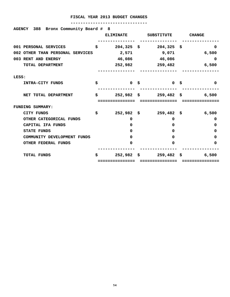| Bronx Community Board #<br>388<br><b>AGENCY</b> |    | -8               |      |                   |               |
|-------------------------------------------------|----|------------------|------|-------------------|---------------|
|                                                 |    | <b>ELIMINATE</b> |      | <b>SUBSTITUTE</b> | <b>CHANGE</b> |
| 001 PERSONAL SERVICES                           | \$ | $204,325$ \$     |      | $204,325$ \$      | 0             |
| 002 OTHER THAN PERSONAL SERVICES                |    | 2,571            |      | 9,071             | 6,500         |
| 003 RENT AND ENERGY                             |    | 46,086           |      | 46,086            | 0             |
| TOTAL DEPARTMENT                                |    | 252,982          |      | 259,482           | 6,500         |
| LESS:                                           |    |                  |      |                   |               |
| INTRA-CITY FUNDS                                | s  | 0 <sup>5</sup>   |      | 0 <sup>5</sup>    | 0             |
| NET TOTAL DEPARTMENT                            | S. | $252,982$ \$     |      | $259,482$ \$      | 6,500         |
| <b>FUNDING SUMMARY:</b>                         |    |                  |      |                   |               |
| CITY FUNDS                                      | \$ | $252,982$ \$     |      | $259,482$ \$      | 6,500         |
| OTHER CATEGORICAL FUNDS                         |    | 0                |      | $\mathbf{0}$      | 0             |
| CAPITAL IFA FUNDS                               |    | 0                |      | $\Omega$          | 0             |
| <b>STATE FUNDS</b>                              |    | 0                |      | $\Omega$          | 0             |
| COMMUNITY DEVELOPMENT FUNDS                     |    | 0                |      | $\Omega$          | 0             |
| <b>OTHER FEDERAL FUNDS</b>                      |    | 0                |      | 0                 | 0             |
| <b>TOTAL FUNDS</b>                              | \$ | 252,982          | - \$ | $259,482$ \$      | 6,500         |
|                                                 |    |                  |      |                   |               |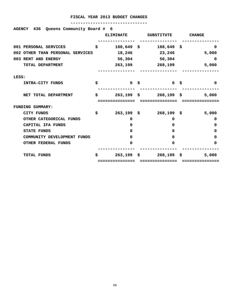| Queens Community Board # 6<br>AGENCY 436 |                      |                |               |
|------------------------------------------|----------------------|----------------|---------------|
|                                          | <b>ELIMINATE</b>     | SUBSTITUTE     | <b>CHANGE</b> |
| 001 PERSONAL SERVICES                    | \$<br>$188,649$ \$   | $188,649$ \$   | $\Omega$      |
| 002 OTHER THAN PERSONAL SERVICES         | 18,246               | 23,246         | 5,000         |
| 003 RENT AND ENERGY                      | 56,304               | 56,304         | 0             |
| TOTAL DEPARTMENT                         | 263,199              | 268,199        | 5,000         |
| LESS:                                    |                      |                |               |
| INTRA-CITY FUNDS                         | \$<br>0 <sup>5</sup> | 0 <sup>5</sup> | $\Omega$      |
| NET TOTAL DEPARTMENT                     | \$<br>$263,199$ \$   | $268,199$ \$   | 5,000         |
|                                          |                      |                |               |
| FUNDING SUMMARY:                         |                      |                |               |
| CITY FUNDS                               | \$<br>$263, 199$ \$  | $268,199$ \$   | 5,000         |
| OTHER CATEGORICAL FUNDS                  | 0                    | 0              | 0             |
| CAPITAL IFA FUNDS                        | 0                    | $\Omega$       | 0             |
| <b>STATE FUNDS</b>                       | 0                    | $\Omega$       | 0             |
| COMMUNITY DEVELOPMENT FUNDS              | 0                    | $\Omega$       | 0             |
| <b>OTHER FEDERAL FUNDS</b>               | 0                    | $\Omega$       | 0             |
| <b>TOTAL FUNDS</b>                       | \$<br>$263,199$ \$   | $268,199$ \$   | 5,000         |
|                                          |                      |                |               |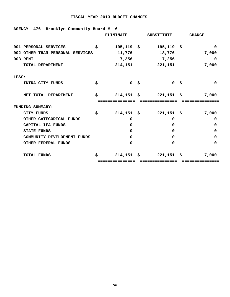| AGENCY 476 Brooklyn Community Board # 6 |    |                   |     |                |               |
|-----------------------------------------|----|-------------------|-----|----------------|---------------|
|                                         |    | <b>ELIMINATE</b>  |     | SUBSTITUTE     | <b>CHANGE</b> |
| 001 PERSONAL SERVICES                   | \$ | $195, 119$ \$     |     | $195, 119$ \$  | 0             |
| 002 OTHER THAN PERSONAL SERVICES        |    | 11,776            |     | 18,776         | 7,000         |
| 003 RENT                                |    | 7,256             |     | 7,256          | 0             |
| TOTAL DEPARTMENT                        |    | 214,151           |     | 221,151        | 7,000         |
|                                         |    |                   |     |                |               |
| LESS:                                   |    |                   |     |                |               |
| INTRA-CITY FUNDS                        | \$ | 0 <sup>5</sup>    |     | 0 <sup>5</sup> | 0             |
|                                         |    |                   |     |                |               |
| NET TOTAL DEPARTMENT                    | \$ | $214,151$ \$      |     | $221,151$ \$   | 7,000         |
|                                         |    |                   |     |                |               |
| <b>FUNDING SUMMARY:</b>                 |    |                   |     |                |               |
| <b>CITY FUNDS</b>                       | \$ | $214,151 \quad $$ |     | $221,151$ \$   | 7,000         |
| OTHER CATEGORICAL FUNDS                 |    | $\Omega$          |     | $\Omega$       | 0             |
| CAPITAL IFA FUNDS                       |    | 0                 |     | 0              | 0             |
| <b>STATE FUNDS</b>                      |    | 0                 |     | 0              | 0             |
| COMMUNITY DEVELOPMENT FUNDS             |    | 0                 |     | $\Omega$       | 0             |
| <b>OTHER FEDERAL FUNDS</b>              |    | 0                 |     | 0              | 0             |
|                                         |    |                   |     |                |               |
| <b>TOTAL FUNDS</b>                      | Ŝ  | 214,151           | - క | 221,151        | \$<br>7,000   |
|                                         |    | =============     |     |                |               |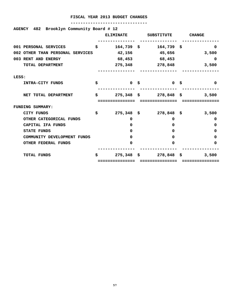| AGENCY 482 Brooklyn Community Board # 12 |                  |                                       |          |
|------------------------------------------|------------------|---------------------------------------|----------|
|                                          | <b>ELIMINATE</b> | SUBSTITUTE CHANGE                     |          |
| 001 PERSONAL SERVICES                    |                  | $$164,739$ \$ 164,739 \$              | 0        |
| 002 OTHER THAN PERSONAL SERVICES         |                  | 42,156 45,656 3,500                   |          |
| 003 RENT AND ENERGY                      |                  | 68,453 68,453                         | $\Omega$ |
| TOTAL DEPARTMENT                         |                  | 275,348 278,848                       | 3,500    |
| LESS:                                    |                  |                                       |          |
| INTRA-CITY FUNDS                         | \$<br>0 \$       | $0 \quad$ \$                          | $\Omega$ |
| NET TOTAL DEPARTMENT                     | \$               | $275,348$ \$ $278,848$ \$             | 3,500    |
|                                          |                  |                                       |          |
| <b>FUNDING SUMMARY:</b>                  |                  |                                       |          |
| CITY FUNDS                               | \$               | $275,348 \quad $278,848 \quad $3,500$ |          |
| OTHER CATEGORICAL FUNDS                  | 0                | 0                                     | 0        |
| CAPITAL IFA FUNDS                        | 0                | 0                                     | 0        |
| <b>STATE FUNDS</b>                       | <sup>0</sup>     | $\mathbf{0}$                          | 0        |
| COMMUNITY DEVELOPMENT FUNDS              | <sup>0</sup>     | $\Omega$                              | O        |
| <b>OTHER FEDERAL FUNDS</b>               | 0                | 0                                     | 0        |
| <b>TOTAL FUNDS</b>                       | \$               | $275,348 \quad $278,848 \quad $$      | 3,500    |
|                                          | .------------    |                                       |          |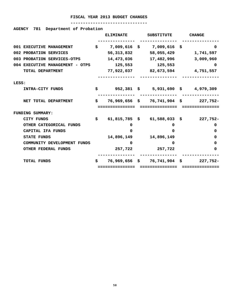| <b>AGENCY 781</b><br>Department of Probation |     |                  |                              |                                         |
|----------------------------------------------|-----|------------------|------------------------------|-----------------------------------------|
|                                              |     | <b>ELIMINATE</b> | SUBSTITUTE                   | <b>CHANGE</b>                           |
|                                              |     |                  |                              |                                         |
| 001 EXECUTIVE MANAGEMENT                     |     |                  | $$7,009,616$ \$ 7,009,616 \$ | 0                                       |
| 002 PROBATION SERVICES                       |     | 56, 313, 832     | 58,055,429                   | 1,741,597                               |
| 003 PROBATION SERVICES-OTPS                  |     |                  | 14,473,036 17,482,996        | 3,009,960                               |
| 004 EXECUTIVE MANAGEMENT - OTPS              |     | 125,553          | 125,553                      | 0                                       |
| TOTAL DEPARTMENT                             |     |                  |                              | 77,922,037 82,673,594 4,751,557         |
|                                              |     |                  |                              |                                         |
| LESS:                                        |     |                  |                              |                                         |
| INTRA-CITY FUNDS                             | \$. |                  |                              | 952,381 \$ 5,931,690 \$ 4,979,309       |
|                                              |     |                  |                              |                                         |
| NET TOTAL DEPARTMENT                         |     |                  |                              | $$76,969,656$ \$ 76,741,904 \$ 227,752- |
|                                              |     | ===========      |                              |                                         |
| <b>FUNDING SUMMARY:</b>                      |     |                  |                              |                                         |
| <b>CITY FUNDS</b>                            | \$  |                  |                              | 61,815,785 \$ 61,588,033 \$ 227,752-    |
| OTHER CATEGORICAL FUNDS                      |     | 0                | 0                            | 0                                       |
| CAPITAL IFA FUNDS                            |     | 0                | $\Omega$                     | 0                                       |
| <b>STATE FUNDS</b>                           |     | 14,896,149       | 14,896,149                   | 0                                       |
| COMMUNITY DEVELOPMENT FUNDS                  |     | <sup>0</sup>     | <sup>0</sup>                 | 0                                       |
| <b>OTHER FEDERAL FUNDS</b>                   |     | 257,722          | 257,722                      | 0                                       |
|                                              |     |                  |                              |                                         |
| <b>TOTAL FUNDS</b>                           | S.  |                  | 76,969,656 \$ 76,741,904 \$  | $227.752 -$                             |
|                                              |     | ------------     |                              |                                         |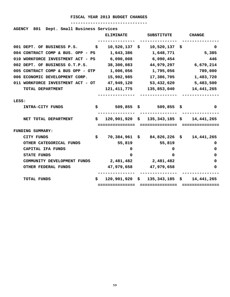|       | 801 Dept. Small Business Services<br><b>AGENCY</b>      |     |                  |                                                               |               |
|-------|---------------------------------------------------------|-----|------------------|---------------------------------------------------------------|---------------|
|       |                                                         |     | <b>ELIMINATE</b> | SUBSTITUTE                                                    | <b>CHANGE</b> |
|       | 001 DEPT. OF BUSINESS P.S. \$                           |     |                  | $10,520,137 \quad $10,520,137 \quad $$                        | 0             |
|       | 004 CONTRACT COMP & BUS. OPP - PS 1,643,386             |     |                  | 1,648,771                                                     | 5,385         |
|       | 010 WORKFORCE INVESTMENT ACT - PS 6,090,008 6,090,454   |     |                  |                                                               | 446           |
|       | 002 DEPT. OF BUSINESS O.T.P.S.                          |     | 38,300,083       | 44,979,297                                                    | 6,679,214     |
|       | 005 CONTRACT COMP & BUS OPP - OTP $1,006,056$           |     |                  | 1,795,056                                                     | 789,000       |
|       | 006 ECONOMIC DEVELOPMENT CORP.                          |     | 15,902,985       | 17,386,705                                                    | 1,483,720     |
|       | 011 WORKFORCE INVESTMENT ACT - OT 47,949,120 53,432,620 |     |                  |                                                               | 5,483,500     |
|       | TOTAL DEPARTMENT                                        |     |                  | 121, 411, 775 135, 853, 040 14, 441, 265                      |               |
| LESS: |                                                         |     |                  |                                                               |               |
|       | INTRA-CITY FUNDS                                        | \$  |                  | 509,855 \$509,855 \$                                          | 0             |
|       | NET TOTAL DEPARTMENT                                    |     |                  | $\sharp$ 120,901,920 $\sharp$ 135,343,185 $\sharp$ 14,441,265 |               |
|       |                                                         |     | =============    | ===============                                               | ------------  |
|       | <b>FUNDING SUMMARY:</b>                                 |     |                  |                                                               |               |
|       | CITY FUNDS                                              | \$. |                  | 70,384,961 \$ 84,826,226 \$ 14,441,265                        |               |
|       | OTHER CATEGORICAL FUNDS                                 |     | 55,819           | 55,819                                                        | 0             |
|       | CAPITAL IFA FUNDS                                       |     | 0                | 0                                                             | 0             |
|       | <b>STATE FUNDS</b>                                      |     | 0                | 0                                                             | 0             |
|       | COMMUNITY DEVELOPMENT FUNDS                             |     | 2,481,482        | 2,481,482                                                     | 0             |
|       | OTHER FEDERAL FUNDS                                     |     |                  | 47,979,658 47,979,658                                         | 0             |
|       | TOTAL FUNDS                                             | \$. |                  | $120,901,920 \quad $ 135,343,185 \quad $ 14,441,265$          |               |
|       |                                                         |     |                  | ;==============    ================                           |               |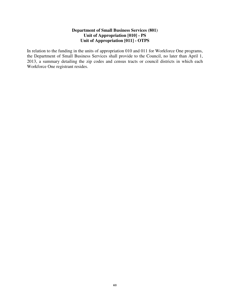# **Department of Small Business Services (801) Unit of Appropriation [010] - PS Unit of Appropriation [011] - OTPS**

In relation to the funding in the units of appropriation 010 and 011 for Workforce One programs, the Department of Small Business Services shall provide to the Council, no later than April 1, 2013, a summary detailing the zip codes and census tracts or council districts in which each Workforce One registrant resides.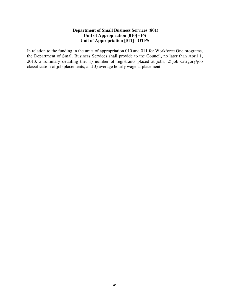# **Department of Small Business Services (801) Unit of Appropriation [010] - PS Unit of Appropriation [011] - OTPS**

In relation to the funding in the units of appropriation 010 and 011 for Workforce One programs, the Department of Small Business Services shall provide to the Council, no later than April 1, 2013, a summary detailing the: 1) number of registrants placed at jobs; 2) job category/job classification of job placements; and 3) average hourly wage at placement.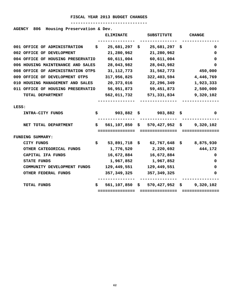#### **-------------------------------**

# **AGENCY 806 Housing Preservation & Dev.**

|                                    | <b>ELIMINATE</b> | <b>SUBSTITUTE</b>                           | <b>CHANGE</b>   |
|------------------------------------|------------------|---------------------------------------------|-----------------|
| 001 OFFICE OF ADMINISTRATION<br>\$ | 25,681,297       | 25,681,297<br>\$                            | -Ş<br>0         |
| 002 OFFICE OF DEVELOPMENT          | 21,280,962       | 21,280,962                                  | 0               |
| 004 OFFICE OF HOUSING PRESERVATIO  | 60,611,004       | 60,611,004                                  | 0               |
| 006 HOUSING MAINTENANCE AND SALES  | 28,043,982       | 28,043,982                                  | 0               |
| 008 OFFICE OF ADMINISTRATION OTPS  | 31, 112, 773     | 31,562,773                                  | 450,000         |
| 009 OFFICE OF DEVELOPMENT OTPS     | 317,956,825      | 322,403,594                                 | 4,446,769       |
| 010 HOUSING MANAGEMENT AND SALES   | 20,373,016       | 22,296,349                                  | 1,923,333       |
| 011 OFFICE OF HOUSING PRESERVATIO  | 56,951,873       | 59,451,873                                  | 2,500,000       |
| TOTAL DEPARTMENT                   | 562,011,732      | 571,331,834                                 | 9,320,102       |
|                                    |                  |                                             |                 |
| LESS:                              |                  |                                             |                 |
| INTRA-CITY FUNDS<br>S.             |                  | $903,882 \quad $903,882$                    | 0<br>S.         |
|                                    |                  |                                             |                 |
| NET TOTAL DEPARTMENT<br>S.         |                  | $561, 107, 850$ \$ 570,427,952 \$ 9,320,102 |                 |
|                                    | ===============  | ===============                             | =============== |
| FUNDING SUMMARY:                   |                  |                                             |                 |
| \$.<br>CITY FUNDS                  | 53,891,718       | \$62,767,648                                | \$,875,930      |
| OTHER CATEGORICAL FUNDS            | 1,776,520        | 2,220,692                                   | 444,172         |
| CAPITAL IFA FUNDS                  | 16,672,884       | 16,672,884                                  | 0               |
| <b>STATE FUNDS</b>                 | 1,967,852        | 1,967,852                                   | 0               |
| COMMUNITY DEVELOPMENT FUNDS        | 129,449,551      | 129,449,551                                 | 0               |
| OTHER FEDERAL FUNDS                | 357, 349, 325    | 357,349,325                                 | 0               |
|                                    |                  |                                             |                 |
| TOTAL FUNDS<br>s                   | 561,107,850      | $$570,427,952$ \$                           | 9,320,102       |
|                                    | =============    | ==============                              |                 |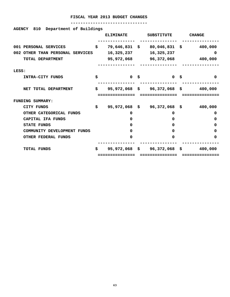| <b>AGENCY 810</b><br>Department of Buildings |     |                  |                                           |               |
|----------------------------------------------|-----|------------------|-------------------------------------------|---------------|
|                                              |     | <b>ELIMINATE</b> | SUBSTITUTE                                | <b>CHANGE</b> |
| 001 PERSONAL SERVICES                        | \$  |                  | 79,646,831 \$ 80,046,831 \$               | 400,000       |
| 002 OTHER THAN PERSONAL SERVICES             |     | 16,325,237       | 16,325,237                                | 0             |
| TOTAL DEPARTMENT                             |     |                  | 95,972,068 96,372,068                     | 400,000       |
| LESS:                                        |     |                  |                                           |               |
| INTRA-CITY FUNDS                             | \$  | 0 <sup>5</sup>   | - 10 - 10 - 15                            | $\Omega$      |
| NET TOTAL DEPARTMENT                         | \$. |                  | $95,972,068$ \$ $96,372,068$ \$ $400,000$ |               |
|                                              |     |                  |                                           |               |
|                                              |     |                  |                                           |               |
| FUNDING SUMMARY:                             |     |                  |                                           |               |
| CITY FUNDS                                   | \$  |                  | 95,972,068 \$96,372,068 \$                | 400,000       |
| OTHER CATEGORICAL FUNDS                      |     | 0                | 0                                         | 0             |
| CAPITAL IFA FUNDS                            |     | $\mathbf{0}$     | 0                                         | 0             |
| <b>STATE FUNDS</b>                           |     | 0                | 0                                         | 0             |
| COMMUNITY DEVELOPMENT FUNDS                  |     | 0                | 0                                         | 0             |
| <b>OTHER FEDERAL FUNDS</b>                   |     | 0                | 0                                         | 0             |
| <b>TOTAL FUNDS</b>                           | \$. |                  | 95,972,068 \$ 96,372,068 \$               | 400,000       |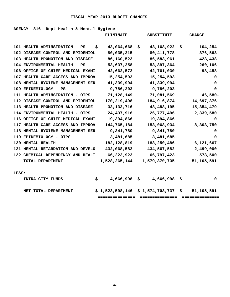#### **-------------------------------**

# **AGENCY 816 Dept Health & Mental Hygiene**

|       |                                          | <b>ELIMINATE</b> | <b>SUBSTITUTE</b>                  | <b>CHANGE</b> |
|-------|------------------------------------------|------------------|------------------------------------|---------------|
|       | 101 HEALTH ADMINSTRATION - PS            | 43,064,668<br>s  | 43,168,922<br>Ş.                   | 104,254<br>s  |
|       | 102 DISEASE CONTROL AND EPIDEMIOL        | 80,035,215       | 80, 411, 778                       | 376,563       |
|       | 103 HEALTH PROMOTION AND DISEASE         | 86,160,523       | 86,583,961                         | 423,438       |
|       | 104 ENVIRONMENTAL HEALTH - PS            | 53,637,258       | 53,897,364                         | 260,106       |
|       | 106 OFFICE OF CHIEF MEDICAL EXAMI        | 42,662,572       | 42,761,030                         | 98,458        |
|       | 107 HEALTH CARE ACCESS AND IMPROV        | 15,254,593       | 15,254,593                         | 0             |
|       | <b>108 MENTAL HYGIENE MANAGEMENT SER</b> | 41,339,994       | 41,339,994                         | 0             |
|       | 109 EPIDEMIOLOGY - PS                    | 9,786,203        | 9,786,203                          | 0             |
|       | 111 HEALTH ADMINSTRATION - OTPS          | 71,128,149       | 71,081,569                         | 46,580-       |
|       | 112 DISEASE CONTROL AND EPIDEMIOL        | 170,219,498      | 184,916,874                        | 14,697,376    |
|       | 113 HEALTH PROMOTION AND DISEASE         | 33, 133, 716     | 48,488,195                         | 15,354,479    |
|       | 114 ENVIRONMENTAL HEALTH - OTPS          | 24, 437, 916     | 26,777,496                         | 2,339,580     |
|       | 116 OFFICE OF CHIEF MEDICAL EXAMI        | 19,394,866       | 19,394,866                         | 0             |
|       | 117 HEALTH CARE ACCESS AND IMPROV        | 144,765,184      | 153,068,934                        | 8,303,750     |
|       | 118 MENTAL HYGIENE MANAGEMENT SER        | 9,341,780        | 9,341,780                          | 0             |
|       | 119 EPIDEMIOLOGY - OTPS                  | 3,481,685        | 3,481,685                          | 0             |
|       | 120 MENTAL HEALTH                        | 182, 128, 819    | 188,250,486                        | 6,121,667     |
|       | 121 MENTAL RETARDATION AND DEVELO        | 432,068,582      | 434,567,582                        | 2,499,000     |
|       | 122 CHEMICAL DEPENDENCY AND HEALT        | 66,223,923       | 66,797,423                         | 573,500       |
|       | TOTAL DEPARTMENT                         | 1,528,265,144    | 1,579,370,735                      | 51,105,591    |
|       |                                          |                  |                                    |               |
| LESS: |                                          |                  |                                    |               |
|       | INTRA-CITY FUNDS                         | 4,666,998<br>\$  | 4,666,998<br>S.                    | Ş<br>0        |
|       | NET TOTAL DEPARTMENT                     |                  | \$1,523,598,146 \$1,574,703,737 \$ | 51,105,591    |
|       |                                          | ===============  | ===============                    |               |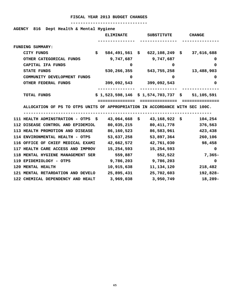**AGENCY 816 Dept Health & Mental Hygiene** 

|                                                                              | <b>ELIMINATE</b> | <b>SUBSTITUTE</b>                             | <b>CHANGE</b> |
|------------------------------------------------------------------------------|------------------|-----------------------------------------------|---------------|
| FUNDING SUMMARY:                                                             |                  |                                               |               |
| CITY FUNDS                                                                   | \$               | 584,491,561 \$ 622,108,249 \$ 37,616,688      |               |
| OTHER CATEGORICAL FUNDS                                                      |                  | 9,747,687 9,747,687                           | 0             |
| CAPITAL IFA FUNDS                                                            | 0                | 0                                             | 0             |
| <b>STATE FUNDS</b>                                                           |                  | 530,266,355 543,755,258                       | 13,488,903    |
| COMMUNITY DEVELOPMENT FUNDS                                                  | 0                | 0                                             | 0             |
| OTHER FEDERAL FUNDS                                                          |                  | 399,092,543 399,092,543                       | 0             |
|                                                                              |                  | ---------------                               |               |
| TOTAL FUNDS                                                                  |                  | $$1,523,598,146 \$1,574,703,737 \$51,105,591$ |               |
|                                                                              | ============     | ===============                               |               |
| ALLOCATION OF PS TO OTPS UNITS OF APPROPRIATION IN ACCORDANCE WITH SEC 100C. |                  |                                               |               |
|                                                                              |                  |                                               |               |
| 111 HEALTH ADMINSTRATION - OTPS $$$ 43,064,668 \$ 43,168,922 \$              |                  |                                               | 104,254       |
| 112 DISEASE CONTROL AND EPIDEMIOL                                            | 80,035,215       | 80,411,778                                    | 376,563       |
| 113 HEALTH PROMOTION AND DISEASE                                             | 86,160,523       | 86,583,961                                    | 423,438       |
| 114 ENVIRONMENTAL HEALTH - OTPS                                              | 53,637,258       | 53,897,364                                    | 260,106       |
| 116 OFFICE OF CHIEF MEDICAL EXAMI                                            | 42,662,572       | 42,761,030                                    | 98,458        |
| 117 HEALTH CARE ACCESS AND IMPROV                                            | 15,254,593       | 15,254,593                                    | 0             |
| 118 MENTAL HYGIENE MANAGEMENT SER                                            | 559,887          | 552,522                                       | 7,365–        |
| 119 EPIDEMIOLOGY - OTPS                                                      |                  | 9,786,203 9,786,203                           | $\mathbf 0$   |
| 120 MENTAL HEALTH                                                            | 10,915,638       | 11,134,120                                    | 218,482       |
| 121 MENTAL RETARDATION AND DEVELO                                            | 25,895,431       | 25,702,603                                    | 192,828-      |
| 122 CHEMICAL DEPENDENCY AND HEALT                                            | 3,969,038        | 3,950,749                                     | $18,289-$     |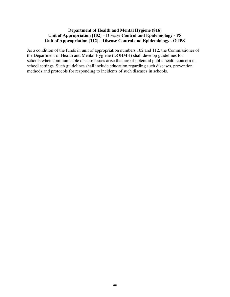# **Department of Health and Mental Hygiene (816) Unit of Appropriation [102] – Disease Control and Epidemiology - PS Unit of Appropriation [112] – Disease Control and Epidemiology - OTPS**

As a condition of the funds in unit of appropriation numbers 102 and 112, the Commissioner of the Department of Health and Mental Hygiene (DOHMH) shall develop guidelines for schools when communicable disease issues arise that are of potential public health concern in school settings. Such guidelines shall include education regarding such diseases, prevention methods and protocols for responding to incidents of such diseases in schools.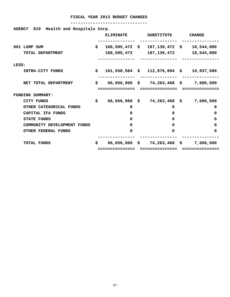**-------------------------------** 

**AGENCY 819 Health and Hospitals Corp.** 

|       |                             |    | <b>ELIMINATE</b> | <b>SUBSTITUTE</b>                              | <b>CHANGE</b> |
|-------|-----------------------------|----|------------------|------------------------------------------------|---------------|
|       | 001 LUMP SUM                | S. |                  | $168,595,472 \text{ }$ \$ 187,139,472 \$       | 18,544,000    |
|       | TOTAL DEPARTMENT            |    | 168,595,472      | 187,139,472                                    | 18,544,000    |
| LESS: |                             |    |                  |                                                |               |
|       | INTRA-CITY FUNDS            | \$ |                  | $101,938,504 \text{ }$ \$ 112,876,004 \$       | 10,937,500    |
|       | NET TOTAL DEPARTMENT        | \$ | ============     | $66,656,968$ \$ 74,263,468 \$<br>============= | 7,606,500     |
|       | FUNDING SUMMARY:            |    |                  |                                                |               |
|       | CITY FUNDS                  | \$ |                  | $66,656,968$ \$ 74,263,468 \$                  | 7,606,500     |
|       | OTHER CATEGORICAL FUNDS     |    | 0                | 0                                              | 0             |
|       | CAPITAL IFA FUNDS           |    | 0                | 0                                              | 0             |
|       | <b>STATE FUNDS</b>          |    | 0                | 0                                              | 0             |
|       | COMMUNITY DEVELOPMENT FUNDS |    | $\Omega$         | 0                                              | 0             |
|       | <b>OTHER FEDERAL FUNDS</b>  |    | 0                | $\Omega$                                       | 0             |
|       | <b>TOTAL FUNDS</b>          | \$ | 66,656,968 \$    | 74,263,468 \$                                  | 7,606,500     |
|       |                             |    | ============     |                                                |               |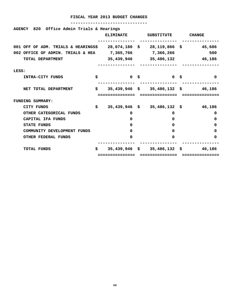| AGENCY 820 Office Admin Trials & Hearings                              |                  |      |                       |                                        |
|------------------------------------------------------------------------|------------------|------|-----------------------|----------------------------------------|
|                                                                        | <b>ELIMINATE</b> |      | SUBSTITUTE            | <b>CHANGE</b>                          |
| 001 OFF OF ADM. TRIALS & HEARINGS\$ 28,074,180 \$ 28,119,866 \$ 45,686 |                  |      |                       |                                        |
| 002 OFFICE OF ADMIN. TRIALS & HEA 7,365,766 7,366,266                  |                  |      |                       | 500                                    |
| TOTAL DEPARTMENT                                                       |                  |      | 35,439,946 35,486,132 | 46,186                                 |
| LESS:                                                                  |                  |      |                       |                                        |
| INTRA-CITY FUNDS                                                       | \$               | 0 \$ | <b>1000 乌</b>         | $\Omega$                               |
| NET TOTAL DEPARTMENT                                                   | \$               |      |                       | $35,439,946$ \$ $35,486,132$ \$ 46,186 |
|                                                                        |                  |      |                       |                                        |
|                                                                        | ============     |      | ===============       | ============                           |
| <b>FUNDING SUMMARY:</b>                                                |                  |      |                       |                                        |
| <b>CITY FUNDS</b>                                                      | \$               |      |                       | 35,439,946 \$ 35,486,132 \$ 46,186     |
| OTHER CATEGORICAL FUNDS                                                | 0                |      | $\Omega$              | 0                                      |
| CAPITAL IFA FUNDS                                                      | 0                |      | $\Omega$              | 0                                      |
| <b>STATE FUNDS</b>                                                     | 0                |      | 0                     | 0                                      |
| COMMUNITY DEVELOPMENT FUNDS                                            | 0                |      | 0                     | 0                                      |
| OTHER FEDERAL FUNDS                                                    | 0                |      | $\Omega$              | 0                                      |
|                                                                        |                  |      |                       |                                        |
| <b>TOTAL FUNDS</b>                                                     | \$               |      |                       | $35,439,946$ \$ $35,486,132$ \$ 46,186 |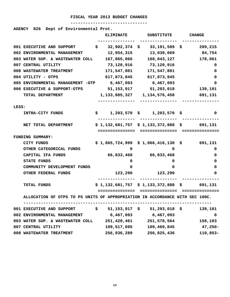#### **-------------------------------**

**AGENCY 826 Dept of Environmental Prot.** 

|       |                                                                              | <b>ELIMINATE</b>                               | <b>SUBSTITUTE</b>               | <b>CHANGE</b> |
|-------|------------------------------------------------------------------------------|------------------------------------------------|---------------------------------|---------------|
|       | 001 EXECUTIVE AND SUPPORT                                                    | \$                                             | $32,902,374$ \$ $33,191,589$ \$ | 289,215       |
|       | 002 ENVIRONMENTAL MANAGEMENT                                                 | $12,954,315$ $13,039,069$                      |                                 | 84,754        |
|       | 003 WATER SUP. & WASTEWATER COLL                                             | 167,865,066                                    | 168,043,127                     | 178,061       |
|       | 007 CENTRAL UTILITY                                                          | 73,120,916                                     | 73,120,916                      | 0             |
|       | 008 WASTEWATER TREATMENT                                                     | 171,547,801                                    | 171,547,801                     | 0             |
|       | 004 UTILITY - OTPS                                                           |                                                | 617,873,845 617,873,845         | 0             |
|       | 005 ENVIRONMENTAL MANAGEMENT -OTP                                            | 6,467,093                                      | 6,467,093                       | 0             |
|       | 006 EXECUTIVE & SUPPORT-OTPS                                                 | 51,153,917                                     | 51,293,018                      | 139,101       |
|       | TOTAL DEPARTMENT                                                             |                                                |                                 |               |
| LESS: |                                                                              |                                                |                                 |               |
|       | INTRA-CITY FUNDS                                                             | $$1,203,570 \text{ }$ \$ 1,203,570 \$          |                                 | 0             |
|       | NET TOTAL DEPARTMENT                                                         | $$1,132,681,757 \t$1,133,372,888 \t$ 691,131$  |                                 |               |
|       |                                                                              | =============                                  |                                 |               |
|       | <b>FUNDING SUMMARY:</b>                                                      |                                                |                                 |               |
|       | <b>CITY FUNDS</b>                                                            | $$1,065,724,999 \$1,066,416,130 \$ \t 691,131$ |                                 |               |
|       | OTHER CATEGORICAL FUNDS                                                      | 0                                              | 0                               | 0             |
|       | CAPITAL IFA FUNDS                                                            |                                                | 66,833,468 66,833,468           | 0             |
|       | <b>STATE FUNDS</b>                                                           | 0                                              | 0                               | 0             |
|       | COMMUNITY DEVELOPMENT FUNDS                                                  | 0                                              | 0                               | 0             |
|       | OTHER FEDERAL FUNDS                                                          | 123,290                                        | 123,290                         | 0             |
|       | TOTAL FUNDS                                                                  | $$1,132,681,757$ $$1,133,372,888$ $$691,131$   |                                 |               |
|       | ALLOCATION OF OTPS TO PS UNITS OF APPROPRIATION IN ACCORDANCE WITH SEC 100C. |                                                |                                 |               |
|       | 001 EXECUTIVE AND SUPPORT                                                    | \$<br>$51, 153, 917$ \$                        | $51,293,018$ \$                 | 139,101       |
|       | 002 ENVIRONMENTAL MANAGEMENT                                                 | 6,467,093                                      | 6,467,093                       | 0             |
|       | 003 WATER SUP. & WASTEWATER COLL                                             | 251,420,461                                    | 251,578,564                     | 158,103       |
|       | 007 CENTRAL UTILITY                                                          | 109,517,095                                    | 109,469,845                     | $47,250 -$    |
|       | 008 WASTEWATER TREATMENT                                                     | 256,936,289                                    | 256,825,436                     | $110,853-$    |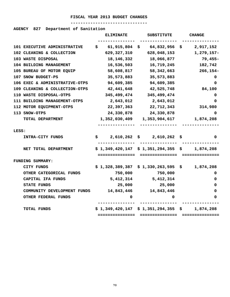# **-------------------------------**

# **AGENCY 827 Department of Sanitation**

|                                | <b>ELIMINATE</b> | <b>SUBSTITUTE</b>                     | <b>CHANGE</b>                                                                                                                           |
|--------------------------------|------------------|---------------------------------------|-----------------------------------------------------------------------------------------------------------------------------------------|
|                                |                  |                                       |                                                                                                                                         |
| 101 EXECUTIVE ADMINISTRATIVE   | \$.              | 64,832,956<br>S.                      | 2,917,152<br>\$                                                                                                                         |
| 102 CLEANING & COLLECTION      | 629,327,310      | 628,048,153                           | 1,279,157-                                                                                                                              |
| 103 WASTE DISPOSAL             | 18, 146, 332     | 18,066,877                            | $79,455-$                                                                                                                               |
| 104 BUILDING MANAGEMENT        | 16,536,503       | 16,719,245                            | 182,742                                                                                                                                 |
| 105 BUREAU OF MOTOR EQUIP      | 58,608,817       | 58,342,663                            | $266, 154 -$                                                                                                                            |
| 107 SNOW BUDGET-PS             | 35,573,883       | 35,573,883                            | 0                                                                                                                                       |
| 106 EXEC & ADMINISTRATIVE-OTPS | 94,609,385       | 94,609,385                            | 0                                                                                                                                       |
| 109 CLEANING & COLLECTION-OTPS | 42,441,648       | 42,525,748                            | 84,100                                                                                                                                  |
| 110 WASTE DISPOSAL-OTPS        | 345,499,474      | 345,499,474                           | 0                                                                                                                                       |
| 111 BUILDING MANAGEMENT-OTPS   | 2,643,012        | 2,643,012                             | 0                                                                                                                                       |
| 112 MOTOR EQUIPMENT-OTPS       | 22,397,363       | 22,712,343                            | 314,980                                                                                                                                 |
| 113 SNOW-OTPS                  | 24,330,878       | 24,330,878                            | 0                                                                                                                                       |
| TOTAL DEPARTMENT               |                  | 1,353,904,617                         | 1,874,208                                                                                                                               |
|                                |                  |                                       |                                                                                                                                         |
|                                |                  |                                       |                                                                                                                                         |
|                                |                  |                                       | s<br>0                                                                                                                                  |
| NET TOTAL DEPARTMENT           |                  |                                       | 1,874,208                                                                                                                               |
|                                |                  | ===============                       | ===============                                                                                                                         |
| <b>FUNDING SUMMARY:</b>        |                  |                                       |                                                                                                                                         |
| CITY FUNDS                     |                  | \$1,330,263,595                       | 1,874,208<br>S.                                                                                                                         |
| OTHER CATEGORICAL FUNDS        | 750,000          | 750,000                               | 0                                                                                                                                       |
| CAPITAL IFA FUNDS              | 5,412,314        |                                       |                                                                                                                                         |
|                                |                  | 5, 412, 314                           | 0                                                                                                                                       |
| STATE FUNDS                    | 25,000           | 25,000                                | 0                                                                                                                                       |
| COMMUNITY DEVELOPMENT FUNDS    | 14,843,446       | 14,843,446                            | 0                                                                                                                                       |
| OTHER FEDERAL FUNDS            | 0                | 0                                     | 0                                                                                                                                       |
| TOTAL FUNDS                    |                  | $$1,349,420,147 \ $1,351,294,355 \ $$ | 1,874,208                                                                                                                               |
|                                | INTRA-CITY FUNDS | S.                                    | 61,915,804<br>1,352,030,409<br>2,610,262<br>2,610,262<br>S.<br>\$1,349,420,147 \$1,351,294,355 \$<br>===============<br>\$1,328,389,387 |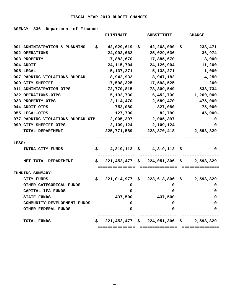# **-------------------------------**

# **AGENCY 836 Department of Finance**

|       |                                   |     | <b>ELIMINATE</b> | <b>SUBSTITUTE</b>                 |    | <b>CHANGE</b>   |
|-------|-----------------------------------|-----|------------------|-----------------------------------|----|-----------------|
|       |                                   |     |                  |                                   |    |                 |
|       | 001 ADMINISTRATION & PLANNING     | \$. | $42,029,619$ \$  | 42,268,090                        | \$ | 238,471         |
|       | 002 OPERATIONS                    |     | 24,992,662       | 25,029,636                        |    | 36,974          |
|       | 003 PROPERTY                      |     | 17,882,670       | 17,885,670                        |    | 3,000           |
|       | 004 AUDIT                         |     | 24, 115, 704     | 24,126,904                        |    | 11,200          |
|       | 005 LEGAL                         |     | 5,137,271        | 5,138,271                         |    | 1,000           |
|       | 007 PARKING VIOLATIONS BUREAU     |     | 8,942,932        | 8,947,182                         |    | 4,250           |
|       | 009 CITY SHERIFF                  |     | 17,598,325       | 17,598,525                        |    | 200             |
|       | 011 ADMINISTRATION-OTPS           |     | 72,770,815       | 73,309,549                        |    | 538,734         |
|       | 022 OPERATIONS-OTPS               |     | 5,192,730        | 6,452,730                         |    | 1,260,000       |
|       | 033 PROPERTY-OTPS                 |     | 2,114,470        | 2,589,470                         |    | 475,000         |
|       | 044 AUDIT-OTPS                    |     | 752,080          | 827,080                           |    | 75,000          |
|       | 055 LEGAL-OTPS                    |     | 127,790          | 82,790                            |    | $45,000 -$      |
|       | 077 PARKING VIOLATIONS BUREAU OTP |     | 2,005,397        | 2,005,397                         |    | 0               |
|       | 099 CITY SHERIFF-OTPS             |     | 2,109,124        | 2,109,124                         |    | 0               |
|       | TOTAL DEPARTMENT                  |     | 225,771,589      | 228,370,418                       |    | 2,598,829       |
|       |                                   |     |                  |                                   |    |                 |
| LESS: |                                   |     |                  |                                   |    |                 |
|       | INTRA-CITY FUNDS                  | \$. |                  | $4,319,112 \quad $4,319,112$      | s  | 0               |
|       |                                   |     |                  |                                   |    |                 |
|       | NET TOTAL DEPARTMENT              | S.  |                  | $221,452,477$ \$ $224,051,306$ \$ |    | 2,598,829       |
|       |                                   |     | -------------    |                                   |    |                 |
|       | FUNDING SUMMARY:                  |     |                  |                                   |    |                 |
|       | <b>CITY FUNDS</b>                 | \$. | 221,014,977      | \$<br>223,613,806                 | S. | 2,598,829       |
|       | OTHER CATEGORICAL FUNDS           |     | 0                | 0                                 |    | 0               |
|       | CAPITAL IFA FUNDS                 |     | 0                | 0                                 |    | 0               |
|       | <b>STATE FUNDS</b>                |     | 437,500          | 437,500                           |    | 0               |
|       | COMMUNITY DEVELOPMENT FUNDS       |     | 0                | 0                                 |    | 0               |
|       | <b>OTHER FEDERAL FUNDS</b>        |     | 0                | 0                                 |    | 0               |
|       | TOTAL FUNDS                       | s   | $221,452,477$ \$ | 224,051,306                       |    | 2,598,829<br>\$ |
|       |                                   |     | ==============   |                                   |    |                 |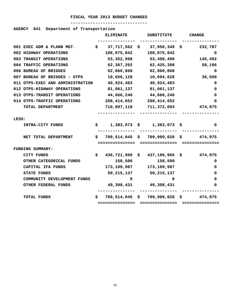# **-------------------------------**

# **AGENCY 841 Department of Transportation**

|                        |                                  |    | <b>ELIMINATE</b> | <b>SUBSTITUTE</b>                 |    | <b>CHANGE</b>   |
|------------------------|----------------------------------|----|------------------|-----------------------------------|----|-----------------|
|                        |                                  |    |                  |                                   |    |                 |
|                        | 001 EXEC ADM & PLANN MGT.        | \$ | 37,717,562       | \$<br>37,950,349                  | \$ | 232,787         |
| 002 HIGHWAY OPERATIONS |                                  |    | 108,875,842      | 108,875,842                       |    | 0               |
| 003 TRANSIT OPERATIONS |                                  |    | 53, 352, 998     | 53,498,490                        |    | 145,492         |
| 004 TRAFFIC OPERATIONS |                                  |    | 62,367,202       | 62,425,398                        |    | 58,196          |
| 006 BUREAU OF BRIDGES  |                                  |    | 62,860,868       | 62,860,868                        |    | 0               |
|                        | 007 BUREAU OF BRIDGES - OTPS     |    | 10,656,128       | 10,694,628                        |    | 38,500          |
|                        | 011 OTPS-EXEC AND ADMINISTRATION |    | 40,924,483       | 40,924,483                        |    | 0               |
|                        | 012 OTPS-HIGHWAY OPERATIONS      |    | 81,061,137       | 81,061,137                        |    | 0               |
|                        | 013 OTPS-TRANSIT OPERATIONS      |    | 44,666,246       | 44,666,246                        |    | 0               |
|                        | 014 OTPS-TRAFFIC OPERATIONS      |    | 208,414,652      | 208, 414, 652                     |    | 0               |
|                        | TOTAL DEPARTMENT                 |    | 710,897,118      | 711,372,093                       |    | 474,975         |
|                        |                                  |    |                  |                                   |    |                 |
| LESS:                  |                                  |    |                  |                                   |    |                 |
|                        | INTRA-CITY FUNDS                 | \$ | $1,383,073$ \$   | 1,383,073                         | Ş. | 0               |
|                        |                                  |    |                  |                                   |    |                 |
|                        | NET TOTAL DEPARTMENT             | S. |                  | $709,514,045$ \$ $709,989,020$ \$ |    | 474,975         |
|                        |                                  |    | ===============  | ===============                   |    | =============== |
| FUNDING SUMMARY:       |                                  |    |                  |                                   |    |                 |
| CITY FUNDS             |                                  | \$ | 436,721,990      | \$437,196,965                     | Ş. | 474,975         |
|                        | OTHER CATEGORICAL FUNDS          |    | 158,500          | 158,500                           |    | 0               |
|                        | CAPITAL IFA FUNDS                |    | 173,109,987      | 173,109,987                       |    | 0               |
| STATE FUNDS            |                                  |    | 50, 215, 137     | 50,215,137                        |    | 0               |
|                        | COMMUNITY DEVELOPMENT FUNDS      |    | 0                | 0                                 |    | 0               |
|                        | OTHER FEDERAL FUNDS              |    | 49,308,431       | 49,308,431                        |    | 0               |
|                        |                                  |    |                  |                                   |    |                 |
| TOTAL FUNDS            |                                  | \$ | 709,514,045 \$   | $709,989,020$ \$                  |    | 474,975         |
|                        |                                  |    | ===============  | ===============                   |    |                 |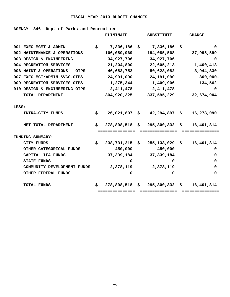# **-------------------------------**

# **AGENCY 846 Dept of Parks and Recreation**

|                         |                               |     | <b>ELIMINATE</b> | <b>SUBSTITUTE</b>                                                 |     | <b>CHANGE</b>    |
|-------------------------|-------------------------------|-----|------------------|-------------------------------------------------------------------|-----|------------------|
|                         | 001 EXEC MGMT & ADMIN         | \$  | 7,336,186        | \$<br>7,336,186                                                   | \$. | 0                |
|                         | 002 MAINTENANCE & OPERATIONS  |     | 166,089,969      | 194,085,568                                                       |     | 27,995,599       |
|                         | 003 DESIGN & ENGINEERING      |     | 34,927,706       | 34,927,706                                                        |     | 0                |
|                         | 004 RECREATION SERVICES       |     | 21,204,800       | 22,605,213                                                        |     | 1,400,413        |
|                         | 006 MAINT & OPERATIONS - OTPS |     | 46,683,752       | 50,628,082                                                        |     | 3,944,330        |
|                         | 007 EXEC MGT/ADMIN SVCS-OTPS  |     | 24,991,090       | 24,191,090                                                        |     | $800,000 -$      |
|                         | 009 RECREATION SERVICES-OTPS  |     |                  | 1,275,344 1,409,906                                               |     | 134,562          |
|                         | 010 DESIGN & ENGINEERING-OTPS |     | 2,411,478        | 2,411,478                                                         |     | 0                |
|                         | TOTAL DEPARTMENT              |     | 304,920,325      | 337,595,229                                                       |     | 32,674,904       |
|                         |                               |     |                  |                                                                   |     |                  |
| LESS:                   |                               |     |                  |                                                                   |     |                  |
|                         | INTRA-CITY FUNDS              | \$. |                  | $26,021,807$ \$ $42,294,897$ \$ 16,273,090                        |     |                  |
|                         | NET TOTAL DEPARTMENT          | S.  | ===============  | $278,898,518 \div 295,300,332 \div 16,401,814$<br>=============== |     | ===============  |
| <b>FUNDING SUMMARY:</b> |                               |     |                  |                                                                   |     |                  |
| <b>CITY FUNDS</b>       |                               | \$  | 238,731,215      | \$255,133,029                                                     |     | 16,401,814<br>\$ |
|                         | OTHER CATEGORICAL FUNDS       |     | 450,000          | 450,000                                                           |     | 0                |
|                         | CAPITAL IFA FUNDS             |     | 37,339,184       | 37, 339, 184                                                      |     | 0                |
| <b>STATE FUNDS</b>      |                               |     | 0                | 0                                                                 |     | 0                |
|                         | COMMUNITY DEVELOPMENT FUNDS   |     | 2,378,119        | 2,378,119                                                         |     | 0                |
|                         | OTHER FEDERAL FUNDS           |     | 0                | 0                                                                 |     | 0                |
|                         |                               |     |                  |                                                                   |     |                  |
| <b>TOTAL FUNDS</b>      |                               | s   | 278,898,518      | $$295,300,332$ \$                                                 |     | 16,401,814       |
|                         |                               |     | :=============== |                                                                   |     |                  |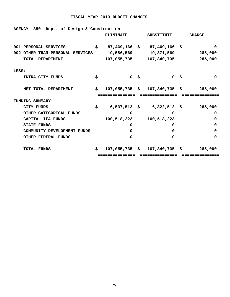| AGENCY 850 Dept. of Design & Construction |    |                  |  |                                                                     |  |          |
|-------------------------------------------|----|------------------|--|---------------------------------------------------------------------|--|----------|
|                                           |    | <b>ELIMINATE</b> |  | SUBSTITUTE CHANGE                                                   |  |          |
| 001 PERSONAL SERVICES                     |    |                  |  | $$87,469,166$ \$ 87,469,166 \$                                      |  | 0        |
| 002 OTHER THAN PERSONAL SERVICES          |    |                  |  | 19,586,569     19,871,569     285,000                               |  |          |
| TOTAL DEPARTMENT                          |    |                  |  | 107,055,735 107,340,735 285,000                                     |  |          |
| LESS:                                     |    |                  |  |                                                                     |  |          |
| INTRA-CITY FUNDS                          | \$ | 0 \$             |  | <b>10 S</b>                                                         |  | $\Omega$ |
| NET TOTAL DEPARTMENT                      | \$ |                  |  | $107,055,735 \quad $107,340,735 \quad $285,000$                     |  |          |
|                                           |    |                  |  |                                                                     |  |          |
| <b>FUNDING SUMMARY:</b>                   |    |                  |  |                                                                     |  |          |
| CITY FUNDS                                | \$ |                  |  | 6,537,512 \$ 6,822,512 \$ 285,000                                   |  |          |
| OTHER CATEGORICAL FUNDS                   |    | $\Omega$         |  | $\Omega$                                                            |  | 0        |
| CAPITAL IFA FUNDS                         |    | 100,518,223      |  | 100,518,223                                                         |  | 0        |
| <b>STATE FUNDS</b>                        |    | 0                |  | 0                                                                   |  | 0        |
| COMMUNITY DEVELOPMENT FUNDS               |    | 0                |  | $\Omega$                                                            |  | 0        |
| <b>OTHER FEDERAL FUNDS</b>                |    | 0                |  | $\Omega$                                                            |  | 0        |
| <b>TOTAL FUNDS</b>                        | \$ |                  |  | $107,055,735 \thinspace \text{S}$ $107,340,735 \thinspace \text{S}$ |  | 285,000  |
|                                           |    |                  |  |                                                                     |  |          |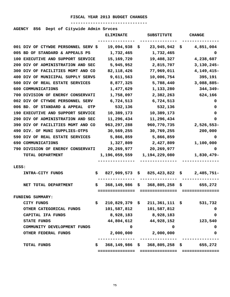# **-------------------------------**

# **AGENCY 856 Dept of Citywide Admin Srvces**

|                                     | <b>ELIMINATE</b> | <b>SUBSTITUTE</b>                             | <b>CHANGE</b>      |
|-------------------------------------|------------------|-----------------------------------------------|--------------------|
| 001 DIV OF CTYWDE PERSONNEL SERV \$ | 19,094,938       | 23,945,942<br>Ş.                              | 4,851,004<br>\$    |
| 005 BD OF STANDARD & APPEALS PS     | 1,732,465        | 1,732,465                                     | 0                  |
| 100 EXECUTIVE AND SUPPORT SERVICE   | 15,169,720       | 19,408,327                                    | 4,238,607          |
| 200 DIV OF ADMINISTRATION AND SEC   | 5,945,952        | 2,815,707                                     | $3,130,245-$       |
| 300 DIV OF FACILITIES MGMT AND CO   | 82, 118, 426     | 77,969,011                                    | $4,149,415-$       |
| 400 DIV OF MUNICIPAL SUPPLY SERVS   | 9,611,563        | 10,006,754                                    | 395,191            |
| 500 DIV OF REAL ESTATE SERVICES     | 8,877,325        | 5,788,440                                     | 3,088,885-         |
| 600 COMMUNICATIONS                  | 1,477,629        | 1,133,280                                     | 344,349-           |
| 700 DIVISION OF ENERGY CONSERVATI   | 1,758,097        | 2,382,263                                     | 624,166            |
| 002 DIV OF CTYWDE PERSONNEL SERV    | 6,724,513        | 6,724,513                                     | 0                  |
| 006 BD. OF STANDARD & APPEAL<br>OTP | 532,136          | 532,136                                       | 0                  |
| 190 EXECUTIVE AND SUPPORT SERVICE   | 10,389,173       | 10,389,173                                    | 0                  |
| 290 DIV OF ADMINISTRATION AND SEC   | 11,296,434       | 11,296,434                                    | 0                  |
| 390 DIV OF FACILITIES MGMT AND CO   | 963,297,288      | 960,770,735                                   | 2,526,553-         |
| 490 DIV. OF MUNI SUPPLIES-OTPS      | 30,569,255       | 30,769,255                                    | 200,000            |
| 590 DIV OF REAL ESTATE SERVICES     | 5,866,859        | 5,866,859                                     | 0                  |
| 690 COMMUNICATIONS                  | 1,327,809        | 2,427,809                                     | 1,100,000          |
| 790 DIVISION OF ENERGY CONSERVATI   | 20,269,977       | 20, 269, 977                                  | 0                  |
| TOTAL DEPARTMENT                    | 1,196,059,559    | 1,194,229,080                                 | 1,830,479-         |
| LESS:                               |                  |                                               |                    |
| <b>INTRA-CITY FUNDS</b><br>Ş.       | 827,909,573      | 825,423,822<br>Ş.                             | $2,485,751-$<br>Ş. |
| NET TOTAL DEPARTMENT<br>Ş.          | 368,149,986      | 368,805,258<br>Ş.                             | 655,272<br>Ş.      |
|                                     | ============     | ===========                                   |                    |
| FUNDING SUMMARY:                    |                  |                                               |                    |
| CITY FUNDS<br>Ş                     | 210,829,379 \$   | $211,361,111$ \$                              | 531,732            |
| OTHER CATEGORICAL FUNDS             | 101,587,812      | 101,587,812                                   | 0                  |
| CAPITAL IFA FUNDS                   | 8,928,183        | 8,928,183                                     | 0                  |
| <b>STATE FUNDS</b>                  |                  | 44,804,612 44,928,152                         | 123,540            |
| COMMUNITY DEVELOPMENT FUNDS         | 0                | 0                                             | 0                  |
| OTHER FEDERAL FUNDS                 | 2,000,000        | 2,000,000                                     | 0                  |
| \$<br>TOTAL FUNDS                   |                  | $368, 149, 986$ \$ $368, 805, 258$ \$ 655,272 |                    |
|                                     |                  |                                               |                    |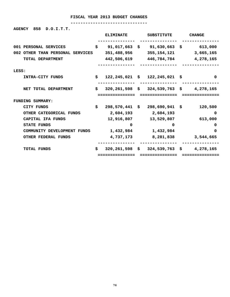**-------------------------------** 

**AGENCY 858 D.O.I.T.T.** 

|                                  |    | <b>ELIMINATE</b> | <b>SUBSTITUTE</b>                               | <b>CHANGE</b>         |
|----------------------------------|----|------------------|-------------------------------------------------|-----------------------|
| 001 PERSONAL SERVICES            | \$ |                  | $91,017,663 \quad $91,630,663 \quad $613,000$   |                       |
| 002 OTHER THAN PERSONAL SERVICES |    | 351,488,956      |                                                 | 355,154,121 3,665,165 |
| TOTAL DEPARTMENT                 |    |                  | 442,506,619 446,784,784 4,278,165               |                       |
| LESS:                            |    |                  |                                                 |                       |
| INTRA-CITY FUNDS                 | \$ |                  | $122, 245, 021$ \$ $122, 245, 021$ \$           | 0                     |
| NET TOTAL DEPARTMENT             | Ŝ. |                  | $320, 261, 598$ \$ $324, 539, 763$ \$ 4,278,165 |                       |
|                                  |    | ============     | ===============                                 | ============          |
| <b>FUNDING SUMMARY:</b>          |    |                  |                                                 |                       |
| CITY FUNDS                       | \$ |                  | 298,570,441 \$ 298,690,941 \$                   | 120,500               |
| OTHER CATEGORICAL FUNDS          |    | 2,604,193        | 2,604,193                                       | 0                     |
| CAPITAL IFA FUNDS                |    |                  | 12,916,807 13,529,807                           | 613,000               |
| <b>STATE FUNDS</b>               |    | 0                | 0                                               | 0                     |
| COMMUNITY DEVELOPMENT FUNDS      |    | 1,432,984        | 1,432,984                                       | $\Omega$              |
| OTHER FEDERAL FUNDS              |    | 4,737,173        | 8,281,838                                       | 3,544,665             |
| <b>TOTAL FUNDS</b>               | \$ |                  | $320, 261, 598$ \$ $324, 539, 763$ \$ 4,278,165 |                       |
|                                  |    | ============     |                                                 |                       |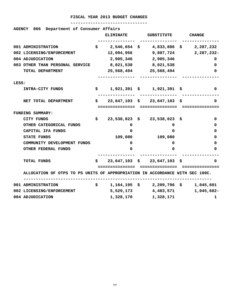|       | AGENCY 866 Department of Consumer Affairs                                    |                     |                                                           |                                |
|-------|------------------------------------------------------------------------------|---------------------|-----------------------------------------------------------|--------------------------------|
|       |                                                                              |                     | ELIMINATE SUBSTITUTE CHANGE                               |                                |
|       | 001 ADMINISTRATION                                                           |                     | $\sharp$ 2,546,654 $\sharp$ 4,833,886 $\sharp$ 2,287,232  |                                |
|       | 002 LICENSING/ENFORCEMENT                                                    |                     | $12,094,956$ $9,807,724$ $2,287,232$                      |                                |
|       | 004 ADJUDICATION                                                             |                     | 2,905,346 2,905,346                                       | 0                              |
|       | 003 OTHER THAN PERSONAL SERVICE                                              | 8,021,538 8,021,538 |                                                           | 0                              |
|       | TOTAL DEPARTMENT                                                             |                     | 25,568,494 25,568,494                                     | 0                              |
| LESS: |                                                                              |                     | ----------------                                          |                                |
|       | <b>INTRA-CITY FUNDS</b>                                                      |                     | $\sharp$ 1,921,391 $\sharp$ 1,921,391 $\sharp$            | 0                              |
|       | NET TOTAL DEPARTMENT                                                         |                     | $$23,647,103$$ \$ 23,647,103 \$                           | 0                              |
|       |                                                                              |                     |                                                           |                                |
|       | <b>FUNDING SUMMARY:</b>                                                      |                     |                                                           |                                |
|       | CITY FUNDS                                                                   |                     | $\frac{1}{2}$ 23,538,023 \$ 23,538,023 \$                 | 0                              |
|       | OTHER CATEGORICAL FUNDS                                                      | 0                   | $\Omega$                                                  | 0                              |
|       | CAPITAL IFA FUNDS                                                            | 0                   | $\Omega$                                                  | 0                              |
|       | STATE FUNDS                                                                  | 109,080             | 109,080                                                   | 0                              |
|       | COMMUNITY DEVELOPMENT FUNDS                                                  | 0                   | 0                                                         | 0                              |
|       | OTHER FEDERAL FUNDS                                                          | 0                   | 0                                                         | 0                              |
|       | <b>TOTAL FUNDS</b>                                                           |                     | $\sharp$ 23,647,103 $\sharp$ 23,647,103 $\sharp$          | <sup>0</sup>                   |
|       | ALLOCATION OF OTPS TO PS UNITS OF APPROPRIATION IN ACCORDANCE WITH SEC 100C. |                     |                                                           |                                |
|       | 001 ADMINISTRATION                                                           |                     | $\frac{1}{2}$ , 1, 164, 195 \$ 2, 209, 796 \$ 1, 045, 601 |                                |
|       | 002 LICENSING/ENFORCEMENT                                                    |                     |                                                           | 5,529,173 4,483,571 1,045,602- |
|       | 004 ADJUDICATION                                                             |                     | 1,328,170 1,328,171                                       | 1                              |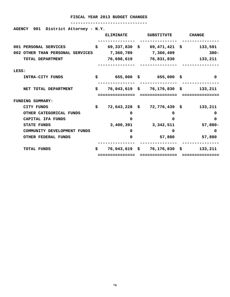#### **-------------------------------**

**AGENCY 901 District Attorney - N.Y.** 

|                                  | <b>ELIMINATE</b> | <b>SUBSTITUTE</b>                        | <b>CHANGE</b> |
|----------------------------------|------------------|------------------------------------------|---------------|
| 001 PERSONAL SERVICES            | \$               | $69,337,830 \quad $69,471,421 \quad $69$ | 133,591       |
| 002 OTHER THAN PERSONAL SERVICES |                  | 7,360,789 7,360,409                      | $380 -$       |
| TOTAL DEPARTMENT                 |                  | 76,698,619 76,831,830 133,211            |               |
| LESS:                            |                  |                                          |               |
| INTRA-CITY FUNDS                 | \$               | 655,000 \$655,000 \$                     | $\Omega$      |
| NET TOTAL DEPARTMENT             | \$               | 76,043,619 \$ 76,176,830 \$ 133,211      |               |
|                                  | ============     |                                          |               |
| FUNDING SUMMARY:                 |                  |                                          |               |
| CITY FUNDS                       | \$               | $72,643,228$ \$ $72,776,439$ \$          | 133,211       |
| OTHER CATEGORICAL FUNDS          | 0                | 0                                        | 0             |
| CAPITAL IFA FUNDS                | 0                | 0                                        | 0             |
| <b>STATE FUNDS</b>               | 3,400,391        | 3,342,511                                | $57,880 -$    |
| COMMUNITY DEVELOPMENT FUNDS      | <sup>0</sup>     | $\Omega$                                 | $\Omega$      |
| OTHER FEDERAL FUNDS              | 0                | 57,880                                   | 57,880        |
| <b>TOTAL FUNDS</b>               | \$               | 76,043,619 \$ 76,176,830 \$              | 133,211       |
|                                  | ============     |                                          |               |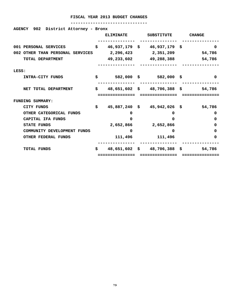| AGENCY 902 District Attorney - Bronx |    |                  |                                |                                          |
|--------------------------------------|----|------------------|--------------------------------|------------------------------------------|
|                                      |    | <b>ELIMINATE</b> | SUBSTITUTE CHANGE              |                                          |
| 001 PERSONAL SERVICES                |    |                  | $$46,937,179$$ \$46,937,179 \$ | $\Omega$                                 |
| 002 OTHER THAN PERSONAL SERVICES     |    |                  | 2,296,423 2,351,209            | 54,786                                   |
| TOTAL DEPARTMENT                     |    |                  | 49,233,602 49,288,388          | 54,786                                   |
| LESS:                                |    |                  |                                |                                          |
| INTRA-CITY FUNDS                     |    |                  | $$582,000$$ \$ 582,000 \$      | $\Omega$                                 |
| NET TOTAL DEPARTMENT                 |    |                  |                                | \$3651,602\$3838\$51,786                 |
|                                      |    |                  |                                |                                          |
| <b>FUNDING SUMMARY:</b>              |    |                  |                                |                                          |
| CITY FUNDS                           | Ŝ. |                  | 45,887,240 \$ 45,942,026 \$    | 54,786                                   |
| OTHER CATEGORICAL FUNDS              |    | 0                | 0                              | 0                                        |
| CAPITAL IFA FUNDS                    |    | $\Omega$         | $\Omega$                       | 0                                        |
| <b>STATE FUNDS</b>                   |    |                  | 2,652,866 2,652,866            | 0                                        |
| COMMUNITY DEVELOPMENT FUNDS          |    | 0                | 0                              | 0                                        |
| <b>OTHER FEDERAL FUNDS</b>           |    |                  | 111,496 111,496                | 0                                        |
|                                      |    |                  |                                |                                          |
| <b>TOTAL FUNDS</b>                   |    |                  |                                | $$30.48,651,602$ \$ 48,706,388 \$ 54,786 |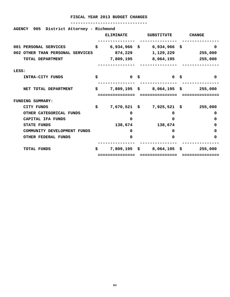| AGENCY 905 District Attorney - Richmond |                      |                                      |               |
|-----------------------------------------|----------------------|--------------------------------------|---------------|
|                                         | <b>ELIMINATE</b>     | SUBSTITUTE                           | <b>CHANGE</b> |
| 001 PERSONAL SERVICES                   | \$                   | $6,934,966$ \$ 6,934,966 \$          | 0             |
| 002 OTHER THAN PERSONAL SERVICES        | 874,229              | 1,129,229                            | 255,000       |
| TOTAL DEPARTMENT                        |                      | 7,809,195 8,064,195                  | 255,000       |
| LESS:                                   |                      |                                      |               |
| INTRA-CITY FUNDS                        | \$<br>0 <sup>5</sup> | 0 <sup>5</sup>                       | 0             |
| NET TOTAL DEPARTMENT                    | \$                   | $7,809,195 \quad $8,064,195 \quad $$ | 255,000       |
|                                         | ===========          |                                      |               |
| FUNDING SUMMARY:                        |                      |                                      |               |
| <b>CITY FUNDS</b>                       | \$                   | 7,670,521 \$ 7,925,521 \$ 255,000    |               |
| OTHER CATEGORICAL FUNDS                 | 0                    | 0                                    | 0             |
| CAPITAL IFA FUNDS                       | 0                    | 0                                    | 0             |
| <b>STATE FUNDS</b>                      | 138,674              | 138,674                              | 0             |
| COMMUNITY DEVELOPMENT FUNDS             | 0                    | 0                                    | 0             |
| <b>OTHER FEDERAL FUNDS</b>              | 0                    | $\Omega$                             | 0             |
| <b>TOTAL FUNDS</b>                      | \$<br>$7,809,195$ \$ | $8,064,195$ \$                       | 255,000       |
|                                         |                      |                                      |               |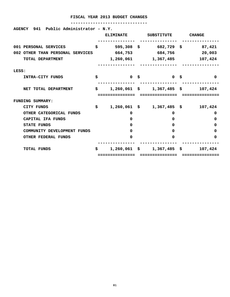| AGENCY 941 Public Administrator - N.Y. |     |                         |                                      |                   |
|----------------------------------------|-----|-------------------------|--------------------------------------|-------------------|
|                                        |     | <b>ELIMINATE</b>        | SUBSTITUTE                           | <b>CHANGE</b>     |
| 001 PERSONAL SERVICES                  | \$  | 595,308 \$              |                                      | 682,729 \$ 87,421 |
| 002 OTHER THAN PERSONAL SERVICES       |     | 664,753                 | 684,756                              | 20,003            |
| TOTAL DEPARTMENT                       |     |                         | 1,260,061 1,367,485                  | 107,424           |
| LESS:                                  |     |                         |                                      |                   |
| INTRA-CITY FUNDS                       | \$  | 0 <sup>5</sup>          | 0 <sup>5</sup>                       | $\Omega$          |
| NET TOTAL DEPARTMENT                   | \$  |                         | $1,260,061 \quad $1,367,485 \quad $$ | 107,424           |
|                                        |     | ===========             | ===============                      |                   |
| FUNDING SUMMARY:                       |     |                         |                                      |                   |
| <b>CITY FUNDS</b>                      | \$  |                         | $1,260,061 \quad $1,367,485 \quad $$ | 107,424           |
| OTHER CATEGORICAL FUNDS                |     | 0                       | 0                                    | 0                 |
| CAPITAL IFA FUNDS                      |     | $\Omega$                | 0                                    | 0                 |
| <b>STATE FUNDS</b>                     |     | 0                       | 0                                    | 0                 |
| COMMUNITY DEVELOPMENT FUNDS            |     | 0                       | 0                                    | 0                 |
| OTHER FEDERAL FUNDS                    |     | 0                       | $\Omega$                             | 0                 |
| <b>TOTAL FUNDS</b>                     | \$. | $1,260,061 \text{ }$ \$ | 1,367,485 \$                         | 107,424           |
|                                        |     | ============            |                                      |                   |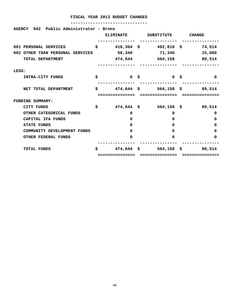| Public Administrator - Bronx<br>AGENCY 942 |                      |                                  |                   |
|--------------------------------------------|----------------------|----------------------------------|-------------------|
|                                            | <b>ELIMINATE</b>     | SUBSTITUTE                       | <b>CHANGE</b>     |
| 001 PERSONAL SERVICES                      | \$                   | $418,304 \quad $492,818 \quad $$ | 74,514            |
| 002 OTHER THAN PERSONAL SERVICES           | 56,340               | 71,340                           | 15,000            |
| TOTAL DEPARTMENT                           |                      | 474,644 564,158                  | 89,514            |
| LESS:                                      |                      |                                  |                   |
| INTRA-CITY FUNDS                           | \$<br>0 <sup>5</sup> | 0 S                              | $\mathbf 0$       |
| NET TOTAL DEPARTMENT                       | \$                   | $474,644$ \$ 564,158 \$ 89,514   |                   |
|                                            | ============         | ------------                     | ------------      |
| FUNDING SUMMARY:                           |                      |                                  |                   |
| <b>CITY FUNDS</b>                          | \$<br>$474,644$ \$   |                                  | 564,158 \$ 89,514 |
| OTHER CATEGORICAL FUNDS                    | 0                    | 0                                | 0                 |
| CAPITAL IFA FUNDS                          | 0                    | 0                                | 0                 |
| <b>STATE FUNDS</b>                         | 0                    | 0                                | 0                 |
| COMMUNITY DEVELOPMENT FUNDS                | 0                    | 0                                | 0                 |
| <b>OTHER FEDERAL FUNDS</b>                 | $\Omega$             | $\Omega$                         | 0                 |
| <b>TOTAL FUNDS</b>                         | \$<br>$474,644$ \$   | $564,158$ \$                     | 89,514            |
|                                            | :============        |                                  |                   |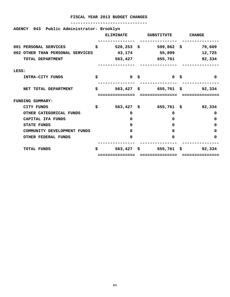| AGENCY 943 Public Administrator- Brooklyn | <b>ELIMINATE</b>   | SUBSTITUTE                       | <b>CHANGE</b> |
|-------------------------------------------|--------------------|----------------------------------|---------------|
| 001 PERSONAL SERVICES                     | \$                 | $520, 253$ \$ 599,862 \$         | 79,609        |
| 002 OTHER THAN PERSONAL SERVICES          | 43,174             | 55,899                           | 12,725        |
| TOTAL DEPARTMENT                          | 563,427            | 655,761                          | 92,334        |
| LESS:                                     |                    |                                  |               |
| INTRA-CITY FUNDS                          | \$<br>0 \$         | 0 S                              | 0             |
| NET TOTAL DEPARTMENT                      | \$                 | $563,427$ \$ $655,761$ \$ 92,334 |               |
| FUNDING SUMMARY:                          | ============       | ---------------                  | ===========   |
| <b>CITY FUNDS</b>                         | \$                 | $563,427$ \$ 655,761 \$          | 92,334        |
| OTHER CATEGORICAL FUNDS                   | 0                  | 0                                | 0             |
| CAPITAL IFA FUNDS                         | 0                  | 0                                | 0             |
| <b>STATE FUNDS</b>                        | 0                  | 0                                | 0             |
| COMMUNITY DEVELOPMENT FUNDS               | 0                  | 0                                | 0             |
| <b>OTHER FEDERAL FUNDS</b>                | 0                  | $\Omega$                         | 0             |
| <b>TOTAL FUNDS</b>                        | \$<br>$563,427$ \$ | $655,761$ \$                     | 92,334        |
|                                           |                    |                                  |               |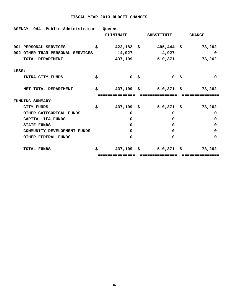| AGENCY 944 Public Administrator - Queens |    | <b>ELIMINATE</b>           | SUBSTITUTE                             | <b>CHANGE</b> |
|------------------------------------------|----|----------------------------|----------------------------------------|---------------|
| 001 PERSONAL SERVICES                    | \$ |                            | $422,182 \quad $495,444 \quad $73,262$ |               |
| 002 OTHER THAN PERSONAL SERVICES         |    | 14,927                     | 14,927                                 | 0             |
| TOTAL DEPARTMENT                         |    | 437,109                    | 510,371                                | 73,262        |
| LESS:                                    |    |                            |                                        |               |
| INTRA-CITY FUNDS                         | \$ | 0 \$                       | 0 \$                                   | 0             |
| NET TOTAL DEPARTMENT                     | S. | $437,109$ \$<br>========== | $510,371$ \$                           | 73,262        |
| <b>FUNDING SUMMARY:</b>                  |    |                            |                                        |               |
| <b>CITY FUNDS</b>                        | \$ |                            | 437,109 \$ 510,371 \$                  | 73,262        |
| OTHER CATEGORICAL FUNDS                  |    | 0                          | 0                                      | 0             |
| CAPITAL IFA FUNDS                        |    | 0                          | $\Omega$                               | 0             |
| <b>STATE FUNDS</b>                       |    | 0                          | $\Omega$                               | 0             |
| COMMUNITY DEVELOPMENT FUNDS              |    | 0                          | $\Omega$                               | 0             |
| <b>OTHER FEDERAL FUNDS</b>               |    | 0                          | $\Omega$                               | 0             |
| <b>TOTAL FUNDS</b>                       | S. | 437,109 \$                 | $510,371$ \$                           | 73,262        |
|                                          |    |                            |                                        |               |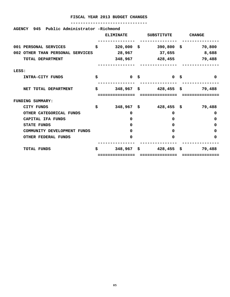| Public Administrator -Richmond<br>945<br><b>AGENCY</b> | <b>ELIMINATE</b>     |      | <b>SUBSTITUTE</b> | <b>CHANGE</b> |
|--------------------------------------------------------|----------------------|------|-------------------|---------------|
| 001 PERSONAL SERVICES                                  | \$<br>$320,000$ \$   |      | $390,800$ \$      | 70,800        |
| 002 OTHER THAN PERSONAL SERVICES                       | 28,967               |      | 37,655            | 8,688         |
| TOTAL DEPARTMENT                                       | 348,967              |      | 428,455           | 79,488        |
| LESS:                                                  |                      |      |                   |               |
| INTRA-CITY FUNDS                                       | \$<br>0 <sup>5</sup> |      | 0 <sup>5</sup>    | 0             |
| NET TOTAL DEPARTMENT                                   | \$<br>348,967        | - \$ | $428,455$ \$      | 79,488        |
| <b>FUNDING SUMMARY:</b>                                |                      |      |                   |               |
| CITY FUNDS                                             | \$<br>$348,967$ \$   |      | $428,455$ \$      | 79,488        |
| OTHER CATEGORICAL FUNDS                                | 0                    |      | 0                 | 0             |
| CAPITAL IFA FUNDS                                      | 0                    |      | $\Omega$          | 0             |
| <b>STATE FUNDS</b>                                     | 0                    |      | $\Omega$          | 0             |
| COMMUNITY DEVELOPMENT FUNDS                            | 0                    |      | 0                 | 0             |
| <b>OTHER FEDERAL FUNDS</b>                             | 0                    |      | $\Omega$          | 0             |
| <b>TOTAL FUNDS</b>                                     | \$<br>348,967        | \$   | $428,455$ \$      | 79,488        |
|                                                        |                      |      |                   |               |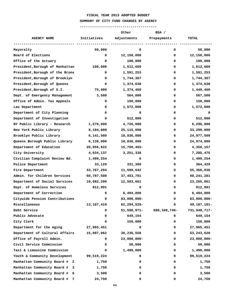#### **SUMMARY OF CITY FUND CHANGES BY AGENCY**

|                                    |             | Other          | BSA /          |                |
|------------------------------------|-------------|----------------|----------------|----------------|
| <b>AGENCY NAME</b>                 | Initiatives | Adjustments    | Prepayments    | <b>TOTAL</b>   |
| Mayoralty                          | 50,000      | 0              | 0              | 50,000         |
| Board of Elections                 | 0           | 12,150,000     | 0              | 12,150,000     |
| Office of the Actuary              | 0           | 100,000        | 0              | 100,000        |
| President, Borough of Manhattan    | 100,000     | 1,512,669      | 0              | 1,612,669      |
| President, Borough of the Bronx    | 0           | 1,591,253      | 0              | 1,591,253      |
| President, Borough of Brooklyn     | 0           | 1,744,367      | 0              | 1,744,367      |
| President, Borough of Queens       | 0           | 1,374,638      | 0              | 1,374,638      |
| President, Borough of S.I.         | 75,000      | 1,374,460      | 0              | 1,449,460      |
| Dept. of Emergency Management      | 3,500       | 564,000        | 0              | 567,500        |
| Office of Admin. Tax Appeals       | 0           | 150,000        | 0              | 150,000        |
| Law Department                     | 0           | 1,572,000      | 0              | 1,572,000      |
| Department of City Planning        | 0           | 0              | 0              | 0              |
| Department of Investigation        | 0           | 512,000        | 0              | 512,000        |
| NY Public Library - Research       | 1,570,000   | 4,726,000      | 0              | 6,296,000      |
| New York Public Library            | 8,184,000   | 25,115,000     | 0              | 33,299,000     |
| Brooklyn Public Library            | 6,141,500   | 18,836,000     | 0              | 24,977,500     |
| Queens Borough Public Library      | 6,138,000   | 18,836,000     | 0              | 24,974,000     |
| Department of Education            | 20,056,622  | 15,700,465-    | 0              | 4,356,157      |
| City University                    | 4,034,137   | 3,251,338      | 0              | 7,285,475      |
| Civilian Complaint Review Bd.      | 1,499,254   | 0              | 0              | 1,499,254      |
| Police Department                  | 33,129      | 331,300        | 0              | 364,429        |
| Fire Department                    | 43,767,294  | 11,599,642     | 0              | 55,366,936     |
| Admin. for Children Services       | 60,787,500  | 37,453,781     | 0              | 98,241,281     |
| Department of Social Services      | 10,682,200  | 12,583,661     | 0              | 23,265,861     |
| Dept. of Homeless Services         | 912,991     | 0              | 0              | 912,991        |
| Department of Correction           | 0           | 6,404,800      | 0              | 6,404,800      |
| Citywide Pension Contributions     | 0           | 83,000,000-    | 0              | 83,000,000-    |
| Miscellaneous                      | 13,107,419  | 62, 294, 520-  | 0              | 49, 187, 101-  |
| Debt Service                       | 0           | 51,598,971-    | 680, 349, 746- | 731,948,717-   |
| Public Advocate                    | 0           | 649,154        | 0              | 649,154        |
| City Clerk                         | 0           | 150,000        | 0              | 150,000        |
| Department for the Aging           | 27,965,451  | 0              | 0              | 27,965,451     |
| Department of Cultural Affairs     | 15,007,062  | 38,236,558     | 0              | 53,243,620     |
| Office of Payroll Admin.           | 0           | $23,000,000 -$ | 0              | $23,000,000 -$ |
| Civil Service Commission           | 0           | 50,000         | 0              | 50,000         |
| Taxi & Limousine Commission        | 0           | 1,490,000      | 0              | 1,490,000      |
| Youth & Community Development      | 99,519,224  | 0              | 0              | 99,519,224     |
| Manhattan Community Board # 2      | 1,750       | 0              | 0              | 1,750          |
| Manhattan Community Board #<br>- 3 | 1,750       | 0              | 0              | 1,750          |
| Manhattan Community Board #<br>- 6 | 3,500       | 0              | 0              | 3,500          |
| Manhattan Community Board #        | 24,750      | 0              | 0              | 24,750         |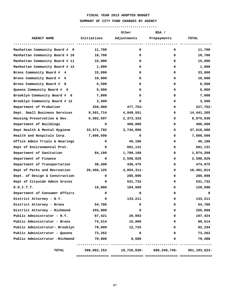#### **SUMMARY OF CITY FUND CHANGES BY AGENCY**

| Initiatives<br>Adjustments<br><b>AGENCY NAME</b><br>Prepayments<br><b>TOTAL</b><br>Manhattan Community Board # 9<br>11,700<br>0<br>0<br>11,700<br>Manhattan Community Board # 10<br>10,700<br>0<br>0<br>10,700<br>Manhattan Community Board # 11<br>15,000<br>0<br>15,000<br>0<br>Manhattan Community Board # 12<br>1,000<br>0<br>1,000<br>0<br>Bronx Community Board # 4<br>33,000<br>0<br>33,000<br>0<br>Bronx Community Board #<br>0<br>10,000<br>0<br>10,000<br>- 5<br>Bronx Community Board # 8<br>0<br>6,500<br>6,500<br>0<br>Queens Community Board # 6<br>5,000<br>0<br>5,000<br>0<br>Brooklyn Community Board # 6<br>7,000<br>7,000<br>0<br>0<br>Brooklyn Community Board # 12<br>3,500<br>0<br>3,500<br>0<br>Department of Probation<br>250,000<br>477,752-<br>0<br>Dept. Small Business Services<br>9,591,714<br>4,849,551<br>14,441,265<br>0<br>Housing Preservation & Dev.<br>6,502,597<br>2,373,333<br>8,875,930<br>0<br>Department of Buildings<br>400,000<br>400,000<br>0<br>0<br>Dept Health & Mental Hygiene<br>33,871,792<br>3,744,896<br>37,616,688<br>0<br>Health and Hospitals Corp.<br>0<br>7,606,500<br>0<br>7,606,500<br>Office Admin Trials & Hearings<br>46,186<br>46,186<br>0<br>0<br>Dept of Environmental Prot.<br>691,131<br>691,131<br>0<br>0<br>Department of Sanitation<br>84,100<br>1,790,108<br>1,874,208<br>0<br>Department of Finance<br>0<br>2,598,829<br>2,598,829<br>0<br>Department of Transportation<br>38,500<br>436,475<br>474,975<br>0<br>Dept of Parks and Recreation<br>$4,054,311-$<br>16,401,814<br>20,456,125<br>0<br>Dept. of Design & Construction<br>0<br>285,000<br>285,000<br>0<br>Dept of Citywide Admin Srvces<br>0<br>531,732<br>531,732<br>0<br>16,000<br>104,500<br>D.O.I.T.T.<br>120,500<br>0<br>Department of Consumer Affairs<br>0<br>0<br>0<br>0<br>133,211<br>133,211<br>District Attorney - N.Y.<br>0<br>0<br>District Attorney - Bronx<br>54,786<br>0<br>0<br>54,786<br>District Attorney - Richmond<br>0<br>255,000<br>255,000<br>0<br>Public Administrator - N.Y.<br>87,421<br>20,003<br>107,424<br>0<br>Public Administrator - Bronx<br>89,514<br>74,514<br>15,000<br>0<br>Public Administrator- Brooklyn<br>79,609<br>92,334<br>12,725<br>0<br>Public Administrator - Queens<br>73,262<br>0<br>73,262<br>0<br>Public Administrator -Richmond<br>8,688<br>70,800<br>79,488<br>0<br>19,726,030- 680,349,746-<br>TOTAL<br>398,882,153 |  | Other | BSA / |                   |
|------------------------------------------------------------------------------------------------------------------------------------------------------------------------------------------------------------------------------------------------------------------------------------------------------------------------------------------------------------------------------------------------------------------------------------------------------------------------------------------------------------------------------------------------------------------------------------------------------------------------------------------------------------------------------------------------------------------------------------------------------------------------------------------------------------------------------------------------------------------------------------------------------------------------------------------------------------------------------------------------------------------------------------------------------------------------------------------------------------------------------------------------------------------------------------------------------------------------------------------------------------------------------------------------------------------------------------------------------------------------------------------------------------------------------------------------------------------------------------------------------------------------------------------------------------------------------------------------------------------------------------------------------------------------------------------------------------------------------------------------------------------------------------------------------------------------------------------------------------------------------------------------------------------------------------------------------------------------------------------------------------------------------------------------------------------------------------------------------------------------------------------------------------------------------------------------------------------------------------------------------------------------------------------------------------------------------------------------------------------------------------------------------------|--|-------|-------|-------------------|
|                                                                                                                                                                                                                                                                                                                                                                                                                                                                                                                                                                                                                                                                                                                                                                                                                                                                                                                                                                                                                                                                                                                                                                                                                                                                                                                                                                                                                                                                                                                                                                                                                                                                                                                                                                                                                                                                                                                                                                                                                                                                                                                                                                                                                                                                                                                                                                                                            |  |       |       |                   |
|                                                                                                                                                                                                                                                                                                                                                                                                                                                                                                                                                                                                                                                                                                                                                                                                                                                                                                                                                                                                                                                                                                                                                                                                                                                                                                                                                                                                                                                                                                                                                                                                                                                                                                                                                                                                                                                                                                                                                                                                                                                                                                                                                                                                                                                                                                                                                                                                            |  |       |       |                   |
|                                                                                                                                                                                                                                                                                                                                                                                                                                                                                                                                                                                                                                                                                                                                                                                                                                                                                                                                                                                                                                                                                                                                                                                                                                                                                                                                                                                                                                                                                                                                                                                                                                                                                                                                                                                                                                                                                                                                                                                                                                                                                                                                                                                                                                                                                                                                                                                                            |  |       |       |                   |
|                                                                                                                                                                                                                                                                                                                                                                                                                                                                                                                                                                                                                                                                                                                                                                                                                                                                                                                                                                                                                                                                                                                                                                                                                                                                                                                                                                                                                                                                                                                                                                                                                                                                                                                                                                                                                                                                                                                                                                                                                                                                                                                                                                                                                                                                                                                                                                                                            |  |       |       |                   |
|                                                                                                                                                                                                                                                                                                                                                                                                                                                                                                                                                                                                                                                                                                                                                                                                                                                                                                                                                                                                                                                                                                                                                                                                                                                                                                                                                                                                                                                                                                                                                                                                                                                                                                                                                                                                                                                                                                                                                                                                                                                                                                                                                                                                                                                                                                                                                                                                            |  |       |       |                   |
|                                                                                                                                                                                                                                                                                                                                                                                                                                                                                                                                                                                                                                                                                                                                                                                                                                                                                                                                                                                                                                                                                                                                                                                                                                                                                                                                                                                                                                                                                                                                                                                                                                                                                                                                                                                                                                                                                                                                                                                                                                                                                                                                                                                                                                                                                                                                                                                                            |  |       |       |                   |
|                                                                                                                                                                                                                                                                                                                                                                                                                                                                                                                                                                                                                                                                                                                                                                                                                                                                                                                                                                                                                                                                                                                                                                                                                                                                                                                                                                                                                                                                                                                                                                                                                                                                                                                                                                                                                                                                                                                                                                                                                                                                                                                                                                                                                                                                                                                                                                                                            |  |       |       |                   |
|                                                                                                                                                                                                                                                                                                                                                                                                                                                                                                                                                                                                                                                                                                                                                                                                                                                                                                                                                                                                                                                                                                                                                                                                                                                                                                                                                                                                                                                                                                                                                                                                                                                                                                                                                                                                                                                                                                                                                                                                                                                                                                                                                                                                                                                                                                                                                                                                            |  |       |       |                   |
|                                                                                                                                                                                                                                                                                                                                                                                                                                                                                                                                                                                                                                                                                                                                                                                                                                                                                                                                                                                                                                                                                                                                                                                                                                                                                                                                                                                                                                                                                                                                                                                                                                                                                                                                                                                                                                                                                                                                                                                                                                                                                                                                                                                                                                                                                                                                                                                                            |  |       |       |                   |
|                                                                                                                                                                                                                                                                                                                                                                                                                                                                                                                                                                                                                                                                                                                                                                                                                                                                                                                                                                                                                                                                                                                                                                                                                                                                                                                                                                                                                                                                                                                                                                                                                                                                                                                                                                                                                                                                                                                                                                                                                                                                                                                                                                                                                                                                                                                                                                                                            |  |       |       |                   |
|                                                                                                                                                                                                                                                                                                                                                                                                                                                                                                                                                                                                                                                                                                                                                                                                                                                                                                                                                                                                                                                                                                                                                                                                                                                                                                                                                                                                                                                                                                                                                                                                                                                                                                                                                                                                                                                                                                                                                                                                                                                                                                                                                                                                                                                                                                                                                                                                            |  |       |       |                   |
|                                                                                                                                                                                                                                                                                                                                                                                                                                                                                                                                                                                                                                                                                                                                                                                                                                                                                                                                                                                                                                                                                                                                                                                                                                                                                                                                                                                                                                                                                                                                                                                                                                                                                                                                                                                                                                                                                                                                                                                                                                                                                                                                                                                                                                                                                                                                                                                                            |  |       |       | 227,752-          |
|                                                                                                                                                                                                                                                                                                                                                                                                                                                                                                                                                                                                                                                                                                                                                                                                                                                                                                                                                                                                                                                                                                                                                                                                                                                                                                                                                                                                                                                                                                                                                                                                                                                                                                                                                                                                                                                                                                                                                                                                                                                                                                                                                                                                                                                                                                                                                                                                            |  |       |       |                   |
|                                                                                                                                                                                                                                                                                                                                                                                                                                                                                                                                                                                                                                                                                                                                                                                                                                                                                                                                                                                                                                                                                                                                                                                                                                                                                                                                                                                                                                                                                                                                                                                                                                                                                                                                                                                                                                                                                                                                                                                                                                                                                                                                                                                                                                                                                                                                                                                                            |  |       |       |                   |
|                                                                                                                                                                                                                                                                                                                                                                                                                                                                                                                                                                                                                                                                                                                                                                                                                                                                                                                                                                                                                                                                                                                                                                                                                                                                                                                                                                                                                                                                                                                                                                                                                                                                                                                                                                                                                                                                                                                                                                                                                                                                                                                                                                                                                                                                                                                                                                                                            |  |       |       |                   |
|                                                                                                                                                                                                                                                                                                                                                                                                                                                                                                                                                                                                                                                                                                                                                                                                                                                                                                                                                                                                                                                                                                                                                                                                                                                                                                                                                                                                                                                                                                                                                                                                                                                                                                                                                                                                                                                                                                                                                                                                                                                                                                                                                                                                                                                                                                                                                                                                            |  |       |       |                   |
|                                                                                                                                                                                                                                                                                                                                                                                                                                                                                                                                                                                                                                                                                                                                                                                                                                                                                                                                                                                                                                                                                                                                                                                                                                                                                                                                                                                                                                                                                                                                                                                                                                                                                                                                                                                                                                                                                                                                                                                                                                                                                                                                                                                                                                                                                                                                                                                                            |  |       |       |                   |
|                                                                                                                                                                                                                                                                                                                                                                                                                                                                                                                                                                                                                                                                                                                                                                                                                                                                                                                                                                                                                                                                                                                                                                                                                                                                                                                                                                                                                                                                                                                                                                                                                                                                                                                                                                                                                                                                                                                                                                                                                                                                                                                                                                                                                                                                                                                                                                                                            |  |       |       |                   |
|                                                                                                                                                                                                                                                                                                                                                                                                                                                                                                                                                                                                                                                                                                                                                                                                                                                                                                                                                                                                                                                                                                                                                                                                                                                                                                                                                                                                                                                                                                                                                                                                                                                                                                                                                                                                                                                                                                                                                                                                                                                                                                                                                                                                                                                                                                                                                                                                            |  |       |       |                   |
|                                                                                                                                                                                                                                                                                                                                                                                                                                                                                                                                                                                                                                                                                                                                                                                                                                                                                                                                                                                                                                                                                                                                                                                                                                                                                                                                                                                                                                                                                                                                                                                                                                                                                                                                                                                                                                                                                                                                                                                                                                                                                                                                                                                                                                                                                                                                                                                                            |  |       |       |                   |
|                                                                                                                                                                                                                                                                                                                                                                                                                                                                                                                                                                                                                                                                                                                                                                                                                                                                                                                                                                                                                                                                                                                                                                                                                                                                                                                                                                                                                                                                                                                                                                                                                                                                                                                                                                                                                                                                                                                                                                                                                                                                                                                                                                                                                                                                                                                                                                                                            |  |       |       |                   |
|                                                                                                                                                                                                                                                                                                                                                                                                                                                                                                                                                                                                                                                                                                                                                                                                                                                                                                                                                                                                                                                                                                                                                                                                                                                                                                                                                                                                                                                                                                                                                                                                                                                                                                                                                                                                                                                                                                                                                                                                                                                                                                                                                                                                                                                                                                                                                                                                            |  |       |       |                   |
|                                                                                                                                                                                                                                                                                                                                                                                                                                                                                                                                                                                                                                                                                                                                                                                                                                                                                                                                                                                                                                                                                                                                                                                                                                                                                                                                                                                                                                                                                                                                                                                                                                                                                                                                                                                                                                                                                                                                                                                                                                                                                                                                                                                                                                                                                                                                                                                                            |  |       |       |                   |
|                                                                                                                                                                                                                                                                                                                                                                                                                                                                                                                                                                                                                                                                                                                                                                                                                                                                                                                                                                                                                                                                                                                                                                                                                                                                                                                                                                                                                                                                                                                                                                                                                                                                                                                                                                                                                                                                                                                                                                                                                                                                                                                                                                                                                                                                                                                                                                                                            |  |       |       |                   |
|                                                                                                                                                                                                                                                                                                                                                                                                                                                                                                                                                                                                                                                                                                                                                                                                                                                                                                                                                                                                                                                                                                                                                                                                                                                                                                                                                                                                                                                                                                                                                                                                                                                                                                                                                                                                                                                                                                                                                                                                                                                                                                                                                                                                                                                                                                                                                                                                            |  |       |       |                   |
|                                                                                                                                                                                                                                                                                                                                                                                                                                                                                                                                                                                                                                                                                                                                                                                                                                                                                                                                                                                                                                                                                                                                                                                                                                                                                                                                                                                                                                                                                                                                                                                                                                                                                                                                                                                                                                                                                                                                                                                                                                                                                                                                                                                                                                                                                                                                                                                                            |  |       |       |                   |
|                                                                                                                                                                                                                                                                                                                                                                                                                                                                                                                                                                                                                                                                                                                                                                                                                                                                                                                                                                                                                                                                                                                                                                                                                                                                                                                                                                                                                                                                                                                                                                                                                                                                                                                                                                                                                                                                                                                                                                                                                                                                                                                                                                                                                                                                                                                                                                                                            |  |       |       |                   |
|                                                                                                                                                                                                                                                                                                                                                                                                                                                                                                                                                                                                                                                                                                                                                                                                                                                                                                                                                                                                                                                                                                                                                                                                                                                                                                                                                                                                                                                                                                                                                                                                                                                                                                                                                                                                                                                                                                                                                                                                                                                                                                                                                                                                                                                                                                                                                                                                            |  |       |       |                   |
|                                                                                                                                                                                                                                                                                                                                                                                                                                                                                                                                                                                                                                                                                                                                                                                                                                                                                                                                                                                                                                                                                                                                                                                                                                                                                                                                                                                                                                                                                                                                                                                                                                                                                                                                                                                                                                                                                                                                                                                                                                                                                                                                                                                                                                                                                                                                                                                                            |  |       |       |                   |
|                                                                                                                                                                                                                                                                                                                                                                                                                                                                                                                                                                                                                                                                                                                                                                                                                                                                                                                                                                                                                                                                                                                                                                                                                                                                                                                                                                                                                                                                                                                                                                                                                                                                                                                                                                                                                                                                                                                                                                                                                                                                                                                                                                                                                                                                                                                                                                                                            |  |       |       |                   |
|                                                                                                                                                                                                                                                                                                                                                                                                                                                                                                                                                                                                                                                                                                                                                                                                                                                                                                                                                                                                                                                                                                                                                                                                                                                                                                                                                                                                                                                                                                                                                                                                                                                                                                                                                                                                                                                                                                                                                                                                                                                                                                                                                                                                                                                                                                                                                                                                            |  |       |       |                   |
|                                                                                                                                                                                                                                                                                                                                                                                                                                                                                                                                                                                                                                                                                                                                                                                                                                                                                                                                                                                                                                                                                                                                                                                                                                                                                                                                                                                                                                                                                                                                                                                                                                                                                                                                                                                                                                                                                                                                                                                                                                                                                                                                                                                                                                                                                                                                                                                                            |  |       |       |                   |
|                                                                                                                                                                                                                                                                                                                                                                                                                                                                                                                                                                                                                                                                                                                                                                                                                                                                                                                                                                                                                                                                                                                                                                                                                                                                                                                                                                                                                                                                                                                                                                                                                                                                                                                                                                                                                                                                                                                                                                                                                                                                                                                                                                                                                                                                                                                                                                                                            |  |       |       |                   |
|                                                                                                                                                                                                                                                                                                                                                                                                                                                                                                                                                                                                                                                                                                                                                                                                                                                                                                                                                                                                                                                                                                                                                                                                                                                                                                                                                                                                                                                                                                                                                                                                                                                                                                                                                                                                                                                                                                                                                                                                                                                                                                                                                                                                                                                                                                                                                                                                            |  |       |       |                   |
|                                                                                                                                                                                                                                                                                                                                                                                                                                                                                                                                                                                                                                                                                                                                                                                                                                                                                                                                                                                                                                                                                                                                                                                                                                                                                                                                                                                                                                                                                                                                                                                                                                                                                                                                                                                                                                                                                                                                                                                                                                                                                                                                                                                                                                                                                                                                                                                                            |  |       |       |                   |
|                                                                                                                                                                                                                                                                                                                                                                                                                                                                                                                                                                                                                                                                                                                                                                                                                                                                                                                                                                                                                                                                                                                                                                                                                                                                                                                                                                                                                                                                                                                                                                                                                                                                                                                                                                                                                                                                                                                                                                                                                                                                                                                                                                                                                                                                                                                                                                                                            |  |       |       | $301, 193, 623 -$ |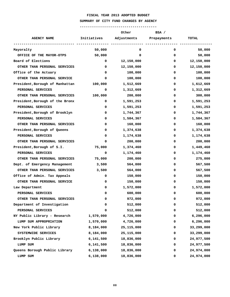#### **SUMMARY OF CITY FUND CHANGES BY AGENCY**

|                                 |             | Other       | BSA /       |              |
|---------------------------------|-------------|-------------|-------------|--------------|
| <b>AGENCY NAME</b>              | Initiatives | Adjustments | Prepayments | <b>TOTAL</b> |
| Mayoralty                       | 50,000      | 0           | 0           | 50,000       |
| OFFICE OF THE MAYOR-OTPS        | 50,000      | 0           | 0           | 50,000       |
| Board of Elections              | 0           | 12,150,000  | 0           | 12,150,000   |
| OTHER THAN PERSONAL SERVICES    | 0           | 12,150,000  | 0           | 12,150,000   |
| Office of the Actuary           | 0           | 100,000     | 0           | 100,000      |
| OTHER THAN PERSONAL SERVICE     | 0           | 100,000     | 0           | 100,000      |
| President, Borough of Manhattan | 100,000     | 1,512,669   | 0           | 1,612,669    |
| PERSONAL SERVICES               | 0           | 1,312,669   | 0           | 1,312,669    |
| OTHER THAN PERSONAL SERVICES    | 100,000     | 200,000     | 0           | 300,000      |
| President, Borough of the Bronx | 0           | 1,591,253   | 0           | 1,591,253    |
| PERSONAL SERVICES               | 0           | 1,591,253   | 0           | 1,591,253    |
| President, Borough of Brooklyn  | 0           | 1,744,367   | 0           | 1,744,367    |
| PERSONAL SERVICES               | 0           | 1,584,367   | 0           | 1,584,367    |
| OTHER THAN PERSONAL SERVICES    | 0           | 160,000     | 0           | 160,000      |
| President, Borough of Queens    | 0           | 1,374,638   | 0           | 1,374,638    |
| PERSONAL SERVICES               | 0           | 1,174,638   | 0           | 1,174,638    |
| OTHER THAN PERSONAL SERVICES    | 0           | 200,000     | 0           | 200,000      |
| President, Borough of S.I.      | 75,000      | 1,374,460   | 0           | 1,449,460    |
| PERSONAL SERVICES               | 0           | 1,174,460   | 0           | 1,174,460    |
| OTHER THAN PERSONAL SERVICES    | 75,000      | 200,000     | 0           | 275,000      |
| Dept. of Emergency Management   | 3,500       | 564,000     | 0           | 567,500      |
| OTHER THAN PERSONAL SERVICES    | 3,500       | 564,000     | 0           | 567,500      |
| Office of Admin. Tax Appeals    | 0           | 150,000     | 0           | 150,000      |
| OTHER THAN PERSONAL SERVICE     | 0           | 150,000     | 0           | 150,000      |
| Law Department                  | 0           | 1,572,000   | 0           | 1,572,000    |
| PERSONAL SERVICES               | 0           | 600,000     | 0           | 600,000      |
| OTHER THAN PERSONAL SERVICES    | 0           | 972,000     | 0           | 972,000      |
| Department of Investigation     | 0           | 512,000     | 0           | 512,000      |
| PERSONAL SERVICES               | 0           | 512,000     | 0           | 512,000      |
| NY Public Library - Research    | 1,570,000   | 4,726,000   | 0           | 6,296,000    |
| LUMP SUM APPROPRIATION          | 1,570,000   | 4,726,000   | 0           | 6,296,000    |
| New York Public Library         | 8,184,000   | 25,115,000  | 0           | 33,299,000   |
| SYSTEMWIDE SERVICES             | 8,184,000   | 25,115,000  | 0           | 33,299,000   |
| Brooklyn Public Library         | 6,141,500   | 18,836,000  | 0           | 24,977,500   |
| LUMP SUM                        | 6,141,500   | 18,836,000  | 0           | 24,977,500   |
| Queens Borough Public Library   | 6,138,000   | 18,836,000  | 0           | 24,974,000   |
| LUMP SUM                        | 6,138,000   | 18,836,000  | 0           | 24,974,000   |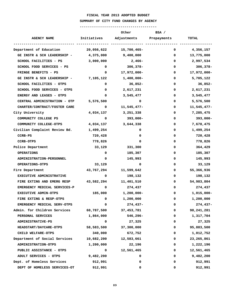#### **SUMMARY OF CITY FUND CHANGES BY AGENCY**

|                                 |              | Other                  | BSA /                   |               |
|---------------------------------|--------------|------------------------|-------------------------|---------------|
| <b>AGENCY NAME</b>              | Initiatives  |                        | Adjustments Prepayments | <b>TOTAL</b>  |
| Department of Education         |              | 20,056,622 15,700,465- |                         | 0 $4,356,157$ |
| GE INSTR & SCH LEADERSHIP -     | 4,375,000    | 9,400,000              | 0                       | 13,775,000    |
| SCHOOL FACILITIES - PS          | 3,000,000    | $2,466-$               | 0                       | 2,997,534     |
| SCHOOL FOOD SERVICES - PS       | 0            | $306,378 -$            | 0                       | $306,378-$    |
| FRINGE BENEFITS - PS            | 0            | 17,972,000-            | 0                       | 17,972,000-   |
| GE INSTR & SCH LEADERSHIP -     | 7,105,122    | 1,400,000-             | 0                       | 5,705,122     |
| SCHOOL FACILITIES - OTPS        | 0            | 36,852-                | 0                       | $36,852-$     |
| SCHOOL FOOD SERVICES - OTPS     | $\mathbf 0$  | 2,617,231              | 0                       | 2,617,231     |
| ENERGY AND LEASES - OTPS        | 0            | 3,545,477              | 0                       | 3,545,477     |
| CENTRAL ADMINISTRATION - OTP    | 5,576,500    | 0                      | 0                       | 5,576,500     |
| CHARTER/CONTRACT/FOSTER CARE    | 0            | 11,545,477-            | 0                       | 11,545,477-   |
| City University                 |              | 4,034,137 3,251,338    | 0                       | 7,285,475     |
| COMMUNITY COLLEGE PS            | 0            | 393,000-               | 0                       | $393,000 -$   |
| COMMUNITY COLLEGE-OTPS          |              | 4,034,137 3,644,338    | 0                       | 7,678,475     |
| Civilian Complaint Review Bd.   | 1,499,254    | 0                      | 0                       | 1,499,254     |
| CCRB-PS                         | 720,428      | 0                      | 0                       | 720,428       |
| <b>CCRB-OTPS</b>                | 778,826      | 0                      | 0                       | 778,826       |
| Police Department               | 33,129       | 331,300                | 0                       | 364,429       |
| <b>OPERATIONS</b>               | 0            | 185,307                | 0                       | 185,307       |
| <b>ADMINISTRATION-PERSONNEL</b> | 0            | 145,993                | 0                       | 145,993       |
| <b>OPERATIONS-OTPS</b>          | 33,129       | 0                      | 0                       | 33,129        |
| Fire Department                 | 43,767,294   | 11,599,642             | 0                       | 55,366,936    |
| <b>EXECUTIVE ADMINISTRATIVE</b> | 0            | 198,132                | 0                       | 198,132       |
| FIRE EXTING AND EMERG RESP      | 43,582,294   | 11,401,510             | 0                       | 54,983,804    |
| EMERGENCY MEDICAL SERVICES-P    | 0            | 274,437                | 0                       | 274,437       |
| <b>EXECUTIVE ADMIN-OTPS</b>     | 185,000      | 1,200,000-             | 0                       | 1,015,000-    |
| FIRE EXTING & RESP-OTPS         | $\mathbf{0}$ | 1,200,000              | 0                       | 1,200,000     |
| EMERGENCY MEDICAL SERV-OTPS     | 0            | $274,437-$             | 0                       | $274,437-$    |
| Admin. for Children Services    | 60,787,500   | 37,453,781             | 0                       | 98, 241, 281  |
| PERSONAL SERVICES               | 1,864,000    | 546,296-               | 0                       | 1,317,704     |
| <b>ADMINISTRATIVE-PS</b>        | 0            | 27,325                 | 0                       | 27,325        |
| <b>HEADSTART/DAYCARE-OTPS</b>   | 58,583,500   | 37,300,000             | 0                       | 95,883,500    |
| CHILD WELFARE-OTPS              | 340,000      | 672,752                | 0                       | 1,012,752     |
| Department of Social Services   | 10,682,200   | 12,583,661             | 0                       | 23,265,861    |
| <b>ADMINISTRATION-OTPS</b>      | 1,200,000    | 22,196                 | 0                       | 1,222,196     |
| PUBLIC ASSISTANCE - OTPS        | 0            | 12,561,465             | 0                       | 12,561,465    |
| ADULT SERVICES - OTPS           | 9,482,200    | 0                      | 0                       | 9,482,200     |
| Dept. of Homeless Services      | 912,991      | 0                      | 0                       | 912,991       |
| DEPT OF HOMELESS SERVICES-OT    | 912,991      | 0                      | 0                       | 912,991       |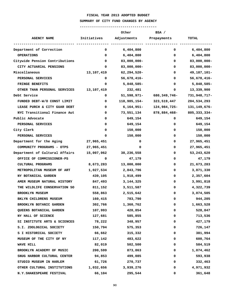#### **SUMMARY OF CITY FUND CHANGES BY AGENCY**

|                                |             | Other            | BSA /          |                |
|--------------------------------|-------------|------------------|----------------|----------------|
| <b>AGENCY NAME</b>             | Initiatives | Adjustments      | Prepayments    | <b>TOTAL</b>   |
| Department of Correction       | 0           | 6,404,800        | 0              | 6,404,800      |
| <b>OPERATIONS</b>              | 0           | 6,404,800        | 0              | 6,404,800      |
| Citywide Pension Contributions | 0           | $83,000,000 -$   | 0              | $83,000,000 -$ |
| CITY ACTUARIAL PENSIONS        | 0           | $83,000,000 -$   | 0              | $83,000,000 -$ |
| Miscellaneous                  | 13,107,419  | $62, 294, 520 -$ | 0              | 49, 187, 101-  |
| PERSONAL SERVICES              | 0           | 56,678,416-      | 0              | 56,678,416-    |
| FRINGE BENEFITS                | 0           | 5,848,585-       | 0              | 5,848,585-     |
| OTHER THAN PERSONAL SERVICES   | 13,107,419  | 232,481          | 0              | 13,339,900     |
| Debt Service                   | 0           | 51,598,971-      | 680, 349, 746- | 731,948,717-   |
| FUNDED DEBT-W/O CONST LIMIT    | 0           | 118,985,154-     | 323,519,447    | 204,534,293    |
| LEASE PURCH & CITY GUAR DEBT   | 0           | 6,164,951–       | 124,984,725-   | 131,149,676-   |
| NYC Transitional Finance Aut   | 0           | 73,551,134       | 878,884,468-   | 805,333,334-   |
| Public Advocate                | 0           | 649,154          | 0              | 649,154        |
| PERSONAL SERVICES              | 0           | 649,154          | 0              | 649,154        |
| City Clerk                     | 0           | 150,000          | 0              | 150,000        |
| PERSONAL SERVICES              | 0           | 150,000          | 0              | 150,000        |
| Department for the Aging       | 27,965,451  | 0                | 0              | 27,965,451     |
| COMMUNITY PROGRAMS - OTPS      | 27,965,451  | 0                | 0              | 27,965,451     |
| Department of Cultural Affairs | 15,007,062  | 38,236,558       | 0              | 53, 243, 620   |
| OFFICE OF COMMISSIONER-PS      | 0           | 47,179           | 0              | 47,179         |
| CULTURAL PROGRAMS              | 8,673,283   | 13,000,000       | 0              | 21,673,283     |
| METROPOLITAN MUSEUM OF ART     | 1,027,534   | 2,843,796        | 0              | 3,871,330      |
| NY BOTANICAL GARDEN            | 439,105     | 1,918,499        | 0              | 2,357,604      |
| AMER MUSEUM NATURAL HISTORY    | 847,493     | 3, 144, 325      | 0              | 3,991,818      |
| THE WILDLIFE CONSERVATION SO   | 811,152     | 3,511,587        | 0              | 4,322,739      |
| <b>BROOKLYN MUSEUM</b>         | 558,863     | 2,515,642        | 0              | 3,074,505      |
| BKLYN CHILDRENS MUSEUM         | 160,415     | 783,790          | 0              | 944,205        |
| BROOKLYN BOTANIC GARDEN        | 302,766     | 1,360,762        | 0              | 1,663,528      |
| QUEENS BOTANICAL GARDEN        | 107,993     | 420,854          | 0              | 528,847        |
| NY HALL OF SCIENCE             | 127,681     | 585,855          | 0              | 713,536        |
| SI INSTITUTE ARTS & SCIENCES   | 78,222      | 348,957          | 0              | 427,179        |
| S.I. ZOOLOGICAL SOCIETY        | 150,794     | 575,353          | 0              | 726,147        |
| S I HISTORICAL SOCIETY         | 66,662      | 315,332          | 0              | 381,994        |
| MUSEUM OF THE CITY OF NY       | 117,142     | 483,622          | 0              | 600,764        |
| <b>WAVE HILL</b>               | 82,019      | 502,500          | 0              | 584,519        |
| BROOKLYN ACADEMY OF MUSIC      | 200,599     | 873,863          | 0              | 1,074,462      |
| SNUG HARBOR CULTURAL CENTER    | 94,853      | 499,085          | 0              | 593,938        |
| STUDIO MUSEUM IN HARLEM        | 61,726      | 270,737          | 0              | 332,463        |
| OTHER CULTURAL INSTITUTIONS    | 1,032,656   | 3,939,276        | 0              | 4,971,932      |
| N.Y. SHAKESPEARE FESTIVAL      | 66,104      | 295,544          | 0              | 361,648        |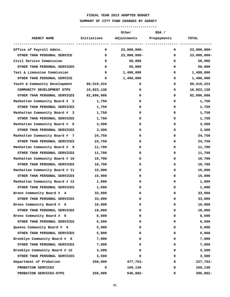#### **SUMMARY OF CITY FUND CHANGES BY AGENCY**

|                                                        |                              | Other                       | BSA /                                                                                                                                                                                                                                                                                                                              |                |
|--------------------------------------------------------|------------------------------|-----------------------------|------------------------------------------------------------------------------------------------------------------------------------------------------------------------------------------------------------------------------------------------------------------------------------------------------------------------------------|----------------|
| AGENCY NAME <b>Initiatives</b> Adjustments Prepayments |                              |                             |                                                                                                                                                                                                                                                                                                                                    | <b>TOTAL</b>   |
| Office of Payroll Admin.                               | ---------- ----------------- | 23,000,000-<br>$\mathbf{0}$ | $\overline{0}$ and $\overline{0}$ and $\overline{0}$ and $\overline{0}$ and $\overline{0}$ and $\overline{0}$ and $\overline{0}$ and $\overline{0}$ and $\overline{0}$ and $\overline{0}$ and $\overline{0}$ and $\overline{0}$ and $\overline{0}$ and $\overline{0}$ and $\overline{0}$ and $\overline{0}$ and $\overline{0}$ and | $23,000,000 -$ |
| OTHER THAN PERSONAL SERVICE                            | 0                            | $23,000,000 -$              | 0                                                                                                                                                                                                                                                                                                                                  | $23,000,000 -$ |
| Civil Service Commission                               | 0                            | 50,000                      | 0                                                                                                                                                                                                                                                                                                                                  | 50,000         |
| OTHER THAN PERSONAL SERVICES                           | 0                            | 50,000                      | 0                                                                                                                                                                                                                                                                                                                                  | 50,000         |
| Taxi & Limousine Commission                            | 0                            | 1,490,000                   | 0                                                                                                                                                                                                                                                                                                                                  | 1,490,000      |
| OTHER THAN PERSONAL SERVICE                            | 0                            | 1,490,000                   | 0                                                                                                                                                                                                                                                                                                                                  | 1,490,000      |
| Youth & Community Development 99,519,224               |                              | 0                           | 0                                                                                                                                                                                                                                                                                                                                  | 99,519,224     |
| COMMUNITY DEVELOPMENT OTPS                             | 16,823,138                   | 0                           | 0                                                                                                                                                                                                                                                                                                                                  | 16,823,138     |
| OTHER THAN PERSONAL SERVICES 82,696,086                |                              | 0                           | 0                                                                                                                                                                                                                                                                                                                                  | 82,696,086     |
| Manhattan Community Board # 2                          | 1,750                        | 0                           | 0                                                                                                                                                                                                                                                                                                                                  | 1,750          |
| OTHER THAN PERSONAL SERVICES                           | 1,750                        | 0                           | 0                                                                                                                                                                                                                                                                                                                                  | 1,750          |
| Manhattan Community Board # 3                          | 1,750                        | 0                           | 0                                                                                                                                                                                                                                                                                                                                  | 1,750          |
| OTHER THAN PERSONAL SERVICES                           | 1,750                        | 0                           | 0                                                                                                                                                                                                                                                                                                                                  | 1,750          |
| Manhattan Community Board # 6                          | 3,500                        | 0                           | 0                                                                                                                                                                                                                                                                                                                                  | 3,500          |
| OTHER THAN PERSONAL SERVICES                           | 3,500                        | 0                           | 0                                                                                                                                                                                                                                                                                                                                  | 3,500          |
| Manhattan Community Board # 7                          | 24,750                       | 0                           | 0                                                                                                                                                                                                                                                                                                                                  | 24,750         |
| OTHER THAN PERSONAL SERVICES                           | 24,750                       | 0                           | 0                                                                                                                                                                                                                                                                                                                                  | 24,750         |
| Manhattan Community Board # 9                          | 11,700                       | 0                           | 0                                                                                                                                                                                                                                                                                                                                  | 11,700         |
| OTHER THAN PERSONAL SERVICES                           | 11,700                       | 0                           | 0                                                                                                                                                                                                                                                                                                                                  | 11,700         |
| Manhattan Community Board # 10                         | 10,700                       | 0                           | 0                                                                                                                                                                                                                                                                                                                                  | 10,700         |
| OTHER THAN PERSONAL SERVICES                           | 10,700                       | 0                           | 0                                                                                                                                                                                                                                                                                                                                  | 10,700         |
| Manhattan Community Board # 11                         | 15,000                       | 0                           | 0                                                                                                                                                                                                                                                                                                                                  | 15,000         |
| OTHER THAN PERSONAL SERVICES                           | 15,000                       | 0                           | 0                                                                                                                                                                                                                                                                                                                                  | 15,000         |
| Manhattan Community Board # 12                         | 1,000                        | 0                           | 0                                                                                                                                                                                                                                                                                                                                  | 1,000          |
| OTHER THAN PERSONAL SERVICES                           | 1,000                        | 0                           | 0                                                                                                                                                                                                                                                                                                                                  | 1,000          |
| Bronx Community Board # 4                              | 33,000                       | 0                           | 0                                                                                                                                                                                                                                                                                                                                  | 33,000         |
| OTHER THAN PERSONAL SERVICES                           | 33,000                       | 0                           | 0                                                                                                                                                                                                                                                                                                                                  | 33,000         |
| Bronx Community Board # 5                              | 10,000                       | 0                           | 0                                                                                                                                                                                                                                                                                                                                  | 10,000         |
| OTHER THAN PERSONAL SERVICES                           | 10,000                       | 0                           | 0                                                                                                                                                                                                                                                                                                                                  | 10,000         |
| Bronx Community Board # 8                              | 6,500                        | 0                           | 0                                                                                                                                                                                                                                                                                                                                  | 6,500          |
| OTHER THAN PERSONAL SERVICES                           | 6,500                        | 0                           | 0                                                                                                                                                                                                                                                                                                                                  | 6,500          |
| Queens Community Board # 6                             | 5,000                        | 0                           | 0                                                                                                                                                                                                                                                                                                                                  | 5,000          |
| OTHER THAN PERSONAL SERVICES                           | 5,000                        | 0                           | 0                                                                                                                                                                                                                                                                                                                                  | 5,000          |
| Brooklyn Community Board # 6                           | 7,000                        | 0                           | 0                                                                                                                                                                                                                                                                                                                                  | 7,000          |
| OTHER THAN PERSONAL SERVICES                           | 7,000                        | 0                           | 0                                                                                                                                                                                                                                                                                                                                  | 7,000          |
| Brooklyn Community Board # 12                          | 3,500                        | 0                           | 0                                                                                                                                                                                                                                                                                                                                  | 3,500          |
| OTHER THAN PERSONAL SERVICES                           | 3,500                        | 0                           | 0                                                                                                                                                                                                                                                                                                                                  | 3,500          |
| Department of Probation                                | 250,000                      | 477,752-                    | 0                                                                                                                                                                                                                                                                                                                                  | 227,752-       |
| PROBATION SERVICES                                     | 0                            | 169,130                     | 0                                                                                                                                                                                                                                                                                                                                  | 169,130        |
| PROBATION SERVICES-OTPS                                | 250,000                      | 646,882-                    | 0                                                                                                                                                                                                                                                                                                                                  | 396,882-       |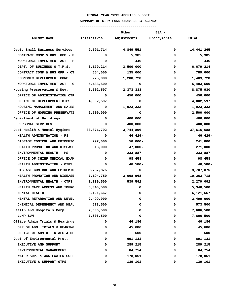#### **SUMMARY OF CITY FUND CHANGES BY AGENCY**

|                                                   |                                                                                                                                                                                                                                                                                                                                                                                                       | Other      | BSA /                   |            |  |
|---------------------------------------------------|-------------------------------------------------------------------------------------------------------------------------------------------------------------------------------------------------------------------------------------------------------------------------------------------------------------------------------------------------------------------------------------------------------|------------|-------------------------|------------|--|
| <b>AGENCY NAME</b>                                | Initiatives                                                                                                                                                                                                                                                                                                                                                                                           |            | Adjustments Prepayments | TOTAL      |  |
| Dept. Small Business Services 9,591,714 4,849,551 |                                                                                                                                                                                                                                                                                                                                                                                                       |            | $\mathbf 0$             | 14,441,265 |  |
| CONTRACT COMP & BUS. OPP - P                      | $\overline{\mathbf{0}}$ and $\overline{\mathbf{0}}$ and $\overline{\mathbf{0}}$ and $\overline{\mathbf{0}}$ and $\overline{\mathbf{0}}$ and $\overline{\mathbf{0}}$ and $\overline{\mathbf{0}}$ and $\overline{\mathbf{0}}$ and $\overline{\mathbf{0}}$ and $\overline{\mathbf{0}}$ and $\overline{\mathbf{0}}$ and $\overline{\mathbf{0}}$ and $\overline{\mathbf{0}}$ and $\overline{\mathbf{0}}$ a | 5,385      | 0                       | 5,385      |  |
| WORKFORCE INVESTMENT ACT - P                      | $\mathbf{0}$                                                                                                                                                                                                                                                                                                                                                                                          | 446        | 0                       | 446        |  |
| DEPT. OF BUSINESS O.T.P.S.                        | 3,179,214                                                                                                                                                                                                                                                                                                                                                                                             | 3,500,000  | 0                       | 6,679,214  |  |
| CONTRACT COMP & BUS OPP - OT 654,000              |                                                                                                                                                                                                                                                                                                                                                                                                       | 135,000    | 0                       | 789,000    |  |
| ECONOMIC DEVELOPMENT CORP.                        | 275,000                                                                                                                                                                                                                                                                                                                                                                                               | 1,208,720  | 0                       | 1,483,720  |  |
| WORKFORCE INVESTMENT ACT - 0 5,483,500            |                                                                                                                                                                                                                                                                                                                                                                                                       | 0          | 0                       | 5,483,500  |  |
| Housing Preservation & Dev.                       | 6,502,597                                                                                                                                                                                                                                                                                                                                                                                             | 2,373,333  | 0                       | 8,875,930  |  |
| OFFICE OF ADMINISTRATION OTP                      | 0                                                                                                                                                                                                                                                                                                                                                                                                     | 450,000    | 0                       | 450,000    |  |
| OFFICE OF DEVELOPMENT OTPS                        | 4,002,597                                                                                                                                                                                                                                                                                                                                                                                             | 0          | 0                       | 4,002,597  |  |
| HOUSING MANAGEMENT AND SALES                      | 0                                                                                                                                                                                                                                                                                                                                                                                                     | 1,923,333  | 0                       | 1,923,333  |  |
| OFFICE OF HOUSING PRESERVATI                      | 2,500,000                                                                                                                                                                                                                                                                                                                                                                                             | 0          | 0                       | 2,500,000  |  |
| Department of Buildings                           | 0                                                                                                                                                                                                                                                                                                                                                                                                     | 400,000    | 0                       | 400,000    |  |
| PERSONAL SERVICES                                 | 0                                                                                                                                                                                                                                                                                                                                                                                                     | 400,000    | 0                       | 400,000    |  |
| Dept Health & Mental Hygiene 33,871,792 3,744,896 |                                                                                                                                                                                                                                                                                                                                                                                                       |            | 0                       | 37,616,688 |  |
| <b>HEALTH ADMINSTRATION - PS</b>                  | 0                                                                                                                                                                                                                                                                                                                                                                                                     | 46,429-    | 0                       | 46,429-    |  |
| DISEASE CONTROL AND EPIDEMIO                      | 297,000                                                                                                                                                                                                                                                                                                                                                                                               | $56,000 -$ | 0                       | 241,000    |  |
| HEALTH PROMOTION AND DISEASE                      | 318,000                                                                                                                                                                                                                                                                                                                                                                                               | 47,000-    | 0                       | 271,000    |  |
| ENVIRONMENTAL HEALTH - PS                         | 0                                                                                                                                                                                                                                                                                                                                                                                                     | 233,887    | 0                       | 233,887    |  |
| OFFICE OF CHIEF MEDICAL EXAM                      | 0                                                                                                                                                                                                                                                                                                                                                                                                     | 98,458     | 0                       | 98,458     |  |
| <b>HEALTH ADMINSTRATION - OTPS</b>                | 0                                                                                                                                                                                                                                                                                                                                                                                                     | 46,580-    | 0                       | 46,580-    |  |
| DISEASE CONTROL AND EPIDEMIO                      | 9,787,875                                                                                                                                                                                                                                                                                                                                                                                             | 0          | 0                       | 9,787,875  |  |
| HEALTH PROMOTION AND DISEASE                      | 7,194,750                                                                                                                                                                                                                                                                                                                                                                                             | 3,068,968  | 0                       | 10,263,718 |  |
| ENVIRONMENTAL HEALTH - OTPS                       | 1,739,500                                                                                                                                                                                                                                                                                                                                                                                             | 539,592    | 0                       | 2,279,092  |  |
| HEALTH CARE ACCESS AND IMPRO                      | 5,340,500                                                                                                                                                                                                                                                                                                                                                                                             | 0          | 0                       | 5,340,500  |  |
| MENTAL HEALTH                                     | 6,121,667                                                                                                                                                                                                                                                                                                                                                                                             | 0          | 0                       | 6,121,667  |  |
| MENTAL RETARDATION AND DEVEL                      | 2,499,000                                                                                                                                                                                                                                                                                                                                                                                             | 0          | 0                       | 2,499,000  |  |
| CHEMICAL DEPENDENCY AND HEAL                      | 573,500                                                                                                                                                                                                                                                                                                                                                                                               | 0          | 0                       | 573,500    |  |
| Health and Hospitals Corp.                        | 7,606,500                                                                                                                                                                                                                                                                                                                                                                                             | 0          | 0                       | 7,606,500  |  |
| LUMP SUM                                          | 7,606,500                                                                                                                                                                                                                                                                                                                                                                                             | 0          | 0                       | 7,606,500  |  |
| Office Admin Trials & Hearings                    | 0                                                                                                                                                                                                                                                                                                                                                                                                     | 46,186     | 0                       | 46,186     |  |
| OFF OF ADM. TRIALS & HEARING                      | 0                                                                                                                                                                                                                                                                                                                                                                                                     | 45,686     | 0                       | 45,686     |  |
| OFFICE OF ADMIN. TRIALS & HE                      | 0                                                                                                                                                                                                                                                                                                                                                                                                     | 500        | 0                       | 500        |  |
| Dept of Environmental Prot.                       | 0                                                                                                                                                                                                                                                                                                                                                                                                     | 691,131    | 0                       | 691,131    |  |
| EXECUTIVE AND SUPPORT                             | 0                                                                                                                                                                                                                                                                                                                                                                                                     | 289,215    | 0                       | 289,215    |  |
| ENVIRONMENTAL MANAGEMENT                          | 0                                                                                                                                                                                                                                                                                                                                                                                                     | 84,754     | 0                       | 84,754     |  |
| WATER SUP. & WASTEWATER COLL                      | 0                                                                                                                                                                                                                                                                                                                                                                                                     | 178,061    | 0                       | 178,061    |  |
| EXECUTIVE & SUPPORT-OTPS                          | 0                                                                                                                                                                                                                                                                                                                                                                                                     | 139,101    | 0                       | 139,101    |  |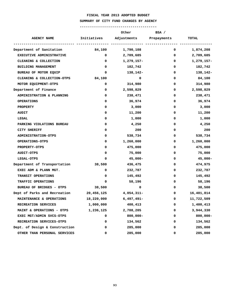#### **SUMMARY OF CITY FUND CHANGES BY AGENCY**

|                                         |              | Other                               | BSA /        |                 |
|-----------------------------------------|--------------|-------------------------------------|--------------|-----------------|
| <b>AGENCY NAME</b>                      |              | Initiatives Adjustments Prepayments |              | <b>TOTAL</b>    |
|                                         |              |                                     |              |                 |
| Department of Sanitation                |              | 84,100 1,790,108                    |              | $0 \t1,874,208$ |
| <b>EXECUTIVE ADMINISTRATIVE</b>         | $\mathbf 0$  | 2,709,685                           | 0            | 2,709,685       |
| CLEANING & COLLECTION                   | $\mathbf{0}$ | 1,279,157-                          | 0            | 1,279,157-      |
| <b>BUILDING MANAGEMENT</b>              | 0            | 182,742                             | 0            | 182,742         |
| BUREAU OF MOTOR EQUIP                   | 0            | 138,142-                            | 0            | 138,142-        |
| CLEANING & COLLECTION-OTPS              | 84,100       | $\mathbf 0$                         | 0            | 84,100          |
| MOTOR EQUIPMENT-OTPS                    | 0            | 314,980                             | 0            | 314,980         |
| Department of Finance                   | 0            | 2,598,829                           | 0            | 2,598,829       |
| ADMINISTRATION & PLANNING               | 0            | 238,471                             | 0            | 238,471         |
| <b>OPERATIONS</b>                       | 0            | 36,974                              | 0            | 36,974          |
| <b>PROPERTY</b>                         | 0            | 3,000                               | 0            | 3,000           |
| <b>AUDIT</b>                            | 0            | 11,200                              | 0            | 11,200          |
| LEGAL                                   | 0            | 1,000                               | 0            | 1,000           |
| PARKING VIOLATIONS BUREAU               | 0            | 4,250                               | 0            | 4,250           |
| CITY SHERIFF                            | 0            | 200                                 | 0            | 200             |
| <b>ADMINISTRATION-OTPS</b>              | 0            | 538,734                             | 0            | 538,734         |
| <b>OPERATIONS-OTPS</b>                  | 0            | 1,260,000                           | 0            | 1,260,000       |
| <b>PROPERTY-OTPS</b>                    | 0            | 475,000                             | 0            | 475,000         |
| <b>AUDIT-OTPS</b>                       | 0            | 75,000                              | 0            | 75,000          |
| LEGAL-OTPS                              | 0            | $45,000 -$                          | 0            | $45,000 -$      |
| Department of Transportation            | 38,500       | 436,475                             | 0            | 474,975         |
| EXEC ADM & PLANN MGT.                   | 0            | 232,787                             | 0            | 232,787         |
| TRANSIT OPERATIONS                      | 0            | 145,492                             | 0            | 145,492         |
| TRAFFIC OPERATIONS                      | 0            | 58,196                              | 0            | 58,196          |
| BUREAU OF BRIDGES - OTPS                | 38,500       | 0                                   | 0            | 38,500          |
| Dept of Parks and Recreation 20,456,125 |              | 4,054,311-                          | 0            | 16,401,814      |
| MAINTENANCE & OPERATIONS                |              | 18,220,000 6,497,491-               | $\mathbf{O}$ | 11,722,509      |
| RECREATION SERVICES                     | 1,000,000    | 400,413                             | 0            | 1,400,413       |
| MAINT & OPERATIONS - OTPS               | 1,236,125    | 2,708,205                           | 0            | 3,944,330       |
| EXEC MGT/ADMIN SVCS-OTPS                | 0            | $800,000 -$                         | 0            | $800,000 -$     |
| RECREATION SERVICES-OTPS                | 0            | 134,562                             | 0            | 134,562         |
| Dept. of Design & Construction          | 0            | 285,000                             | 0            | 285,000         |
| OTHER THAN PERSONAL SERVICES            | 0            | 285,000                             | 0            | 285,000         |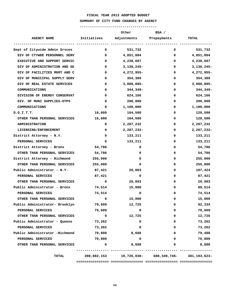#### **SUMMARY OF CITY FUND CHANGES BY AGENCY**

|                                |              | Other            | BSA /                   |              |
|--------------------------------|--------------|------------------|-------------------------|--------------|
| <b>AGENCY NAME</b>             | Initiatives  |                  | Adjustments Prepayments | <b>TOTAL</b> |
| Dept of Citywide Admin Srvces  | $\mathbf{0}$ | 531,732          | 0                       | 531,732      |
| DIV OF CTYWDE PERSONNEL SERV   | 0            | 4,851,004        | 0                       | 4,851,004    |
| EXECUTIVE AND SUPPORT SERVIC   | 0            | 4,238,607        | 0                       | 4,238,607    |
| DIV OF ADMINISTRATION AND SE   | 0            | $3,130,245-$     | 0                       | $3,130,245-$ |
| DIV OF FACILITIES MGMT AND C   | 0            | 4,272,955-       | 0                       | 4,272,955-   |
| DIV OF MUNICIPAL SUPPLY SERV   | 0            | 354,389          | 0                       | 354,389      |
| DIV OF REAL ESTATE SERVICES    | 0            | 3,088,885-       | 0                       | 3,088,885-   |
| COMMUNICATIONS                 | 0            | 344,349-         | 0                       | 344,349-     |
| DIVISION OF ENERGY CONSERVAT   | 0            | 624,166          | 0                       | 624,166      |
| DIV. OF MUNI SUPPLIES-OTPS     | 0            | 200,000          | 0                       | 200,000      |
| COMMUNICATIONS                 | 0            | 1,100,000        | 0                       | 1,100,000    |
| D.O.I.T.T.                     | 16,000       | 104,500          | 0                       | 120,500      |
| OTHER THAN PERSONAL SERVICES   | 16,000       | 104,500          | 0                       | 120,500      |
| <b>ADMINISTRATION</b>          | 0            | 2,287,232        | 0                       | 2,287,232    |
| LICENSING/ENFORCEMENT          | 0            | 2,287,232-       | 0                       | 2,287,232-   |
| District Attorney - N.Y.       | 0            | 133,211          | 0                       | 133,211      |
| PERSONAL SERVICES              | 0            | 133,211          | 0                       | 133,211      |
| District Attorney - Bronx      | 54,786       | 0                | 0                       | 54,786       |
| OTHER THAN PERSONAL SERVICES   | 54,786       | 0                | 0                       | 54,786       |
| District Attorney - Richmond   | 255,000      | 0                | 0                       | 255,000      |
| OTHER THAN PERSONAL SERVICES   | 255,000      | 0                | 0                       | 255,000      |
| Public Administrator - N.Y.    | 87,421       | 20,003           | 0                       | 107,424      |
| PERSONAL SERVICES              | 87,421       | 0                | 0                       | 87,421       |
| OTHER THAN PERSONAL SERVICES   | 0            | 20,003           | 0                       | 20,003       |
| Public Administrator - Bronx   |              | 74,514<br>15,000 | 0                       | 89,514       |
| PERSONAL SERVICES              | 74,514       | 0                | 0                       | 74,514       |
| OTHER THAN PERSONAL SERVICES   | 0            | 15,000           | 0                       | 15,000       |
| Public Administrator- Brooklyn | 79,609       | 12,725           | 0                       | 92,334       |
| PERSONAL SERVICES              | 79,609       | 0                | 0                       | 79,609       |
| OTHER THAN PERSONAL SERVICES   | $\mathbf 0$  | 12,725           | 0                       | 12,725       |
| Public Administrator - Queens  | 73,262       | 0                | 0                       | 73,262       |
| PERSONAL SERVICES              | 73,262       | 0                | 0                       | 73,262       |
| Public Administrator -Richmond | 70,800       | 8,688            | 0                       | 79,488       |
| PERSONAL SERVICES              | 70,800       | 0                | 0                       | 70,800       |
| OTHER THAN PERSONAL SERVICES   | 0            | 8,688            | 0                       | 8,688        |
| TOTAL                          |              |                  |                         |              |
|                                |              |                  |                         |              |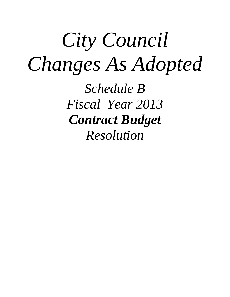# *City Council Changes As Adopted*

*Schedule B Fiscal Year 2013 Contract Budget Resolution*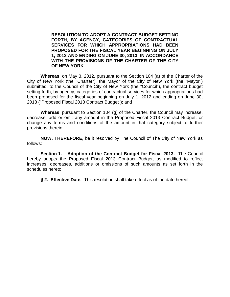**RESOLUTION TO ADOPT A CONTRACT BUDGET SETTING FORTH, BY AGENCY, CATEGORIES OF CONTRACTUAL SERVICES FOR WHICH APPROPRIATIONS HAD BEEN PROPOSED FOR THE FISCAL YEAR BEGINNING ON JULY 1, 2012 AND ENDING ON JUNE 30, 2013, IN ACCORDANCE WITH THE PROVISIONS OF THE CHARTER OF THE CITY OF NEW YORK**

**Whereas**, on May 3, 2012, pursuant to the Section 104 (a) of the Charter of the City of New York (the "Charter"), the Mayor of the City of New York (the "Mayor") submitted, to the Council of the City of New York (the "Council"), the contract budget setting forth, by agency, categories of contractual services for which appropriations had been proposed for the fiscal year beginning on July 1, 2012 and ending on June 30, 2013 ("Proposed Fiscal 2013 Contract Budget"); and

**Whereas**, pursuant to Section 104 (g) of the Charter, the Council may increase, decrease, add or omit any amount in the Proposed Fiscal 2013 Contract Budget, or change any terms and conditions of the amount in that category subject to further provisions therein;

**NOW, THEREFORE,** be it resolved by The Council of The City of New York as follows:

**Section 1. Adoption of the Contract Budget for Fiscal 2013.** The Council hereby adopts the Proposed Fiscal 2013 Contract Budget, as modified to reflect increases, decreases, additions or omissions of such amounts as set forth in the schedules hereto.

**§ 2. Effective Date.** This resolution shall take effect as of the date hereof.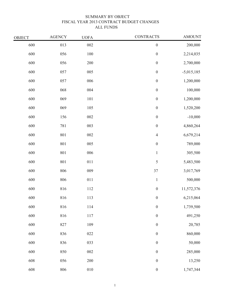# SUMMARY BY OBJECT FISCAL YEAR 2013 CONTRACT BUDGET CHANGES ALL FUNDS

| <b>CONTRACTS</b> | <b>UOFA</b> | <b>AGENCY</b> | <b>OBJECT</b> |
|------------------|-------------|---------------|---------------|
| $\boldsymbol{0}$ | $002\,$     | 013           | 600           |
| $\boldsymbol{0}$ | 100         | 056           | 600           |
| $\boldsymbol{0}$ | 200         | 056           | 600           |
| $\boldsymbol{0}$ | 005         | 057           | 600           |
| $\boldsymbol{0}$ | 006         | 057           | 600           |
| $\boldsymbol{0}$ | 004         | 068           | 600           |
| $\boldsymbol{0}$ | 101         | 069           | 600           |
| $\boldsymbol{0}$ | 105         | 069           | 600           |
| $\boldsymbol{0}$ | 002         | 156           | 600           |
| $\boldsymbol{0}$ | 003         | 781           | 600           |
| $\overline{4}$   | 002         | 801           | 600           |
| $\boldsymbol{0}$ | 005         | 801           | 600           |
| $\mathbf{1}$     | 006         | 801           | 600           |
| 5                | 011         | 801           | 600           |
| 37               | 009         | 806           | 600           |
| $\mathbf{1}$     | 011         | 806           | 600           |
| $\boldsymbol{0}$ | 112         | 816           | 600           |
| $\boldsymbol{0}$ | 113         | 816           | 600           |
| $\boldsymbol{0}$ | 114         | 816           | 600           |
| $\boldsymbol{0}$ | 117         | 816           | 600           |
| $\boldsymbol{0}$ | 109         | 827           | 600           |
| $\boldsymbol{0}$ | $022\,$     | 836           | 600           |
| $\boldsymbol{0}$ | 033         | 836           | 600           |
| $\boldsymbol{0}$ | 002         | 850           | 600           |
| $\boldsymbol{0}$ | $200\,$     | 056           | 608           |
| $\boldsymbol{0}$ | $010\,$     | 806           | 608           |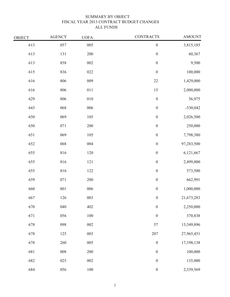# SUMMARY BY OBJECT FISCAL YEAR 2013 CONTRACT BUDGET CHANGES ALL FUNDS

| OBJECT | <b>AGENCY</b> | <b>UOFA</b> | <b>CONTRACTS</b> | <b>AMOUNT</b> |
|--------|---------------|-------------|------------------|---------------|
| 613    | 057           | 005         | $\boldsymbol{0}$ | 3,815,185     |
| 613    | 131           | 200         | $\boldsymbol{0}$ | 60,367        |
| 613    | 858           | 002         | $\boldsymbol{0}$ | 9,500         |
| 615    | 836           | 022         | $\boldsymbol{0}$ | 100,000       |
| 616    | 806           | 009         | $22\,$           | 1,429,000     |
| 616    | 806           | 011         | $15\,$           | 2,000,000     |
| 629    | 806           | $010\,$     | $\boldsymbol{0}$ | 56,975        |
| 643    | 068           | 006         | $\boldsymbol{0}$ | $-530,042$    |
| 650    | 069           | 105         | $\boldsymbol{0}$ | 2,026,500     |
| 650    | 071           | 200         | $\boldsymbol{0}$ | 250,000       |
| 651    | 069           | 105         | $\boldsymbol{0}$ | 7,798,380     |
| 652    | 068           | 004         | $\boldsymbol{0}$ | 97,283,500    |
| 655    | 816           | 120         | $\boldsymbol{0}$ | 6,121,667     |
| 655    | 816           | $121\,$     | $\boldsymbol{0}$ | 2,499,000     |
| 655    | 816           | 122         | $\boldsymbol{0}$ | 573,500       |
| 659    | 071           | 200         | $\boldsymbol{0}$ | 662,991       |
| 660    | 801           | 006         | $\boldsymbol{0}$ | 1,000,000     |
| 667    | 126           | 003         | $\boldsymbol{0}$ | 21,673,283    |
| 670    | $040\,$       | 402         | $\boldsymbol{0}$ | 2,250,000     |
| 671    | 056           | $100\,$     | $\boldsymbol{0}$ | 370,838       |
| 678    | 098           | ${\bf 002}$ | 57               | 13,349,896    |
| 678    | $125\,$       | 003         | $207\,$          | 27,965,451    |
| 678    | 260           | 005         | $\boldsymbol{0}$ | 17,198,138    |
| 681    | $008\,$       | $200\,$     | $\boldsymbol{0}$ | 100,000       |
| 682    | 025           | ${\bf 002}$ | $\boldsymbol{0}$ | 135,000       |
| 684    | 056           | $100\,$     | $\boldsymbol{0}$ | 2,339,569     |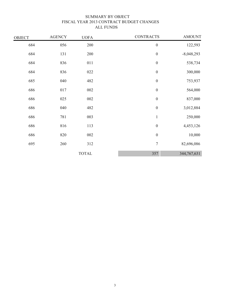# SUMMARY BY OBJECT FISCAL YEAR 2013 CONTRACT BUDGET CHANGES ALL FUNDS

| OBJECT | <b>AGENCY</b> | <b>UOFA</b>  | <b>CONTRACTS</b> | <b>AMOUNT</b> |
|--------|---------------|--------------|------------------|---------------|
| 684    | 056           | 200          | $\boldsymbol{0}$ | 122,593       |
| 684    | 131           | 200          | $\boldsymbol{0}$ | $-8,048,293$  |
| 684    | 836           | 011          | $\boldsymbol{0}$ | 538,734       |
| 684    | 836           | 022          | $\boldsymbol{0}$ | 300,000       |
| 685    | 040           | 482          | $\boldsymbol{0}$ | 753,937       |
| 686    | 017           | $002\,$      | $\boldsymbol{0}$ | 564,000       |
| 686    | 025           | 002          | $\boldsymbol{0}$ | 837,000       |
| 686    | 040           | 482          | $\boldsymbol{0}$ | 3,012,884     |
| 686    | 781           | 003          | $\mathbf{1}$     | 250,000       |
| 686    | 816           | 113          | $\boldsymbol{0}$ | 4,453,126     |
| 686    | 820           | 002          | $\boldsymbol{0}$ | 10,000        |
| 695    | 260           | 312          | $\overline{7}$   | 82,696,086    |
|        |               | <b>TOTAL</b> | 357              | 344,767,631   |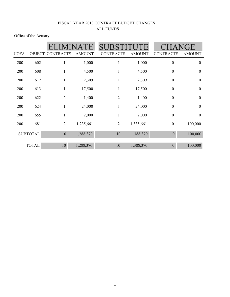Office of the Actuary

| <b>UOFA</b> |                 | <b>ELIMINATE</b><br><b>OBJECT CONTRACTS</b> | <b>AMOUNT</b> | <b>SUBSTITUTE</b><br><b>CONTRACTS</b> | <b>AMOUNT</b> | <b>CHANGE</b><br><b>CONTRACTS</b> | <b>AMOUNT</b>    |
|-------------|-----------------|---------------------------------------------|---------------|---------------------------------------|---------------|-----------------------------------|------------------|
| 200         | 602             | 1                                           | 1,000         | 1                                     | 1,000         | $\boldsymbol{0}$                  | $\boldsymbol{0}$ |
| 200         | 608             | 1                                           | 4,500         | 1                                     | 4,500         | $\boldsymbol{0}$                  | $\boldsymbol{0}$ |
| 200         | 612             | 1                                           | 2,309         | $\mathbf{1}$                          | 2,309         | $\boldsymbol{0}$                  | $\boldsymbol{0}$ |
| 200         | 613             | 1                                           | 17,500        | 1                                     | 17,500        | $\boldsymbol{0}$                  | $\boldsymbol{0}$ |
| 200         | 622             | $\overline{2}$                              | 1,400         | $\overline{2}$                        | 1,400         | $\boldsymbol{0}$                  | $\boldsymbol{0}$ |
| 200         | 624             | $\mathbf{1}$                                | 24,000        | $\mathbf{1}$                          | 24,000        | $\boldsymbol{0}$                  | $\boldsymbol{0}$ |
| 200         | 655             | $\mathbf{1}$                                | 2,000         | $\mathbf{1}$                          | 2,000         | $\boldsymbol{0}$                  | $\boldsymbol{0}$ |
| 200         | 681             | $\mathbf{2}$                                | 1,235,661     | $\overline{2}$                        | 1,335,661     | $\boldsymbol{0}$                  | 100,000          |
|             | <b>SUBTOTAL</b> | 10                                          | 1,288,370     | 10                                    | 1,388,370     | $\theta$                          | 100,000          |
|             | <b>TOTAL</b>    | 10                                          | 1,288,370     | 10                                    | 1,388,370     | $\theta$                          | 100,000          |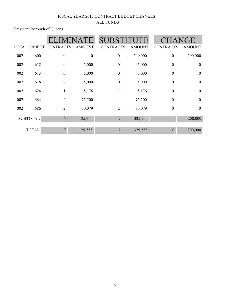President,Borough of Queens

|             |                 |                         | ATE.             | <b>SUBSTITU</b>  |               | <b>CHANGE</b>    |                  |
|-------------|-----------------|-------------------------|------------------|------------------|---------------|------------------|------------------|
| <b>UOFA</b> |                 | <b>OBJECT CONTRACTS</b> | <b>AMOUNT</b>    | <b>CONTRACTS</b> | <b>AMOUNT</b> | <b>CONTRACTS</b> | <b>AMOUNT</b>    |
| 002         | 600             | $\boldsymbol{0}$        | $\boldsymbol{0}$ | $\boldsymbol{0}$ | 200,000       | $\boldsymbol{0}$ | 200,000          |
| 002         | 612             | $\boldsymbol{0}$        | 5,000            | $\boldsymbol{0}$ | 5,000         | $\boldsymbol{0}$ | $\boldsymbol{0}$ |
| 002         | 613             | $\boldsymbol{0}$        | 5,000            | $\boldsymbol{0}$ | 5,000         | $\boldsymbol{0}$ | $\boldsymbol{0}$ |
| 002         | 618             | $\boldsymbol{0}$        | 5,000            | $\boldsymbol{0}$ | 5,000         | $\boldsymbol{0}$ | $\boldsymbol{0}$ |
| 002         | 624             |                         | 5,176            | $\mathbf{1}$     | 5,176         | $\boldsymbol{0}$ | $\overline{0}$   |
| 002         | 684             | $\overline{4}$          | 75,500           | $\overline{4}$   | 75,500        | $\boldsymbol{0}$ | $\mathbf{0}$     |
| 002         | 686             | $\overline{2}$          | 30,079           | $\overline{2}$   | 30,079        | $\boldsymbol{0}$ | $\boldsymbol{0}$ |
|             | <b>SUBTOTAL</b> | $\overline{7}$          | 125,755          | $\overline{7}$   | 325,755       | $\mathbf{0}$     | 200,000          |
|             | <b>TOTAL</b>    | $\overline{7}$          | 125,755          | $\overline{7}$   | 325,755       | $\theta$         | 200,000          |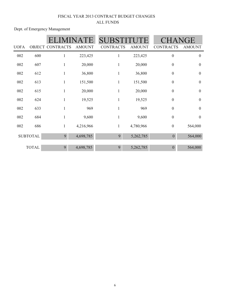Dept. of Emergency Management

|             |                 |                  | $\mathbf{H}$  | <b>SUBSTIT</b>   |               |                  | HANGE            |
|-------------|-----------------|------------------|---------------|------------------|---------------|------------------|------------------|
| <b>UOFA</b> | <b>OBJECT</b>   | <b>CONTRACTS</b> | <b>AMOUNT</b> | <b>CONTRACTS</b> | <b>AMOUNT</b> | <b>CONTRACTS</b> | <b>AMOUNT</b>    |
| 002         | 600             |                  | 223,425       | 1                | 223,425       | $\boldsymbol{0}$ | $\boldsymbol{0}$ |
| 002         | 607             |                  | 20,000        | $\mathbf{1}$     | 20,000        | $\boldsymbol{0}$ | $\boldsymbol{0}$ |
| 002         | 612             |                  | 36,800        | $\mathbf{1}$     | 36,800        | $\mathbf{0}$     | $\mathbf{0}$     |
| 002         | 613             | 1                | 151,500       | $\mathbf{1}$     | 151,500       | $\boldsymbol{0}$ | $\boldsymbol{0}$ |
| 002         | 615             | $\mathbf{1}$     | 20,000        | $\mathbf{1}$     | 20,000        | $\boldsymbol{0}$ | $\boldsymbol{0}$ |
| 002         | 624             | 1                | 19,525        | 1                | 19,525        | $\boldsymbol{0}$ | $\boldsymbol{0}$ |
| 002         | 633             |                  | 969           | $\mathbf{1}$     | 969           | $\boldsymbol{0}$ | $\boldsymbol{0}$ |
| 002         | 684             |                  | 9,600         | $\mathbf{1}$     | 9,600         | $\boldsymbol{0}$ | $\boldsymbol{0}$ |
| 002         | 686             | 1                | 4,216,966     | $\mathbf{1}$     | 4,780,966     | $\boldsymbol{0}$ | 564,000          |
|             | <b>SUBTOTAL</b> | 9                | 4,698,785     | 9                | 5,262,785     | $\theta$         | 564,000          |
|             | <b>TOTAL</b>    | 9                | 4,698,785     | 9                | 5,262,785     | $\theta$         | 564,000          |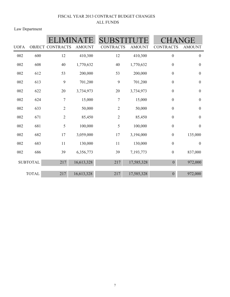Law Department

|             |                 |                         | <b>SUBST</b>  |                  |               |                  |                  |
|-------------|-----------------|-------------------------|---------------|------------------|---------------|------------------|------------------|
| <b>UOFA</b> |                 | <b>OBJECT CONTRACTS</b> | <b>AMOUNT</b> | <b>CONTRACTS</b> | <b>AMOUNT</b> | <b>CONTRACTS</b> | <b>AMOUNT</b>    |
| 002         | 600             | 12                      | 410,300       | 12               | 410,300       | $\boldsymbol{0}$ | $\boldsymbol{0}$ |
| 002         | 608             | 40                      | 1,770,632     | 40               | 1,770,632     | $\boldsymbol{0}$ | $\boldsymbol{0}$ |
| 002         | 612             | 53                      | 200,000       | 53               | 200,000       | $\boldsymbol{0}$ | $\boldsymbol{0}$ |
| 002         | 613             | 9                       | 701,200       | 9                | 701,200       | $\boldsymbol{0}$ | $\boldsymbol{0}$ |
| 002         | 622             | 20                      | 3,734,973     | $20\,$           | 3,734,973     | $\boldsymbol{0}$ | $\boldsymbol{0}$ |
| 002         | 624             | $\overline{7}$          | 15,000        | $\boldsymbol{7}$ | 15,000        | $\boldsymbol{0}$ | $\boldsymbol{0}$ |
| 002         | 633             | $\mathbf{2}$            | 50,000        | $\overline{2}$   | 50,000        | $\boldsymbol{0}$ | $\boldsymbol{0}$ |
| 002         | 671             | $\overline{2}$          | 85,450        | $\overline{2}$   | 85,450        | $\boldsymbol{0}$ | $\boldsymbol{0}$ |
| 002         | 681             | 5                       | 100,000       | 5                | 100,000       | $\boldsymbol{0}$ | $\boldsymbol{0}$ |
| 002         | 682             | 17                      | 3,059,000     | 17               | 3,194,000     | $\boldsymbol{0}$ | 135,000          |
| 002         | 683             | 11                      | 130,000       | 11               | 130,000       | $\boldsymbol{0}$ | $\boldsymbol{0}$ |
| 002         | 686             | 39                      | 6,356,773     | 39               | 7,193,773     | $\boldsymbol{0}$ | 837,000          |
|             | <b>SUBTOTAL</b> | 217                     | 16,613,328    | 217              | 17,585,328    | $\boldsymbol{0}$ | 972,000          |
|             | <b>TOTAL</b>    | 217                     | 16,613,328    | 217              | 17,585,328    | $\overline{0}$   | 972,000          |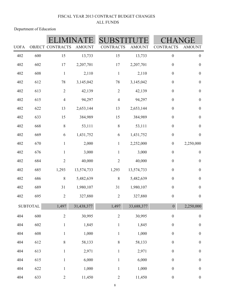Department of Education

|             |                 |                  |               |                  |               | ìE               |                  |
|-------------|-----------------|------------------|---------------|------------------|---------------|------------------|------------------|
| <b>UOFA</b> |                 | OBJECT CONTRACTS | <b>AMOUNT</b> | <b>CONTRACTS</b> | <b>AMOUNT</b> | <b>CONTRACTS</b> | <b>AMOUNT</b>    |
| 402         | 600             | 15               | 13,733        | 15               | 13,733        | $\boldsymbol{0}$ | $\boldsymbol{0}$ |
| 402         | 602             | 17               | 2,207,701     | 17               | 2,207,701     | $\boldsymbol{0}$ | $\boldsymbol{0}$ |
| 402         | 608             | $\mathbf{1}$     | 2,110         | $\mathbf{1}$     | 2,110         | $\boldsymbol{0}$ | $\boldsymbol{0}$ |
| 402         | 612             | 78               | 3,145,042     | 78               | 3,145,042     | $\boldsymbol{0}$ | $\boldsymbol{0}$ |
| 402         | 613             | $\sqrt{2}$       | 42,139        | $\overline{2}$   | 42,139        | $\boldsymbol{0}$ | $\boldsymbol{0}$ |
| 402         | 615             | $\overline{4}$   | 94,297        | $\overline{4}$   | 94,297        | $\boldsymbol{0}$ | $\boldsymbol{0}$ |
| 402         | 622             | 13               | 2,653,144     | 13               | 2,653,144     | $\boldsymbol{0}$ | $\boldsymbol{0}$ |
| 402         | 633             | 15               | 384,989       | 15               | 384,989       | $\boldsymbol{0}$ | $\boldsymbol{0}$ |
| 402         | 668             | 8                | 53,111        | $\,8\,$          | 53,111        | $\boldsymbol{0}$ | $\boldsymbol{0}$ |
| 402         | 669             | 6                | 1,431,752     | 6                | 1,431,752     | $\boldsymbol{0}$ | $\boldsymbol{0}$ |
| 402         | 670             | $\mathbf{1}$     | 2,000         | $\mathbf{1}$     | 2,252,000     | $\boldsymbol{0}$ | 2,250,000        |
| 402         | 676             | $\mathbf{1}$     | 3,000         | $\mathbf{1}$     | 3,000         | $\boldsymbol{0}$ | $\boldsymbol{0}$ |
| 402         | 684             | $\sqrt{2}$       | 40,000        | $\overline{2}$   | 40,000        | $\boldsymbol{0}$ | $\boldsymbol{0}$ |
| 402         | 685             | 1,293            | 13,574,733    | 1,293            | 13,574,733    | $\boldsymbol{0}$ | $\boldsymbol{0}$ |
| 402         | 686             | $\,8\,$          | 5,482,639     | $\,8\,$          | 5,482,639     | $\boldsymbol{0}$ | $\boldsymbol{0}$ |
| 402         | 689             | 31               | 1,980,107     | 31               | 1,980,107     | $\boldsymbol{0}$ | $\boldsymbol{0}$ |
| 402         | 695             | $\sqrt{2}$       | 327,880       | $\sqrt{2}$       | 327,880       | $\boldsymbol{0}$ | $\boldsymbol{0}$ |
|             | <b>SUBTOTAL</b> | 1,497            | 31,438,377    | 1,497            | 33,688,377    | $\boldsymbol{0}$ | 2,250,000        |
| 404         | 600             | $\overline{2}$   | 30,995        | $\sqrt{2}$       | 30,995        | $\boldsymbol{0}$ | $\boldsymbol{0}$ |
| 404         | 602             | $\mathbf{1}$     | 1,845         | $\mathbf{1}$     | 1,845         | $\boldsymbol{0}$ | $\boldsymbol{0}$ |
| 404         | 608             | $\mathbf{1}$     | 1,000         | $\mathbf{1}$     | 1,000         | $\boldsymbol{0}$ | $\boldsymbol{0}$ |
| 404         | 612             | 8                | 58,133        | $\,$ $\,$        | 58,133        | $\boldsymbol{0}$ | $\boldsymbol{0}$ |
| 404         | 613             | $\mathbf{1}$     | 2,971         | $\mathbf{1}$     | 2,971         | $\boldsymbol{0}$ | $\boldsymbol{0}$ |
| 404         | 615             | $\mathbf{1}$     | 6,000         | $\mathbf{1}$     | 6,000         | $\boldsymbol{0}$ | $\boldsymbol{0}$ |
| 404         | 622             | $\mathbf{1}$     | 1,000         | $\mathbf{1}$     | 1,000         | $\boldsymbol{0}$ | $\boldsymbol{0}$ |
| 404         | 633             | $\overline{2}$   | 11,450        | $\overline{2}$   | 11,450        | $\boldsymbol{0}$ | $\boldsymbol{0}$ |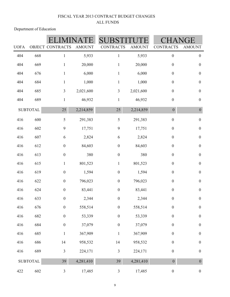Department of Education

| <b>UOFA</b> |                 | <b>OBJECT CONTRACTS</b> | <b>AMOUNT</b> | <b>CONTRACTS</b> | <b>AMOUNT</b> | <b>CONTRACTS</b> | ŦЕ<br><b>AMOUNT</b> |
|-------------|-----------------|-------------------------|---------------|------------------|---------------|------------------|---------------------|
| 404         | 668             | $\mathbf{1}$            | 5,933         | $\mathbf{1}$     | 5,933         | $\boldsymbol{0}$ | $\boldsymbol{0}$    |
| 404         | 669             | $\mathbf{1}$            | 20,000        | $\mathbf{1}$     | 20,000        | $\boldsymbol{0}$ | $\boldsymbol{0}$    |
| 404         | 676             | $\mathbf{1}$            | 6,000         | $\mathbf{1}$     | 6,000         | $\boldsymbol{0}$ | $\boldsymbol{0}$    |
| 404         | 684             | $\mathbf{1}$            | 1,000         | $\mathbf{1}$     | 1,000         | $\boldsymbol{0}$ | $\boldsymbol{0}$    |
| 404         |                 |                         |               |                  |               | $\boldsymbol{0}$ |                     |
|             | 685             | 3                       | 2,021,600     | $\mathfrak{Z}$   | 2,021,600     |                  | $\boldsymbol{0}$    |
| 404         | 689             | $\mathbf{1}$            | 46,932        | $\mathbf{1}$     | 46,932        | $\boldsymbol{0}$ | $\boldsymbol{0}$    |
|             | <b>SUBTOTAL</b> | 25                      | 2,214,859     | 25               | 2,214,859     | $\boldsymbol{0}$ | $\boldsymbol{0}$    |
| 416         | 600             | 5                       | 291,383       | 5                | 291,383       | $\boldsymbol{0}$ | $\boldsymbol{0}$    |
| 416         | 602             | $\mathbf{9}$            | 17,751        | 9                | 17,751        | $\boldsymbol{0}$ | $\boldsymbol{0}$    |
| 416         | 607             | 6                       | 2,824         | 6                | 2,824         | $\boldsymbol{0}$ | $\boldsymbol{0}$    |
| 416         | 612             | $\boldsymbol{0}$        | 84,603        | $\boldsymbol{0}$ | 84,603        | $\boldsymbol{0}$ | $\boldsymbol{0}$    |
| 416         | 613             | $\boldsymbol{0}$        | 380           | $\boldsymbol{0}$ | 380           | $\boldsymbol{0}$ | $\boldsymbol{0}$    |
| 416         | 615             | $\mathbf{1}$            | 801,523       | $\mathbf{1}$     | 801,523       | $\boldsymbol{0}$ | $\boldsymbol{0}$    |
| 416         | 619             | $\boldsymbol{0}$        | 1,594         | $\boldsymbol{0}$ | 1,594         | $\boldsymbol{0}$ | $\boldsymbol{0}$    |
| 416         | 622             | $\boldsymbol{0}$        | 796,023       | $\boldsymbol{0}$ | 796,023       | $\boldsymbol{0}$ | $\boldsymbol{0}$    |
| 416         | 624             | $\boldsymbol{0}$        | 83,441        | $\boldsymbol{0}$ | 83,441        | $\boldsymbol{0}$ | $\boldsymbol{0}$    |
| 416         | 633             | $\boldsymbol{0}$        | 2,344         | $\boldsymbol{0}$ | 2,344         | $\boldsymbol{0}$ | $\boldsymbol{0}$    |
| 416         | 676             | $\boldsymbol{0}$        | 558,514       | $\boldsymbol{0}$ | 558,514       | $\boldsymbol{0}$ | $\boldsymbol{0}$    |
| 416         | 682             | $\boldsymbol{0}$        | 53,339        | $\boldsymbol{0}$ | 53,339        | $\boldsymbol{0}$ | $\boldsymbol{0}$    |
| 416         | 684             | $\boldsymbol{0}$        | 37,079        | $\boldsymbol{0}$ | 37,079        | $\boldsymbol{0}$ | $\boldsymbol{0}$    |
| 416         | 685             | $\mathbf{1}$            | 367,909       | $\mathbf{1}$     | 367,909       | $\boldsymbol{0}$ | $\boldsymbol{0}$    |
| 416         | 686             | $14$                    | 958,532       | 14               | 958,532       | $\boldsymbol{0}$ | $\boldsymbol{0}$    |
| 416         | 689             | $\overline{\mathbf{3}}$ | 224,171       | $\mathfrak{Z}$   | 224,171       | $\boldsymbol{0}$ | $\boldsymbol{0}$    |
|             | <b>SUBTOTAL</b> | 39                      | 4,281,410     | 39               | 4,281,410     | $\boldsymbol{0}$ | $\overline{0}$      |
| 422         | 602             | $\mathfrak{Z}$          | 17,485        | $\mathfrak{Z}$   | 17,485        | $\boldsymbol{0}$ | $\boldsymbol{0}$    |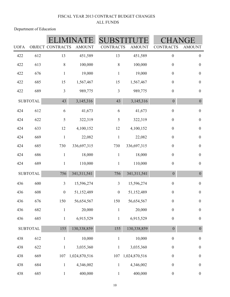| <b>UOFA</b> |                 | <b>OBJECT CONTRACTS</b> |               | <b>CONTRACTS</b> |               |                  | ìE               |
|-------------|-----------------|-------------------------|---------------|------------------|---------------|------------------|------------------|
|             |                 |                         | <b>AMOUNT</b> |                  | <b>AMOUNT</b> | <b>CONTRACTS</b> | <b>AMOUNT</b>    |
| 422         | 612             | 13                      | 451,589       | 13               | 451,589       | $\boldsymbol{0}$ | $\boldsymbol{0}$ |
| 422         | 613             | $\, 8$                  | 100,000       | $\,8\,$          | 100,000       | $\boldsymbol{0}$ | $\boldsymbol{0}$ |
| 422         | 676             | $\mathbf{1}$            | 19,000        | $\mathbf{1}$     | 19,000        | $\boldsymbol{0}$ | $\boldsymbol{0}$ |
| 422         | 685             | 15                      | 1,567,467     | 15               | 1,567,467     | $\boldsymbol{0}$ | $\boldsymbol{0}$ |
| 422         | 689             | $\mathfrak{Z}$          | 989,775       | $\mathfrak{Z}$   | 989,775       | $\boldsymbol{0}$ | $\boldsymbol{0}$ |
|             | <b>SUBTOTAL</b> | 43                      | 3,145,316     | 43               | 3,145,316     | $\boldsymbol{0}$ | $\boldsymbol{0}$ |
| 424         | 612             | 6                       | 41,673        | $\sqrt{6}$       | 41,673        | $\boldsymbol{0}$ | $\boldsymbol{0}$ |
| 424         | 622             | $\mathfrak s$           | 322,319       | 5                | 322,319       | $\boldsymbol{0}$ | $\boldsymbol{0}$ |
| 424         | 633             | $12\,$                  | 4,100,152     | 12               | 4,100,152     | $\boldsymbol{0}$ | $\boldsymbol{0}$ |
| 424         | 669             | $\mathbf{1}$            | 22,082        | $\,1$            | 22,082        | $\boldsymbol{0}$ | $\boldsymbol{0}$ |
| 424         | 685             | 730                     | 336,697,315   | 730              | 336,697,315   | $\boldsymbol{0}$ | $\boldsymbol{0}$ |
| 424         | 686             | $\mathbf{1}$            | 18,000        | $\mathbf{1}$     | 18,000        | $\boldsymbol{0}$ | $\boldsymbol{0}$ |
| 424         | 689             | $\mathbf{1}$            | 110,000       | $\mathbf{1}$     | 110,000       | $\boldsymbol{0}$ | $\boldsymbol{0}$ |
|             | <b>SUBTOTAL</b> | 756                     | 341, 311, 541 | 756              | 341, 311, 541 | $\boldsymbol{0}$ | $\boldsymbol{0}$ |
| 436         | 600             | $\mathfrak{Z}$          | 15,596,274    | $\mathfrak{Z}$   | 15,596,274    | $\boldsymbol{0}$ | $\boldsymbol{0}$ |
| 436         | 608             | $\boldsymbol{0}$        | 51,152,489    | $\boldsymbol{0}$ | 51,152,489    | $\boldsymbol{0}$ | $\boldsymbol{0}$ |
| 436         | 676             | 150                     | 56,654,567    | 150              | 56,654,567    | $\boldsymbol{0}$ | $\boldsymbol{0}$ |
| 436         | 682             | $\mathbf{1}$            | 20,000        | $\mathbf{1}$     | 20,000        | $\boldsymbol{0}$ | $\boldsymbol{0}$ |
| 436         | 685             | $\mathbf{1}$            | 6,915,529     | $\mathbf{1}$     | 6,915,529     | $\boldsymbol{0}$ | $\boldsymbol{0}$ |
|             | <b>SUBTOTAL</b> | 155                     | 130,338,859   | 155              | 130,338,859   | $\boldsymbol{0}$ | $\boldsymbol{0}$ |
| 438         | 612             | $\mathbf{1}$            | 10,000        | $\,1$            | 10,000        | $\boldsymbol{0}$ | $\boldsymbol{0}$ |
| 438         | 622             | $\mathbf{1}$            | 3,035,360     | $\mathbf{1}$     | 3,035,360     | $\boldsymbol{0}$ | $\boldsymbol{0}$ |
| 438         | 669             | 107                     | 1,024,870,516 | 107              | 1,024,870,516 | $\boldsymbol{0}$ | $\boldsymbol{0}$ |
| 438         | 684             | $\mathbf{1}$            | 4,346,002     | $\mathbf{1}$     | 4,346,002     | $\boldsymbol{0}$ | $\boldsymbol{0}$ |
| 438         | 685             | $\mathbf{1}$            | 400,000       | $\mathbf{1}$     | 400,000       | $\boldsymbol{0}$ | $\boldsymbol{0}$ |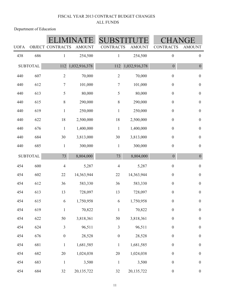| <b>UOFA</b> |                 | <b>OBJECT CONTRACTS</b> | <b>AMOUNT</b> | SI<br><b>CONTRACTS</b> | <b>AMOUNT</b> | <b>CONTRACTS</b> | GE<br><b>AMOUNT</b> |
|-------------|-----------------|-------------------------|---------------|------------------------|---------------|------------------|---------------------|
| 438         | 686             | $\mathbf{1}$            | 254,500       | 1                      | 254,500       | $\boldsymbol{0}$ | $\boldsymbol{0}$    |
|             | <b>SUBTOTAL</b> | 112                     | 1,032,916,378 | 112                    | 1,032,916,378 | $\boldsymbol{0}$ | $\boldsymbol{0}$    |
| 440         | 607             | $\sqrt{2}$              | 70,000        | $\sqrt{2}$             | 70,000        | $\boldsymbol{0}$ | $\boldsymbol{0}$    |
| 440         | 612             | 7                       | 101,000       | $\overline{7}$         | 101,000       | $\boldsymbol{0}$ | $\boldsymbol{0}$    |
| 440         | 613             | 5                       | 80,000        | 5                      | 80,000        | $\boldsymbol{0}$ | $\boldsymbol{0}$    |
| 440         | 615             | $8\,$                   | 290,000       | $\,$ $\,$              | 290,000       | $\boldsymbol{0}$ | $\boldsymbol{0}$    |
| 440         | 619             | $\,1$                   | 250,000       | $\,1$                  | 250,000       | $\boldsymbol{0}$ | $\boldsymbol{0}$    |
| 440         | 622             | $18\,$                  | 2,500,000     | 18                     | 2,500,000     | $\boldsymbol{0}$ | $\boldsymbol{0}$    |
| 440         | 676             | $\,1\,$                 | 1,400,000     | $\mathbf{1}$           | 1,400,000     | $\boldsymbol{0}$ | $\boldsymbol{0}$    |
| 440         | 684             | 30                      | 3,813,000     | 30                     | 3,813,000     | $\boldsymbol{0}$ | $\boldsymbol{0}$    |
| 440         | 685             | $\mathbf{1}$            | 300,000       | $\mathbf{1}$           | 300,000       | $\boldsymbol{0}$ | $\boldsymbol{0}$    |
|             | <b>SUBTOTAL</b> | 73                      | 8,804,000     | 73                     | 8,804,000     | $\boldsymbol{0}$ | $\boldsymbol{0}$    |
| 454         | 600             | $\overline{4}$          | 5,287         | $\overline{4}$         | 5,287         | $\boldsymbol{0}$ | $\boldsymbol{0}$    |
| 454         | 602             | 22                      | 14,363,944    | 22                     | 14,363,944    | $\boldsymbol{0}$ | $\boldsymbol{0}$    |
| 454         | 612             | 36                      | 583,330       | 36                     | 583,330       | $\boldsymbol{0}$ | $\boldsymbol{0}$    |
| 454         | 613             | 13                      | 728,097       | 13                     | 728,097       | $\boldsymbol{0}$ | $\boldsymbol{0}$    |
| 454         | 615             | 6                       | 1,750,958     | 6                      | 1,750,958     | $\boldsymbol{0}$ | $\boldsymbol{0}$    |
| 454         | 619             | $\mathbf{1}$            | 70,822        | $\mathbf{1}$           | 70,822        | $\boldsymbol{0}$ | $\boldsymbol{0}$    |
| 454         | 622             | 50                      | 3,818,361     | 50                     | 3,818,361     | $\boldsymbol{0}$ | $\boldsymbol{0}$    |
| 454         | 624             | $\overline{\mathbf{3}}$ | 96,511        | $\mathfrak{Z}$         | 96,511        | $\boldsymbol{0}$ | $\boldsymbol{0}$    |
| 454         | 676             | $\boldsymbol{0}$        | 28,528        | $\boldsymbol{0}$       | 28,528        | $\boldsymbol{0}$ | $\boldsymbol{0}$    |
| 454         | 681             | $\mathbf{1}$            | 1,681,585     | $\mathbf{1}$           | 1,681,585     | $\boldsymbol{0}$ | $\boldsymbol{0}$    |
| 454         | 682             | 20                      | 1,024,038     | 20                     | 1,024,038     | $\boldsymbol{0}$ | $\boldsymbol{0}$    |
| 454         | 683             | $\,1\,$                 | 3,500         | $\mathbf{1}$           | 3,500         | $\boldsymbol{0}$ | $\boldsymbol{0}$    |
| 454         | 684             | 32                      | 20,135,722    | 32                     | 20, 135, 722  | $\boldsymbol{0}$ | $\boldsymbol{0}$    |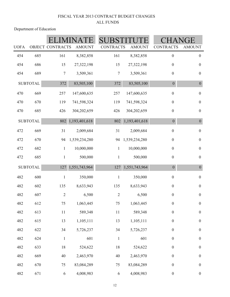| <b>UOFA</b> |                 | OBJECT CONTRACTS | <b>AMOUNT</b> | <b>CONTRACTS</b> | <b>AMOUNT</b> | <b>CONTRACTS</b> | ìE<br><b>AMOUNT</b> |
|-------------|-----------------|------------------|---------------|------------------|---------------|------------------|---------------------|
| 454         | 685             | 161              | 8,382,858     | 161              | 8,382,858     | $\boldsymbol{0}$ | $\boldsymbol{0}$    |
| 454         | 686             | 15               | 27,322,198    | 15               | 27,322,198    | $\boldsymbol{0}$ | $\boldsymbol{0}$    |
| 454         | 689             | 7                | 3,509,361     | 7                | 3,509,361     | $\boldsymbol{0}$ | $\boldsymbol{0}$    |
|             | <b>SUBTOTAL</b> | 372              | 83,505,100    | 372              | 83,505,100    | $\boldsymbol{0}$ | $\boldsymbol{0}$    |
| 470         | 669             | 257              | 147,600,635   | 257              | 147,600,635   | $\boldsymbol{0}$ | $\boldsymbol{0}$    |
| 470         | 670             | 119              | 741,598,324   | 119              | 741,598,324   | $\boldsymbol{0}$ | $\boldsymbol{0}$    |
| 470         | 685             | 426              | 304,202,659   | 426              | 304,202,659   | $\boldsymbol{0}$ | $\boldsymbol{0}$    |
|             | <b>SUBTOTAL</b> | 802              | 1,193,401,618 | 802              | 1,193,401,618 | $\boldsymbol{0}$ | $\boldsymbol{0}$    |
| 472         | 669             | 31               | 2,009,684     | 31               | 2,009,684     | $\boldsymbol{0}$ | $\boldsymbol{0}$    |
| 472         | 670             | 94               | 1,539,234,280 | 94               | 1,539,234,280 | $\boldsymbol{0}$ | $\boldsymbol{0}$    |
| 472         | 682             | $\mathbf{1}$     | 10,000,000    | $\mathbf{1}$     | 10,000,000    | $\boldsymbol{0}$ | $\boldsymbol{0}$    |
| 472         | 685             | $\mathbf{1}$     | 500,000       | $\mathbf{1}$     | 500,000       | $\boldsymbol{0}$ | $\boldsymbol{0}$    |
|             | <b>SUBTOTAL</b> | 127              | 1,551,743,964 | 127              | 1,551,743,964 | $\boldsymbol{0}$ | $\boldsymbol{0}$    |
| 482         | 600             | $\mathbf{1}$     | 350,000       | $\mathbf{1}$     | 350,000       | $\boldsymbol{0}$ | $\boldsymbol{0}$    |
| 482         | 602             | 135              | 8,633,943     | 135              | 8,633,943     | $\boldsymbol{0}$ | $\boldsymbol{0}$    |
| 482         | 607             | $\sqrt{2}$       | 6,500         | $\overline{2}$   | 6,500         | $\boldsymbol{0}$ | $\boldsymbol{0}$    |
| 482         | 612             | $75\,$           | 1,063,445     | 75               | 1,063,445     | $\boldsymbol{0}$ | $\boldsymbol{0}$    |
| 482         | 613             | $11\,$           | 589,348       | $11\,$           | 589,348       | $\boldsymbol{0}$ | $\boldsymbol{0}$    |
| 482         | 615             | 13               | 1,105,111     | 13               | 1,105,111     | $\boldsymbol{0}$ | $\boldsymbol{0}$    |
| 482         | 622             | 34               | 5,726,237     | 34               | 5,726,237     | $\boldsymbol{0}$ | $\boldsymbol{0}$    |
| 482         | 624             | $\mathbf{1}$     | 601           | $\mathbf{1}$     | 601           | $\boldsymbol{0}$ | $\boldsymbol{0}$    |
| 482         | 633             | $18\,$           | 524,622       | $18\,$           | 524,622       | $\boldsymbol{0}$ | $\boldsymbol{0}$    |
| 482         | 669             | $40\,$           | 2,463,970     | $40\,$           | 2,463,970     | $\boldsymbol{0}$ | $\boldsymbol{0}$    |
| 482         | 670             | 75               | 83,084,289    | 75               | 83,084,289    | $\boldsymbol{0}$ | $\boldsymbol{0}$    |
| 482         | 671             | $\sqrt{6}$       | 4,008,983     | $\sqrt{6}$       | 4,008,983     | $\boldsymbol{0}$ | $\boldsymbol{0}$    |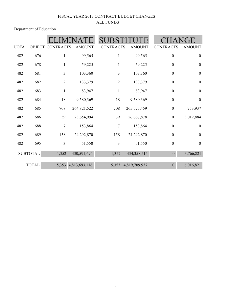|             |                 |                  |                     | <b>SUBS</b>      |               |                  | JGE              |
|-------------|-----------------|------------------|---------------------|------------------|---------------|------------------|------------------|
| <b>UOFA</b> |                 | OBJECT CONTRACTS | <b>AMOUNT</b>       | <b>CONTRACTS</b> | <b>AMOUNT</b> | <b>CONTRACTS</b> | <b>AMOUNT</b>    |
| 482         | 676             | $\mathbf{1}$     | 99,565              | 1                | 99,565        | $\boldsymbol{0}$ | $\boldsymbol{0}$ |
| 482         | 678             | $\mathbf{1}$     | 59,225              | $\mathbf{1}$     | 59,225        | $\boldsymbol{0}$ | $\boldsymbol{0}$ |
| 482         | 681             | 3                | 103,360             | 3                | 103,360       | $\boldsymbol{0}$ | $\boldsymbol{0}$ |
| 482         | 682             | $\sqrt{2}$       | 133,379             | $\overline{2}$   | 133,379       | $\boldsymbol{0}$ | $\boldsymbol{0}$ |
| 482         | 683             | $\mathbf{1}$     | 83,947              | $\mathbf{1}$     | 83,947        | $\boldsymbol{0}$ | $\boldsymbol{0}$ |
| 482         | 684             | 18               | 9,580,369           | 18               | 9,580,369     | $\boldsymbol{0}$ | $\boldsymbol{0}$ |
| 482         | 685             | 708              | 264,821,522         | 708              | 265,575,459   | $\boldsymbol{0}$ | 753,937          |
| 482         | 686             | 39               | 23,654,994          | 39               | 26,667,878    | $\boldsymbol{0}$ | 3,012,884        |
| 482         | 688             | 7                | 153,864             | $\overline{7}$   | 153,864       | $\boldsymbol{0}$ | $\boldsymbol{0}$ |
| 482         | 689             | 158              | 24,292,870          | 158              | 24,292,870    | $\boldsymbol{0}$ | $\boldsymbol{0}$ |
| 482         | 695             | 3                | 51,550              | $\mathfrak{Z}$   | 51,550        | $\boldsymbol{0}$ | $\boldsymbol{0}$ |
|             | <b>SUBTOTAL</b> | 1,352            | 430,591,694         | 1,352            | 434,358,515   | $\theta$         | 3,766,821        |
|             | <b>TOTAL</b>    |                  | 5,353 4,813,693,116 | 5,353            | 4,819,709,937 | $\overline{0}$   | 6,016,821        |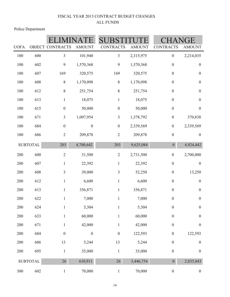Police Department

| <b>UOFA</b> |                 | OBJECT CONTRACTS | <b>AMOUNT</b>    | <b>CONTRACTS</b> | <b>AMOUNT</b> | <b>CONTRACTS</b> | ìE<br><b>AMOUNT</b> |
|-------------|-----------------|------------------|------------------|------------------|---------------|------------------|---------------------|
|             |                 |                  |                  |                  |               |                  |                     |
| 100         | 600             | $\mathfrak{Z}$   | 101,940          | $\mathfrak{Z}$   | 2,315,975     | $\boldsymbol{0}$ | 2,214,035           |
| 100         | 602             | $\boldsymbol{9}$ | 1,570,368        | 9                | 1,570,368     | $\boldsymbol{0}$ | $\boldsymbol{0}$    |
| 100         | 607             | 169              | 320,575          | 169              | 320,575       | $\boldsymbol{0}$ | $\boldsymbol{0}$    |
| 100         | 608             | $\, 8$           | 1,170,098        | $\,8\,$          | 1,170,098     | $\boldsymbol{0}$ | $\boldsymbol{0}$    |
| 100         | 612             | $8\,$            | 251,754          | $\,$ $\,$        | 251,754       | $\boldsymbol{0}$ | $\boldsymbol{0}$    |
| 100         | 613             | $\mathbf{1}$     | 18,075           | $\mathbf{1}$     | 18,075        | $\boldsymbol{0}$ | $\boldsymbol{0}$    |
| 100         | 615             | $\boldsymbol{0}$ | 50,000           | $\boldsymbol{0}$ | 50,000        | $\boldsymbol{0}$ | $\boldsymbol{0}$    |
| 100         | 671             | $\mathfrak{Z}$   | 1,007,954        | $\mathfrak{Z}$   | 1,378,792     | $\boldsymbol{0}$ | 370,838             |
| 100         | 684             | $\boldsymbol{0}$ | $\boldsymbol{0}$ | $\boldsymbol{0}$ | 2,339,569     | $\boldsymbol{0}$ | 2,339,569           |
| 100         | 686             | $\sqrt{2}$       | 209,878          | $\sqrt{2}$       | 209,878       | $\boldsymbol{0}$ | $\boldsymbol{0}$    |
|             | <b>SUBTOTAL</b> | 203              | 4,700,642        | 203              | 9,625,084     | $\boldsymbol{0}$ | 4,924,442           |
| 200         | 600             | $\overline{2}$   | 31,500           | $\sqrt{2}$       | 2,731,500     | $\boldsymbol{0}$ | 2,700,000           |
| 200         | 607             | $\mathbf{1}$     | 22,392           | $\mathbf{1}$     | 22,392        | $\boldsymbol{0}$ | $\boldsymbol{0}$    |
| 200         | 608             | 3                | 39,000           | $\mathfrak{Z}$   | 52,250        | $\boldsymbol{0}$ | 13,250              |
| 200         | 612             | 1                | 6,600            | $\mathbf{1}$     | 6,600         | $\boldsymbol{0}$ | $\boldsymbol{0}$    |
| 200         | 613             | $\mathbf{1}$     | 356,871          | $\mathbf{1}$     | 356,871       | $\boldsymbol{0}$ | $\boldsymbol{0}$    |
| 200         | 622             | $\mathbf{1}$     | 7,000            | $\mathbf{1}$     | 7,000         | $\boldsymbol{0}$ | $\boldsymbol{0}$    |
| 200         | 624             | $\mathbf{1}$     | 5,304            | $\,1$            | 5,304         | $\boldsymbol{0}$ | $\boldsymbol{0}$    |
| 200         | 633             | $\mathbf{1}$     | 60,000           | $\,1$            | 60,000        | $\boldsymbol{0}$ | $\boldsymbol{0}$    |
| 200         | 671             | $\mathbf{1}$     | 42,000           | $\mathbf{1}$     | 42,000        | $\boldsymbol{0}$ | $\boldsymbol{0}$    |
| 200         | 684             | $\boldsymbol{0}$ | $\boldsymbol{0}$ | $\boldsymbol{0}$ | 122,593       | $\boldsymbol{0}$ | 122,593             |
| 200         | 686             | 13               | 5,244            | 13               | 5,244         | $\boldsymbol{0}$ | $\boldsymbol{0}$    |
| 200         | 695             | $\,1$            | 35,000           | $\,1$            | 35,000        | $\boldsymbol{0}$ | $\boldsymbol{0}$    |
|             | <b>SUBTOTAL</b> | 26               | 610,911          | 26               | 3,446,754     | $\overline{0}$   | 2,835,843           |
| 300         | 602             | $\mathbf{1}$     | 70,000           | $\,1$            | 70,000        | $\boldsymbol{0}$ | $\boldsymbol{0}$    |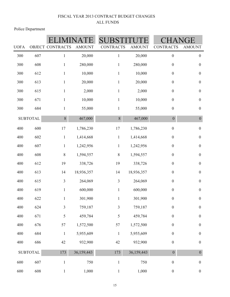Police Department

| <b>UOFA</b> |                 | <b>OBJECT CONTRACTS</b> | <b>AMOUNT</b> | <b>CONTRACTS</b> | <b>AMOUNT</b> | <b>CONTRACTS</b> | <b>AMOUNT</b>    |
|-------------|-----------------|-------------------------|---------------|------------------|---------------|------------------|------------------|
| 300         | 607             | $\mathbf{1}$            | 20,000        | $\mathbf{1}$     | 20,000        | $\boldsymbol{0}$ | $\boldsymbol{0}$ |
| 300         | 608             | $\mathbf{1}$            | 280,000       | $\mathbf{1}$     | 280,000       | $\boldsymbol{0}$ | $\boldsymbol{0}$ |
| 300         | 612             | $\mathbf{1}$            | 10,000        | $\mathbf{1}$     | 10,000        | $\boldsymbol{0}$ | $\boldsymbol{0}$ |
| 300         | 613             | $\mathbf{1}$            | 20,000        | $\mathbf{1}$     | 20,000        | $\boldsymbol{0}$ | $\boldsymbol{0}$ |
| 300         | 615             | $\mathbf{1}$            | 2,000         | $\mathbf{1}$     | 2,000         | $\boldsymbol{0}$ | $\boldsymbol{0}$ |
| 300         | 671             | $\mathbf{1}$            | 10,000        | $\mathbf{1}$     | 10,000        | $\boldsymbol{0}$ | $\boldsymbol{0}$ |
| 300         | 684             | $\mathbf{1}$            | 55,000        | $\mathbf{1}$     | 55,000        | $\boldsymbol{0}$ | $\boldsymbol{0}$ |
|             | <b>SUBTOTAL</b> | 8                       | 467,000       | $8\,$            | 467,000       | $\boldsymbol{0}$ | $\boldsymbol{0}$ |
| 400         | 600             | $17\,$                  | 1,786,230     | 17               | 1,786,230     | $\boldsymbol{0}$ | $\boldsymbol{0}$ |
| 400         | 602             | $\,1$                   | 1,414,668     | $\mathbf{1}$     | 1,414,668     | $\boldsymbol{0}$ | $\boldsymbol{0}$ |
| 400         | 607             | $\mathbf{1}$            | 1,242,956     | $\,1$            | 1,242,956     | $\boldsymbol{0}$ | $\boldsymbol{0}$ |
| 400         | 608             | $\,$ $\,$               | 1,594,557     | $\,$ $\,$        | 1,594,557     | $\boldsymbol{0}$ | $\boldsymbol{0}$ |
| 400         | 612             | 19                      | 338,726       | 19               | 338,726       | $\boldsymbol{0}$ | $\boldsymbol{0}$ |
| 400         | 613             | 14                      | 18,936,357    | 14               | 18,936,357    | $\boldsymbol{0}$ | $\boldsymbol{0}$ |
| 400         | 615             | $\mathfrak{Z}$          | 264,069       | 3                | 264,069       | $\boldsymbol{0}$ | $\boldsymbol{0}$ |
| 400         | 619             | $\mathbf{1}$            | 600,000       | $\mathbf{1}$     | 600,000       | $\boldsymbol{0}$ | $\boldsymbol{0}$ |
| 400         | 622             | $\mathbf{1}$            | 301,900       | $\mathbf{1}$     | 301,900       | $\boldsymbol{0}$ | $\boldsymbol{0}$ |
| 400         | 624             | $\overline{3}$          | 759,187       | $\overline{3}$   | 759,187       | $\boldsymbol{0}$ | $\boldsymbol{0}$ |
| 400         | 671             | 5                       | 459,784       | 5                | 459,784       | $\boldsymbol{0}$ | $\boldsymbol{0}$ |
| 400         | 676             | 57                      | 1,572,500     | 57               | 1,572,500     | $\boldsymbol{0}$ | $\boldsymbol{0}$ |
| 400         | 684             | $\,1\,$                 | 5,955,609     | $\mathbf{1}$     | 5,955,609     | $\boldsymbol{0}$ | $\boldsymbol{0}$ |
| 400         | 686             | $42\,$                  | 932,900       | 42               | 932,900       | $\boldsymbol{0}$ | $\boldsymbol{0}$ |
|             | <b>SUBTOTAL</b> | 173                     | 36,159,443    | 173              | 36,159,443    | $\boldsymbol{0}$ | $\overline{0}$   |
| 600         | 607             | $\,1$                   | 750           | $\,1$            | 750           | $\boldsymbol{0}$ | $\boldsymbol{0}$ |
| 600         | 608             | $\mathbf{1}$            | 1,000         | $\mathbf{1}$     | 1,000         | $\boldsymbol{0}$ | $\boldsymbol{0}$ |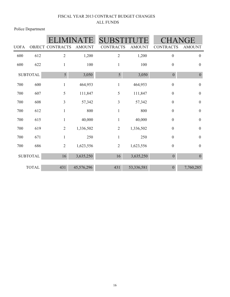Police Department

|             |                 |                         |               | <b>SUBS</b>      |               |                  | IGE              |
|-------------|-----------------|-------------------------|---------------|------------------|---------------|------------------|------------------|
| <b>UOFA</b> |                 | <b>OBJECT CONTRACTS</b> | <b>AMOUNT</b> | <b>CONTRACTS</b> | <b>AMOUNT</b> | <b>CONTRACTS</b> | <b>AMOUNT</b>    |
| 600         | 612             | $\mathbf{2}$            | 1,200         | $\mathbf{2}$     | 1,200         | $\boldsymbol{0}$ | $\boldsymbol{0}$ |
| 600         | 622             | 1                       | 100           | $\mathbf{1}$     | 100           | $\boldsymbol{0}$ | $\boldsymbol{0}$ |
|             | <b>SUBTOTAL</b> | 5                       | 3,050         | 5                | 3,050         | $\boldsymbol{0}$ | $\boldsymbol{0}$ |
| 700         | 600             | 1                       | 464,953       | $\mathbf{1}$     | 464,953       | $\boldsymbol{0}$ | $\boldsymbol{0}$ |
| 700         | 607             | 5                       | 111,847       | $\mathfrak s$    | 111,847       | $\boldsymbol{0}$ | $\boldsymbol{0}$ |
| 700         | 608             | 3                       | 57,342        | 3                | 57,342        | $\boldsymbol{0}$ | $\boldsymbol{0}$ |
| 700         | 612             | $\mathbf{1}$            | 800           | $\mathbf{1}$     | 800           | $\boldsymbol{0}$ | $\boldsymbol{0}$ |
| 700         | 615             | 1                       | 40,000        | $\mathbf{1}$     | 40,000        | $\boldsymbol{0}$ | $\boldsymbol{0}$ |
| 700         | 619             | $\overline{2}$          | 1,336,502     | $\mathbf{2}$     | 1,336,502     | $\boldsymbol{0}$ | $\boldsymbol{0}$ |
| 700         | 671             | $\mathbf{1}$            | 250           | $\mathbf{1}$     | 250           | $\boldsymbol{0}$ | $\boldsymbol{0}$ |
| 700         | 686             | $\overline{2}$          | 1,623,556     | $\overline{2}$   | 1,623,556     | $\boldsymbol{0}$ | $\boldsymbol{0}$ |
|             | <b>SUBTOTAL</b> | 16                      | 3,635,250     | 16               | 3,635,250     | $\boldsymbol{0}$ | $\boldsymbol{0}$ |
|             | <b>TOTAL</b>    | 431                     | 45,576,296    | 431              | 53,336,581    | $\boldsymbol{0}$ | 7,760,285        |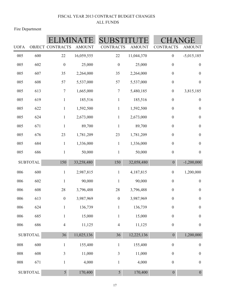Fire Department

| <b>UOFA</b> |                 | OBJECT CONTRACTS | <b>AMOUNT</b> | <b>CONTRACTS</b> | <b>AMOUNT</b> | <b>CONTRACTS</b> | <b>AMOUNT</b>    |
|-------------|-----------------|------------------|---------------|------------------|---------------|------------------|------------------|
| 005         | 600             | 22               | 16,059,555    | 22               | 11,044,370    | $\boldsymbol{0}$ | $-5,015,185$     |
| 005         | 602             | $\boldsymbol{0}$ | 25,000        | $\boldsymbol{0}$ | 25,000        | $\boldsymbol{0}$ | $\boldsymbol{0}$ |
| 005         | 607             | 35               | 2,264,000     | 35               | 2,264,000     | $\boldsymbol{0}$ | $\boldsymbol{0}$ |
| 005         | 608             | 57               | 5,537,000     | 57               | 5,537,000     | $\boldsymbol{0}$ | $\boldsymbol{0}$ |
| 005         | 613             | $\boldsymbol{7}$ | 1,665,000     | $\boldsymbol{7}$ | 5,480,185     | $\boldsymbol{0}$ | 3,815,185        |
| 005         | 619             | $\mathbf{1}$     | 185,516       | $\mathbf{1}$     | 185,516       | $\boldsymbol{0}$ | $\boldsymbol{0}$ |
| 005         | 622             | $\mathbf{1}$     | 1,592,500     | $\mathbf{1}$     | 1,592,500     | $\boldsymbol{0}$ | $\boldsymbol{0}$ |
| 005         | 624             | $\mathbf{1}$     | 2,673,000     | $\mathbf{1}$     | 2,673,000     | $\boldsymbol{0}$ | $\boldsymbol{0}$ |
| 005         | 671             | $\mathbf{1}$     | 89,700        | $\mathbf{1}$     | 89,700        | $\boldsymbol{0}$ | $\boldsymbol{0}$ |
| 005         | 676             | 23               | 1,781,209     | 23               | 1,781,209     | $\boldsymbol{0}$ | $\boldsymbol{0}$ |
| 005         | 684             | $\mathbf{1}$     | 1,336,000     | $\mathbf{1}$     | 1,336,000     | $\boldsymbol{0}$ | $\boldsymbol{0}$ |
| 005         | 686             | $\mathbf{1}$     | 50,000        | $\mathbf{1}$     | 50,000        | $\boldsymbol{0}$ | $\boldsymbol{0}$ |
|             | <b>SUBTOTAL</b> | 150              | 33,258,480    | 150              | 32,058,480    | $\boldsymbol{0}$ | $-1,200,000$     |
| 006         | 600             | $\mathbf{1}$     | 2,987,815     | $\mathbf{1}$     | 4,187,815     | $\boldsymbol{0}$ | 1,200,000        |
| 006         | 602             | $\mathbf{1}$     | 90,000        | $\mathbf{1}$     | 90,000        | $\boldsymbol{0}$ | $\boldsymbol{0}$ |
| 006         | 608             | 28               | 3,796,488     | 28               | 3,796,488     | $\boldsymbol{0}$ | $\boldsymbol{0}$ |
| 006         | 613             | $\boldsymbol{0}$ | 3,987,969     | $\boldsymbol{0}$ | 3,987,969     | $\boldsymbol{0}$ | $\boldsymbol{0}$ |
| 006         | 624             | $\mathbf{1}$     | 136,739       | $\mathbf{1}$     | 136,739       | $\boldsymbol{0}$ | $\boldsymbol{0}$ |
| 006         | 685             | $\mathbf{1}$     | 15,000        | $\mathbf{1}$     | 15,000        | $\boldsymbol{0}$ | $\boldsymbol{0}$ |
| 006         | 686             | $\overline{4}$   | 11,125        | $\overline{4}$   | 11,125        | $\boldsymbol{0}$ | $\boldsymbol{0}$ |
|             | <b>SUBTOTAL</b> | 36               | 11,025,136    | 36               | 12,225,136    | $\boldsymbol{0}$ | 1,200,000        |
| 008         | 600             | $\mathbf{1}$     | 155,400       | $\mathbf{1}$     | 155,400       | $\boldsymbol{0}$ | $\boldsymbol{0}$ |
| 008         | 608             | $\mathfrak{Z}$   | 11,000        | $\mathfrak{Z}$   | 11,000        | $\boldsymbol{0}$ | $\boldsymbol{0}$ |
| $008\,$     | 671             | $\mathbf{1}$     | 4,000         | $\mathbf{1}$     | 4,000         | $\boldsymbol{0}$ | $\boldsymbol{0}$ |
|             | <b>SUBTOTAL</b> | 5 <sup>1</sup>   | 170,400       | 5                | 170,400       | $\mathbf{0}$     | $\overline{0}$   |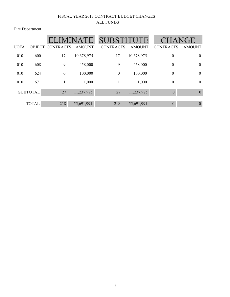Fire Department

|             |                 | <b>ELIMINATE</b>        |               | <b>SUBSTITUTE</b> |               | <b>CHANGE</b>    |               |
|-------------|-----------------|-------------------------|---------------|-------------------|---------------|------------------|---------------|
| <b>UOFA</b> |                 | <b>OBJECT CONTRACTS</b> | <b>AMOUNT</b> | <b>CONTRACTS</b>  | <b>AMOUNT</b> | <b>CONTRACTS</b> | <b>AMOUNT</b> |
| 010         | 600             | 17                      | 10,678,975    | 17                | 10,678,975    | $\boldsymbol{0}$ | $\theta$      |
| 010         | 608             | 9                       | 458,000       | 9                 | 458,000       | $\boldsymbol{0}$ | $\theta$      |
| 010         | 624             | $\boldsymbol{0}$        | 100,000       | $\overline{0}$    | 100,000       | $\boldsymbol{0}$ | $\theta$      |
| 010         | 671             |                         | 1,000         |                   | 1,000         | $\boldsymbol{0}$ | $\theta$      |
|             | <b>SUBTOTAL</b> | 27                      | 11,237,975    | 27                | 11,237,975    | $\overline{0}$   | $\mathbf{0}$  |
|             | <b>TOTAL</b>    | 218                     | 55,691,991    | 218               | 55,691,991    | $\theta$         | $\theta$      |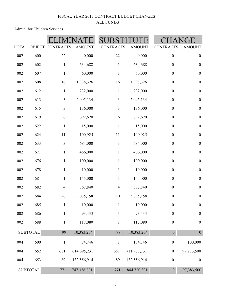Admin. for Children Services

|                 |                 |                  |               |                  |               | GE               |                  |
|-----------------|-----------------|------------------|---------------|------------------|---------------|------------------|------------------|
| <b>UOFA</b>     |                 | OBJECT CONTRACTS | <b>AMOUNT</b> | <b>CONTRACTS</b> | <b>AMOUNT</b> | <b>CONTRACTS</b> | <b>AMOUNT</b>    |
| 002             | 600             | $22\,$           | 40,000        | 22               | 40,000        | $\boldsymbol{0}$ | $\boldsymbol{0}$ |
| 002             | 602             | $\mathbf 1$      | 634,688       | $\mathbf{1}$     | 634,688       | $\boldsymbol{0}$ | $\boldsymbol{0}$ |
| 002             | 607             | $\mathbf{1}$     | 60,000        | $\mathbf{1}$     | 60,000        | $\boldsymbol{0}$ | $\boldsymbol{0}$ |
| 002             | 608             | 16               | 1,338,326     | 16               | 1,338,326     | $\boldsymbol{0}$ | $\boldsymbol{0}$ |
| 002             | 612             | $\,1$            | 232,000       | $\mathbf 1$      | 232,000       | $\boldsymbol{0}$ | $\boldsymbol{0}$ |
| 002             | 613             | 3                | 2,095,134     | $\mathfrak{Z}$   | 2,095,134     | $\boldsymbol{0}$ | $\boldsymbol{0}$ |
| 002             | 615             | 3                | 136,000       | $\overline{3}$   | 136,000       | $\boldsymbol{0}$ | $\boldsymbol{0}$ |
| 002             | 619             | 6                | 692,620       | 6                | 692,620       | $\boldsymbol{0}$ | $\boldsymbol{0}$ |
| 002             | 622             | $\,1$            | 15,000        | $\mathbf{1}$     | 15,000        | $\boldsymbol{0}$ | $\boldsymbol{0}$ |
| 002             | 624             | 11               | 100,925       | 11               | 100,925       | $\boldsymbol{0}$ | $\boldsymbol{0}$ |
| 002             | 633             | 3                | 684,000       | $\mathfrak{Z}$   | 684,000       | $\boldsymbol{0}$ | $\boldsymbol{0}$ |
| 002             | 671             | $\mathbf{1}$     | 466,000       | $\mathbf{1}$     | 466,000       | $\boldsymbol{0}$ | $\boldsymbol{0}$ |
| 002             | 676             | $\mathbf{1}$     | 100,000       | $\,1$            | 100,000       | $\boldsymbol{0}$ | $\boldsymbol{0}$ |
| 002             | 678             | $\mathbf{1}$     | 10,000        | $\,1$            | 10,000        | $\boldsymbol{0}$ | $\boldsymbol{0}$ |
| 002             | 681             | $\,1$            | 155,000       | $\,1$            | 155,000       | $\boldsymbol{0}$ | $\boldsymbol{0}$ |
| 002             | 682             | $\overline{4}$   | 367,840       | $\overline{4}$   | 367,840       | $\boldsymbol{0}$ | $\boldsymbol{0}$ |
| 002             | 684             | $20\,$           | 3,035,158     | 20               | 3,035,158     | $\boldsymbol{0}$ | $\boldsymbol{0}$ |
| 002             | 685             |                  | 10,000        |                  | 10,000        | $\boldsymbol{0}$ | $\boldsymbol{0}$ |
| 002             | 686             | $\mathbf{1}$     | 93,433        | $\mathbf{1}$     | 93,433        | $\boldsymbol{0}$ | $\boldsymbol{0}$ |
| 002             | 688             | $\mathbf{1}$     | 117,080       | $\mathbf{1}$     | 117,080       | $\boldsymbol{0}$ | $\boldsymbol{0}$ |
| <b>SUBTOTAL</b> |                 | 99               | 10,383,204    | 99               | 10,383,204    | $\boldsymbol{0}$ | $\boldsymbol{0}$ |
| 004             | 600             | $\mathbf{1}$     | 84,746        | $\mathbf{1}$     | 184,746       | $\boldsymbol{0}$ | 100,000          |
| 004             | 652             | 681              | 614,695,231   | 681              | 711,978,731   | $\boldsymbol{0}$ | 97,283,500       |
| 004             | 653             | 89               | 132,556,914   | 89               | 132,556,914   | $\boldsymbol{0}$ | $\boldsymbol{0}$ |
|                 | <b>SUBTOTAL</b> | 771              | 747,336,891   | 771              | 844,720,391   | $\overline{0}$   | 97,383,500       |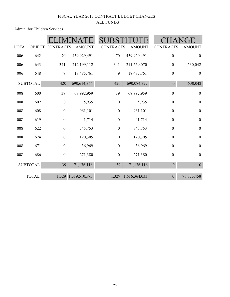Admin. for Children Services

| <b>UOFA</b> |                 | <b>OBJECT CONTRACTS</b> | <b>AMOUNT</b> | <b>CONTRACTS</b> | <b>AMOUNT</b> | <b>CONTRACTS</b> | <b>AMOUNT</b>    |
|-------------|-----------------|-------------------------|---------------|------------------|---------------|------------------|------------------|
| 006         | 642             | $70\,$                  | 459,929,491   | 70               | 459,929,491   | $\boldsymbol{0}$ | $\mathbf{0}$     |
| 006         | 643             | 341                     | 212,199,112   | 341              | 211,669,070   | $\boldsymbol{0}$ | $-530,042$       |
| 006         | 648             | 9                       | 18,485,761    | 9                | 18,485,761    | $\boldsymbol{0}$ | $\boldsymbol{0}$ |
|             | <b>SUBTOTAL</b> | 420                     | 690,614,364   | 420              | 690,084,322   | $\boldsymbol{0}$ | $-530,042$       |
| 008         | 600             | 39                      | 68,992,959    | 39               | 68,992,959    | $\boldsymbol{0}$ | $\boldsymbol{0}$ |
| 008         | 602             | $\boldsymbol{0}$        | 5,935         | $\boldsymbol{0}$ | 5,935         | $\boldsymbol{0}$ | $\boldsymbol{0}$ |
| 008         | 608             | $\boldsymbol{0}$        | 961,101       | $\boldsymbol{0}$ | 961,101       | $\boldsymbol{0}$ | $\boldsymbol{0}$ |
| 008         | 619             | $\boldsymbol{0}$        | 41,714        | $\boldsymbol{0}$ | 41,714        | $\boldsymbol{0}$ | $\boldsymbol{0}$ |
| 008         | 622             | $\boldsymbol{0}$        | 745,753       | $\boldsymbol{0}$ | 745,753       | $\boldsymbol{0}$ | $\boldsymbol{0}$ |
| 008         | 624             | $\boldsymbol{0}$        | 120,305       | $\boldsymbol{0}$ | 120,305       | $\boldsymbol{0}$ | $\overline{0}$   |
| 008         | 671             | $\boldsymbol{0}$        | 36,969        | $\boldsymbol{0}$ | 36,969        | $\boldsymbol{0}$ | $\overline{0}$   |
| 008         | 686             | $\boldsymbol{0}$        | 271,380       | $\boldsymbol{0}$ | 271,380       | $\boldsymbol{0}$ | $\boldsymbol{0}$ |
|             | <b>SUBTOTAL</b> | 39                      | 71,176,116    | 39               | 71,176,116    | $\boldsymbol{0}$ | $\boldsymbol{0}$ |
|             | <b>TOTAL</b>    | 1,329                   | 1,519,510,575 | 1,329            | 1,616,364,033 | $\boldsymbol{0}$ | 96,853,458       |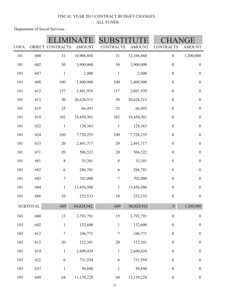Department of Social Services

|             |                 |                         |               |                  |               |                  | GE               |  |
|-------------|-----------------|-------------------------|---------------|------------------|---------------|------------------|------------------|--|
| <b>UOFA</b> |                 | <b>OBJECT CONTRACTS</b> | <b>AMOUNT</b> | <b>CONTRACTS</b> | <b>AMOUNT</b> | <b>CONTRACTS</b> | <b>AMOUNT</b>    |  |
| 101         | 600             | 31                      | 10,906,888    | 31               | 12,106,888    | $\boldsymbol{0}$ | 1,200,000        |  |
| 101         | 602             | 50                      | 3,900,000     | 50               | 3,900,000     | $\boldsymbol{0}$ | $\boldsymbol{0}$ |  |
| 101         | 607             | $\mathbf{1}$            | 2,000         | $\mathbbm{1}$    | 2,000         | $\boldsymbol{0}$ | $\boldsymbol{0}$ |  |
| 101         | 608             | 100                     | 1,400,908     | 100              | 1,400,908     | $\boldsymbol{0}$ | $\boldsymbol{0}$ |  |
| 101         | 612             | 157                     | 2,881,939     | 157              | 2,881,939     | $\boldsymbol{0}$ | $\boldsymbol{0}$ |  |
| 101         | 613             | 50                      | 20,628,515    | 50               | 20,628,515    | $\boldsymbol{0}$ | $\boldsymbol{0}$ |  |
| 101         | 615             | 25                      | 66,493        | 25               | 66,493        | $\boldsymbol{0}$ | $\boldsymbol{0}$ |  |
| 101         | 619             | 102                     | 19,450,301    | 102              | 19,450,301    | $\boldsymbol{0}$ | $\boldsymbol{0}$ |  |
| 101         | 622             | $\,1\,$                 | 128,363       | $\,1\,$          | 128,363       | $\boldsymbol{0}$ | $\boldsymbol{0}$ |  |
| 101         | 624             | 100                     | 7,728,255     | 100              | 7,728,255     | $\boldsymbol{0}$ | $\boldsymbol{0}$ |  |
| 101         | 633             | 20                      | 2,491,717     | $20\,$           | 2,491,717     | $\boldsymbol{0}$ | $\boldsymbol{0}$ |  |
| 101         | 671             | $20\,$                  | 506,522       | $20\,$           | 506,522       | $\boldsymbol{0}$ | $\boldsymbol{0}$ |  |
| 101         | 681             | $\,8\,$                 | 35,301        | $8\,$            | 35,301        | $\boldsymbol{0}$ | $\boldsymbol{0}$ |  |
| 101         | 682             | 6                       | 286,701       | $\sqrt{6}$       | 286,701       | $\boldsymbol{0}$ | $\boldsymbol{0}$ |  |
| 101         | 683             | $\boldsymbol{7}$        | 702,000       | $\overline{7}$   | 702,000       | $\boldsymbol{0}$ | $\boldsymbol{0}$ |  |
| 101         | 684             | $\,1$                   | 13,456,506    | $\mathbf{1}$     | 13,456,506    | $\boldsymbol{0}$ | $\boldsymbol{0}$ |  |
| 101         | 686             | $10\,$                  | 252,533       | 10               | 252,533       | $\boldsymbol{0}$ | $\boldsymbol{0}$ |  |
|             | <b>SUBTOTAL</b> | 689                     | 84,824,942    | 689              | 86,024,942    | $\boldsymbol{0}$ | 1,200,000        |  |
| 103         | 600             | 15                      | 3,793,791     | 15               | 3,793,791     | $\boldsymbol{0}$ | $\boldsymbol{0}$ |  |
| 103         | 602             | $\mathbf{1}$            | 132,600       | $\mathbf{1}$     | 132,600       | $\boldsymbol{0}$ | $\boldsymbol{0}$ |  |
| 103         | 612             | $\boldsymbol{7}$        | 106,771       | $\tau$           | 106,771       | $\boldsymbol{0}$ | $\boldsymbol{0}$ |  |
| 103         | 615             | $20\,$                  | 312,301       | 20               | 312,301       | $\boldsymbol{0}$ | $\boldsymbol{0}$ |  |
| 103         | 619             | $\,1$                   | 2,699,439     | $\mathbf{1}$     | 2,699,439     | $\boldsymbol{0}$ | $\boldsymbol{0}$ |  |
| 103         | 622             | 6                       | 731,594       | $\sqrt{6}$       | 731,594       | $\boldsymbol{0}$ | $\boldsymbol{0}$ |  |
| 103         | 633             | $\mathbf{1}$            | 50,840        | $\mathbf{1}$     | 50,840        | $\boldsymbol{0}$ | $\boldsymbol{0}$ |  |
| 103         | 649             | 64                      | 11,139,228    | 64               | 11,139,228    | $\boldsymbol{0}$ | $\boldsymbol{0}$ |  |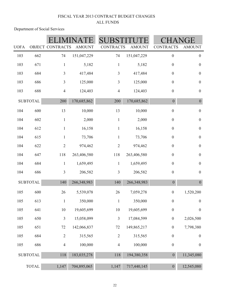Department of Social Services

| <b>UOFA</b> |                 | OBJECT CONTRACTS        | <b>AMOUNT</b> | <b>CONTRACTS</b> | <b>AMOUNT</b> | <b>CONTRACTS</b> | <b>AMOUNT</b>    |
|-------------|-----------------|-------------------------|---------------|------------------|---------------|------------------|------------------|
| 103         | 662             | 74                      | 151,047,229   | 74               | 151,047,229   | $\boldsymbol{0}$ | $\boldsymbol{0}$ |
| 103         | 671             | $\mathbf{1}$            | 5,182         | $\mathbf{1}$     | 5,182         | $\boldsymbol{0}$ | $\boldsymbol{0}$ |
| 103         | 684             | $\mathfrak{Z}$          | 417,484       | $\mathfrak{Z}$   | 417,484       | $\boldsymbol{0}$ | $\boldsymbol{0}$ |
| 103         | 686             | $\mathfrak{Z}$          | 125,000       | $\mathfrak{Z}$   | 125,000       | $\boldsymbol{0}$ | $\boldsymbol{0}$ |
| 103         | 688             | $\overline{4}$          | 124,403       | $\overline{4}$   | 124,403       | $\boldsymbol{0}$ | $\boldsymbol{0}$ |
|             | <b>SUBTOTAL</b> | 200                     | 170,685,862   | 200              | 170,685,862   | $\mathbf{0}$     | $\boldsymbol{0}$ |
| 104         | 600             | 13                      | 10,000        | 13               | 10,000        | $\boldsymbol{0}$ | $\boldsymbol{0}$ |
| 104         | 602             | $\mathbf{1}$            | 2,000         | $\,1$            | 2,000         | $\boldsymbol{0}$ | $\boldsymbol{0}$ |
| 104         | 612             | $\mathbf{1}$            | 16,158        | $\mathbf{1}$     | 16,158        | $\boldsymbol{0}$ | $\boldsymbol{0}$ |
| 104         | 615             | $\mathbf{1}$            | 73,706        | $\mathbf{1}$     | 73,706        | $\boldsymbol{0}$ | $\boldsymbol{0}$ |
| 104         | 622             | $\sqrt{2}$              | 974,462       | $\sqrt{2}$       | 974,462       | $\boldsymbol{0}$ | $\boldsymbol{0}$ |
| 104         | 647             | 118                     | 263,406,580   | 118              | 263,406,580   | $\boldsymbol{0}$ | $\boldsymbol{0}$ |
| 104         | 684             | $\mathbf{1}$            | 1,659,495     | $\mathbf{1}$     | 1,659,495     | $\boldsymbol{0}$ | $\boldsymbol{0}$ |
| 104         | 686             | $\mathfrak{Z}$          | 206,582       | $\overline{3}$   | 206,582       | $\boldsymbol{0}$ | $\boldsymbol{0}$ |
|             | <b>SUBTOTAL</b> | 140                     | 266,348,983   | 140              | 266,348,983   | $\boldsymbol{0}$ | $\boldsymbol{0}$ |
| 105         | 600             | 26                      | 5,539,078     | 26               | 7,059,278     | $\boldsymbol{0}$ | 1,520,200        |
| 105         | 613             | $\mathbf{1}$            | 350,000       | $\mathbf{1}$     | 350,000       | $\boldsymbol{0}$ | $\boldsymbol{0}$ |
| 105         | 641             | 10                      | 19,605,699    | 10               | 19,605,699    | $\boldsymbol{0}$ | $\boldsymbol{0}$ |
| 105         | 650             | $\overline{\mathbf{3}}$ | 15,058,099    | $\mathfrak{Z}$   | 17,084,599    | $\boldsymbol{0}$ | 2,026,500        |
| 105         | 651             | 72                      | 142,066,837   | 72               | 149,865,217   | $\boldsymbol{0}$ | 7,798,380        |
| 105         | 684             | $\mathbf{2}$            | 315,565       | $\sqrt{2}$       | 315,565       | $\boldsymbol{0}$ | $\boldsymbol{0}$ |
| 105         | 686             | $\overline{4}$          | 100,000       | $\overline{4}$   | 100,000       | $\boldsymbol{0}$ | $\boldsymbol{0}$ |
|             | <b>SUBTOTAL</b> | 118                     | 183,035,278   | 118              | 194,380,358   | $\overline{0}$   | 11,345,080       |
|             | <b>TOTAL</b>    | 1,147                   | 704,895,065   | 1,147            | 717,440,145   | $\overline{0}$   | 12,545,080       |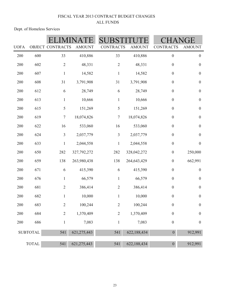Dept. of Homeless Services

| <b>UOFA</b> |                 | OBJECT CONTRACTS | <b>AMOUNT</b> | <b>CONTRACTS</b> | <b>AMOUNT</b> | <b>CONTRACTS</b> | ìE<br><b>AMOUNT</b> |
|-------------|-----------------|------------------|---------------|------------------|---------------|------------------|---------------------|
| 200         | 600             | 33               | 410,886       | 33               | 410,886       | $\boldsymbol{0}$ | $\boldsymbol{0}$    |
| 200         | 602             | $\mathbf{2}$     | 48,331        | $\overline{2}$   | 48,331        | $\boldsymbol{0}$ | $\boldsymbol{0}$    |
| 200         | 607             | $\mathbf 1$      | 14,582        | $\mathbf{1}$     | 14,582        | $\boldsymbol{0}$ | $\boldsymbol{0}$    |
| 200         | 608             | 31               | 3,791,908     | 31               | 3,791,908     | $\boldsymbol{0}$ | $\boldsymbol{0}$    |
| 200         | 612             | 6                | 28,749        | 6                | 28,749        | $\boldsymbol{0}$ | $\boldsymbol{0}$    |
| 200         | 613             | $\mathbf{1}$     | 10,666        | $\mathbf{1}$     | 10,666        | $\boldsymbol{0}$ | $\boldsymbol{0}$    |
| 200         | 615             | 5                | 151,269       | 5                | 151,269       | $\boldsymbol{0}$ | $\boldsymbol{0}$    |
| 200         | 619             | $\boldsymbol{7}$ | 18,074,826    | $\boldsymbol{7}$ | 18,074,826    | $\boldsymbol{0}$ | $\boldsymbol{0}$    |
| 200         | 622             | 16               | 533,060       | 16               | 533,060       | $\boldsymbol{0}$ | $\boldsymbol{0}$    |
| 200         | 624             | 3                | 2,037,779     | $\mathfrak{Z}$   | 2,037,779     | $\boldsymbol{0}$ | $\boldsymbol{0}$    |
| 200         | 633             | $\mathbf{1}$     | 2,044,558     | $\mathbf{1}$     | 2,044,558     | $\boldsymbol{0}$ | $\boldsymbol{0}$    |
| 200         | 650             | 282              | 327,792,272   | 282              | 328,042,272   | $\boldsymbol{0}$ | 250,000             |
| 200         | 659             | 138              | 263,980,438   | 138              | 264,643,429   | $\boldsymbol{0}$ | 662,991             |
| 200         | 671             | $\sqrt{6}$       | 415,390       | 6                | 415,390       | $\boldsymbol{0}$ | $\boldsymbol{0}$    |
| 200         | 676             | $\mathbf{1}$     | 66,579        | $\mathbf 1$      | 66,579        | $\boldsymbol{0}$ | $\boldsymbol{0}$    |
| 200         | 681             | $\overline{2}$   | 386,414       | $\sqrt{2}$       | 386,414       | $\boldsymbol{0}$ | $\boldsymbol{0}$    |
| 200         | 682             | $\mathbf{1}$     | 10,000        | $\mathbf 1$      | 10,000        | $\boldsymbol{0}$ | $\boldsymbol{0}$    |
| 200         | 683             | $\overline{2}$   | 100,244       | $\overline{2}$   | 100,244       | $\boldsymbol{0}$ | $\boldsymbol{0}$    |
| 200         | 684             | $\mathbf{2}$     | 1,370,409     | $\sqrt{2}$       | 1,370,409     | $\boldsymbol{0}$ | $\boldsymbol{0}$    |
| 200         | 686             | $\,1$            | 7,083         | $\mathbf{1}$     | 7,083         | $\boldsymbol{0}$ | $\boldsymbol{0}$    |
|             | <b>SUBTOTAL</b> | 541              | 621, 275, 443 | 541              | 622,188,434   | $\overline{0}$   | 912,991             |
|             | <b>TOTAL</b>    | 541              | 621, 275, 443 | 541              | 622,188,434   | $\boldsymbol{0}$ | 912,991             |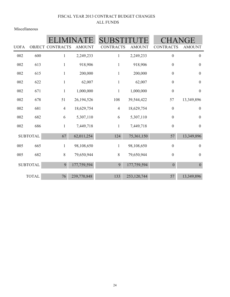Miscellaneous

|             |                 |                         |               | <b>SUBST</b>     |               |                  |                  |
|-------------|-----------------|-------------------------|---------------|------------------|---------------|------------------|------------------|
| <b>UOFA</b> |                 | <b>OBJECT CONTRACTS</b> | <b>AMOUNT</b> | <b>CONTRACTS</b> | <b>AMOUNT</b> | <b>CONTRACTS</b> | <b>AMOUNT</b>    |
| 002         | 600             | 1                       | 2,249,233     | $\mathbf{1}$     | 2,249,233     | $\boldsymbol{0}$ | $\boldsymbol{0}$ |
| 002         | 613             | 1                       | 918,906       | $\mathbf{1}$     | 918,906       | $\boldsymbol{0}$ | $\boldsymbol{0}$ |
| 002         | 615             | $\mathbf{1}$            | 200,000       | $\mathbf{1}$     | 200,000       | $\boldsymbol{0}$ | $\boldsymbol{0}$ |
| 002         | 622             | 1                       | 62,007        | $\mathbf{1}$     | 62,007        | $\boldsymbol{0}$ | $\boldsymbol{0}$ |
| 002         | 671             | 1                       | 1,000,000     | $\mathbf{1}$     | 1,000,000     | $\boldsymbol{0}$ | $\boldsymbol{0}$ |
| 002         | 678             | 51                      | 26, 194, 526  | 108              | 39,544,422    | 57               | 13,349,896       |
| 002         | 681             | $\overline{4}$          | 18,629,754    | $\overline{4}$   | 18,629,754    | $\boldsymbol{0}$ | $\boldsymbol{0}$ |
| 002         | 682             | 6                       | 5,307,110     | 6                | 5,307,110     | $\boldsymbol{0}$ | $\boldsymbol{0}$ |
| 002         | 686             | 1                       | 7,449,718     | 1                | 7,449,718     | $\boldsymbol{0}$ | $\boldsymbol{0}$ |
|             | <b>SUBTOTAL</b> | 67                      | 62,011,254    | 124              | 75,361,150    | 57               | 13,349,896       |
| 005         | 665             | $\mathbf{1}$            | 98,108,650    | $\mathbf{1}$     | 98,108,650    | $\boldsymbol{0}$ | $\boldsymbol{0}$ |
| 005         | 682             | 8                       | 79,650,944    | $\,8\,$          | 79,650,944    | $\boldsymbol{0}$ | $\boldsymbol{0}$ |
|             | <b>SUBTOTAL</b> | 9                       | 177,759,594   | 9                | 177,759,594   | $\mathbf{0}$     | $\boldsymbol{0}$ |
|             | <b>TOTAL</b>    | 76                      | 239,770,848   | 133              | 253,120,744   | 57               | 13,349,896       |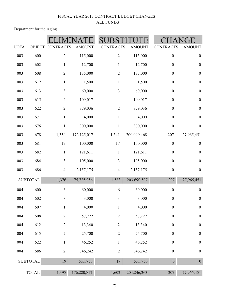Department for the Aging

|             |                 |                         |               |                  |               |                  | GЕ               |
|-------------|-----------------|-------------------------|---------------|------------------|---------------|------------------|------------------|
| <b>UOFA</b> |                 | OBJECT CONTRACTS        | <b>AMOUNT</b> | <b>CONTRACTS</b> | <b>AMOUNT</b> | <b>CONTRACTS</b> | <b>AMOUNT</b>    |
| 003         | 600             | $\overline{2}$          | 115,000       | $\sqrt{2}$       | 115,000       | $\boldsymbol{0}$ | $\boldsymbol{0}$ |
| 003         | 602             | $\mathbf{1}$            | 12,700        | $\mathbf{1}$     | 12,700        | $\boldsymbol{0}$ | $\boldsymbol{0}$ |
| 003         | 608             | $\mathbf{2}$            | 135,000       | $\overline{2}$   | 135,000       | $\boldsymbol{0}$ | $\boldsymbol{0}$ |
| 003         | 612             | $\mathbf{1}$            | 1,500         | $\mathbf{1}$     | 1,500         | $\boldsymbol{0}$ | $\boldsymbol{0}$ |
| 003         | 613             | $\overline{3}$          | 60,000        | $\mathfrak{Z}$   | 60,000        | $\boldsymbol{0}$ | $\boldsymbol{0}$ |
| 003         | 615             | $\overline{4}$          | 109,017       | $\overline{4}$   | 109,017       | $\boldsymbol{0}$ | $\boldsymbol{0}$ |
| 003         | 622             | $\mathbf{2}$            | 379,036       | $\sqrt{2}$       | 379,036       | $\boldsymbol{0}$ | $\boldsymbol{0}$ |
| 003         | 671             | $\mathbf{1}$            | 4,000         | $\mathbf{1}$     | 4,000         | $\boldsymbol{0}$ | $\boldsymbol{0}$ |
| 003         | 676             | $\mathbf{1}$            | 300,000       | $\mathbf{1}$     | 300,000       | $\boldsymbol{0}$ | $\boldsymbol{0}$ |
| 003         | 678             | 1,334                   | 172, 125, 017 | 1,541            | 200,090,468   | 207              | 27,965,451       |
| 003         | 681             | 17                      | 100,000       | 17               | 100,000       | $\boldsymbol{0}$ | $\boldsymbol{0}$ |
| 003         | 682             | $\mathbf{1}$            | 121,611       | $\mathbf{1}$     | 121,611       | $\boldsymbol{0}$ | $\boldsymbol{0}$ |
| 003         | 684             | $\overline{\mathbf{3}}$ | 105,000       | $\mathfrak{Z}$   | 105,000       | $\boldsymbol{0}$ | $\boldsymbol{0}$ |
| 003         | 686             | $\overline{4}$          | 2,157,175     | $\overline{4}$   | 2,157,175     | $\boldsymbol{0}$ | $\boldsymbol{0}$ |
|             | <b>SUBTOTAL</b> | 1,376                   | 175,725,056   | 1,583            | 203,690,507   | 207              | 27,965,451       |
| 004         | 600             | 6                       | 60,000        | 6                | 60,000        | $\boldsymbol{0}$ | $\boldsymbol{0}$ |
| 004         | 602             | $\overline{3}$          | 3,000         | $\overline{3}$   | 3,000         | $\boldsymbol{0}$ | $\boldsymbol{0}$ |
| 004         | 607             | $\mathbf{1}$            | 4,000         | $\mathbf{1}$     | 4,000         | $\boldsymbol{0}$ | $\boldsymbol{0}$ |
| 004         | 608             | $\overline{c}$          | 57,222        | $\sqrt{2}$       | 57,222        | $\boldsymbol{0}$ | $\boldsymbol{0}$ |
| 004         | 612             | $\mathbf{2}$            | 13,340        | $\sqrt{2}$       | 13,340        | $\boldsymbol{0}$ | $\boldsymbol{0}$ |
| 004         | 615             | $\sqrt{2}$              | 25,700        | $\overline{2}$   | 25,700        | $\boldsymbol{0}$ | $\boldsymbol{0}$ |
| 004         | 622             | $\mathbf{1}$            | 46,252        | $\mathbf{1}$     | 46,252        | $\boldsymbol{0}$ | $\boldsymbol{0}$ |
| 004         | 686             | $\sqrt{2}$              | 346,242       | $\sqrt{2}$       | 346,242       | $\boldsymbol{0}$ | $\boldsymbol{0}$ |
|             | <b>SUBTOTAL</b> | 19                      | 555,756       | 19               | 555,756       | $\boldsymbol{0}$ | $\boldsymbol{0}$ |
|             | <b>TOTAL</b>    | 1,395                   | 176,280,812   | 1,602            | 204, 246, 263 | 207              | 27,965,451       |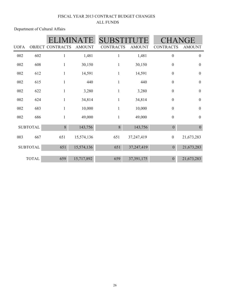Department of Cultural Affairs

|             |                 |                  |               | <b>SUB</b>       |               |                  | JGE              |
|-------------|-----------------|------------------|---------------|------------------|---------------|------------------|------------------|
| <b>UOFA</b> |                 | OBJECT CONTRACTS | <b>AMOUNT</b> | <b>CONTRACTS</b> | <b>AMOUNT</b> | <b>CONTRACTS</b> | <b>AMOUNT</b>    |
| 002         | 602             |                  | 1,481         | $\mathbf{1}$     | 1,481         | $\boldsymbol{0}$ | $\boldsymbol{0}$ |
| 002         | 608             | 1                | 30,150        | $\mathbf{1}$     | 30,150        | $\boldsymbol{0}$ | $\boldsymbol{0}$ |
| 002         | 612             | 1                | 14,591        | $\mathbf{1}$     | 14,591        | $\boldsymbol{0}$ | $\boldsymbol{0}$ |
| 002         | 615             | 1                | 440           | $\mathbf{1}$     | 440           | $\boldsymbol{0}$ | $\boldsymbol{0}$ |
| 002         | 622             | $\mathbf{1}$     | 3,280         | $\mathbf{1}$     | 3,280         | $\overline{0}$   | $\boldsymbol{0}$ |
| 002         | 624             | $\mathbf{1}$     | 34,814        | $\mathbf{1}$     | 34,814        | $\boldsymbol{0}$ | $\boldsymbol{0}$ |
| 002         | 683             | $\mathbf{1}$     | 10,000        | 1                | 10,000        | $\boldsymbol{0}$ | $\boldsymbol{0}$ |
| 002         | 686             | 1                | 49,000        | $\mathbf{1}$     | 49,000        | $\boldsymbol{0}$ | $\boldsymbol{0}$ |
|             | <b>SUBTOTAL</b> | 8                | 143,756       | 8                | 143,756       | $\theta$         | $\boldsymbol{0}$ |
| 003         | 667             | 651              | 15,574,136    | 651              | 37,247,419    | $\boldsymbol{0}$ | 21,673,283       |
|             | <b>SUBTOTAL</b> | 651              | 15,574,136    | 651              | 37,247,419    | $\mathbf{0}$     | 21,673,283       |
|             | <b>TOTAL</b>    | 659              | 15,717,892    | 659              | 37,391,175    | $\overline{0}$   | 21,673,283       |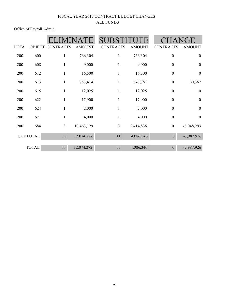Office of Payroll Admin.

|             |                 |                         | $\mathbb{H}$  | <b>SUBSTIT</b>   |               |                  | HANGE            |
|-------------|-----------------|-------------------------|---------------|------------------|---------------|------------------|------------------|
| <b>UOFA</b> |                 | <b>OBJECT CONTRACTS</b> | <b>AMOUNT</b> | <b>CONTRACTS</b> | <b>AMOUNT</b> | <b>CONTRACTS</b> | <b>AMOUNT</b>    |
| 200         | 600             | 1                       | 766,304       | $\mathbf{1}$     | 766,304       | $\boldsymbol{0}$ | $\boldsymbol{0}$ |
| 200         | 608             | $\mathbf{1}$            | 9,000         | $\mathbf{1}$     | 9,000         | $\boldsymbol{0}$ | $\boldsymbol{0}$ |
| 200         | 612             | 1                       | 16,500        | $\mathbf{1}$     | 16,500        | $\boldsymbol{0}$ | $\boldsymbol{0}$ |
| 200         | 613             | 1                       | 783,414       | $\mathbf{1}$     | 843,781       | $\boldsymbol{0}$ | 60,367           |
| 200         | 615             | 1                       | 12,025        | $\mathbf{1}$     | 12,025        | $\boldsymbol{0}$ | $\boldsymbol{0}$ |
| 200         | 622             | 1                       | 17,900        | 1                | 17,900        | $\boldsymbol{0}$ | $\boldsymbol{0}$ |
| 200         | 624             | 1                       | 2,000         | $\mathbf{1}$     | 2,000         | $\boldsymbol{0}$ | $\boldsymbol{0}$ |
| 200         | 671             | 1                       | 4,000         | $\mathbf{1}$     | 4,000         | $\boldsymbol{0}$ | $\boldsymbol{0}$ |
| 200         | 684             | 3                       | 10,463,129    | 3                | 2,414,836     | $\boldsymbol{0}$ | $-8,048,293$     |
|             | <b>SUBTOTAL</b> | 11                      | 12,074,272    | 11               | 4,086,346     | $\theta$         | $-7,987,926$     |
|             | <b>TOTAL</b>    | 11                      | 12,074,272    | 11               | 4,086,346     | $\Omega$         | $-7,987,926$     |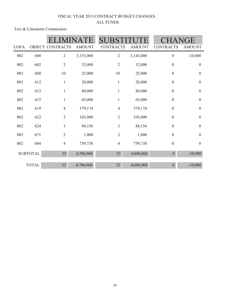Taxi & Limousine Commission

|             |                 |                  |               | <b>SUB</b>       |               |                  | GE               |
|-------------|-----------------|------------------|---------------|------------------|---------------|------------------|------------------|
| <b>UOFA</b> |                 | OBJECT CONTRACTS | <b>AMOUNT</b> | <b>CONTRACTS</b> | <b>AMOUNT</b> | <b>CONTRACTS</b> | <b>AMOUNT</b>    |
| 002         | 600             | $\overline{2}$   | 3,153,000     | 2                | 3,143,000     | $\boldsymbol{0}$ | $-10,000$        |
| 002         | 602             | $\overline{2}$   | 32,000        | $\overline{2}$   | 32,000        | $\boldsymbol{0}$ | $\boldsymbol{0}$ |
| 002         | 608             | 10               | 25,000        | 10               | 25,000        | $\boldsymbol{0}$ | $\boldsymbol{0}$ |
| 002         | 612             | $\mathbf{1}$     | 20,000        | $\mathbf{1}$     | 20,000        | $\boldsymbol{0}$ | $\boldsymbol{0}$ |
| 002         | 613             | $\mathbf{1}$     | 80,000        | $\mathbf{1}$     | 80,000        | $\boldsymbol{0}$ | $\boldsymbol{0}$ |
| 002         | 615             | $\mathbf{1}$     | 65,000        | $\mathbf{1}$     | 65,000        | $\boldsymbol{0}$ | $\boldsymbol{0}$ |
| 002         | 619             | $\overline{4}$   | 379,174       | $\overline{4}$   | 379,174       | $\boldsymbol{0}$ | $\boldsymbol{0}$ |
| 002         | 622             | 2                | 103,000       | $\sqrt{2}$       | 103,000       | $\boldsymbol{0}$ | $\boldsymbol{0}$ |
| 002         | 624             | $\overline{3}$   | 88,156        | 3                | 88,156        | $\boldsymbol{0}$ | $\boldsymbol{0}$ |
| 002         | 671             | $\overline{2}$   | 1,000         | $\overline{2}$   | 1,000         | $\boldsymbol{0}$ | $\boldsymbol{0}$ |
| 002         | 684             | $\overline{4}$   | 759,738       | $\overline{4}$   | 759,738       | $\boldsymbol{0}$ | $\boldsymbol{0}$ |
|             | <b>SUBTOTAL</b> | 32               | 4,706,068     | 32               | 4,696,068     | $\boldsymbol{0}$ | $-10,000$        |
|             |                 |                  |               |                  |               |                  |                  |
|             | <b>TOTAL</b>    | 32               | 4,706,068     | 32               | 4,696,068     | $\boldsymbol{0}$ | $-10,000$        |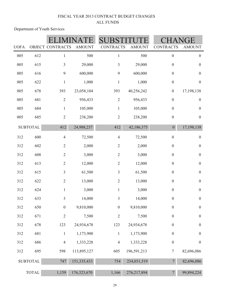Department of Youth Services

| <b>UOFA</b> |                 | OBJECT CONTRACTS | <b>AMOUNT</b> | <b>CONTRACTS</b> | <b>AMOUNT</b> | <b>CONTRACTS</b> | <b>AMOUNT</b>    |
|-------------|-----------------|------------------|---------------|------------------|---------------|------------------|------------------|
| 005         | 612             | $\mathbf{1}$     | 500           | $\mathbf{1}$     | 500           | $\boldsymbol{0}$ | $\boldsymbol{0}$ |
| 005         | 615             | $\mathfrak{Z}$   | 29,000        | $\overline{3}$   | 29,000        | $\boldsymbol{0}$ | $\boldsymbol{0}$ |
| 005         | 616             | 9                | 600,000       | 9                | 600,000       | $\boldsymbol{0}$ | $\boldsymbol{0}$ |
| 005         | 622             | $\mathbf{1}$     | 1,000         | $\mathbf{1}$     | 1,000         | $\boldsymbol{0}$ | $\boldsymbol{0}$ |
| 005         | 678             | 393              | 23,058,104    | 393              | 40,256,242    | $\boldsymbol{0}$ | 17,198,138       |
| 005         | 681             | $\overline{2}$   | 956,433       | $\overline{2}$   | 956,433       | $\boldsymbol{0}$ | $\boldsymbol{0}$ |
| 005         | 684             | $\mathbf{1}$     | 105,000       | $\mathbf{1}$     | 105,000       | $\boldsymbol{0}$ | $\boldsymbol{0}$ |
| 005         | 685             | $\overline{2}$   | 238,200       | $\overline{2}$   | 238,200       | $\boldsymbol{0}$ | $\boldsymbol{0}$ |
|             | <b>SUBTOTAL</b> | 412              | 24,988,237    | 412              | 42,186,375    | $\boldsymbol{0}$ | 17,198,138       |
| 312         | 600             | $\overline{4}$   | 72,500        | $\overline{4}$   | 72,500        | $\boldsymbol{0}$ | $\boldsymbol{0}$ |
| 312         | 602             | $\mathbf{2}$     | 2,000         | $\overline{2}$   | 2,000         | $\boldsymbol{0}$ | $\boldsymbol{0}$ |
| 312         | 608             | $\mathbf{2}$     | 3,000         | $\overline{2}$   | 3,000         | $\boldsymbol{0}$ | $\boldsymbol{0}$ |
| 312         | 613             | $\overline{2}$   | 12,000        | $\sqrt{2}$       | 12,000        | $\boldsymbol{0}$ | $\boldsymbol{0}$ |
| 312         | 615             | $\mathfrak{Z}$   | 61,500        | $\overline{3}$   | 61,500        | $\boldsymbol{0}$ | $\boldsymbol{0}$ |
| 312         | 622             | $\mathbf{2}$     | 13,000        | $\overline{2}$   | 13,000        | $\boldsymbol{0}$ | $\boldsymbol{0}$ |
| 312         | 624             | $\mathbf{1}$     | 3,000         | $\mathbf{1}$     | 3,000         | $\boldsymbol{0}$ | $\boldsymbol{0}$ |
| 312         | 633             | 3                | 14,000        | 3                | 14,000        | $\boldsymbol{0}$ | $\boldsymbol{0}$ |
| 312         | 650             | $\boldsymbol{0}$ | 9,810,000     | $\boldsymbol{0}$ | 9,810,000     | $\boldsymbol{0}$ | $\boldsymbol{0}$ |
| 312         | 671             | $\mathbf{2}$     | 7,500         | $\sqrt{2}$       | 7,500         | $\boldsymbol{0}$ | $\boldsymbol{0}$ |
| 312         | 678             | 123              | 24,934,678    | 123              | 24,934,678    | $\boldsymbol{0}$ | $\boldsymbol{0}$ |
| 312         | 681             | $\mathbf{1}$     | 1,173,900     | $\mathbf{1}$     | 1,173,900     | $\boldsymbol{0}$ | $\boldsymbol{0}$ |
| 312         | 686             | $\overline{4}$   | 1,333,228     | $\overline{4}$   | 1,333,228     | $\boldsymbol{0}$ | $\boldsymbol{0}$ |
| 312         | 695             | 598              | 113,895,127   | 605              | 196,591,213   | $\tau$           | 82,696,086       |
|             | <b>SUBTOTAL</b> | 747              | 151,335,433   | 754              | 234,031,519   | $\overline{7}$   | 82,696,086       |
|             | <b>TOTAL</b>    | 1,159            | 176,323,670   | 1,166            | 276, 217, 894 | $\overline{7}$   | 99,894,224       |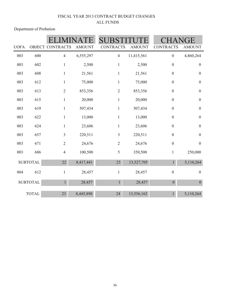Department of Probation

|             |                 |                         |               |                  |               |                  | GE               |
|-------------|-----------------|-------------------------|---------------|------------------|---------------|------------------|------------------|
| <b>UOFA</b> |                 | <b>OBJECT CONTRACTS</b> | <b>AMOUNT</b> | <b>CONTRACTS</b> | <b>AMOUNT</b> | <b>CONTRACTS</b> | <b>AMOUNT</b>    |
| 003         | 600             | $\overline{4}$          | 6,555,297     | $\overline{4}$   | 11,415,561    | $\boldsymbol{0}$ | 4,860,264        |
| 003         | 602             | $\mathbf{1}$            | 2,500         | $\mathbf{1}$     | 2,500         | $\boldsymbol{0}$ | $\boldsymbol{0}$ |
| 003         | 608             | $\,1$                   | 21,561        | $\,1$            | 21,561        | $\boldsymbol{0}$ | $\boldsymbol{0}$ |
| 003         | 612             | $\mathbf{1}$            | 75,000        | $\mathbf{1}$     | 75,000        | $\boldsymbol{0}$ | $\boldsymbol{0}$ |
| 003         | 613             | $\sqrt{2}$              | 853,356       | $\overline{2}$   | 853,356       | $\boldsymbol{0}$ | $\boldsymbol{0}$ |
| 003         | 615             | $\mathbf{1}$            | 20,000        | $\,1$            | 20,000        | $\boldsymbol{0}$ | $\boldsymbol{0}$ |
| 003         | 619             | $\,1$                   | 507,434       | $\,1$            | 507,434       | $\boldsymbol{0}$ | $\boldsymbol{0}$ |
| 003         | 622             | $\,1$                   | 13,000        | $\,1$            | 13,000        | $\boldsymbol{0}$ | $\boldsymbol{0}$ |
| 003         | 624             | $\mathbf{1}$            | 23,606        | $\mathbf{1}$     | 23,606        | $\boldsymbol{0}$ | $\boldsymbol{0}$ |
| 003         | 657             | $\overline{\mathbf{3}}$ | 220,511       | $\overline{3}$   | 220,511       | $\boldsymbol{0}$ | $\boldsymbol{0}$ |
| 003         | 671             | $\overline{2}$          | 24,676        | $\sqrt{2}$       | 24,676        | $\boldsymbol{0}$ | $\boldsymbol{0}$ |
| 003         | 686             | $\overline{4}$          | 100,500       | 5                | 350,500       | $\mathbf{1}$     | 250,000          |
|             | <b>SUBTOTAL</b> | $22\,$                  | 8,417,441     | 23               | 13,527,705    | $\mathbf{1}$     | 5,110,264        |
| 004         | 612             | $\mathbf{1}$            | 28,457        | $\mathbf{1}$     | 28,457        | $\boldsymbol{0}$ | $\boldsymbol{0}$ |
|             | <b>SUBTOTAL</b> | $1\,$                   | 28,457        | $\mathbf{1}$     | 28,457        | $\boldsymbol{0}$ | $\boldsymbol{0}$ |
|             | <b>TOTAL</b>    | 23                      | 8,445,898     | 24               | 13,556,162    | $\mathbf{1}$     | 5,110,264        |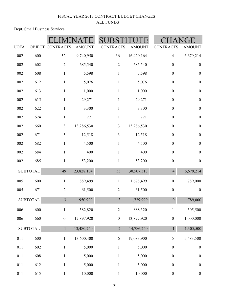Dept. Small Business Services

|             |                  |                  |               |                  |               |                  | GE.              |
|-------------|------------------|------------------|---------------|------------------|---------------|------------------|------------------|
| <b>UOFA</b> |                  | OBJECT CONTRACTS | <b>AMOUNT</b> | <b>CONTRACTS</b> | <b>AMOUNT</b> | <b>CONTRACTS</b> | <b>AMOUNT</b>    |
| 002         | 600              | 32               | 9,740,950     | 36               | 16,420,164    | $\overline{4}$   | 6,679,214        |
| 002         | 602              | $\sqrt{2}$       | 685,540       | $\sqrt{2}$       | 685,540       | $\boldsymbol{0}$ | $\boldsymbol{0}$ |
| 002         | 608              | $\mathbf{1}$     | 5,598         | $\mathbf{1}$     | 5,598         | $\boldsymbol{0}$ | $\boldsymbol{0}$ |
| 002         | 612              | $\mathbf{1}$     | 5,076         | $\mathbf{1}$     | 5,076         | $\boldsymbol{0}$ | $\boldsymbol{0}$ |
| 002         | 613              | $\mathbf{1}$     | 1,000         | $\mathbf{1}$     | 1,000         | $\boldsymbol{0}$ | $\boldsymbol{0}$ |
| 002         | 615              | $\mathbf{1}$     | 29,271        | $\mathbf{1}$     | 29,271        | $\boldsymbol{0}$ | $\boldsymbol{0}$ |
| 002         | 622              | $\mathbf{1}$     | 3,300         | $\mathbf{1}$     | 3,300         | $\boldsymbol{0}$ | $\boldsymbol{0}$ |
| 002         | 624              | $\mathbf{1}$     | 221           | $\mathbf{1}$     | 221           | $\boldsymbol{0}$ | $\boldsymbol{0}$ |
| 002         | 660              | 3                | 13,286,530    | $\mathfrak{Z}$   | 13,286,530    | $\boldsymbol{0}$ | $\boldsymbol{0}$ |
| 002         | 671              | 3                | 12,518        | $\mathfrak{Z}$   | 12,518        | $\boldsymbol{0}$ | $\boldsymbol{0}$ |
| 002         | 682              | $\mathbf{1}$     | 4,500         | $\mathbf{1}$     | 4,500         | $\boldsymbol{0}$ | $\boldsymbol{0}$ |
| 002         | 684              | $\mathbf{1}$     | 400           | $\mathbf{1}$     | 400           | $\boldsymbol{0}$ | $\boldsymbol{0}$ |
| 002         | 685              | $\mathbf{1}$     | 53,200        | $\mathbf{1}$     | 53,200        | $\boldsymbol{0}$ | $\boldsymbol{0}$ |
|             | <b>SUBTOTAL</b>  | 49               | 23,828,104    | 53               | 30,507,318    | $\overline{4}$   | 6,679,214        |
| 005         | 600              | $\mathbf{1}$     | 889,499       | $\mathbf{1}$     | 1,678,499     | $\boldsymbol{0}$ | 789,000          |
| 005         | 671              | $\sqrt{2}$       | 61,500        | $\overline{2}$   | 61,500        | $\boldsymbol{0}$ | $\boldsymbol{0}$ |
|             | <b>SUBTOTAL</b>  | $\overline{3}$   | 950,999       | $\overline{3}$   | 1,739,999     | $\overline{0}$   | 789,000          |
| 006         | 600              | $\mathbf{1}$     | 582,820       | $\mathbf{2}$     | 888,320       | $\,1$            | 305,500          |
| 006         | 660              | $\boldsymbol{0}$ | 12,897,920    | $\boldsymbol{0}$ | 13,897,920    | $\boldsymbol{0}$ | 1,000,000        |
|             | ${\tt SUBTOTAL}$ | $1\,$            | 13,480,740    | $\overline{2}$   | 14,786,240    | $\mathbf{1}$     | 1,305,500        |
| 011         | 600              | $\mathbf{1}$     | 13,600,400    | 6                | 19,083,900    | $\mathfrak s$    | 5,483,500        |
| 011         | 602              | $\mathbf{1}$     | 5,000         | $\mathbf{1}$     | 5,000         | $\boldsymbol{0}$ | $\boldsymbol{0}$ |
| 011         | 608              | $\mathbf{1}$     | 5,000         | $\mathbf{1}$     | 5,000         | $\boldsymbol{0}$ | $\boldsymbol{0}$ |
| 011         | 612              | $\mathbf{1}$     | 5,000         | $\mathbf{1}$     | 5,000         | $\boldsymbol{0}$ | $\boldsymbol{0}$ |
| 011         | 615              | $\mathbf{1}$     | 10,000        | $\mathbf{1}$     | 10,000        | $\boldsymbol{0}$ | $\boldsymbol{0}$ |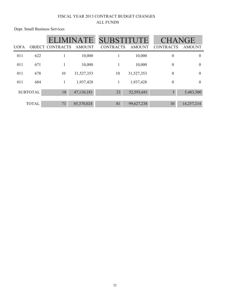Dept. Small Business Services

|             |                 |                         | ATE.          | <b>SUBSTITUTE</b> |               | <b>CHANGE</b>    |               |
|-------------|-----------------|-------------------------|---------------|-------------------|---------------|------------------|---------------|
| <b>UOFA</b> |                 | <b>OBJECT CONTRACTS</b> | <b>AMOUNT</b> | <b>CONTRACTS</b>  | <b>AMOUNT</b> | <b>CONTRACTS</b> | <b>AMOUNT</b> |
| 011         | 622             |                         | 10,000        |                   | 10,000        | $\boldsymbol{0}$ | $\theta$      |
| 011         | 671             |                         | 10,000        |                   | 10,000        | $\boldsymbol{0}$ | $\theta$      |
| 011         | 678             | 10                      | 31,527,353    | 10                | 31,527,353    | $\mathbf{0}$     | $\theta$      |
| 011         | 684             | 1                       | 1,937,428     | 1                 | 1,937,428     | $\boldsymbol{0}$ | $\theta$      |
|             | <b>SUBTOTAL</b> | 18                      | 47,110,181    | 23                | 52,593,681    | 5                | 5,483,500     |
|             | <b>TOTAL</b>    | 71                      | 85,370,024    | 81                | 99,627,238    | 10               | 14,257,214    |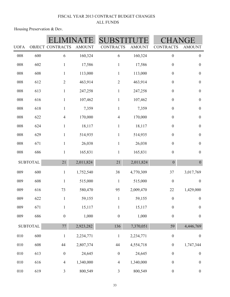Housing Preservation & Dev.

| <b>UOFA</b> |                 | OBJECT CONTRACTS | <b>AMOUNT</b> | <b>CONTRACTS</b> | <b>AMOUNT</b> | <b>CONTRACTS</b> | <b>AMOUNT</b>    |
|-------------|-----------------|------------------|---------------|------------------|---------------|------------------|------------------|
| 008         | 600             |                  | 160,324       | 6                | 160,324       | $\boldsymbol{0}$ | $\boldsymbol{0}$ |
|             |                 | 6                |               |                  |               |                  |                  |
| $008\,$     | 602             | $\mathbf{1}$     | 17,586        | $\mathbf{1}$     | 17,586        | $\boldsymbol{0}$ | $\boldsymbol{0}$ |
| $008\,$     | 608             | $\mathbf{1}$     | 113,000       | $\mathbf{1}$     | 113,000       | $\boldsymbol{0}$ | $\boldsymbol{0}$ |
| 008         | 612             | $\overline{2}$   | 463,914       | $\overline{2}$   | 463,914       | $\boldsymbol{0}$ | $\boldsymbol{0}$ |
| $008\,$     | 613             | $\mathbf{1}$     | 247,258       | $\mathbf{1}$     | 247,258       | $\boldsymbol{0}$ | $\boldsymbol{0}$ |
| 008         | 616             | $\mathbf{1}$     | 107,462       | $\,1$            | 107,462       | $\boldsymbol{0}$ | $\boldsymbol{0}$ |
| 008         | 618             | $\mathbf{1}$     | 7,359         | $\mathbf{1}$     | 7,359         | $\boldsymbol{0}$ | $\boldsymbol{0}$ |
| 008         | 622             | $\overline{4}$   | 170,000       | $\overline{4}$   | 170,000       | $\boldsymbol{0}$ | $\boldsymbol{0}$ |
| 008         | 624             | $\mathbf{1}$     | 18,117        | $\mathbf{1}$     | 18,117        | $\boldsymbol{0}$ | $\boldsymbol{0}$ |
| 008         | 629             | $\mathbf{1}$     | 514,935       | $\mathbf{1}$     | 514,935       | $\boldsymbol{0}$ | $\boldsymbol{0}$ |
| 008         | 671             | $\mathbf{1}$     | 26,038        | $\mathbf{1}$     | 26,038        | $\boldsymbol{0}$ | $\boldsymbol{0}$ |
| 008         | 686             | $\mathbf{1}$     | 165,831       | $\mathbf{1}$     | 165,831       | $\boldsymbol{0}$ | $\boldsymbol{0}$ |
|             | <b>SUBTOTAL</b> | 21               | 2,011,824     | 21               | 2,011,824     | $\boldsymbol{0}$ | $\boldsymbol{0}$ |
| 009         | 600             | $\mathbf{1}$     | 1,752,540     | 38               | 4,770,309     | 37               | 3,017,769        |
| 009         | 608             | $\mathbf{1}$     | 515,000       | $\mathbf{1}$     | 515,000       | $\boldsymbol{0}$ | $\boldsymbol{0}$ |
| 009         | 616             | 73               | 580,470       | 95               | 2,009,470     | 22               | 1,429,000        |
| 009         | 622             | $\mathbf 1$      | 59,155        | $\,1$            | 59,155        | $\boldsymbol{0}$ | $\boldsymbol{0}$ |
| 009         | 671             | $\,1$            | 15,117        | $\mathbf{1}$     | 15,117        | $\boldsymbol{0}$ | $\boldsymbol{0}$ |
| 009         | 686             | $\boldsymbol{0}$ | 1,000         | $\boldsymbol{0}$ | 1,000         | $\boldsymbol{0}$ | $\boldsymbol{0}$ |
|             | <b>SUBTOTAL</b> | 77               | 2,923,282     | 136              | 7,370,051     | 59               | 4,446,769        |
| $010\,$     | 600             | $\,1$            | 2,234,771     | $\mathbf{1}$     | 2,234,771     | $\boldsymbol{0}$ | $\boldsymbol{0}$ |
| $010\,$     | 608             | 44               | 2,807,374     | 44               | 4,554,718     | $\boldsymbol{0}$ | 1,747,344        |
| $010\,$     | 613             | $\boldsymbol{0}$ | 24,645        | $\boldsymbol{0}$ | 24,645        | $\boldsymbol{0}$ | $\boldsymbol{0}$ |
| $010\,$     | 616             | $\overline{4}$   | 1,340,000     | $\overline{4}$   | 1,340,000     | $\boldsymbol{0}$ | $\boldsymbol{0}$ |
| $010\,$     | 619             | $\mathfrak{Z}$   | 800,549       | $\mathfrak{Z}$   | 800,549       | $\boldsymbol{0}$ | $\boldsymbol{0}$ |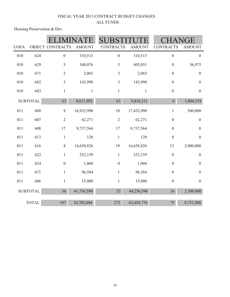Housing Preservation & Dev.

| <b>UOFA</b> |                 | <b>OBJECT CONTRACTS</b> | <b>AMOUNT</b> | <b>CONTRACTS</b> | <b>AMOUNT</b> | <b>CONTRACTS</b> | <b>AMOUNT</b>    |  |
|-------------|-----------------|-------------------------|---------------|------------------|---------------|------------------|------------------|--|
| 010         | 624             | $\boldsymbol{0}$        | 310,513       | $\boldsymbol{0}$ | 310,513       | $\boldsymbol{0}$ | $\boldsymbol{0}$ |  |
| 010         | 629             | 5                       | 348,076       | 5                | 405,051       | $\boldsymbol{0}$ | 56,975           |  |
| 010         | 671             | $\overline{2}$          | 2,065         | $\overline{2}$   | 2,065         | $\boldsymbol{0}$ | $\mathbf{0}$     |  |
| 010         | 682             | $\mathfrak{Z}$          | 143,998       | $\mathfrak{Z}$   | 143,998       | $\boldsymbol{0}$ | $\mathbf{0}$     |  |
| 010         | 683             | $\mathbf{1}$            | $\mathbf{1}$  | $\mathbf{1}$     | $\mathbf{1}$  | $\boldsymbol{0}$ | $\boldsymbol{0}$ |  |
|             | <b>SUBTOTAL</b> | 63                      | 8,011,992     | 63               | 9,816,311     | $\boldsymbol{0}$ | 1,804,319        |  |
| 011         | 600             | 9                       | 16,932,998    | 10               | 17,432,998    | $\mathbf{1}$     | 500,000          |  |
| 011         | 607             | $\sqrt{2}$              | 62,271        | $\overline{2}$   | 62,271        | $\boldsymbol{0}$ | $\boldsymbol{0}$ |  |
| 011         | 608             | 17                      | 9,737,564     | 17               | 9,737,564     | $\boldsymbol{0}$ | $\boldsymbol{0}$ |  |
| 011         | 613             | $\mathbf{1}$            | 128           | $\mathbf{1}$     | 128           | $\boldsymbol{0}$ | $\boldsymbol{0}$ |  |
| 011         | 616             | $\overline{4}$          | 14,658,826    | 19               | 16,658,826    | 15               | 2,000,000        |  |
| 011         | 622             | $\mathbf{1}$            | 252,159       | $\mathbf{1}$     | 252,159       | $\boldsymbol{0}$ | $\mathbf{0}$     |  |
| 011         | 624             | $\boldsymbol{0}$        | 1,060         | $\boldsymbol{0}$ | 1,060         | $\boldsymbol{0}$ | $\mathbf{0}$     |  |
| 011         | 671             | $\mathbf{1}$            | 96,584        | $\mathbf{1}$     | 96,584        | $\boldsymbol{0}$ | $\boldsymbol{0}$ |  |
| 011         | 686             | $\mathbf{1}$            | 15,000        | $\mathbf{1}$     | 15,000        | $\boldsymbol{0}$ | $\boldsymbol{0}$ |  |
|             | <b>SUBTOTAL</b> | 36                      | 41,756,590    | 52               | 44,256,590    | 16               | 2,500,000        |  |
|             | <b>TOTAL</b>    | 197                     | 54,703,688    | 272              | 63,454,776    | 75               | 8,751,088        |  |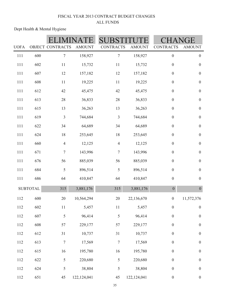|             |                 |                  |               |                  |               |                  | GE               |  |
|-------------|-----------------|------------------|---------------|------------------|---------------|------------------|------------------|--|
| <b>UOFA</b> |                 | OBJECT CONTRACTS | <b>AMOUNT</b> | <b>CONTRACTS</b> | <b>AMOUNT</b> | <b>CONTRACTS</b> | <b>AMOUNT</b>    |  |
| 111         | 600             | $\boldsymbol{7}$ | 158,927       | $\boldsymbol{7}$ | 158,927       | $\boldsymbol{0}$ | $\boldsymbol{0}$ |  |
| 111         | 602             | 11               | 15,732        | 11               | 15,732        | $\boldsymbol{0}$ | $\boldsymbol{0}$ |  |
| 111         | 607             | 12               | 157,182       | 12               | 157,182       | $\boldsymbol{0}$ | $\boldsymbol{0}$ |  |
| 111         | 608             | 11               | 19,225        | 11               | 19,225        | $\boldsymbol{0}$ | $\boldsymbol{0}$ |  |
| 111         | 612             | 42               | 45,475        | 42               | 45,475        | $\boldsymbol{0}$ | $\boldsymbol{0}$ |  |
| 111         | 613             | 28               | 36,833        | 28               | 36,833        | $\boldsymbol{0}$ | $\boldsymbol{0}$ |  |
| 111         | 615             | 13               | 36,263        | 13               | 36,263        | $\boldsymbol{0}$ | $\boldsymbol{0}$ |  |
| 111         | 619             | $\mathfrak{Z}$   | 744,684       | $\mathfrak{Z}$   | 744,684       | $\boldsymbol{0}$ | $\boldsymbol{0}$ |  |
| 111         | 622             | 34               | 64,689        | 34               | 64,689        | $\boldsymbol{0}$ | $\boldsymbol{0}$ |  |
| 111         | 624             | 18               | 253,645       | 18               | 253,645       | $\boldsymbol{0}$ | $\boldsymbol{0}$ |  |
| 111         | 660             | $\overline{4}$   | 12,125        | $\overline{4}$   | 12,125        | $\boldsymbol{0}$ | $\boldsymbol{0}$ |  |
| 111         | 671             | $\boldsymbol{7}$ | 143,996       | $\boldsymbol{7}$ | 143,996       | $\boldsymbol{0}$ | $\boldsymbol{0}$ |  |
| 111         | 676             | 56               | 885,039       | 56               | 885,039       | $\boldsymbol{0}$ | $\boldsymbol{0}$ |  |
| 111         | 684             | 5                | 896,514       | 5                | 896,514       | $\boldsymbol{0}$ | $\boldsymbol{0}$ |  |
| 111         | 686             | 64               | 410,847       | 64               | 410,847       | $\boldsymbol{0}$ | $\boldsymbol{0}$ |  |
|             | <b>SUBTOTAL</b> | 315              | 3,881,176     | 315              | 3,881,176     | $\overline{0}$   | $\overline{0}$   |  |
| 112         | 600             | $20\,$           | 10,564,294    | 20               | 22,136,670    | $\boldsymbol{0}$ | 11,572,376       |  |
| 112         | 602             | $11\,$           | 5,457         | $1\,1$           | 5,457         | $\boldsymbol{0}$ | $\boldsymbol{0}$ |  |
| 112         | 607             | 5                | 96,414        | 5                | 96,414        | $\boldsymbol{0}$ | $\boldsymbol{0}$ |  |
| 112         | 608             | 57               | 229,177       | 57               | 229,177       | $\boldsymbol{0}$ | $\boldsymbol{0}$ |  |
| 112         | 612             | 31               | 10,737        | 31               | 10,737        | $\boldsymbol{0}$ | $\boldsymbol{0}$ |  |
| 112         | 613             | $\boldsymbol{7}$ | 17,569        | $\boldsymbol{7}$ | 17,569        | $\boldsymbol{0}$ | $\boldsymbol{0}$ |  |
| 112         | 615             | $16\,$           | 195,780       | 16               | 195,780       | $\boldsymbol{0}$ | $\boldsymbol{0}$ |  |
| 112         | 622             | 5                | 220,680       | 5                | 220,680       | $\boldsymbol{0}$ | $\boldsymbol{0}$ |  |
| 112         | 624             | 5                | 38,804        | 5                | 38,804        | $\boldsymbol{0}$ | $\boldsymbol{0}$ |  |
| 112         | 651             | 45               | 122,124,041   | 45               | 122,124,041   | $\boldsymbol{0}$ | $\boldsymbol{0}$ |  |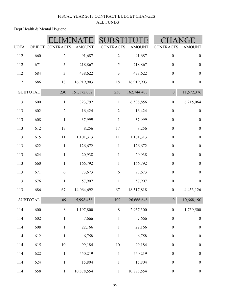| <b>UOFA</b> |                 | OBJECT CONTRACTS | <b>AMOUNT</b> | <b>CONTRACTS</b> | <b>AMOUNT</b> | <b>CONTRACTS</b> | <b>AMOUNT</b>    |
|-------------|-----------------|------------------|---------------|------------------|---------------|------------------|------------------|
| 112         | 660             | $\mathbf{2}$     | 91,687        | $\overline{2}$   | 91,687        | $\boldsymbol{0}$ | $\boldsymbol{0}$ |
| 112         | 671             | $\sqrt{5}$       | 218,867       | 5                | 218,867       | $\boldsymbol{0}$ | $\boldsymbol{0}$ |
| 112         | 684             | $\mathfrak{Z}$   | 438,622       | 3                | 438,622       | $\boldsymbol{0}$ | $\boldsymbol{0}$ |
| 112         | 686             | 18               | 16,919,903    | 18               | 16,919,903    | $\boldsymbol{0}$ | $\boldsymbol{0}$ |
|             | <b>SUBTOTAL</b> | 230              | 151,172,032   | 230              | 162,744,408   | $\boldsymbol{0}$ | 11,572,376       |
| 113         | 600             | $\mathbf{1}$     | 323,792       | $\mathbf{1}$     | 6,538,856     | $\boldsymbol{0}$ | 6,215,064        |
| 113         | 602             | $\mathbf{2}$     | 16,424        | $\sqrt{2}$       | 16,424        | $\boldsymbol{0}$ | $\boldsymbol{0}$ |
| 113         | 608             | $\mathbf{1}$     | 37,999        | $\mathbf{1}$     | 37,999        | $\boldsymbol{0}$ | $\boldsymbol{0}$ |
| 113         | 612             | 17               | 8,256         | 17               | 8,256         | $\boldsymbol{0}$ | $\boldsymbol{0}$ |
| 113         | 615             | 11               | 1,101,313     | 11               | 1,101,313     | $\boldsymbol{0}$ | $\boldsymbol{0}$ |
| 113         | 622             | $\mathbf{1}$     | 126,672       | $\mathbf{1}$     | 126,672       | $\boldsymbol{0}$ | $\boldsymbol{0}$ |
| 113         | 624             | $\mathbf{1}$     | 20,938        | $\mathbf{1}$     | 20,938        | $\boldsymbol{0}$ | $\boldsymbol{0}$ |
| 113         | 660             | $\mathbf{1}$     | 166,792       | $\mathbf{1}$     | 166,792       | $\boldsymbol{0}$ | $\boldsymbol{0}$ |
| 113         | 671             | 6                | 73,673        | 6                | 73,673        | $\boldsymbol{0}$ | $\boldsymbol{0}$ |
| 113         | 676             | $\mathbf{1}$     | 57,907        | $\mathbf{1}$     | 57,907        | $\boldsymbol{0}$ | $\boldsymbol{0}$ |
| 113         | 686             | 67               | 14,064,692    | 67               | 18,517,818    | $\boldsymbol{0}$ | 4,453,126        |
|             | <b>SUBTOTAL</b> | 109              | 15,998,458    | 109              | 26,666,648    | $\boldsymbol{0}$ | 10,668,190       |
| 114         | 600             | $\, 8$           | 1,197,800     | $8\,$            | 2,937,300     | $\boldsymbol{0}$ | 1,739,500        |
| 114         | 602             | $\mathbf{1}$     | 7,666         | $\,1$            | 7,666         | $\boldsymbol{0}$ | $\boldsymbol{0}$ |
| 114         | 608             | $\mathbf{1}$     | 22,166        | $\mathbf 1$      | 22,166        | $\boldsymbol{0}$ | $\boldsymbol{0}$ |
| 114         | 612             | $\mathbf{1}$     | 6,758         | $\mathbf 1$      | 6,758         | $\boldsymbol{0}$ | $\boldsymbol{0}$ |
| 114         | 615             | $10\,$           | 99,184        | $10\,$           | 99,184        | $\boldsymbol{0}$ | $\boldsymbol{0}$ |
| 114         | 622             | $\mathbf{1}$     | 550,219       | $\mathbf{1}$     | 550,219       | $\boldsymbol{0}$ | $\boldsymbol{0}$ |
| 114         | 624             | $\mathbf{1}$     | 15,804        | $\,1$            | 15,804        | $\boldsymbol{0}$ | $\boldsymbol{0}$ |
| 114         | 658             | $\mathbf{1}$     | 10,878,554    | $\mathbf{1}$     | 10,878,554    | $\boldsymbol{0}$ | $\boldsymbol{0}$ |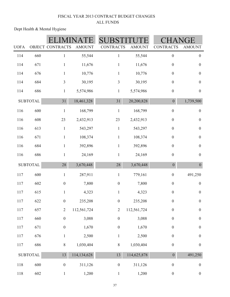|             |                 |                  |               |                  |               |                  | GE               |
|-------------|-----------------|------------------|---------------|------------------|---------------|------------------|------------------|
| <b>UOFA</b> |                 | OBJECT CONTRACTS | <b>AMOUNT</b> | <b>CONTRACTS</b> | <b>AMOUNT</b> | <b>CONTRACTS</b> | <b>AMOUNT</b>    |
| 114         | 660             | $\mathbf{1}$     | 55,544        | $\mathbf{1}$     | 55,544        | $\boldsymbol{0}$ | $\boldsymbol{0}$ |
| 114         | 671             | $\mathbf{1}$     | 11,676        | $\mathbf{1}$     | 11,676        | $\boldsymbol{0}$ | $\boldsymbol{0}$ |
| 114         | 676             | $\mathbf{1}$     | 10,776        | $\mathbf{1}$     | 10,776        | $\boldsymbol{0}$ | $\boldsymbol{0}$ |
| 114         | 684             | $\overline{3}$   | 30,195        | $\mathfrak{Z}$   | 30,195        | $\boldsymbol{0}$ | $\boldsymbol{0}$ |
| 114         | 686             | $\mathbf{1}$     | 5,574,986     | $\mathbf{1}$     | 5,574,986     | $\boldsymbol{0}$ | $\boldsymbol{0}$ |
|             | <b>SUBTOTAL</b> | 31               | 18,461,328    | 31               | 20,200,828    | $\overline{0}$   | 1,739,500        |
| 116         | 600             | $\,1$            | 168,799       | $\,1$            | 168,799       | $\boldsymbol{0}$ | $\boldsymbol{0}$ |
| 116         | 608             | $23\,$           | 2,432,913     | 23               | 2,432,913     | $\boldsymbol{0}$ | $\boldsymbol{0}$ |
| 116         | 613             | $\,1$            | 543,297       | $\,1$            | 543,297       | $\boldsymbol{0}$ | $\boldsymbol{0}$ |
| 116         | 671             | $\mathbf{1}$     | 108,374       | $\mathbf{1}$     | 108,374       | $\boldsymbol{0}$ | $\boldsymbol{0}$ |
| 116         | 684             | $\mathbf{1}$     | 392,896       | $\mathbf{1}$     | 392,896       | $\boldsymbol{0}$ | $\boldsymbol{0}$ |
| 116         | 686             | $\mathbf{1}$     | 24,169        | $\mathbf{1}$     | 24,169        | $\boldsymbol{0}$ | $\boldsymbol{0}$ |
|             | <b>SUBTOTAL</b> | 28               | 3,670,448     | 28               | 3,670,448     | $\boldsymbol{0}$ | $\overline{0}$   |
| 117         | 600             | $\mathbf{1}$     | 287,911       | $\,1$            | 779,161       | $\boldsymbol{0}$ | 491,250          |
| 117         | 602             | $\boldsymbol{0}$ | 7,800         | $\boldsymbol{0}$ | 7,800         | $\boldsymbol{0}$ | $\boldsymbol{0}$ |
| 117         | 615             | $\mathbf{1}$     | 4,323         | $\mathbf{1}$     | 4,323         | $\boldsymbol{0}$ | $\boldsymbol{0}$ |
| 117         | 622             | $\boldsymbol{0}$ | 235,208       | $\boldsymbol{0}$ | 235,208       | $\boldsymbol{0}$ | $\boldsymbol{0}$ |
| 117         | 657             | $\overline{2}$   | 112,561,724   | $\overline{2}$   | 112,561,724   | $\boldsymbol{0}$ | $\boldsymbol{0}$ |
| 117         | 660             | $\boldsymbol{0}$ | 3,088         | $\boldsymbol{0}$ | 3,088         | $\boldsymbol{0}$ | $\boldsymbol{0}$ |
| 117         | 671             | $\boldsymbol{0}$ | 1,670         | $\boldsymbol{0}$ | 1,670         | $\boldsymbol{0}$ | $\boldsymbol{0}$ |
| 117         | 676             | $\mathbf{1}$     | 2,500         | $\mathbf{1}$     | 2,500         | $\boldsymbol{0}$ | $\boldsymbol{0}$ |
| 117         | 686             | $8\,$            | 1,030,404     | $8\,$            | 1,030,404     | $\boldsymbol{0}$ | $\boldsymbol{0}$ |
|             | <b>SUBTOTAL</b> | 13               | 114,134,628   | 13               | 114,625,878   | $\boldsymbol{0}$ | 491,250          |
| 118         | 600             | $\boldsymbol{0}$ | 311,126       | $\boldsymbol{0}$ | 311,126       | $\boldsymbol{0}$ | $\boldsymbol{0}$ |
| 118         | 602             | $\mathbf{1}$     | 1,200         | $\mathbf{1}$     | 1,200         | $\boldsymbol{0}$ | $\boldsymbol{0}$ |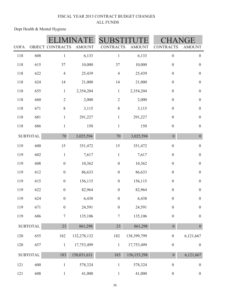|             |                 |                  |               |                  |               | ìE               |                  |
|-------------|-----------------|------------------|---------------|------------------|---------------|------------------|------------------|
| <b>UOFA</b> |                 | OBJECT CONTRACTS | <b>AMOUNT</b> | <b>CONTRACTS</b> | <b>AMOUNT</b> | <b>CONTRACTS</b> | <b>AMOUNT</b>    |
| 118         | 608             | $\mathbf{1}$     | 6,133         | $\mathbf{1}$     | 6,133         | $\boldsymbol{0}$ | $\boldsymbol{0}$ |
| 118         | 615             | 37               | 10,000        | 37               | 10,000        | $\boldsymbol{0}$ | $\boldsymbol{0}$ |
| 118         | 622             | $\overline{4}$   | 25,439        | $\overline{4}$   | 25,439        | $\boldsymbol{0}$ | $\boldsymbol{0}$ |
| 118         | 624             | 14               | 21,000        | 14               | 21,000        | $\boldsymbol{0}$ | $\boldsymbol{0}$ |
| 118         | 655             | $\mathbf{1}$     | 2,354,204     | $\mathbf{1}$     | 2,354,204     | $\boldsymbol{0}$ | $\boldsymbol{0}$ |
| 118         | 660             | $\overline{2}$   | 2,000         | $\sqrt{2}$       | 2,000         | $\boldsymbol{0}$ | $\boldsymbol{0}$ |
| 118         | 671             | 8                | 3,115         | 8                | 3,115         | $\boldsymbol{0}$ | $\boldsymbol{0}$ |
| 118         | 681             | $\mathbf{1}$     | 291,227       | $\mathbf{1}$     | 291,227       | $\boldsymbol{0}$ | $\boldsymbol{0}$ |
| 118         | 686             | $\mathbf{1}$     | 150           | $\mathbf{1}$     | 150           | $\boldsymbol{0}$ | $\boldsymbol{0}$ |
|             | <b>SUBTOTAL</b> | $70\,$           | 3,025,594     | 70               | 3,025,594     | $\boldsymbol{0}$ | $\boldsymbol{0}$ |
| 119         | 600             | 15               | 351,472       | 15               | 351,472       | $\boldsymbol{0}$ | $\boldsymbol{0}$ |
| 119         | 602             | $\mathbf{1}$     | 7,617         | $\mathbf{1}$     | 7,617         | $\boldsymbol{0}$ | $\boldsymbol{0}$ |
| 119         | 608             | $\boldsymbol{0}$ | 10,362        | $\boldsymbol{0}$ | 10,362        | $\boldsymbol{0}$ | $\boldsymbol{0}$ |
| 119         | 612             | $\boldsymbol{0}$ | 86,633        | $\boldsymbol{0}$ | 86,633        | $\boldsymbol{0}$ | $\boldsymbol{0}$ |
| 119         | 615             | $\boldsymbol{0}$ | 156,115       | $\boldsymbol{0}$ | 156,115       | $\boldsymbol{0}$ | $\boldsymbol{0}$ |
| 119         | 622             | $\boldsymbol{0}$ | 82,964        | $\boldsymbol{0}$ | 82,964        | $\boldsymbol{0}$ | $\boldsymbol{0}$ |
| 119         | 624             | $\boldsymbol{0}$ | 6,438         | $\boldsymbol{0}$ | 6,438         | $\boldsymbol{0}$ | $\boldsymbol{0}$ |
| 119         | 671             | $\boldsymbol{0}$ | 24,591        | $\boldsymbol{0}$ | 24,591        | $\boldsymbol{0}$ | $\boldsymbol{0}$ |
| 119         | 686             | $\boldsymbol{7}$ | 135,106       | $\tau$           | 135,106       | $\boldsymbol{0}$ | $\boldsymbol{0}$ |
|             | <b>SUBTOTAL</b> | 23               | 861,298       | 23               | 861,298       | $\boldsymbol{0}$ | $\boldsymbol{0}$ |
| 120         | 655             | 182              | 132,278,132   | 182              | 138,399,799   | $\boldsymbol{0}$ | 6,121,667        |
| 120         | 657             | $\,1$            | 17,753,499    | $\,1$            | 17,753,499    | $\boldsymbol{0}$ | $\boldsymbol{0}$ |
|             | <b>SUBTOTAL</b> | 183              | 150,031,631   | 183              | 156, 153, 298 | $\overline{0}$   | 6,121,667        |
| 121         | 600             | $\mathbf{1}$     | 578,324       | $\mathbf{1}$     | 578,324       | $\boldsymbol{0}$ | $\boldsymbol{0}$ |
| 121         | 608             | $\mathbf{1}$     | 41,000        | $\mathbf 1$      | 41,000        | $\boldsymbol{0}$ | $\boldsymbol{0}$ |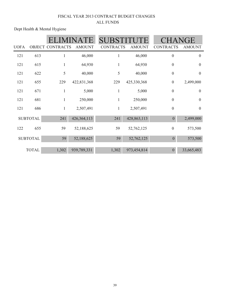|             |                 |                  |               | <b>SUBST</b>     |               |                  | HANGE            |
|-------------|-----------------|------------------|---------------|------------------|---------------|------------------|------------------|
| <b>UOFA</b> | <b>OBJECT</b>   | <b>CONTRACTS</b> | <b>AMOUNT</b> | <b>CONTRACTS</b> | <b>AMOUNT</b> | <b>CONTRACTS</b> | <b>AMOUNT</b>    |
| 121         | 613             |                  | 46,000        | $\mathbf{1}$     | 46,000        | $\boldsymbol{0}$ | $\mathbf{0}$     |
| 121         | 615             | 1                | 64,930        | $\mathbf{1}$     | 64,930        | $\boldsymbol{0}$ | $\mathbf{0}$     |
| 121         | 622             | 5                | 40,000        | 5                | 40,000        | $\boldsymbol{0}$ | $\boldsymbol{0}$ |
| 121         | 655             | 229              | 422,831,368   | 229              | 425,330,368   | $\boldsymbol{0}$ | 2,499,000        |
| 121         | 671             | 1                | 5,000         | $\mathbf{1}$     | 5,000         | $\boldsymbol{0}$ | $\boldsymbol{0}$ |
| 121         | 681             | 1                | 250,000       | $\mathbf{1}$     | 250,000       | $\boldsymbol{0}$ | $\overline{0}$   |
| 121         | 686             | 1                | 2,507,491     | $\mathbf{1}$     | 2,507,491     | $\boldsymbol{0}$ | $\boldsymbol{0}$ |
|             | <b>SUBTOTAL</b> | 241              | 426,364,113   | 241              | 428,863,113   | $\boldsymbol{0}$ | 2,499,000        |
| 122         | 655             | 59               | 52,188,625    | 59               | 52,762,125    | $\boldsymbol{0}$ | 573,500          |
|             | <b>SUBTOTAL</b> | 59               | 52,188,625    | 59               | 52,762,125    | $\theta$         | 573,500          |
|             | <b>TOTAL</b>    | 1,302            | 939,789,331   | 1,302            | 973,454,814   | $\boldsymbol{0}$ | 33,665,483       |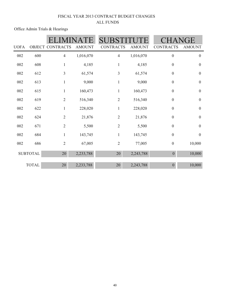Office Admin Trials & Hearings

|             |                 | <b>SUB</b>       |               |                  |               |                  |                  |
|-------------|-----------------|------------------|---------------|------------------|---------------|------------------|------------------|
| <b>UOFA</b> |                 | OBJECT CONTRACTS | <b>AMOUNT</b> | <b>CONTRACTS</b> | <b>AMOUNT</b> | <b>CONTRACTS</b> | <b>AMOUNT</b>    |
| 002         | 600             | $\overline{4}$   | 1,016,070     | 4                | 1,016,070     | $\boldsymbol{0}$ | $\boldsymbol{0}$ |
| 002         | 608             | 1                | 4,185         | $\mathbf{1}$     | 4,185         | $\boldsymbol{0}$ | $\boldsymbol{0}$ |
| 002         | 612             | 3                | 61,574        | 3                | 61,574        | $\boldsymbol{0}$ | $\boldsymbol{0}$ |
| 002         | 613             | $\mathbf{1}$     | 9,000         | $\mathbf{1}$     | 9,000         | $\boldsymbol{0}$ | $\boldsymbol{0}$ |
| 002         | 615             | $\mathbf{1}$     | 160,473       | $\mathbf{1}$     | 160,473       | $\boldsymbol{0}$ | $\boldsymbol{0}$ |
| 002         | 619             | $\overline{2}$   | 516,340       | $\overline{2}$   | 516,340       | $\boldsymbol{0}$ | $\boldsymbol{0}$ |
| 002         | 622             | $\mathbf{1}$     | 228,020       | $\mathbf{1}$     | 228,020       | $\boldsymbol{0}$ | $\boldsymbol{0}$ |
| 002         | 624             | $\overline{2}$   | 21,876        | $\overline{2}$   | 21,876        | $\boldsymbol{0}$ | $\boldsymbol{0}$ |
| 002         | 671             | $\overline{2}$   | 5,500         | $\overline{2}$   | 5,500         | $\boldsymbol{0}$ | $\boldsymbol{0}$ |
| 002         | 684             | $\mathbf{1}$     | 143,745       | $\mathbf{1}$     | 143,745       | $\boldsymbol{0}$ | $\boldsymbol{0}$ |
| 002         | 686             | $\mathbf{2}$     | 67,005        | $\overline{2}$   | 77,005        | $\boldsymbol{0}$ | 10,000           |
|             | <b>SUBTOTAL</b> | 20               | 2,233,788     | 20               | 2,243,788     | $\boldsymbol{0}$ | 10,000           |
|             | <b>TOTAL</b>    | 20               | 2,233,788     | 20               | 2,243,788     | $\theta$         | 10,000           |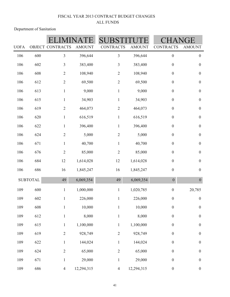Department of Sanitation

|             |                 | <b>OBJECT CONTRACTS</b> |               |                  | <b>AMOUNT</b> |                  | ìE               |
|-------------|-----------------|-------------------------|---------------|------------------|---------------|------------------|------------------|
| <b>UOFA</b> |                 |                         | <b>AMOUNT</b> | <b>CONTRACTS</b> |               | <b>CONTRACTS</b> | <b>AMOUNT</b>    |
| 106         | 600             | $\mathfrak{Z}$          | 396,644       | $\mathfrak{Z}$   | 396,644       | $\boldsymbol{0}$ | $\boldsymbol{0}$ |
| 106         | 602             | $\mathfrak{Z}$          | 383,400       | $\overline{3}$   | 383,400       | $\boldsymbol{0}$ | $\boldsymbol{0}$ |
| 106         | 608             | $\mathbf{2}$            | 108,940       | $\overline{2}$   | 108,940       | $\boldsymbol{0}$ | $\boldsymbol{0}$ |
| 106         | 612             | $\sqrt{2}$              | 69,500        | $\overline{2}$   | 69,500        | $\boldsymbol{0}$ | $\boldsymbol{0}$ |
| 106         | 613             | $\mathbf{1}$            | 9,000         | $\mathbf{1}$     | 9,000         | $\boldsymbol{0}$ | $\boldsymbol{0}$ |
| 106         | 615             | $\mathbf{1}$            | 34,903        | $\mathbf{1}$     | 34,903        | $\boldsymbol{0}$ | $\boldsymbol{0}$ |
| 106         | 619             | $\mathbf{2}$            | 464,073       | $\overline{2}$   | 464,073       | $\boldsymbol{0}$ | $\boldsymbol{0}$ |
| 106         | 620             | $\mathbf{1}$            | 616,519       | $\mathbf{1}$     | 616,519       | $\boldsymbol{0}$ | $\boldsymbol{0}$ |
| 106         | 622             | $\mathbf{1}$            | 396,400       | $\mathbf{1}$     | 396,400       | $\boldsymbol{0}$ | $\boldsymbol{0}$ |
| 106         | 624             | $\overline{2}$          | 5,000         | $\overline{2}$   | 5,000         | $\boldsymbol{0}$ | $\boldsymbol{0}$ |
| 106         | 671             | $\mathbf{1}$            | 40,700        | $\mathbf{1}$     | 40,700        | $\boldsymbol{0}$ | $\boldsymbol{0}$ |
| 106         | 676             | $\sqrt{2}$              | 85,000        | $\overline{2}$   | 85,000        | $\boldsymbol{0}$ | $\boldsymbol{0}$ |
| 106         | 684             | 12                      | 1,614,028     | 12               | 1,614,028     | $\boldsymbol{0}$ | $\boldsymbol{0}$ |
| 106         | 686             | 16                      | 1,845,247     | 16               | 1,845,247     | $\boldsymbol{0}$ | $\boldsymbol{0}$ |
|             | <b>SUBTOTAL</b> | 49                      | 6,069,354     | 49               | 6,069,354     | $\mathbf{0}$     | $\boldsymbol{0}$ |
| 109         | 600             | $\mathbf{1}$            | 1,000,000     | $\mathbf{1}$     | 1,020,785     | $\boldsymbol{0}$ | 20,785           |
| 109         | 602             | $\mathbf{1}$            | 226,000       | $\,1$            | 226,000       | $\boldsymbol{0}$ | $\boldsymbol{0}$ |
| 109         | 608             | $\,1$                   | 10,000        | $\mathbf{1}$     | 10,000        | $\boldsymbol{0}$ | $\boldsymbol{0}$ |
| 109         | 612             | $\,1$                   | 8,000         | $\mathbf{1}$     | 8,000         | $\boldsymbol{0}$ | $\boldsymbol{0}$ |
| 109         | 615             | $\mathbf{1}$            | 1,100,000     | $\mathbf{1}$     | 1,100,000     | $\boldsymbol{0}$ | $\boldsymbol{0}$ |
| 109         | 619             | $\overline{2}$          | 928,749       | $\sqrt{2}$       | 928,749       | $\boldsymbol{0}$ | $\boldsymbol{0}$ |
| 109         | 622             | $\mathbf{1}$            | 144,024       | $\mathbf{1}$     | 144,024       | $\boldsymbol{0}$ | $\boldsymbol{0}$ |
| 109         | 624             | $\sqrt{2}$              | 65,000        | $\overline{2}$   | 65,000        | $\boldsymbol{0}$ | $\boldsymbol{0}$ |
| 109         | 671             | $\mathbf{1}$            | 29,000        | $\,1$            | 29,000        | $\boldsymbol{0}$ | $\boldsymbol{0}$ |
| 109         | 686             | $\overline{4}$          | 12,294,315    | $\overline{4}$   | 12,294,315    | $\boldsymbol{0}$ | $\boldsymbol{0}$ |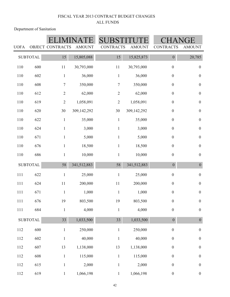Department of Sanitation

| <b>UOFA</b> |                 | OBJECT CONTRACTS | <b>AMOUNT</b> | <b>CONTRACTS</b> | <b>AMOUNT</b> | <b>CONTRACTS</b> | GE<br><b>AMOUNT</b> |
|-------------|-----------------|------------------|---------------|------------------|---------------|------------------|---------------------|
|             | <b>SUBTOTAL</b> | 15               | 15,805,088    | 15               | 15,825,873    | $\boldsymbol{0}$ | 20,785              |
| 110         | 600             | 11               | 30,793,000    | 11               | 30,793,000    | $\boldsymbol{0}$ | $\boldsymbol{0}$    |
| 110         | 602             | $\,1\,$          | 36,000        | $\,1\,$          | 36,000        | $\boldsymbol{0}$ | $\boldsymbol{0}$    |
| 110         | 608             | $\boldsymbol{7}$ | 350,000       | $\tau$           | 350,000       | $\boldsymbol{0}$ | $\boldsymbol{0}$    |
| 110         | 612             | $\sqrt{2}$       | 62,000        | $\sqrt{2}$       | 62,000        | $\boldsymbol{0}$ | $\boldsymbol{0}$    |
| 110         | 619             | $\sqrt{2}$       | 1,058,091     | $\mathbf{2}$     | 1,058,091     | $\boldsymbol{0}$ | $\boldsymbol{0}$    |
| $110\,$     | 620             | 30               | 309,142,292   | 30               | 309,142,292   | $\boldsymbol{0}$ | $\boldsymbol{0}$    |
| $110\,$     | 622             | $\,1\,$          | 35,000        | $\,1$            | 35,000        | $\boldsymbol{0}$ | $\boldsymbol{0}$    |
| 110         | 624             | $\mathbf{1}$     | 3,000         | $\mathbf{1}$     | 3,000         | $\boldsymbol{0}$ | $\boldsymbol{0}$    |
| 110         | 671             | $\mathbf{1}$     | 5,000         | $\mathbf{1}$     | 5,000         | $\boldsymbol{0}$ | $\boldsymbol{0}$    |
| 110         | 676             | $\mathbf{1}$     | 18,500        | $\mathbf{1}$     | 18,500        | $\boldsymbol{0}$ | $\boldsymbol{0}$    |
| $110\,$     | 686             | $\mathbf{1}$     | 10,000        | $\mathbf{1}$     | 10,000        | $\boldsymbol{0}$ | $\boldsymbol{0}$    |
|             | <b>SUBTOTAL</b> | 58               | 341,512,883   | 58               | 341,512,883   | $\boldsymbol{0}$ | $\overline{0}$      |
| 111         | 622             | $\mathbf{1}$     | 25,000        | $\mathbf{1}$     | 25,000        | $\boldsymbol{0}$ | $\boldsymbol{0}$    |
| 111         | 624             | $11\,$           | 200,000       | 11               | 200,000       | $\boldsymbol{0}$ | $\boldsymbol{0}$    |
| 111         | 671             | $\,1\,$          | 1,000         | $\,1\,$          | 1,000         | $\boldsymbol{0}$ | $\boldsymbol{0}$    |
| 111         | 676             | 19               | 803,500       | 19               | 803,500       | $\boldsymbol{0}$ | $\boldsymbol{0}$    |
| $111\,$     | 684             | $\,1$            | 4,000         | $\mathbf{1}$     | 4,000         | $\boldsymbol{0}$ | $\boldsymbol{0}$    |
|             | <b>SUBTOTAL</b> | 33               | 1,033,500     | 33               | 1,033,500     | $\overline{0}$   | $\boldsymbol{0}$    |
| $112\,$     | 600             | $\mathbf{1}$     | 250,000       | $\,1$            | 250,000       | $\boldsymbol{0}$ | $\boldsymbol{0}$    |
| 112         | 602             | $\,1$            | 40,000        | $\,1$            | 40,000        | $\boldsymbol{0}$ | $\boldsymbol{0}$    |
| 112         | 607             | 13               | 1,138,000     | 13               | 1,138,000     | $\boldsymbol{0}$ | $\boldsymbol{0}$    |
| 112         | 608             | $\mathbf{1}$     | 115,000       | $\,1$            | 115,000       | $\boldsymbol{0}$ | $\boldsymbol{0}$    |
| 112         | 615             | $\mathbf{1}$     | 2,000         | $\mathbf{1}$     | 2,000         | $\boldsymbol{0}$ | $\boldsymbol{0}$    |
| $112\,$     | 619             | $\mathbf{1}$     | 1,066,198     | $\mathbf{1}$     | 1,066,198     | $\boldsymbol{0}$ | $\boldsymbol{0}$    |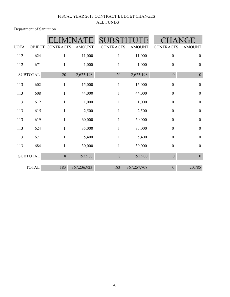Department of Sanitation

|             |                 | <b>SUB</b>              |               |                  | IGE           |                  |                  |
|-------------|-----------------|-------------------------|---------------|------------------|---------------|------------------|------------------|
| <b>UOFA</b> |                 | <b>OBJECT CONTRACTS</b> | <b>AMOUNT</b> | <b>CONTRACTS</b> | <b>AMOUNT</b> | <b>CONTRACTS</b> | <b>AMOUNT</b>    |
| 112         | 624             | 1                       | 11,000        | 1                | 11,000        | $\boldsymbol{0}$ | $\boldsymbol{0}$ |
| 112         | 671             | 1                       | 1,000         | $\mathbf{1}$     | 1,000         | $\boldsymbol{0}$ | $\boldsymbol{0}$ |
|             | <b>SUBTOTAL</b> | 20                      | 2,623,198     | 20               | 2,623,198     | $\boldsymbol{0}$ | $\boldsymbol{0}$ |
| 113         | 602             | $\mathbf{1}$            | 15,000        | $\mathbf{1}$     | 15,000        | $\boldsymbol{0}$ | $\boldsymbol{0}$ |
| 113         | 608             | $\mathbf{1}$            | 44,000        | $\mathbf{1}$     | 44,000        | $\boldsymbol{0}$ | $\boldsymbol{0}$ |
| 113         | 612             |                         | 1,000         | 1                | 1,000         | $\boldsymbol{0}$ | $\boldsymbol{0}$ |
| 113         | 615             | $\mathbf{1}$            | 2,500         | $\mathbf{1}$     | 2,500         | $\boldsymbol{0}$ | $\boldsymbol{0}$ |
| 113         | 619             | $\mathbf{1}$            | 60,000        | $\mathbf{1}$     | 60,000        | $\boldsymbol{0}$ | $\boldsymbol{0}$ |
| 113         | 624             | $\mathbf{1}$            | 35,000        | $\mathbf{1}$     | 35,000        | $\boldsymbol{0}$ | $\boldsymbol{0}$ |
| 113         | 671             | $\mathbf{1}$            | 5,400         | $\mathbf{1}$     | 5,400         | $\boldsymbol{0}$ | $\boldsymbol{0}$ |
| 113         | 684             | $\mathbf{1}$            | 30,000        | 1                | 30,000        | $\boldsymbol{0}$ | $\boldsymbol{0}$ |
|             | <b>SUBTOTAL</b> | 8                       | 192,900       | $\,8\,$          | 192,900       | $\boldsymbol{0}$ | $\boldsymbol{0}$ |
|             | <b>TOTAL</b>    | 183                     | 367,236,923   | 183              | 367,257,708   | $\overline{0}$   | 20,785           |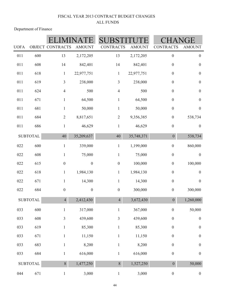Department of Finance

| <b>UOFA</b> |                  | OBJECT CONTRACTS        | <b>AMOUNT</b>    | <b>CONTRACTS</b> | <b>AMOUNT</b> | <b>CONTRACTS</b> | <b>AMOUNT</b>    |  |
|-------------|------------------|-------------------------|------------------|------------------|---------------|------------------|------------------|--|
| 011         | 600              | 13                      | 2,172,205        | 13               | 2,172,205     | $\boldsymbol{0}$ | $\boldsymbol{0}$ |  |
| 011         | 608              | 14                      | 842,401          | 14               | 842,401       | $\boldsymbol{0}$ | $\boldsymbol{0}$ |  |
| 011         | 618              | $\mathbf{1}$            | 22,977,751       | $\mathbf{1}$     | 22,977,751    | $\boldsymbol{0}$ | $\boldsymbol{0}$ |  |
| 011         | 619              | $\overline{3}$          | 238,000          | $\mathfrak{Z}$   | 238,000       | $\boldsymbol{0}$ | $\boldsymbol{0}$ |  |
| 011         | 624              | $\overline{4}$          | 500              | $\overline{4}$   | 500           | $\boldsymbol{0}$ | $\boldsymbol{0}$ |  |
| 011         | 671              | $\mathbf{1}$            | 64,500           | $\mathbf{1}$     | 64,500        | $\boldsymbol{0}$ | $\boldsymbol{0}$ |  |
| 011         | 681              | $\mathbf{1}$            | 50,000           | $\mathbf{1}$     | 50,000        | $\boldsymbol{0}$ | $\boldsymbol{0}$ |  |
| 011         | 684              | $\sqrt{2}$              | 8,817,651        | $\sqrt{2}$       | 9,356,385     | $\boldsymbol{0}$ | 538,734          |  |
| 011         | 686              | $\mathbf{1}$            | 46,629           | $\mathbf{1}$     | 46,629        | $\boldsymbol{0}$ | $\boldsymbol{0}$ |  |
|             | <b>SUBTOTAL</b>  | $40\,$                  | 35,209,637       | 40               | 35,748,371    | $\boldsymbol{0}$ | 538,734          |  |
| 022         | 600              | $\mathbf{1}$            | 339,000          | $\mathbf 1$      | 1,199,000     | $\boldsymbol{0}$ | 860,000          |  |
| 022         | 608              | $\mathbf{1}$            | 75,000           | $\mathbf{1}$     | 75,000        | $\boldsymbol{0}$ | $\boldsymbol{0}$ |  |
| 022         | 615              | $\boldsymbol{0}$        | $\boldsymbol{0}$ | $\boldsymbol{0}$ | 100,000       | $\boldsymbol{0}$ | 100,000          |  |
| 022         | 618              | $\mathbf{1}$            | 1,984,130        | $\mathbf{1}$     | 1,984,130     | $\boldsymbol{0}$ | $\boldsymbol{0}$ |  |
| 022         | 671              | $\mathbf{1}$            | 14,300           | $\mathbf{1}$     | 14,300        | $\boldsymbol{0}$ | $\boldsymbol{0}$ |  |
| 022         | 684              | $\boldsymbol{0}$        | $\boldsymbol{0}$ | $\boldsymbol{0}$ | 300,000       | $\boldsymbol{0}$ | 300,000          |  |
|             | <b>SUBTOTAL</b>  | $\overline{4}$          | 2,412,430        | $\overline{4}$   | 3,672,430     | $\boldsymbol{0}$ | 1,260,000        |  |
| 033         | 600              | $\mathbf{1}$            | 317,000          | $\mathbf{1}$     | 367,000       | $\boldsymbol{0}$ | 50,000           |  |
| 033         | 608              | $\overline{\mathbf{3}}$ | 439,600          | $\overline{3}$   | 439,600       | $\boldsymbol{0}$ | $\boldsymbol{0}$ |  |
| 033         | 619              | $\mathbf{1}$            | 85,300           | $\,1$            | 85,300        | $\boldsymbol{0}$ | $\boldsymbol{0}$ |  |
| 033         | 671              | $\mathbf{1}$            | 11,150           | $\mathbf 1$      | 11,150        | $\boldsymbol{0}$ | $\boldsymbol{0}$ |  |
| 033         | 683              | $\mathbf{1}$            | 8,200            | $\,1$            | 8,200         | $\boldsymbol{0}$ | $\boldsymbol{0}$ |  |
| 033         | 684              | $\mathbf{1}$            | 616,000          | $\mathbf{1}$     | 616,000       | $\boldsymbol{0}$ | $\boldsymbol{0}$ |  |
|             | ${\tt SUBTOTAL}$ | 8                       | 1,477,250        | 8                | 1,527,250     | $\boldsymbol{0}$ | 50,000           |  |
| 044         | 671              | $\mathbf{1}$            | 3,000            | $\mathbf{1}$     | 3,000         | $\boldsymbol{0}$ | $\boldsymbol{0}$ |  |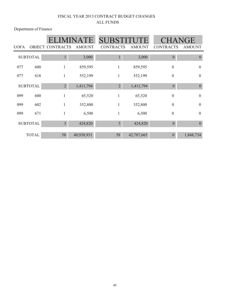Department of Finance

|             |                 |                         | ATE           | <b>SUBSTITUT</b> |               | CHANGE           |                  |
|-------------|-----------------|-------------------------|---------------|------------------|---------------|------------------|------------------|
| <b>UOFA</b> |                 | <b>OBJECT CONTRACTS</b> | <b>AMOUNT</b> | <b>CONTRACTS</b> | <b>AMOUNT</b> | <b>CONTRACTS</b> | <b>AMOUNT</b>    |
|             | <b>SUBTOTAL</b> | $\mathbf{1}$            | 3,000         | 1                | 3,000         | $\mathbf{0}$     | $\overline{0}$   |
| 077         | 600             | 1                       | 859,595       | $\mathbf{1}$     | 859,595       | $\boldsymbol{0}$ | $\boldsymbol{0}$ |
| 077         | 618             | 1                       | 552,199       | $\mathbf{1}$     | 552,199       | $\boldsymbol{0}$ | $\boldsymbol{0}$ |
|             | <b>SUBTOTAL</b> | $\overline{2}$          | 1,411,794     | $\overline{2}$   | 1,411,794     | $\theta$         | $\boldsymbol{0}$ |
| 099         | 600             |                         | 65,520        | 1                | 65,520        | $\boldsymbol{0}$ | $\mathbf{0}$     |
| 099         | 602             | 1                       | 352,800       | $\mathbf{1}$     | 352,800       | $\boldsymbol{0}$ | $\mathbf{0}$     |
| 099         | 671             | 1                       | 6,500         | 1                | 6,500         | $\boldsymbol{0}$ | $\mathbf{0}$     |
|             | <b>SUBTOTAL</b> | $\overline{3}$          | 424,820       | $\overline{3}$   | 424,820       | $\theta$         | $\boldsymbol{0}$ |
|             | <b>TOTAL</b>    | 58                      | 40,938,931    | 58               | 42,787,665    | $\theta$         | 1,848,734        |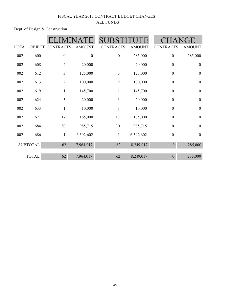## FISCAL YEAR 2013 CONTRACT BUDGET CHANGES ALL FUNDS

Dept. of Design & Construction

|                 |              |                  |                  | <b>SUB</b>       |               | VGE              |                  |
|-----------------|--------------|------------------|------------------|------------------|---------------|------------------|------------------|
| <b>UOFA</b>     | OBJECT       | <b>CONTRACTS</b> | <b>AMOUNT</b>    | <b>CONTRACTS</b> | <b>AMOUNT</b> | <b>CONTRACTS</b> | <b>AMOUNT</b>    |
| 002             | 600          | $\boldsymbol{0}$ | $\boldsymbol{0}$ | $\boldsymbol{0}$ | 285,000       | $\boldsymbol{0}$ | 285,000          |
| 002             | 608          | $\overline{4}$   | 20,000           | $\overline{4}$   | 20,000        | $\boldsymbol{0}$ | $\boldsymbol{0}$ |
| 002             | 612          | $\mathfrak{Z}$   | 125,000          | 3                | 125,000       | $\boldsymbol{0}$ | $\boldsymbol{0}$ |
| 002             | 613          | $\mathbf{2}$     | 100,000          | $\overline{2}$   | 100,000       | $\boldsymbol{0}$ | $\boldsymbol{0}$ |
| 002             | 619          | $\mathbf{1}$     | 145,700          | $\mathbf{1}$     | 145,700       | $\boldsymbol{0}$ | $\boldsymbol{0}$ |
| 002             | 624          | 3                | 20,000           | $\overline{3}$   | 20,000        | $\boldsymbol{0}$ | $\boldsymbol{0}$ |
| 002             | 633          | $\mathbf{1}$     | 10,000           | $\mathbf{1}$     | 10,000        | $\boldsymbol{0}$ | $\boldsymbol{0}$ |
| 002             | 671          | 17               | 165,000          | 17               | 165,000       | $\boldsymbol{0}$ | $\boldsymbol{0}$ |
| 002             | 684          | 30               | 985,715          | 30               | 985,715       | $\boldsymbol{0}$ | $\boldsymbol{0}$ |
| 002             | 686          | $\mathbf{1}$     | 6,392,602        | $\mathbf{1}$     | 6,392,602     | $\boldsymbol{0}$ | $\boldsymbol{0}$ |
| <b>SUBTOTAL</b> |              | 62               | 7,964,017        | 62               | 8,249,017     | $\overline{0}$   | 285,000          |
|                 | <b>TOTAL</b> | 62               | 7,964,017        | 62               | 8,249,017     | $\boldsymbol{0}$ | 285,000          |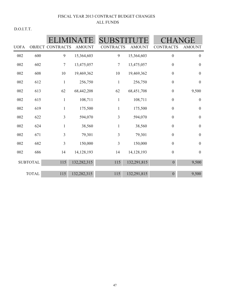D.O.I.T.T.

| <b>UOFA</b> |                 | OBJECT CONTRACTS | <b>AMOUNT</b> | SUB<br><b>CONTRACTS</b> | <b>AMOUNT</b> | <b>CONTRACTS</b> | JGE<br><b>AMOUNT</b> |
|-------------|-----------------|------------------|---------------|-------------------------|---------------|------------------|----------------------|
| 002         | 600             | 9                | 15,364,603    | 9                       | 15,364,603    | $\boldsymbol{0}$ | $\boldsymbol{0}$     |
| 002         | 602             | $\tau$           | 13,475,057    | $\boldsymbol{7}$        | 13,475,057    | $\boldsymbol{0}$ | $\boldsymbol{0}$     |
| 002         | 608             | $10\,$           | 19,469,362    | 10                      | 19,469,362    | $\boldsymbol{0}$ | $\boldsymbol{0}$     |
| 002         | 612             | 1                | 256,750       | 1                       | 256,750       | $\boldsymbol{0}$ | $\boldsymbol{0}$     |
| 002         | 613             | 62               | 68,442,208    | 62                      | 68,451,708    | $\boldsymbol{0}$ | 9,500                |
| 002         | 615             | $\mathbf{1}$     | 108,711       | $\mathbf{1}$            | 108,711       | $\boldsymbol{0}$ | $\boldsymbol{0}$     |
| 002         | 619             | 1                | 175,500       | $\mathbf{1}$            | 175,500       | $\boldsymbol{0}$ | $\boldsymbol{0}$     |
| 002         | 622             | $\overline{3}$   | 594,070       | 3                       | 594,070       | $\boldsymbol{0}$ | $\boldsymbol{0}$     |
| 002         | 624             | $\mathbf{1}$     | 38,560        | $\mathbf{1}$            | 38,560        | $\boldsymbol{0}$ | $\boldsymbol{0}$     |
| 002         | 671             | 3                | 79,301        | 3                       | 79,301        | $\boldsymbol{0}$ | $\boldsymbol{0}$     |
| 002         | 682             | $\overline{3}$   | 150,000       | $\overline{3}$          | 150,000       | $\boldsymbol{0}$ | $\boldsymbol{0}$     |
| 002         | 686             | 14               | 14,128,193    | 14                      | 14,128,193    | $\boldsymbol{0}$ | $\boldsymbol{0}$     |
|             | <b>SUBTOTAL</b> | 115              | 132,282,315   | 115                     | 132,291,815   | $\boldsymbol{0}$ | 9,500                |
|             | <b>TOTAL</b>    | 115              | 132,282,315   | 115                     | 132,291,815   | $\overline{0}$   | 9,500                |